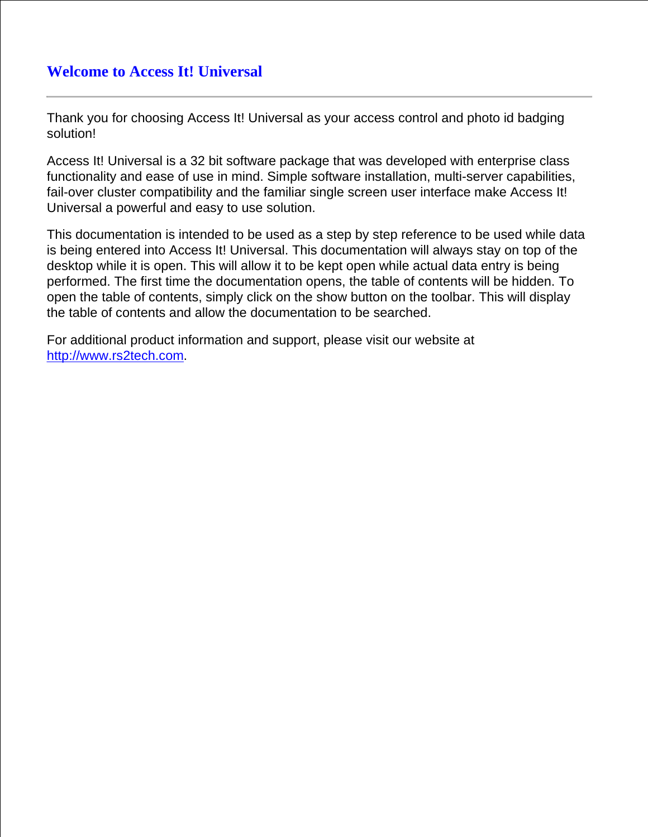# **Welcome to Access It! Universal**

Thank you for choosing Access It! Universal as your access control and photo id badging solution!

Access It! Universal is a 32 bit software package that was developed with enterprise class functionality and ease of use in mind. Simple software installation, multi-server capabilities, fail-over cluster compatibility and the familiar single screen user interface make Access It! Universal a powerful and easy to use solution.

This documentation is intended to be used as a step by step reference to be used while data is being entered into Access It! Universal. This documentation will always stay on top of the desktop while it is open. This will allow it to be kept open while actual data entry is being performed. The first time the documentation opens, the table of contents will be hidden. To open the table of contents, simply click on the show button on the toolbar. This will display the table of contents and allow the documentation to be searched.

For additional product information and support, please visit our website at [http://www.rs2tech.com.](http://www.rs2tech.com)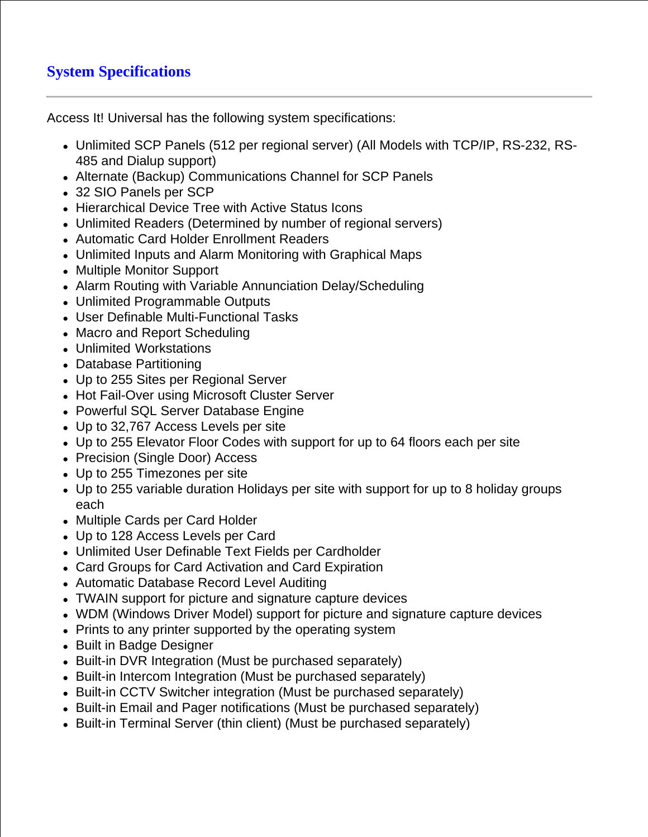# **System Specifications**

Access It! Universal has the following system specifications:

- Unlimited SCP Panels (512 per regional server) (All Models with TCP/IP, RS-232, RS-485 and Dialup support)
- Alternate (Backup) Communications Channel for SCP Panels
- 32 SIO Panels per SCP
- Hierarchical Device Tree with Active Status Icons
- Unlimited Readers (Determined by number of regional servers)
- Automatic Card Holder Enrollment Readers
- Unlimited Inputs and Alarm Monitoring with Graphical Maps
- Multiple Monitor Support
- Alarm Routing with Variable Annunciation Delay/Scheduling
- Unlimited Programmable Outputs
- User Definable Multi-Functional Tasks
- Macro and Report Scheduling
- Unlimited Workstations
- Database Partitioning
- Up to 255 Sites per Regional Server
- Hot Fail-Over using Microsoft Cluster Server
- Powerful SQL Server Database Engine
- Up to 32,767 Access Levels per site
- Up to 255 Elevator Floor Codes with support for up to 64 floors each per site
- Precision (Single Door) Access
- Up to 255 Timezones per site
- Up to 255 variable duration Holidays per site with support for up to 8 holiday groups each
- Multiple Cards per Card Holder
- Up to 128 Access Levels per Card
- Unlimited User Definable Text Fields per Cardholder
- Card Groups for Card Activation and Card Expiration
- Automatic Database Record Level Auditing
- TWAIN support for picture and signature capture devices
- WDM (Windows Driver Model) support for picture and signature capture devices
- Prints to any printer supported by the operating system
- Built in Badge Designer
- Built-in DVR Integration (Must be purchased separately)
- Built-in Intercom Integration (Must be purchased separately)
- Built-in CCTV Switcher integration (Must be purchased separately)
- Built-in Email and Pager notifications (Must be purchased separately)
- Built-in Terminal Server (thin client) (Must be purchased separately)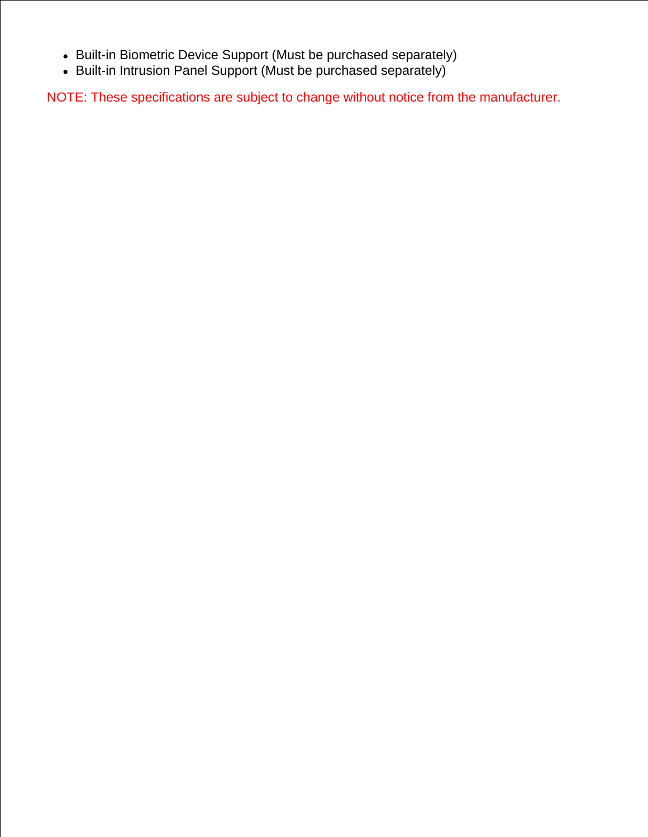- Built-in Biometric Device Support (Must be purchased separately)
- Built-in Intrusion Panel Support (Must be purchased separately)

NOTE: These specifications are subject to change without notice from the manufacturer.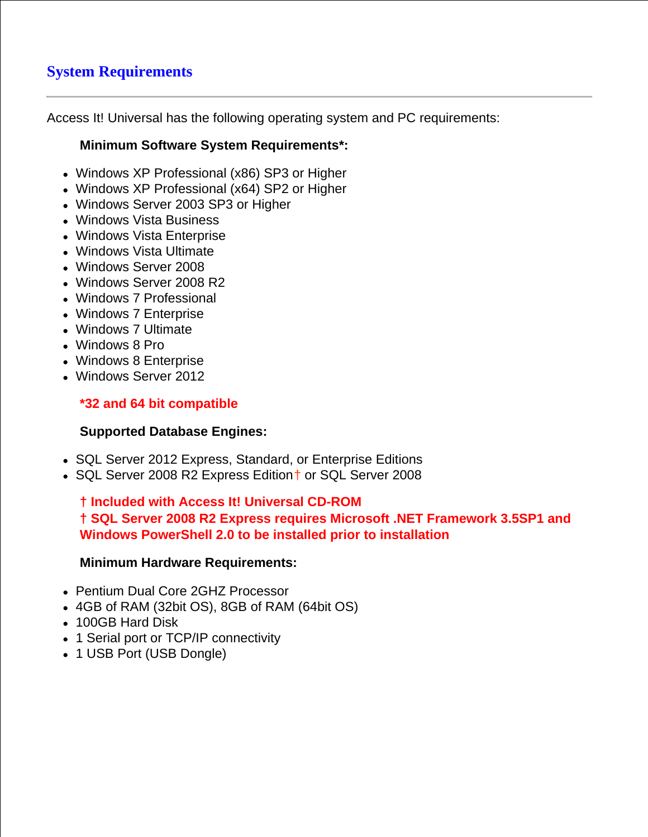# **System Requirements**

Access It! Universal has the following operating system and PC requirements:

## **Minimum Software System Requirements\*:**

- Windows XP Professional (x86) SP3 or Higher
- Windows XP Professional (x64) SP2 or Higher
- Windows Server 2003 SP3 or Higher
- Windows Vista Business
- Windows Vista Enterprise
- Windows Vista Ultimate
- Windows Server 2008
- Windows Server 2008 R2
- Windows 7 Professional
- Windows 7 Enterprise
- Windows 7 Ultimate
- Windows 8 Pro
- Windows 8 Enterprise
- Windows Server 2012

## **\*32 and 64 bit compatible**

## **Supported Database Engines:**

- SQL Server 2012 Express, Standard, or Enterprise Editions
- SQL Server 2008 R2 Express Edition<sup>+</sup> or SQL Server 2008

**† Included with Access It! Universal CD-ROM † SQL Server 2008 R2 Express requires Microsoft .NET Framework 3.5SP1 and Windows PowerShell 2.0 to be installed prior to installation**

## **Minimum Hardware Requirements:**

- Pentium Dual Core 2GHZ Processor
- 4GB of RAM (32bit OS), 8GB of RAM (64bit OS)
- 100GB Hard Disk
- 1 Serial port or TCP/IP connectivity
- 1 USB Port (USB Dongle)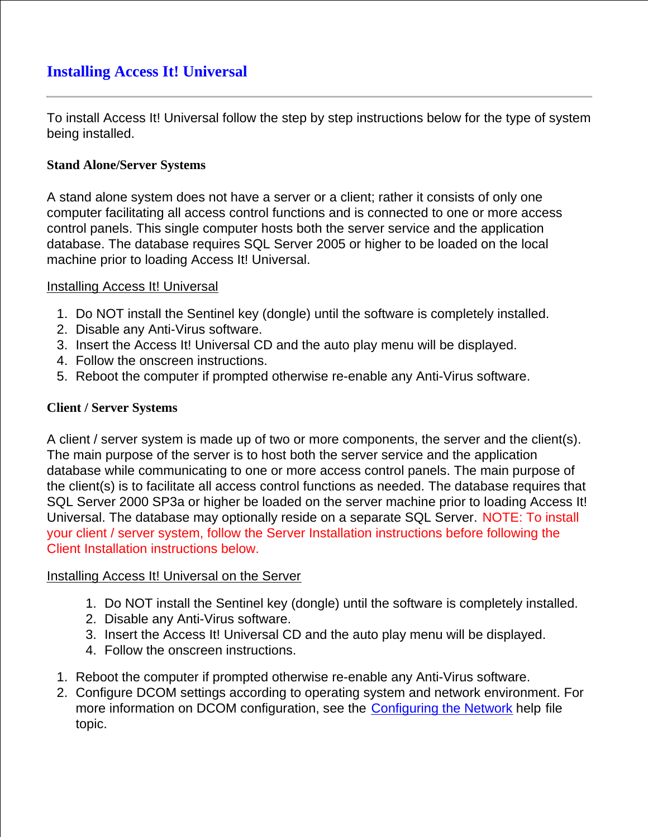To install Access It! Universal follow the step by step instructions below for the type of system being installed.

## **Stand Alone/Server Systems**

A stand alone system does not have a server or a client; rather it consists of only one computer facilitating all access control functions and is connected to one or more access control panels. This single computer hosts both the server service and the application database. The database requires SQL Server 2005 or higher to be loaded on the local machine prior to loading Access It! Universal.

## Installing Access It! Universal

- 1. Do NOT install the Sentinel key (dongle) until the software is completely installed.
- 2. Disable any Anti-Virus software.
- 3. Insert the Access It! Universal CD and the auto play menu will be displayed.
- 4. Follow the onscreen instructions.
- 5. Reboot the computer if prompted otherwise re-enable any Anti-Virus software.

## **Client / Server Systems**

A client / server system is made up of two or more components, the server and the client(s). The main purpose of the server is to host both the server service and the application database while communicating to one or more access control panels. The main purpose of the client(s) is to facilitate all access control functions as needed. The database requires that SQL Server 2000 SP3a or higher be loaded on the server machine prior to loading Access It! Universal. The database may optionally reside on a separate SQL Server. NOTE: To install your client / server system, follow the Server Installation instructions before following the Client Installation instructions below.

## Installing Access It! Universal on the Server

- 1. Do NOT install the Sentinel key (dongle) until the software is completely installed.
- 2. Disable any Anti-Virus software.
- 3. Insert the Access It! Universal CD and the auto play menu will be displayed.
- 4. Follow the onscreen instructions.
- 1. Reboot the computer if prompted otherwise re-enable any Anti-Virus software.
- 2. Configure DCOM settings according to operating system and network environment. For more information on DCOM configuration, see the **Configuring the Network** help file topic.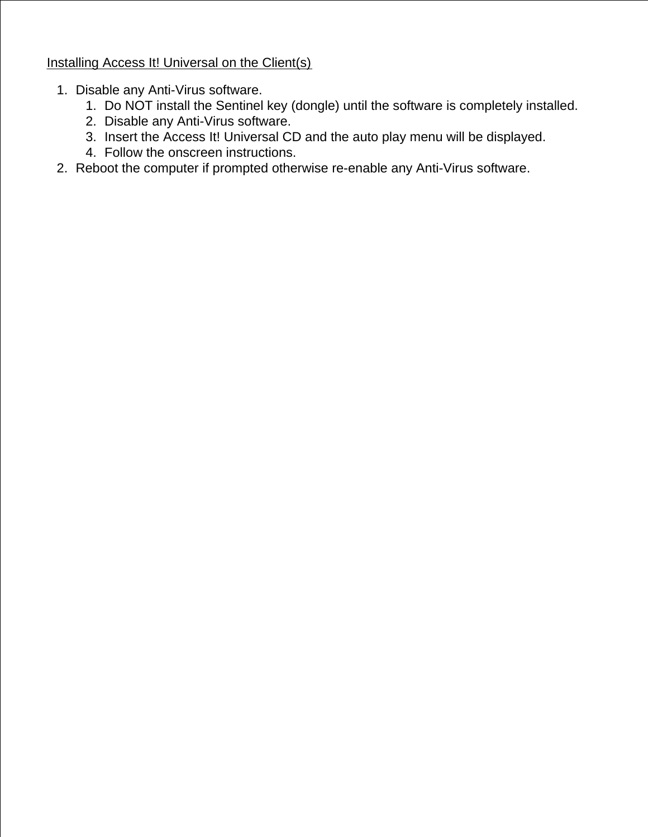Installing Access It! Universal on the Client(s)

1. Disable any Anti-Virus software.

2.

- 1. Do NOT install the Sentinel key (dongle) until the software is completely installed.
- 2. Disable any Anti-Virus software.
- 3. Insert the Access It! Universal CD and the auto play menu will be displayed.
- 4. Follow the onscreen instructions.
- 2. Reboot the computer if prompted otherwise re-enable any Anti-Virus software.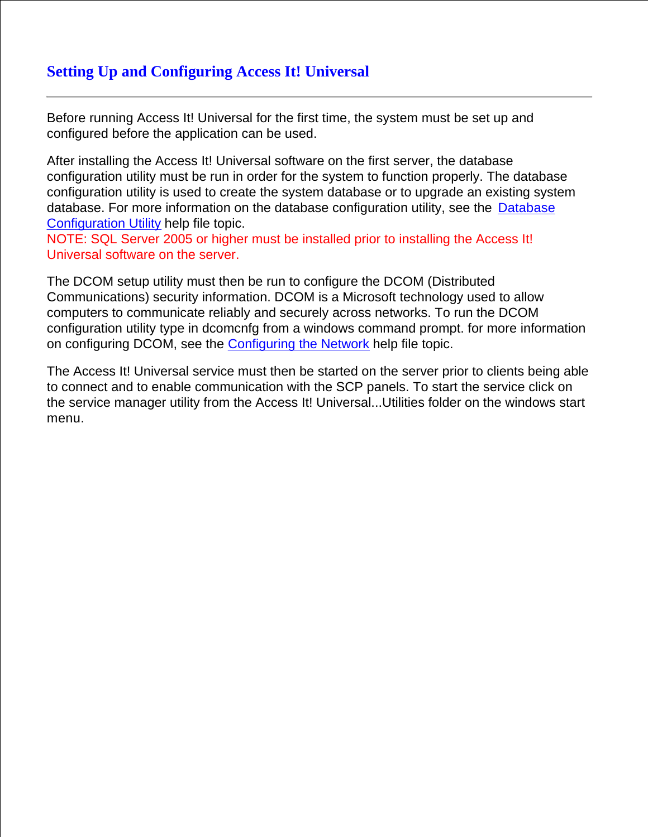# **Setting Up and Configuring Access It! Universal**

Before running Access It! Universal for the first time, the system must be set up and configured before the application can be used.

After installing the Access It! Universal software on the first server, the database configuration utility must be run in order for the system to function properly. The database configuration utility is used to create the system database or to upgrade an existing system database. For more information on the database configuration utility, see the Database Configuration Utility help file topic.

NOTE: SQL Server 2005 or higher must be installed prior to installing the Access It! Universal software on the server.

The DCOM setup utility must then be run to configure the DCOM (Distributed Communications) security information. DCOM is a Microsoft technology used to allow computers to communicate reliably and securely across networks. To run the DCOM configuration utility type in dcomcnfg from a windows command prompt. for more information on configuring DCOM, see the Configuring the Network help file topic.

The Access It! Universal service must then be started on the server prior to clients being able to connect and to enable communication with the SCP panels. To start the service click on the service manager utility from the Access It! Universal...Utilities folder on the windows start menu.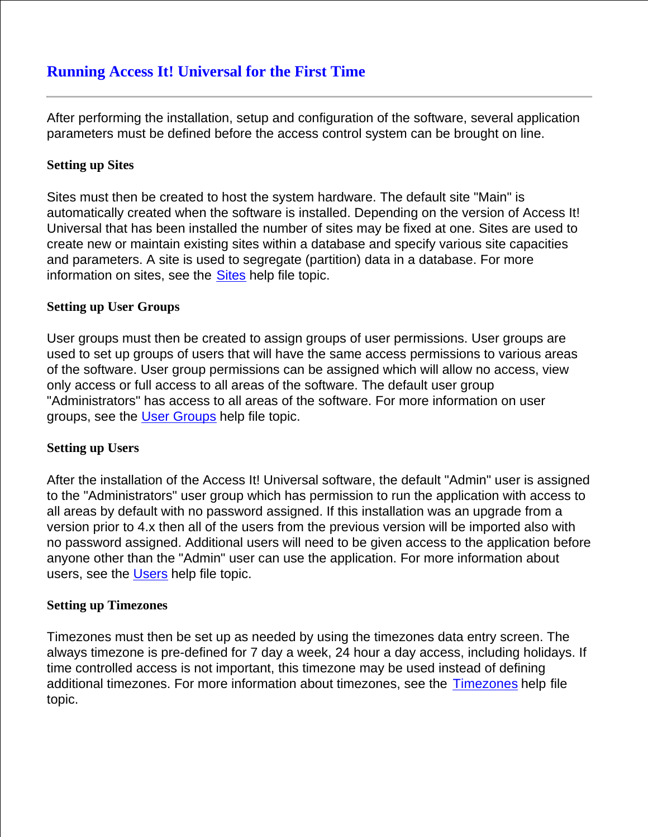After performing the installation, setup and configuration of the software, several application parameters must be defined before the access control system can be brought on line.

## **Setting up Sites**

Sites must then be created to host the system hardware. The default site "Main" is automatically created when the software is installed. Depending on the version of Access It! Universal that has been installed the number of sites may be fixed at one. Sites are used to create new or maintain existing sites within a database and specify various site capacities and parameters. A site is used to segregate (partition) data in a database. For more information on sites, see the **Sites** help file topic.

## **Setting up User Groups**

User groups must then be created to assign groups of user permissions. User groups are used to set up groups of users that will have the same access permissions to various areas of the software. User group permissions can be assigned which will allow no access, view only access or full access to all areas of the software. The default user group "Administrators" has access to all areas of the software. For more information on user groups, see the User Groups help file topic.

## **Setting up Users**

After the installation of the Access It! Universal software, the default "Admin" user is assigned to the "Administrators" user group which has permission to run the application with access to all areas by default with no password assigned. If this installation was an upgrade from a version prior to 4.x then all of the users from the previous version will be imported also with no password assigned. Additional users will need to be given access to the application before anyone other than the "Admin" user can use the application. For more information about users, see the Users help file topic.

#### **Setting up Timezones**

Timezones must then be set up as needed by using the timezones data entry screen. The always timezone is pre-defined for 7 day a week, 24 hour a day access, including holidays. If time controlled access is not important, this timezone may be used instead of defining additional timezones. For more information about timezones, see the Timezones help file topic.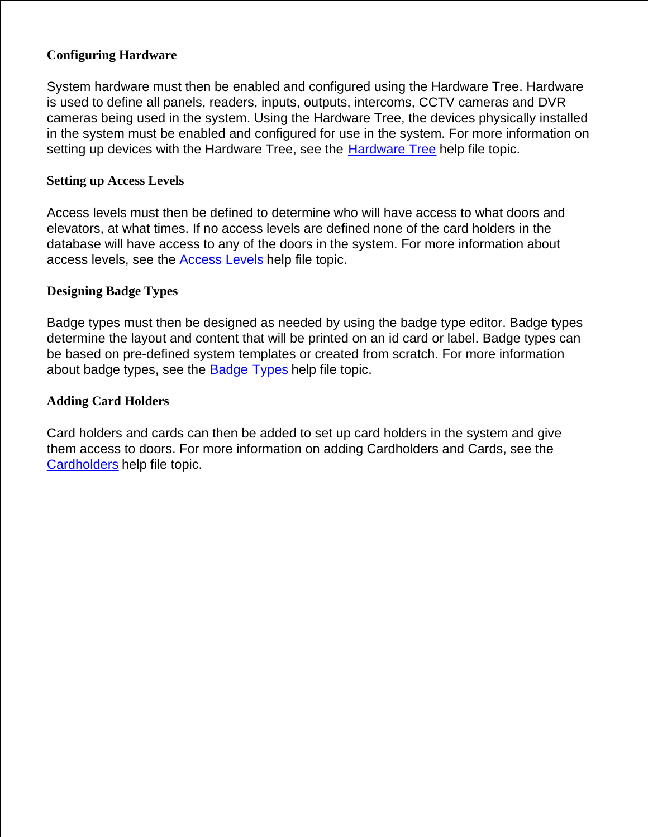## **Configuring Hardware**

System hardware must then be enabled and configured using the Hardware Tree. Hardware is used to define all panels, readers, inputs, outputs, intercoms, CCTV cameras and DVR cameras being used in the system. Using the Hardware Tree, the devices physically installed in the system must be enabled and configured for use in the system. For more information on setting up devices with the Hardware Tree, see the Hardware Tree help file topic.

### **Setting up Access Levels**

Access levels must then be defined to determine who will have access to what doors and elevators, at what times. If no access levels are defined none of the card holders in the database will have access to any of the doors in the system. For more information about access levels, see the **Access Levels** help file topic.

## **Designing Badge Types**

Badge types must then be designed as needed by using the badge type editor. Badge types determine the layout and content that will be printed on an id card or label. Badge types can be based on pre-defined system templates or created from scratch. For more information about badge types, see the Badge Types help file topic.

#### **Adding Card Holders**

Card holders and cards can then be added to set up card holders in the system and give them access to doors. For more information on adding Cardholders and Cards, see the Cardholders help file topic.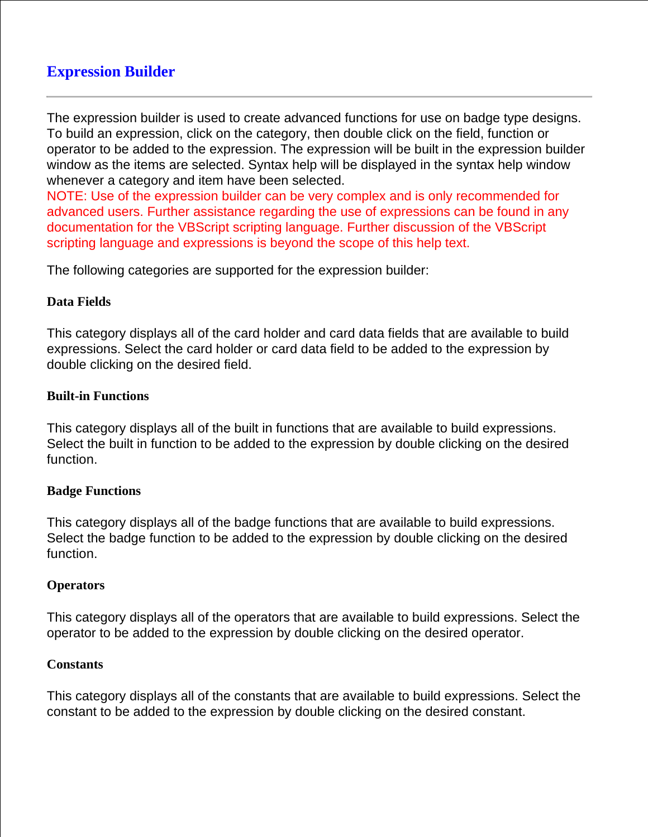# **Expression Builder**

The expression builder is used to create advanced functions for use on badge type designs. To build an expression, click on the category, then double click on the field, function or operator to be added to the expression. The expression will be built in the expression builder window as the items are selected. Syntax help will be displayed in the syntax help window whenever a category and item have been selected.

NOTE: Use of the expression builder can be very complex and is only recommended for advanced users. Further assistance regarding the use of expressions can be found in any documentation for the VBScript scripting language. Further discussion of the VBScript scripting language and expressions is beyond the scope of this help text.

The following categories are supported for the expression builder:

## **Data Fields**

This category displays all of the card holder and card data fields that are available to build expressions. Select the card holder or card data field to be added to the expression by double clicking on the desired field.

#### **Built-in Functions**

This category displays all of the built in functions that are available to build expressions. Select the built in function to be added to the expression by double clicking on the desired function.

## **Badge Functions**

This category displays all of the badge functions that are available to build expressions. Select the badge function to be added to the expression by double clicking on the desired function.

## **Operators**

This category displays all of the operators that are available to build expressions. Select the operator to be added to the expression by double clicking on the desired operator.

#### **Constants**

This category displays all of the constants that are available to build expressions. Select the constant to be added to the expression by double clicking on the desired constant.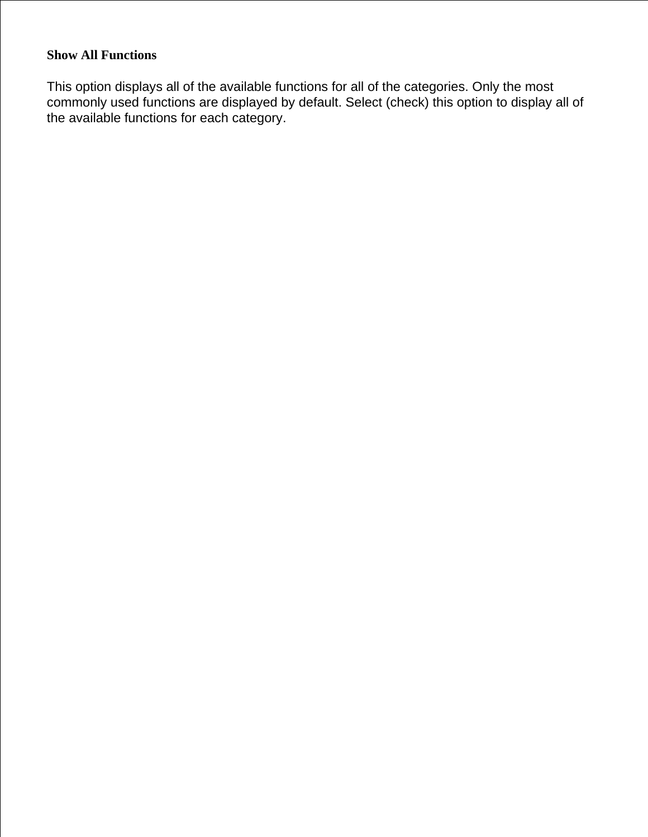# **Show All Functions**

This option displays all of the available functions for all of the categories. Only the most commonly used functions are displayed by default. Select (check) this option to display all of the available functions for each category.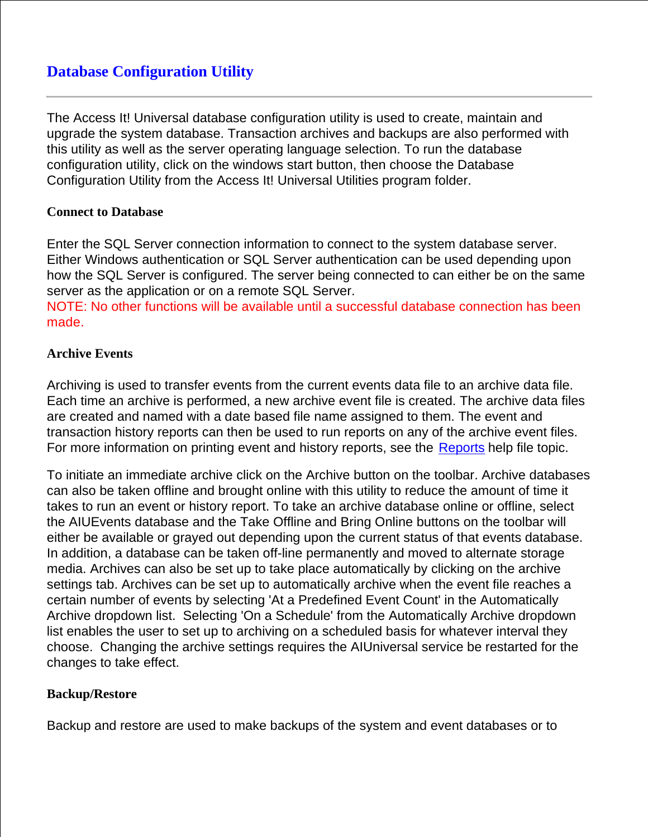# **Database Configuration Utility**

The Access It! Universal database configuration utility is used to create, maintain and upgrade the system database. Transaction archives and backups are also performed with this utility as well as the server operating language selection. To run the database configuration utility, click on the windows start button, then choose the Database Configuration Utility from the Access It! Universal Utilities program folder.

### **Connect to Database**

Enter the SQL Server connection information to connect to the system database server. Either Windows authentication or SQL Server authentication can be used depending upon how the SQL Server is configured. The server being connected to can either be on the same server as the application or on a remote SQL Server.

NOTE: No other functions will be available until a successful database connection has been made.

## **Archive Events**

Archiving is used to transfer events from the current events data file to an archive data file. Each time an archive is performed, a new archive event file is created. The archive data files are created and named with a date based file name assigned to them. The event and transaction history reports can then be used to run reports on any of the archive event files. For more information on printing event and history reports, see the Reports help file topic.

To initiate an immediate archive click on the Archive button on the toolbar. Archive databases can also be taken offline and brought online with this utility to reduce the amount of time it takes to run an event or history report. To take an archive database online or offline, select the AIUEvents database and the Take Offline and Bring Online buttons on the toolbar will either be available or grayed out depending upon the current status of that events database. In addition, a database can be taken off-line permanently and moved to alternate storage media. Archives can also be set up to take place automatically by clicking on the archive settings tab. Archives can be set up to automatically archive when the event file reaches a certain number of events by selecting 'At a Predefined Event Count' in the Automatically Archive dropdown list. Selecting 'On a Schedule' from the Automatically Archive dropdown list enables the user to set up to archiving on a scheduled basis for whatever interval they choose. Changing the archive settings requires the AIUniversal service be restarted for the changes to take effect.

## **Backup/Restore**

Backup and restore are used to make backups of the system and event databases or to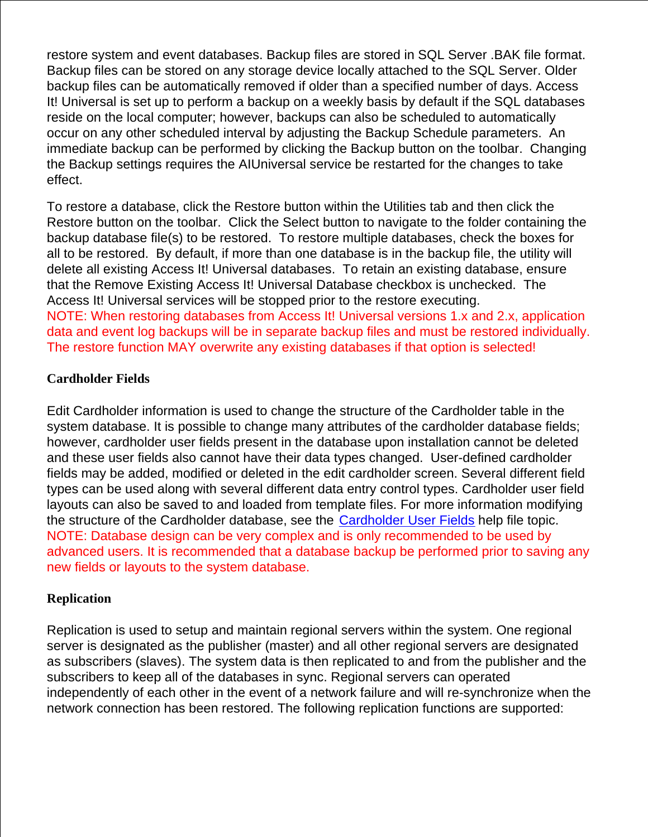restore system and event databases. Backup files are stored in SQL Server .BAK file format. Backup files can be stored on any storage device locally attached to the SQL Server. Older backup files can be automatically removed if older than a specified number of days. Access It! Universal is set up to perform a backup on a weekly basis by default if the SQL databases reside on the local computer; however, backups can also be scheduled to automatically occur on any other scheduled interval by adjusting the Backup Schedule parameters. An immediate backup can be performed by clicking the Backup button on the toolbar. Changing the Backup settings requires the AIUniversal service be restarted for the changes to take effect.

To restore a database, click the Restore button within the Utilities tab and then click the Restore button on the toolbar. Click the Select button to navigate to the folder containing the backup database file(s) to be restored. To restore multiple databases, check the boxes for all to be restored. By default, if more than one database is in the backup file, the utility will delete all existing Access It! Universal databases. To retain an existing database, ensure that the Remove Existing Access It! Universal Database checkbox is unchecked. The Access It! Universal services will be stopped prior to the restore executing. NOTE: When restoring databases from Access It! Universal versions 1.x and 2.x, application data and event log backups will be in separate backup files and must be restored individually. The restore function MAY overwrite any existing databases if that option is selected!

#### **Cardholder Fields**

Edit Cardholder information is used to change the structure of the Cardholder table in the system database. It is possible to change many attributes of the cardholder database fields; however, cardholder user fields present in the database upon installation cannot be deleted and these user fields also cannot have their data types changed. User-defined cardholder fields may be added, modified or deleted in the edit cardholder screen. Several different field types can be used along with several different data entry control types. Cardholder user field layouts can also be saved to and loaded from template files. For more information modifying the structure of the Cardholder database, see the Cardholder User Fields help file topic. NOTE: Database design can be very complex and is only recommended to be used by advanced users. It is recommended that a database backup be performed prior to saving any new fields or layouts to the system database.

#### **Replication**

Replication is used to setup and maintain regional servers within the system. One regional server is designated as the publisher (master) and all other regional servers are designated as subscribers (slaves). The system data is then replicated to and from the publisher and the subscribers to keep all of the databases in sync. Regional servers can operated independently of each other in the event of a network failure and will re-synchronize when the network connection has been restored. The following replication functions are supported: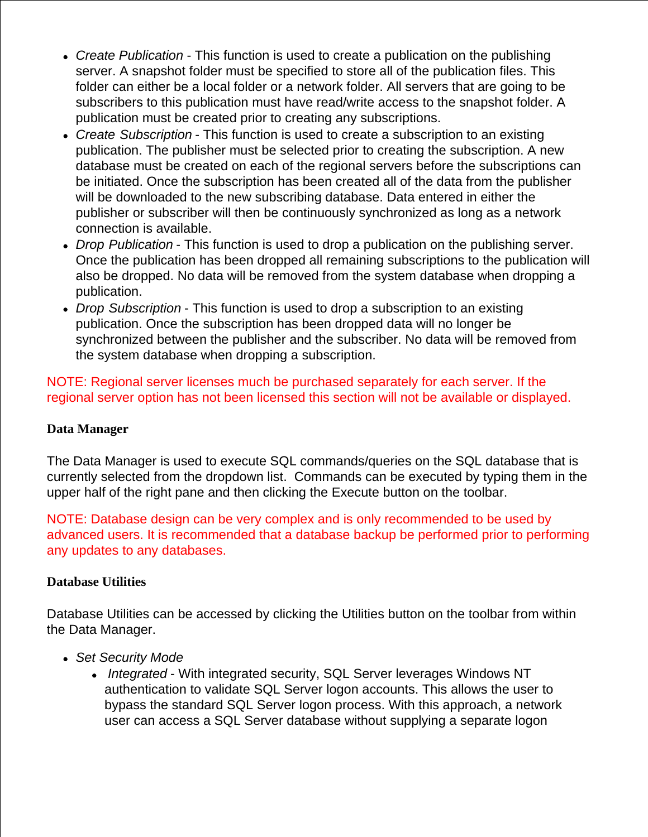- *Create Publication* This function is used to create a publication on the publishing server. A snapshot folder must be specified to store all of the publication files. This folder can either be a local folder or a network folder. All servers that are going to be subscribers to this publication must have read/write access to the snapshot folder. A publication must be created prior to creating any subscriptions.
- *Create Subscription* This function is used to create a subscription to an existing publication. The publisher must be selected prior to creating the subscription. A new database must be created on each of the regional servers before the subscriptions can be initiated. Once the subscription has been created all of the data from the publisher will be downloaded to the new subscribing database. Data entered in either the publisher or subscriber will then be continuously synchronized as long as a network connection is available.
- *Drop Publication* This function is used to drop a publication on the publishing server. Once the publication has been dropped all remaining subscriptions to the publication will also be dropped. No data will be removed from the system database when dropping a publication.
- *Drop Subscription* This function is used to drop a subscription to an existing publication. Once the subscription has been dropped data will no longer be synchronized between the publisher and the subscriber. No data will be removed from the system database when dropping a subscription.

NOTE: Regional server licenses much be purchased separately for each server. If the regional server option has not been licensed this section will not be available or displayed.

## **Data Manager**

The Data Manager is used to execute SQL commands/queries on the SQL database that is currently selected from the dropdown list. Commands can be executed by typing them in the upper half of the right pane and then clicking the Execute button on the toolbar.

NOTE: Database design can be very complex and is only recommended to be used by advanced users. It is recommended that a database backup be performed prior to performing any updates to any databases.

## **Database Utilities**

Database Utilities can be accessed by clicking the Utilities button on the toolbar from within the Data Manager.

- *Set Security Mode*
	- *Integrated* With integrated security, SQL Server leverages Windows NT authentication to validate SQL Server logon accounts. This allows the user to bypass the standard SQL Server logon process. With this approach, a network user can access a SQL Server database without supplying a separate logon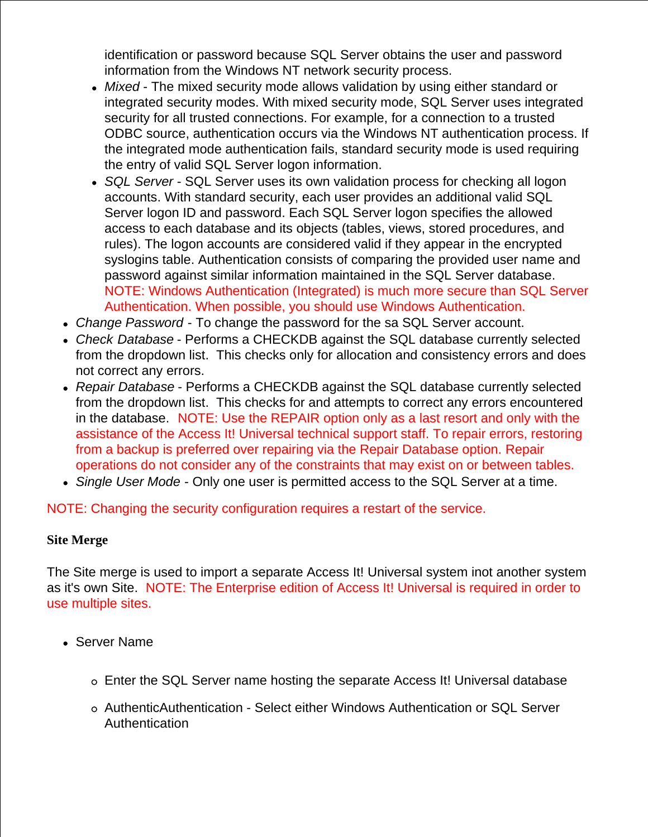identification or password because SQL Server obtains the user and password information from the Windows NT network security process.

- *Mixed*  The mixed security mode allows validation by using either standard or integrated security modes. With mixed security mode, SQL Server uses integrated security for all trusted connections. For example, for a connection to a trusted ODBC source, authentication occurs via the Windows NT authentication process. If the integrated mode authentication fails, standard security mode is used requiring the entry of valid SQL Server logon information.
- *SQL Server* SQL Server uses its own validation process for checking all logon accounts. With standard security, each user provides an additional valid SQL Server logon ID and password. Each SQL Server logon specifies the allowed access to each database and its objects (tables, views, stored procedures, and rules). The logon accounts are considered valid if they appear in the encrypted syslogins table. Authentication consists of comparing the provided user name and password against similar information maintained in the SQL Server database. NOTE: Windows Authentication (Integrated) is much more secure than SQL Server Authentication. When possible, you should use Windows Authentication.
- *Change Password*  To change the password for the sa SQL Server account.
- *Check Database* Performs a CHECKDB against the SQL database currently selected from the dropdown list. This checks only for allocation and consistency errors and does not correct any errors.
- *Repair Database* Performs a CHECKDB against the SQL database currently selected from the dropdown list. This checks for and attempts to correct any errors encountered in the database. NOTE: Use the REPAIR option only as a last resort and only with the assistance of the Access It! Universal technical support staff. To repair errors, restoring from a backup is preferred over repairing via the Repair Database option. Repair operations do not consider any of the constraints that may exist on or between tables.
- *Single User Mode* Only one user is permitted access to the SQL Server at a time.

NOTE: Changing the security configuration requires a restart of the service.

#### **Site Merge**

The Site merge is used to import a separate Access It! Universal system inot another system as it's own Site. NOTE: The Enterprise edition of Access It! Universal is required in order to use multiple sites.

- Server Name
	- Enter the SQL Server name hosting the separate Access It! Universal database
	- AuthenticAuthentication Select either Windows Authentication or SQL Server Authentication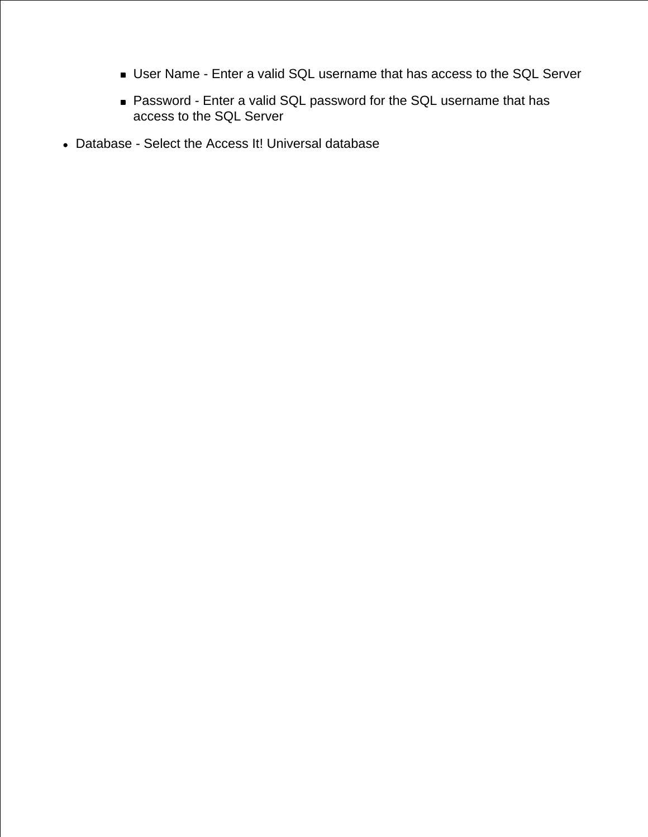- User Name Enter a valid SQL username that has access to the SQL Server
- Password Enter a valid SQL password for the SQL username that has access to the SQL Server
- Database Select the Access It! Universal database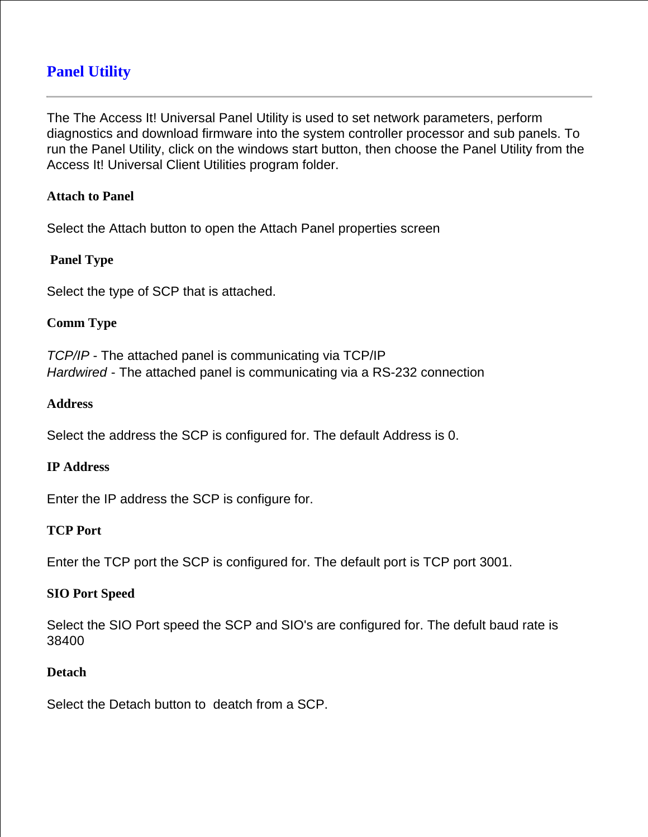# **Panel Utility**

The The Access It! Universal Panel Utility is used to set network parameters, perform diagnostics and download firmware into the system controller processor and sub panels. To run the Panel Utility, click on the windows start button, then choose the Panel Utility from the Access It! Universal Client Utilities program folder.

#### **Attach to Panel**

Select the Attach button to open the Attach Panel properties screen

#### **Panel Type**

Select the type of SCP that is attached.

#### **Comm Type**

*TCP/IP* - The attached panel is communicating via TCP/IP *Hardwired* - The attached panel is communicating via a RS-232 connection

#### **Address**

Select the address the SCP is configured for. The default Address is 0.

#### **IP Address**

Enter the IP address the SCP is configure for.

#### **TCP Port**

Enter the TCP port the SCP is configured for. The default port is TCP port 3001.

#### **SIO Port Speed**

Select the SIO Port speed the SCP and SIO's are configured for. The defult baud rate is 38400

#### **Detach**

Select the Detach button to deatch from a SCP.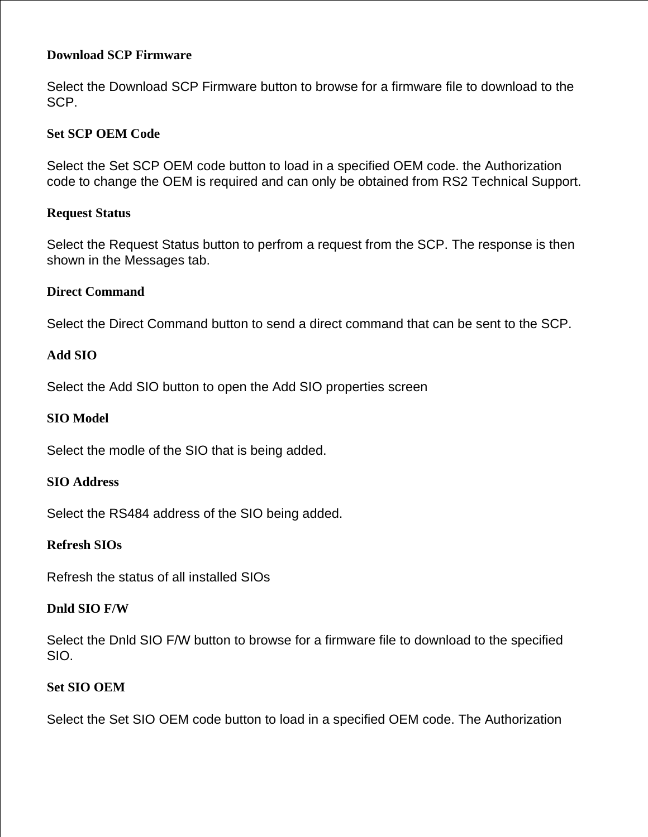### **Download SCP Firmware**

Select the Download SCP Firmware button to browse for a firmware file to download to the SCP.

#### **Set SCP OEM Code**

Select the Set SCP OEM code button to load in a specified OEM code. the Authorization code to change the OEM is required and can only be obtained from RS2 Technical Support.

#### **Request Status**

Select the Request Status button to perfrom a request from the SCP. The response is then shown in the Messages tab.

#### **Direct Command**

Select the Direct Command button to send a direct command that can be sent to the SCP.

#### **Add SIO**

Select the Add SIO button to open the Add SIO properties screen

#### **SIO Model**

Select the modle of the SIO that is being added.

#### **SIO Address**

Select the RS484 address of the SIO being added.

#### **Refresh SIOs**

Refresh the status of all installed SIOs

#### **Dnld SIO F/W**

Select the Dnld SIO F/W button to browse for a firmware file to download to the specified SIO.

#### **Set SIO OEM**

Select the Set SIO OEM code button to load in a specified OEM code. The Authorization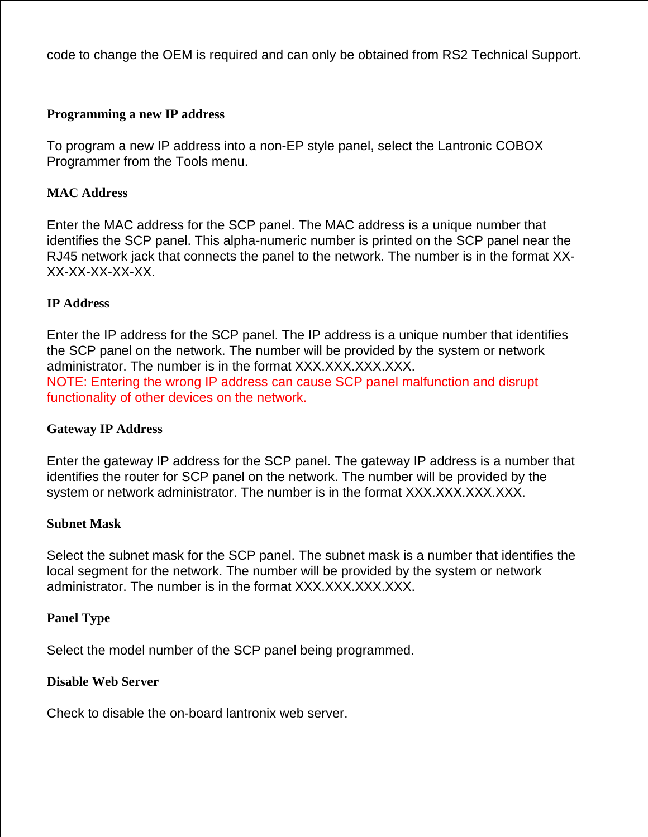code to change the OEM is required and can only be obtained from RS2 Technical Support.

#### **Programming a new IP address**

To program a new IP address into a non-EP style panel, select the Lantronic COBOX Programmer from the Tools menu.

#### **MAC Address**

Enter the MAC address for the SCP panel. The MAC address is a unique number that identifies the SCP panel. This alpha-numeric number is printed on the SCP panel near the RJ45 network jack that connects the panel to the network. The number is in the format XX-XX-XX-XX-XX-XX.

#### **IP Address**

Enter the IP address for the SCP panel. The IP address is a unique number that identifies the SCP panel on the network. The number will be provided by the system or network administrator. The number is in the format XXX.XXX.XXX.XXX. NOTE: Entering the wrong IP address can cause SCP panel malfunction and disrupt functionality of other devices on the network.

#### **Gateway IP Address**

Enter the gateway IP address for the SCP panel. The gateway IP address is a number that identifies the router for SCP panel on the network. The number will be provided by the system or network administrator. The number is in the format XXX.XXX.XXX.XXX.

#### **Subnet Mask**

Select the subnet mask for the SCP panel. The subnet mask is a number that identifies the local segment for the network. The number will be provided by the system or network administrator. The number is in the format XXX.XXX.XXX.XXX.

#### **Panel Type**

Select the model number of the SCP panel being programmed.

#### **Disable Web Server**

Check to disable the on-board lantronix web server.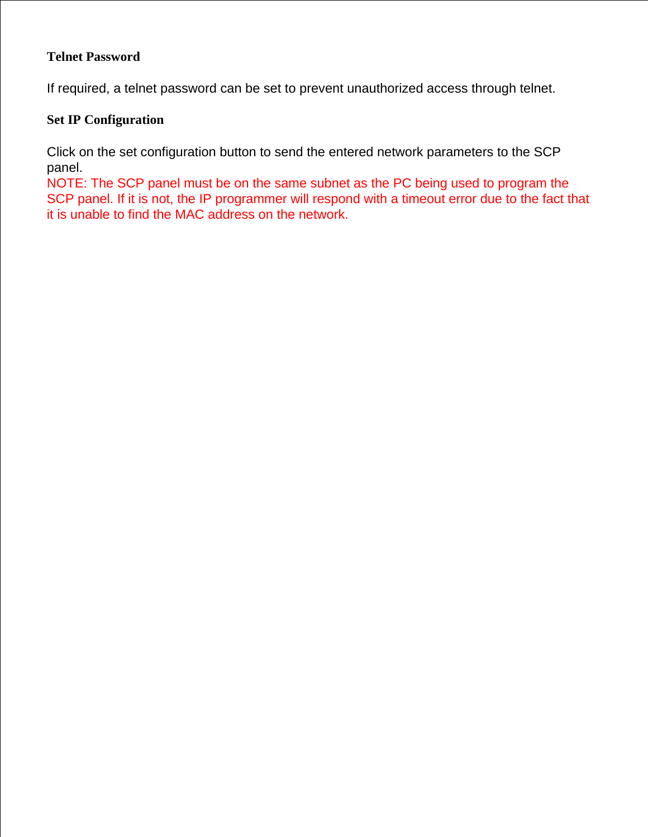#### **Telnet Password**

If required, a telnet password can be set to prevent unauthorized access through telnet.

## **Set IP Configuration**

Click on the set configuration button to send the entered network parameters to the SCP panel.

NOTE: The SCP panel must be on the same subnet as the PC being used to program the SCP panel. If it is not, the IP programmer will respond with a timeout error due to the fact that it is unable to find the MAC address on the network.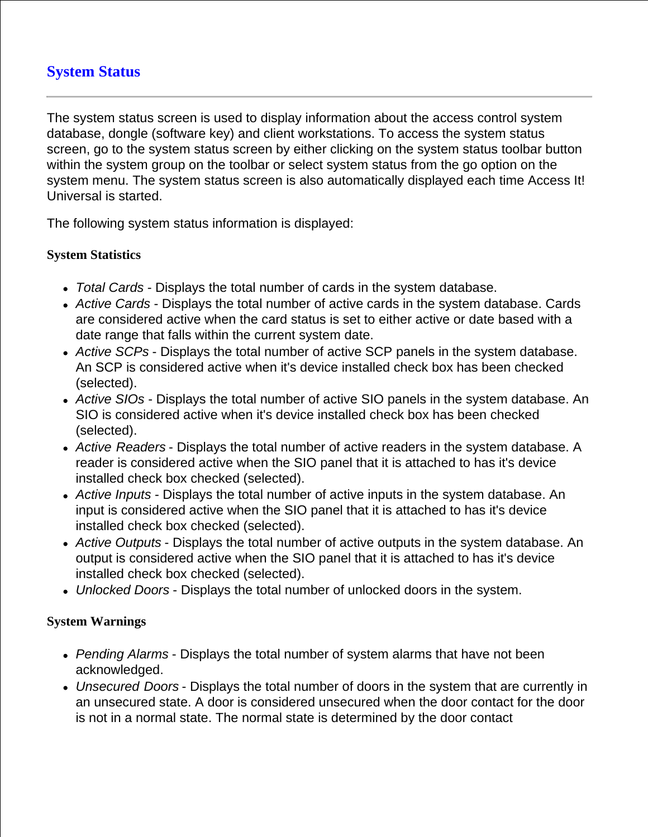# **System Status**

The system status screen is used to display information about the access control system database, dongle (software key) and client workstations. To access the system status screen, go to the system status screen by either clicking on the system status toolbar button within the system group on the toolbar or select system status from the go option on the system menu. The system status screen is also automatically displayed each time Access It! Universal is started.

The following system status information is displayed:

#### **System Statistics**

- *Total Cards*  Displays the total number of cards in the system database.
- *Active Cards* Displays the total number of active cards in the system database. Cards are considered active when the card status is set to either active or date based with a date range that falls within the current system date.
- *Active SCPs* Displays the total number of active SCP panels in the system database. An SCP is considered active when it's device installed check box has been checked (selected).
- *Active SIOs* Displays the total number of active SIO panels in the system database. An SIO is considered active when it's device installed check box has been checked (selected).
- *Active Readers* Displays the total number of active readers in the system database. A reader is considered active when the SIO panel that it is attached to has it's device installed check box checked (selected).
- *Active Inputs* Displays the total number of active inputs in the system database. An input is considered active when the SIO panel that it is attached to has it's device installed check box checked (selected).
- *Active Outputs* Displays the total number of active outputs in the system database. An output is considered active when the SIO panel that it is attached to has it's device installed check box checked (selected).
- *Unlocked Doors* Displays the total number of unlocked doors in the system.

## **System Warnings**

- *Pending Alarms* Displays the total number of system alarms that have not been acknowledged.
- *Unsecured Doors* Displays the total number of doors in the system that are currently in an unsecured state. A door is considered unsecured when the door contact for the door is not in a normal state. The normal state is determined by the door contact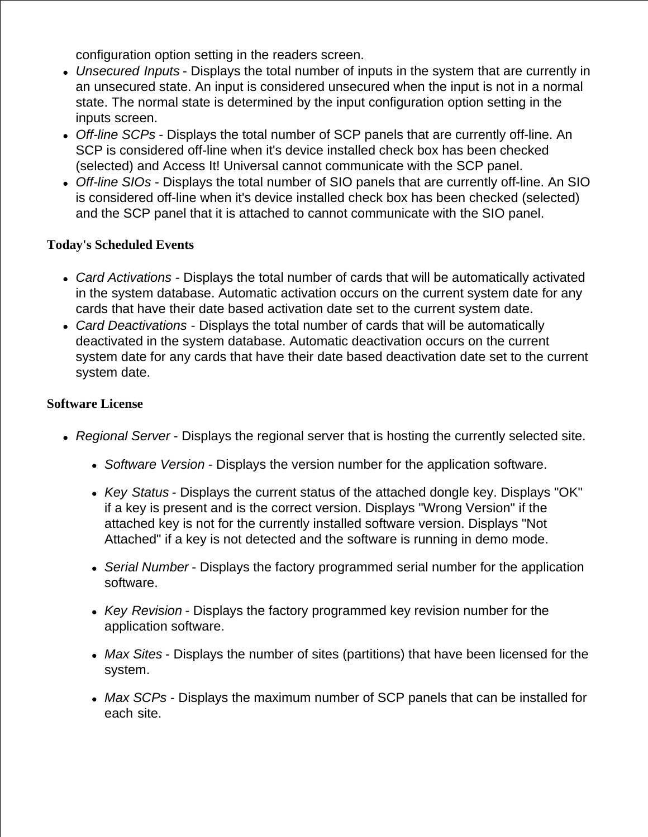configuration option setting in the readers screen.

- *Unsecured Inputs* Displays the total number of inputs in the system that are currently in an unsecured state. An input is considered unsecured when the input is not in a normal state. The normal state is determined by the input configuration option setting in the inputs screen.
- *Off-line SCPs* Displays the total number of SCP panels that are currently off-line. An SCP is considered off-line when it's device installed check box has been checked (selected) and Access It! Universal cannot communicate with the SCP panel.
- *Off-line SIOs* Displays the total number of SIO panels that are currently off-line. An SIO is considered off-line when it's device installed check box has been checked (selected) and the SCP panel that it is attached to cannot communicate with the SIO panel.

## **Today's Scheduled Events**

- *Card Activations*  Displays the total number of cards that will be automatically activated in the system database. Automatic activation occurs on the current system date for any cards that have their date based activation date set to the current system date.
- *Card Deactivations*  Displays the total number of cards that will be automatically deactivated in the system database. Automatic deactivation occurs on the current system date for any cards that have their date based deactivation date set to the current system date.

## **Software License**

- *Regional Server* Displays the regional server that is hosting the currently selected site.
	- *Software Version* Displays the version number for the application software.
	- *Key Status* Displays the current status of the attached dongle key. Displays "OK" if a key is present and is the correct version. Displays "Wrong Version" if the attached key is not for the currently installed software version. Displays "Not Attached" if a key is not detected and the software is running in demo mode.
	- *Serial Number* Displays the factory programmed serial number for the application software.
	- *Key Revision* Displays the factory programmed key revision number for the application software.
	- *Max Sites* Displays the number of sites (partitions) that have been licensed for the system.
	- *Max SCPs* Displays the maximum number of SCP panels that can be installed for each site.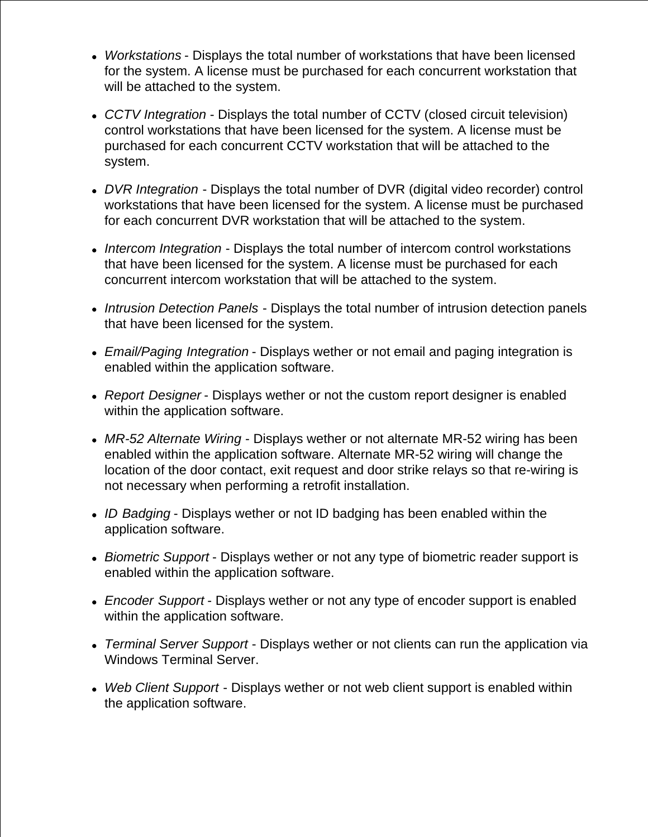- *Workstations* Displays the total number of workstations that have been licensed for the system. A license must be purchased for each concurrent workstation that will be attached to the system.
- *CCTV Integration*  Displays the total number of CCTV (closed circuit television) control workstations that have been licensed for the system. A license must be purchased for each concurrent CCTV workstation that will be attached to the system.
- *DVR Integration*  Displays the total number of DVR (digital video recorder) control workstations that have been licensed for the system. A license must be purchased for each concurrent DVR workstation that will be attached to the system.
- *Intercom Integration*  Displays the total number of intercom control workstations that have been licensed for the system. A license must be purchased for each concurrent intercom workstation that will be attached to the system.
- *Intrusion Detection Panels* Displays the total number of intrusion detection panels that have been licensed for the system.
- *Email/Paging Integration* Displays wether or not email and paging integration is enabled within the application software.
- *Report Designer* Displays wether or not the custom report designer is enabled within the application software.
- *MR-52 Alternate Wiring* Displays wether or not alternate MR-52 wiring has been enabled within the application software. Alternate MR-52 wiring will change the location of the door contact, exit request and door strike relays so that re-wiring is not necessary when performing a retrofit installation.
- *ID Badging* Displays wether or not ID badging has been enabled within the application software.
- *Biometric Support* Displays wether or not any type of biometric reader support is enabled within the application software.
- *Encoder Support* Displays wether or not any type of encoder support is enabled within the application software.
- *Terminal Server Support* Displays wether or not clients can run the application via Windows Terminal Server.
- *Web Client Support* Displays wether or not web client support is enabled within the application software.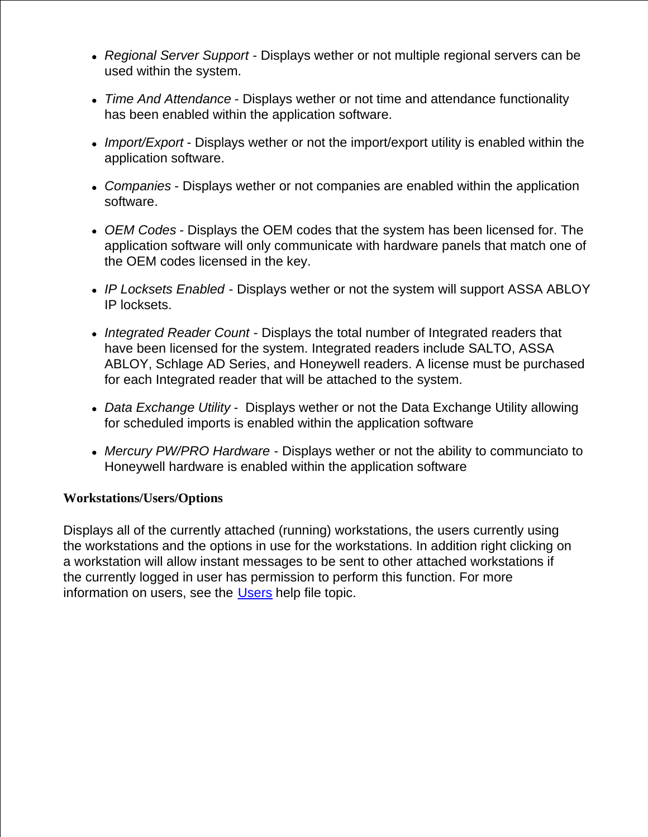- *Regional Server Support* Displays wether or not multiple regional servers can be used within the system.
- *Time And Attendance* Displays wether or not time and attendance functionality has been enabled within the application software.
- *Import/Export* Displays wether or not the import/export utility is enabled within the application software.
- *Companies* Displays wether or not companies are enabled within the application software.
- *OEM Codes* Displays the OEM codes that the system has been licensed for. The application software will only communicate with hardware panels that match one of the OEM codes licensed in the key.
- *IP Locksets Enabled* Displays wether or not the system will support ASSA ABLOY IP locksets.
- *Integrated Reader Count* Displays the total number of Integrated readers that have been licensed for the system. Integrated readers include SALTO, ASSA ABLOY, Schlage AD Series, and Honeywell readers. A license must be purchased for each Integrated reader that will be attached to the system.
- *Data Exchange Utility* Displays wether or not the Data Exchange Utility allowing for scheduled imports is enabled within the application software
- *Mercury PW/PRO Hardware* Displays wether or not the ability to communciato to Honeywell hardware is enabled within the application software

## **Workstations/Users/Options**

Displays all of the currently attached (running) workstations, the users currently using the workstations and the options in use for the workstations. In addition right clicking on a workstation will allow instant messages to be sent to other attached workstations if the currently logged in user has permission to perform this function. For more information on users, see the Users help file topic.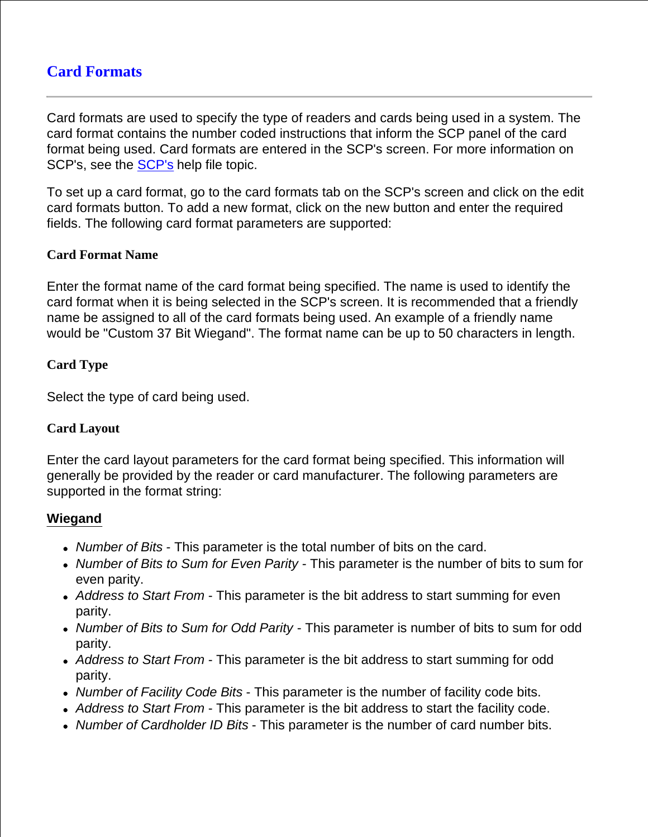# **Card Formats**

Card formats are used to specify the type of readers and cards being used in a system. The card format contains the number coded instructions that inform the SCP panel of the card format being used. Card formats are entered in the SCP's screen. For more information on SCP's, see the **SCP's** help file topic.

To set up a card format, go to the card formats tab on the SCP's screen and click on the edit card formats button. To add a new format, click on the new button and enter the required fields. The following card format parameters are supported:

## **Card Format Name**

Enter the format name of the card format being specified. The name is used to identify the card format when it is being selected in the SCP's screen. It is recommended that a friendly name be assigned to all of the card formats being used. An example of a friendly name would be "Custom 37 Bit Wiegand". The format name can be up to 50 characters in length.

## **Card Type**

Select the type of card being used.

## **Card Layout**

Enter the card layout parameters for the card format being specified. This information will generally be provided by the reader or card manufacturer. The following parameters are supported in the format string:

## **Wiegand**

- *Number of Bits* This parameter is the total number of bits on the card.
- *Number of Bits to Sum for Even Parity* This parameter is the number of bits to sum for even parity.
- *Address to Start From* This parameter is the bit address to start summing for even parity.
- *Number of Bits to Sum for Odd Parity* This parameter is number of bits to sum for odd parity.
- *Address to Start From* This parameter is the bit address to start summing for odd parity.
- *Number of Facility Code Bits* This parameter is the number of facility code bits.
- *Address to Start From* This parameter is the bit address to start the facility code.
- *Number of Cardholder ID Bits* This parameter is the number of card number bits.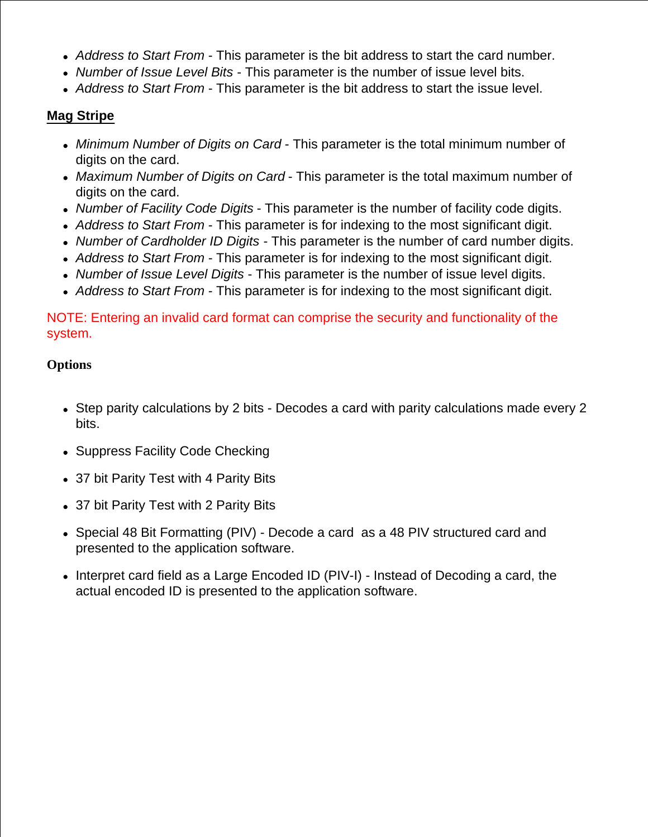- *Address to Start From* This parameter is the bit address to start the card number.
- *Number of Issue Level Bits* This parameter is the number of issue level bits.
- *Address to Start From* This parameter is the bit address to start the issue level.

## **Mag Stripe**

- *Minimum Number of Digits on Card* This parameter is the total minimum number of digits on the card.
- *Maximum Number of Digits on Card* This parameter is the total maximum number of digits on the card.
- *Number of Facility Code Digits* This parameter is the number of facility code digits.
- *Address to Start From* This parameter is for indexing to the most significant digit.
- *Number of Cardholder ID Digits*  This parameter is the number of card number digits.
- *Address to Start From* This parameter is for indexing to the most significant digit.
- *Number of Issue Level Digits* This parameter is the number of issue level digits.
- *Address to Start From* This parameter is for indexing to the most significant digit.

NOTE: Entering an invalid card format can comprise the security and functionality of the system.

## **Options**

- Step parity calculations by 2 bits Decodes a card with parity calculations made every 2 bits.
- Suppress Facility Code Checking
- 37 bit Parity Test with 4 Parity Bits
- 37 bit Parity Test with 2 Parity Bits
- Special 48 Bit Formatting (PIV) Decode a card as a 48 PIV structured card and presented to the application software.
- Interpret card field as a Large Encoded ID (PIV-I) Instead of Decoding a card, the actual encoded ID is presented to the application software.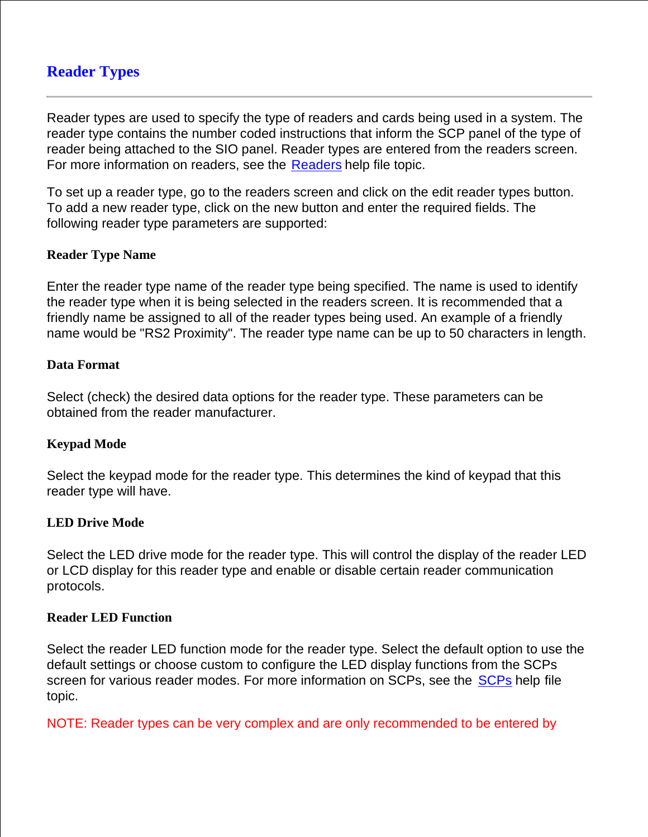# **Reader Types**

Reader types are used to specify the type of readers and cards being used in a system. The reader type contains the number coded instructions that inform the SCP panel of the type of reader being attached to the SIO panel. Reader types are entered from the readers screen. For more information on readers, see the Readers help file topic.

To set up a reader type, go to the readers screen and click on the edit reader types button. To add a new reader type, click on the new button and enter the required fields. The following reader type parameters are supported:

#### **Reader Type Name**

Enter the reader type name of the reader type being specified. The name is used to identify the reader type when it is being selected in the readers screen. It is recommended that a friendly name be assigned to all of the reader types being used. An example of a friendly name would be "RS2 Proximity". The reader type name can be up to 50 characters in length.

#### **Data Format**

Select (check) the desired data options for the reader type. These parameters can be obtained from the reader manufacturer.

#### **Keypad Mode**

Select the keypad mode for the reader type. This determines the kind of keypad that this reader type will have.

#### **LED Drive Mode**

Select the LED drive mode for the reader type. This will control the display of the reader LED or LCD display for this reader type and enable or disable certain reader communication protocols.

#### **Reader LED Function**

Select the reader LED function mode for the reader type. Select the default option to use the default settings or choose custom to configure the LED display functions from the SCPs screen for various reader modes. For more information on SCPs, see the SCPs help file topic.

NOTE: Reader types can be very complex and are only recommended to be entered by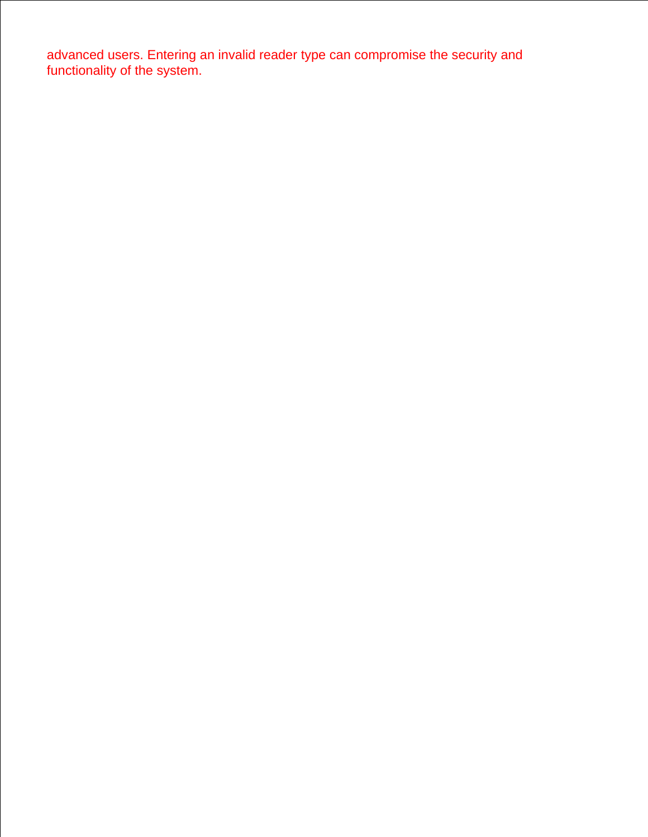advanced users. Entering an invalid reader type can compromise the security and functionality of the system.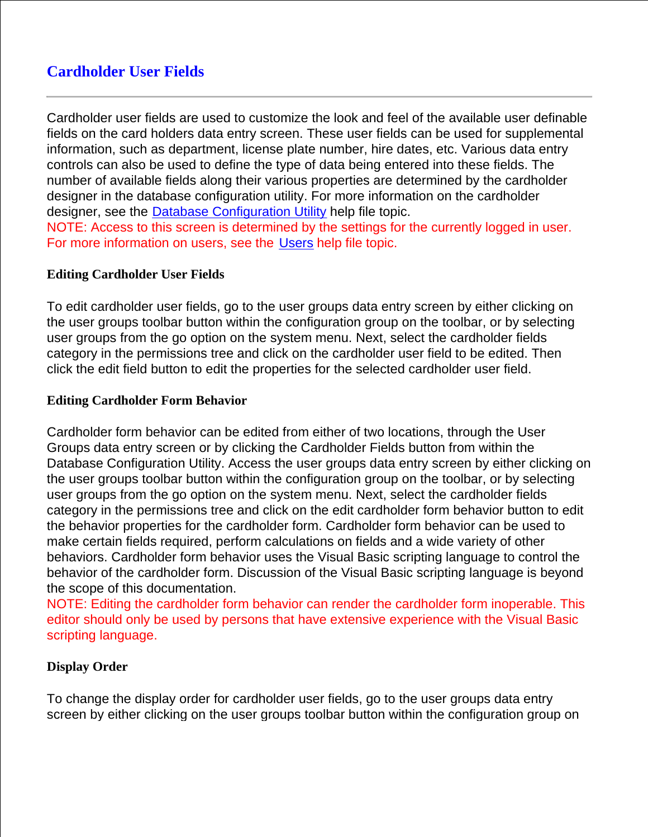# **Cardholder User Fields**

Cardholder user fields are used to customize the look and feel of the available user definable fields on the card holders data entry screen. These user fields can be used for supplemental information, such as department, license plate number, hire dates, etc. Various data entry controls can also be used to define the type of data being entered into these fields. The number of available fields along their various properties are determined by the cardholder designer in the database configuration utility. For more information on the cardholder designer, see the Database Configuration Utility help file topic. NOTE: Access to this screen is determined by the settings for the currently logged in user. For more information on users, see the Users help file topic.

#### **Editing Cardholder User Fields**

To edit cardholder user fields, go to the user groups data entry screen by either clicking on the user groups toolbar button within the configuration group on the toolbar, or by selecting user groups from the go option on the system menu. Next, select the cardholder fields category in the permissions tree and click on the cardholder user field to be edited. Then click the edit field button to edit the properties for the selected cardholder user field.

#### **Editing Cardholder Form Behavior**

Cardholder form behavior can be edited from either of two locations, through the User Groups data entry screen or by clicking the Cardholder Fields button from within the Database Configuration Utility. Access the user groups data entry screen by either clicking on the user groups toolbar button within the configuration group on the toolbar, or by selecting user groups from the go option on the system menu. Next, select the cardholder fields category in the permissions tree and click on the edit cardholder form behavior button to edit the behavior properties for the cardholder form. Cardholder form behavior can be used to make certain fields required, perform calculations on fields and a wide variety of other behaviors. Cardholder form behavior uses the Visual Basic scripting language to control the behavior of the cardholder form. Discussion of the Visual Basic scripting language is beyond the scope of this documentation.

NOTE: Editing the cardholder form behavior can render the cardholder form inoperable. This editor should only be used by persons that have extensive experience with the Visual Basic scripting language.

#### **Display Order**

To change the display order for cardholder user fields, go to the user groups data entry screen by either clicking on the user groups toolbar button within the configuration group on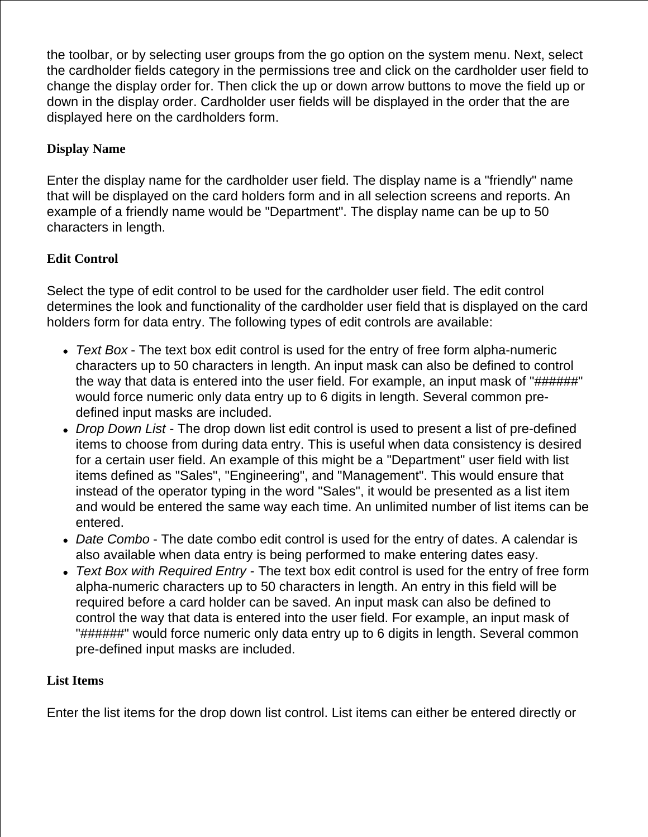the toolbar, or by selecting user groups from the go option on the system menu. Next, select the cardholder fields category in the permissions tree and click on the cardholder user field to change the display order for. Then click the up or down arrow buttons to move the field up or down in the display order. Cardholder user fields will be displayed in the order that the are displayed here on the cardholders form.

## **Display Name**

Enter the display name for the cardholder user field. The display name is a "friendly" name that will be displayed on the card holders form and in all selection screens and reports. An example of a friendly name would be "Department". The display name can be up to 50 characters in length.

# **Edit Control**

Select the type of edit control to be used for the cardholder user field. The edit control determines the look and functionality of the cardholder user field that is displayed on the card holders form for data entry. The following types of edit controls are available:

- *Text Box* The text box edit control is used for the entry of free form alpha-numeric characters up to 50 characters in length. An input mask can also be defined to control the way that data is entered into the user field. For example, an input mask of "######" would force numeric only data entry up to 6 digits in length. Several common predefined input masks are included.
- *Drop Down List* The drop down list edit control is used to present a list of pre-defined items to choose from during data entry. This is useful when data consistency is desired for a certain user field. An example of this might be a "Department" user field with list items defined as "Sales", "Engineering", and "Management". This would ensure that instead of the operator typing in the word "Sales", it would be presented as a list item and would be entered the same way each time. An unlimited number of list items can be entered.
- *Date Combo* The date combo edit control is used for the entry of dates. A calendar is also available when data entry is being performed to make entering dates easy.
- *Text Box with Required Entry* The text box edit control is used for the entry of free form alpha-numeric characters up to 50 characters in length. An entry in this field will be required before a card holder can be saved. An input mask can also be defined to control the way that data is entered into the user field. For example, an input mask of "######" would force numeric only data entry up to 6 digits in length. Several common pre-defined input masks are included.

## **List Items**

Enter the list items for the drop down list control. List items can either be entered directly or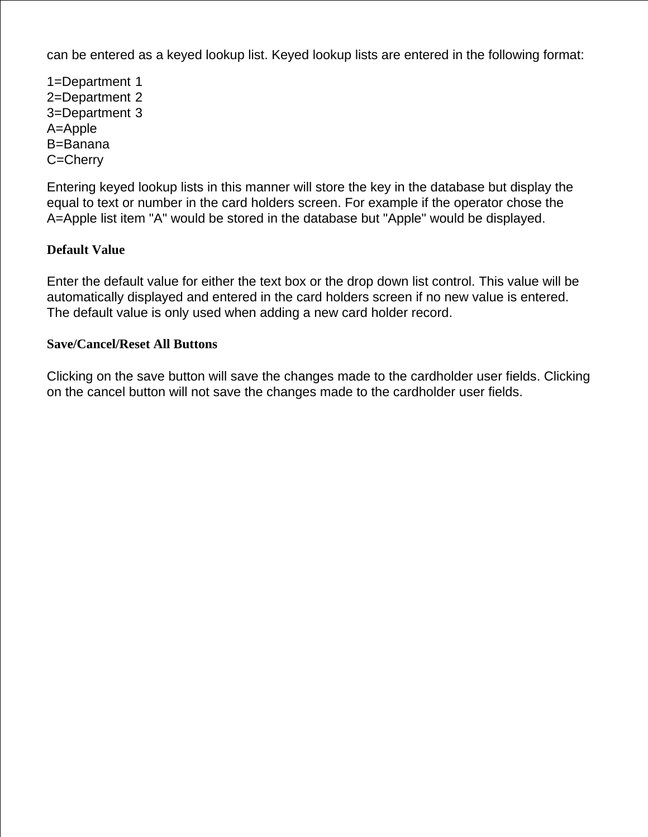can be entered as a keyed lookup list. Keyed lookup lists are entered in the following format:

1=Department 1 2=Department 2 3=Department 3 A=Apple B=Banana C=Cherry

Entering keyed lookup lists in this manner will store the key in the database but display the equal to text or number in the card holders screen. For example if the operator chose the A=Apple list item "A" would be stored in the database but "Apple" would be displayed.

## **Default Value**

Enter the default value for either the text box or the drop down list control. This value will be automatically displayed and entered in the card holders screen if no new value is entered. The default value is only used when adding a new card holder record.

#### **Save/Cancel/Reset All Buttons**

Clicking on the save button will save the changes made to the cardholder user fields. Clicking on the cancel button will not save the changes made to the cardholder user fields.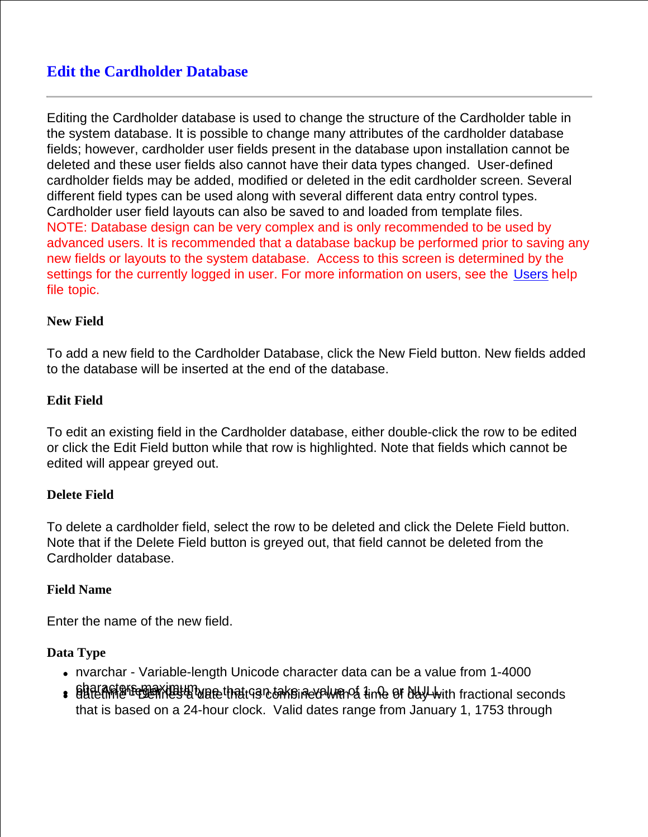# **Edit the Cardholder Database**

Editing the Cardholder database is used to change the structure of the Cardholder table in the system database. It is possible to change many attributes of the cardholder database fields; however, cardholder user fields present in the database upon installation cannot be deleted and these user fields also cannot have their data types changed. User-defined cardholder fields may be added, modified or deleted in the edit cardholder screen. Several different field types can be used along with several different data entry control types. Cardholder user field layouts can also be saved to and loaded from template files. NOTE: Database design can be very complex and is only recommended to be used by advanced users. It is recommended that a database backup be performed prior to saving any new fields or layouts to the system database. Access to this screen is determined by the settings for the currently logged in user. For more information on users, see the Users help file topic.

#### **New Field**

To add a new field to the Cardholder Database, click the New Field button. New fields added to the database will be inserted at the end of the database.

#### **Edit Field**

To edit an existing field in the Cardholder database, either double-click the row to be edited or click the Edit Field button while that row is highlighted. Note that fields which cannot be edited will appear greyed out.

#### **Delete Field**

To delete a cardholder field, select the row to be deleted and click the Delete Field button. Note that if the Delete Field button is greyed out, that field cannot be deleted from the Cardholder database.

#### **Field Name**

Enter the name of the new field.

## **Data Type**

- nvarchar Variable-length Unicode character data can be a value from 1-4000
- . Baracters maximum whethat can take indevelve that the ef day with fractional seconds that is based on a 24-hour clock. Valid dates range from January 1, 1753 through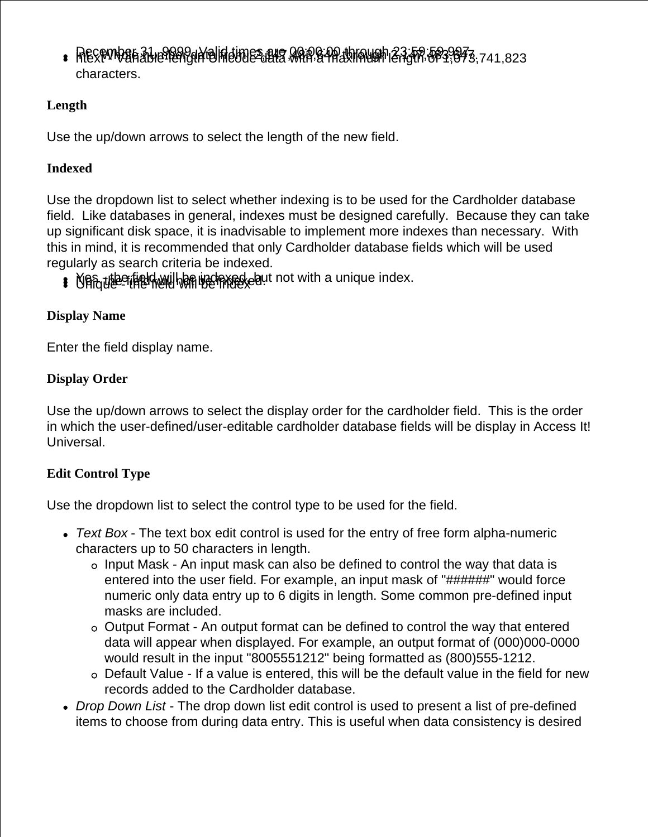$B^2$  Recomban 31, 8999. Valid times are 00:00 through 23:59.593,673,741,823 characters.

# **Length**

Use the up/down arrows to select the length of the new field.

# **Indexed**

Use the dropdown list to select whether indexing is to be used for the Cardholder database field. Like databases in general, indexes must be designed carefully. Because they can take up significant disk space, it is inadvisable to implement more indexes than necessary. With this in mind, it is recommended that only Cardholder database fields which will be used regularly as search criteria be indexed.

**B** Manute field will be indexed, but not with a unique index.

# **Display Name**

Enter the field display name.

# **Display Order**

Use the up/down arrows to select the display order for the cardholder field. This is the order in which the user-defined/user-editable cardholder database fields will be display in Access It! Universal.

# **Edit Control Type**

Use the dropdown list to select the control type to be used for the field.

- *Text Box* The text box edit control is used for the entry of free form alpha-numeric characters up to 50 characters in length.
	- Input Mask An input mask can also be defined to control the way that data is entered into the user field. For example, an input mask of "######" would force numeric only data entry up to 6 digits in length. Some common pre-defined input masks are included.
	- Output Format An output format can be defined to control the way that entered data will appear when displayed. For example, an output format of (000)000-0000 would result in the input "8005551212" being formatted as (800)555-1212.
	- Default Value If a value is entered, this will be the default value in the field for new records added to the Cardholder database.
- *Drop Down List* The drop down list edit control is used to present a list of pre-defined items to choose from during data entry. This is useful when data consistency is desired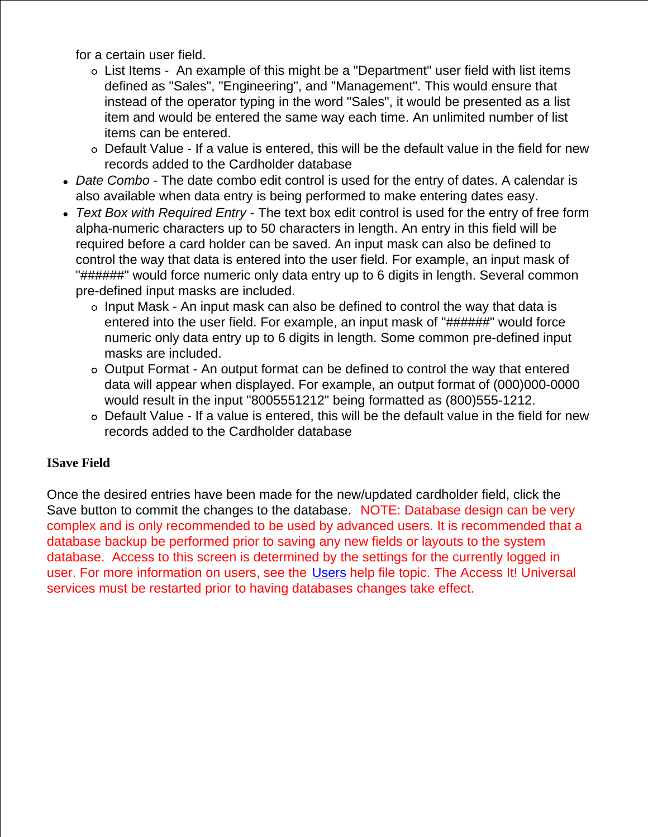for a certain user field.

- List Items An example of this might be a "Department" user field with list items defined as "Sales", "Engineering", and "Management". This would ensure that instead of the operator typing in the word "Sales", it would be presented as a list item and would be entered the same way each time. An unlimited number of list items can be entered.
- Default Value If a value is entered, this will be the default value in the field for new records added to the Cardholder database
- *Date Combo* The date combo edit control is used for the entry of dates. A calendar is also available when data entry is being performed to make entering dates easy.
- *Text Box with Required Entry* The text box edit control is used for the entry of free form alpha-numeric characters up to 50 characters in length. An entry in this field will be required before a card holder can be saved. An input mask can also be defined to control the way that data is entered into the user field. For example, an input mask of "######" would force numeric only data entry up to 6 digits in length. Several common pre-defined input masks are included.
	- $\circ$  Input Mask An input mask can also be defined to control the way that data is entered into the user field. For example, an input mask of "######" would force numeric only data entry up to 6 digits in length. Some common pre-defined input masks are included.
	- Output Format An output format can be defined to control the way that entered data will appear when displayed. For example, an output format of (000)000-0000 would result in the input "8005551212" being formatted as (800)555-1212.
	- Default Value If a value is entered, this will be the default value in the field for new records added to the Cardholder database

## **ISave Field**

Once the desired entries have been made for the new/updated cardholder field, click the Save button to commit the changes to the database. NOTE: Database design can be very complex and is only recommended to be used by advanced users. It is recommended that a database backup be performed prior to saving any new fields or layouts to the system database. Access to this screen is determined by the settings for the currently logged in user. For more information on users, see the Users help file topic. The Access It! Universal services must be restarted prior to having databases changes take effect.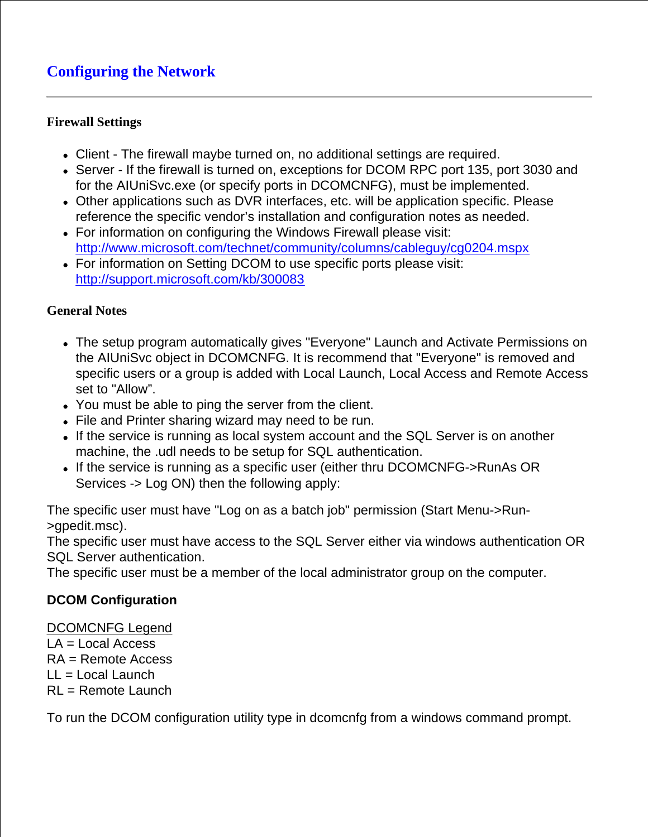# **Configuring the Network**

## **Firewall Settings**

- Client The firewall maybe turned on, no additional settings are required.
- Server If the firewall is turned on, exceptions for DCOM RPC port 135, port 3030 and for the AIUniSvc.exe (or specify ports in DCOMCNFG), must be implemented.
- Other applications such as DVR interfaces, etc. will be application specific. Please reference the specific vendor's installation and configuration notes as needed.
- For information on configuring the Windows Firewall please visit: <http://www.microsoft.com/technet/community/columns/cableguy/cg0204.mspx>
- For information on Setting DCOM to use specific ports please visit: <http://support.microsoft.com/kb/300083>

## **General Notes**

- The setup program automatically gives "Everyone" Launch and Activate Permissions on the AIUniSvc object in DCOMCNFG. It is recommend that "Everyone" is removed and specific users or a group is added with Local Launch, Local Access and Remote Access set to "Allow".
- You must be able to ping the server from the client.
- File and Printer sharing wizard may need to be run.
- If the service is running as local system account and the SQL Server is on another machine, the .udl needs to be setup for SQL authentication.
- If the service is running as a specific user (either thru DCOMCNFG->RunAs OR Services -> Log ON) then the following apply:

The specific user must have "Log on as a batch job" permission (Start Menu->Run- >gpedit.msc).

The specific user must have access to the SQL Server either via windows authentication OR SQL Server authentication.

The specific user must be a member of the local administrator group on the computer.

## **DCOM Configuration**

DCOMCNFG Legend LA = Local Access  $RA =$ Remote Access LL = Local Launch RL = Remote Launch

To run the DCOM configuration utility type in dcomcnfg from a windows command prompt.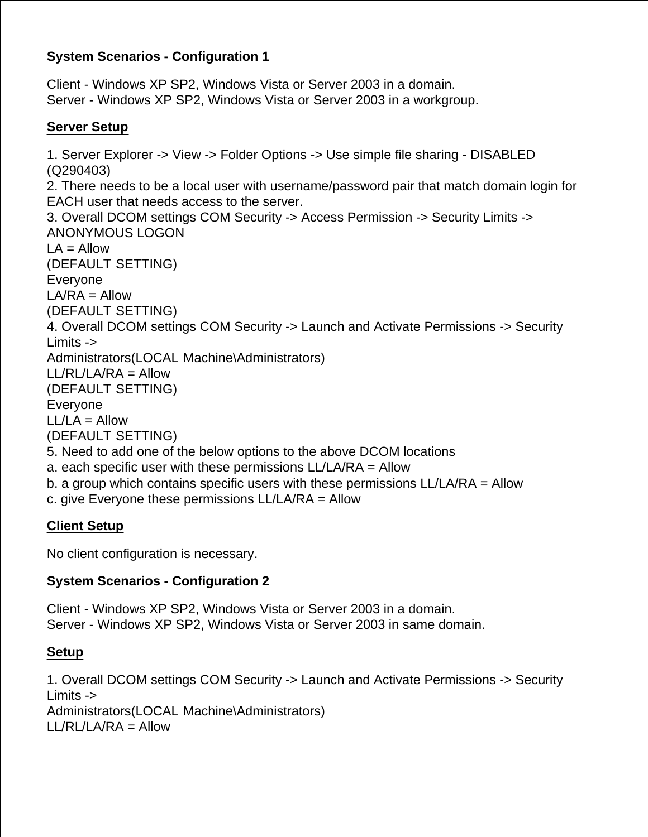# **System Scenarios - Configuration 1**

Client - Windows XP SP2, Windows Vista or Server 2003 in a domain. Server - Windows XP SP2, Windows Vista or Server 2003 in a workgroup.

## **Server Setup**

1. Server Explorer -> View -> Folder Options -> Use simple file sharing - DISABLED (Q290403) 2. There needs to be a local user with username/password pair that match domain login for EACH user that needs access to the server. 3. Overall DCOM settings COM Security -> Access Permission -> Security Limits -> ANONYMOUS LOGON  $LA =$  Allow (DEFAULT SETTING) Everyone  $LAYRA =$  Allow (DEFAULT SETTING) 4. Overall DCOM settings COM Security -> Launch and Activate Permissions -> Security Limits -> Administrators(LOCAL Machine\Administrators)  $LL/RL/LA/RA =$  Allow (DEFAULT SETTING) Everyone  $LL/LA =$  Allow (DEFAULT SETTING) 5. Need to add one of the below options to the above DCOM locations a. each specific user with these permissions LL/LA/RA = Allow b. a group which contains specific users with these permissions LL/LA/RA = Allow c. give Everyone these permissions LL/LA/RA = Allow **Client Setup**

No client configuration is necessary.

## **System Scenarios - Configuration 2**

Client - Windows XP SP2, Windows Vista or Server 2003 in a domain. Server - Windows XP SP2, Windows Vista or Server 2003 in same domain.

## **Setup**

1. Overall DCOM settings COM Security -> Launch and Activate Permissions -> Security Limits -> Administrators(LOCAL Machine\Administrators)  $LL/RL/LA/RA =$  Allow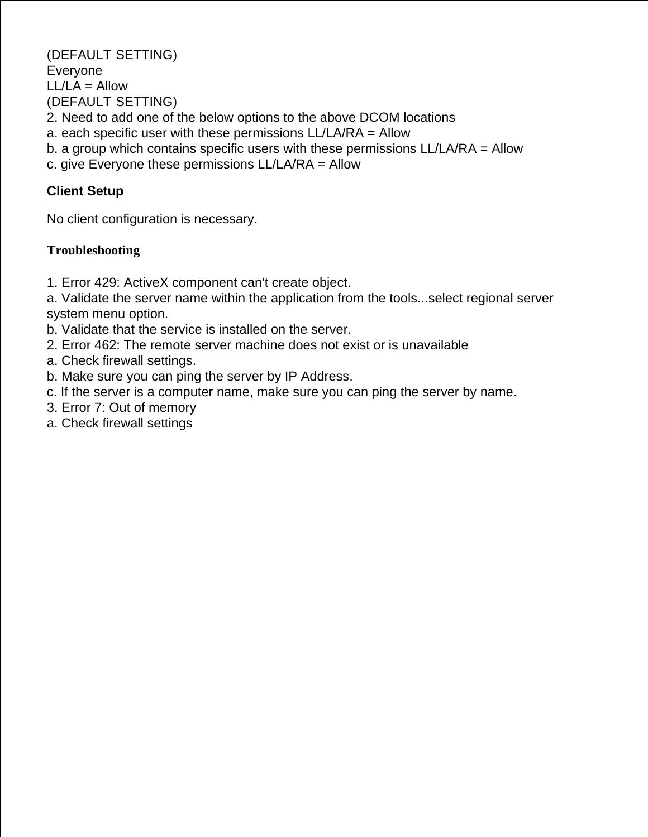(DEFAULT SETTING) Everyone  $LL/LA =$  Allow (DEFAULT SETTING) 2. Need to add one of the below options to the above DCOM locations a. each specific user with these permissions LL/LA/RA = Allow b. a group which contains specific users with these permissions LL/LA/RA = Allow c. give Everyone these permissions LL/LA/RA = Allow

## **Client Setup**

No client configuration is necessary.

## **Troubleshooting**

1. Error 429: ActiveX component can't create object.

a. Validate the server name within the application from the tools...select regional server system menu option.

- b. Validate that the service is installed on the server.
- 2. Error 462: The remote server machine does not exist or is unavailable
- a. Check firewall settings.
- b. Make sure you can ping the server by IP Address.
- c. If the server is a computer name, make sure you can ping the server by name.
- 3. Error 7: Out of memory
- a. Check firewall settings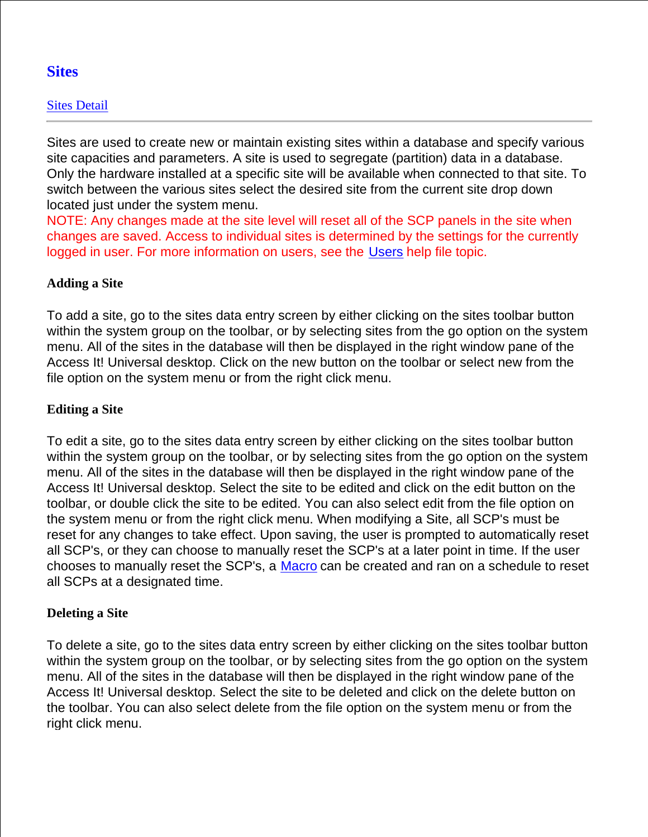# **Sites**

## Sites Detail

Sites are used to create new or maintain existing sites within a database and specify various site capacities and parameters. A site is used to segregate (partition) data in a database. Only the hardware installed at a specific site will be available when connected to that site. To switch between the various sites select the desired site from the current site drop down located just under the system menu.

NOTE: Any changes made at the site level will reset all of the SCP panels in the site when changes are saved. Access to individual sites is determined by the settings for the currently logged in user. For more information on users, see the Users help file topic.

## **Adding a Site**

To add a site, go to the sites data entry screen by either clicking on the sites toolbar button within the system group on the toolbar, or by selecting sites from the go option on the system menu. All of the sites in the database will then be displayed in the right window pane of the Access It! Universal desktop. Click on the new button on the toolbar or select new from the file option on the system menu or from the right click menu.

## **Editing a Site**

To edit a site, go to the sites data entry screen by either clicking on the sites toolbar button within the system group on the toolbar, or by selecting sites from the go option on the system menu. All of the sites in the database will then be displayed in the right window pane of the Access It! Universal desktop. Select the site to be edited and click on the edit button on the toolbar, or double click the site to be edited. You can also select edit from the file option on the system menu or from the right click menu. When modifying a Site, all SCP's must be reset for any changes to take effect. Upon saving, the user is prompted to automatically reset all SCP's, or they can choose to manually reset the SCP's at a later point in time. If the user chooses to manually reset the SCP's, a Macro can be created and ran on a schedule to reset all SCPs at a designated time.

#### **Deleting a Site**

To delete a site, go to the sites data entry screen by either clicking on the sites toolbar button within the system group on the toolbar, or by selecting sites from the go option on the system menu. All of the sites in the database will then be displayed in the right window pane of the Access It! Universal desktop. Select the site to be deleted and click on the delete button on the toolbar. You can also select delete from the file option on the system menu or from the right click menu.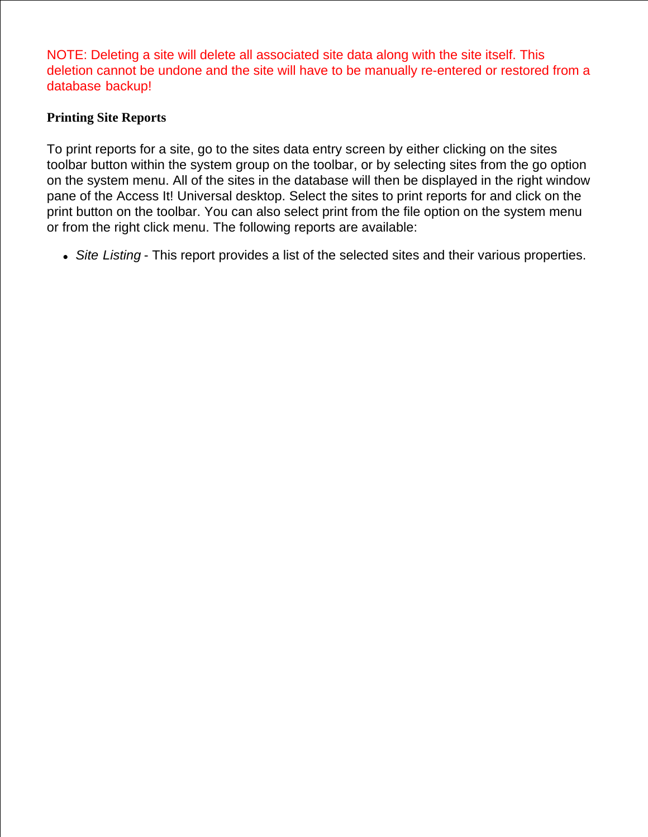NOTE: Deleting a site will delete all associated site data along with the site itself. This deletion cannot be undone and the site will have to be manually re-entered or restored from a database backup!

## **Printing Site Reports**

To print reports for a site, go to the sites data entry screen by either clicking on the sites toolbar button within the system group on the toolbar, or by selecting sites from the go option on the system menu. All of the sites in the database will then be displayed in the right window pane of the Access It! Universal desktop. Select the sites to print reports for and click on the print button on the toolbar. You can also select print from the file option on the system menu or from the right click menu. The following reports are available:

*Site Listing* - This report provides a list of the selected sites and their various properties.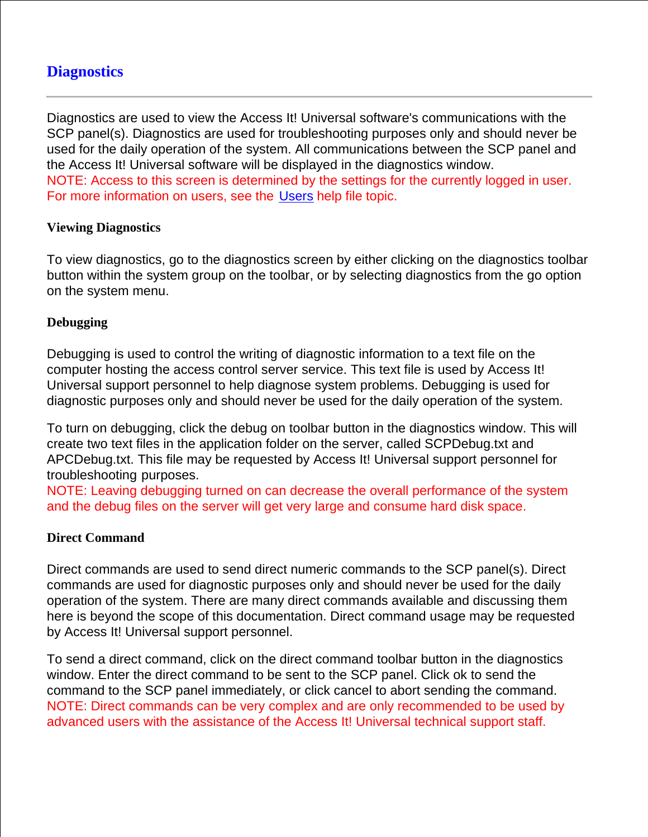# **Diagnostics**

Diagnostics are used to view the Access It! Universal software's communications with the SCP panel(s). Diagnostics are used for troubleshooting purposes only and should never be used for the daily operation of the system. All communications between the SCP panel and the Access It! Universal software will be displayed in the diagnostics window. NOTE: Access to this screen is determined by the settings for the currently logged in user. For more information on users, see the Users help file topic.

#### **Viewing Diagnostics**

To view diagnostics, go to the diagnostics screen by either clicking on the diagnostics toolbar button within the system group on the toolbar, or by selecting diagnostics from the go option on the system menu.

### **Debugging**

Debugging is used to control the writing of diagnostic information to a text file on the computer hosting the access control server service. This text file is used by Access It! Universal support personnel to help diagnose system problems. Debugging is used for diagnostic purposes only and should never be used for the daily operation of the system.

To turn on debugging, click the debug on toolbar button in the diagnostics window. This will create two text files in the application folder on the server, called SCPDebug.txt and APCDebug.txt. This file may be requested by Access It! Universal support personnel for troubleshooting purposes.

NOTE: Leaving debugging turned on can decrease the overall performance of the system and the debug files on the server will get very large and consume hard disk space.

#### **Direct Command**

Direct commands are used to send direct numeric commands to the SCP panel(s). Direct commands are used for diagnostic purposes only and should never be used for the daily operation of the system. There are many direct commands available and discussing them here is beyond the scope of this documentation. Direct command usage may be requested by Access It! Universal support personnel.

To send a direct command, click on the direct command toolbar button in the diagnostics window. Enter the direct command to be sent to the SCP panel. Click ok to send the command to the SCP panel immediately, or click cancel to abort sending the command. NOTE: Direct commands can be very complex and are only recommended to be used by advanced users with the assistance of the Access It! Universal technical support staff.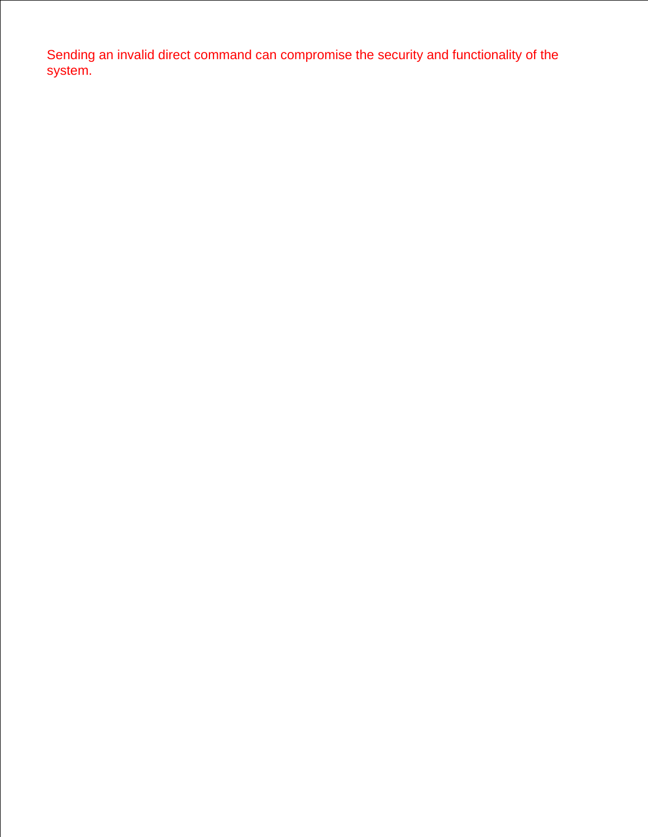Sending an invalid direct command can compromise the security and functionality of the system.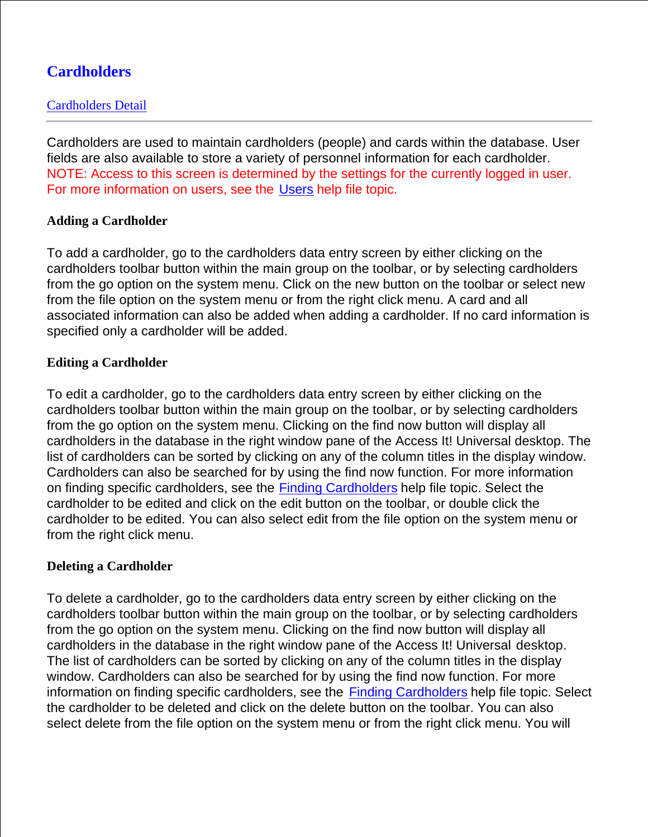# **Cardholders**

## Cardholders Detail

Cardholders are used to maintain cardholders (people) and cards within the database. User fields are also available to store a variety of personnel information for each cardholder. NOTE: Access to this screen is determined by the settings for the currently logged in user. For more information on users, see the Users help file topic.

## **Adding a Cardholder**

To add a cardholder, go to the cardholders data entry screen by either clicking on the cardholders toolbar button within the main group on the toolbar, or by selecting cardholders from the go option on the system menu. Click on the new button on the toolbar or select new from the file option on the system menu or from the right click menu. A card and all associated information can also be added when adding a cardholder. If no card information is specified only a cardholder will be added.

## **Editing a Cardholder**

To edit a cardholder, go to the cardholders data entry screen by either clicking on the cardholders toolbar button within the main group on the toolbar, or by selecting cardholders from the go option on the system menu. Clicking on the find now button will display all cardholders in the database in the right window pane of the Access It! Universal desktop. The list of cardholders can be sorted by clicking on any of the column titles in the display window. Cardholders can also be searched for by using the find now function. For more information on finding specific cardholders, see the **Finding Cardholders** help file topic. Select the cardholder to be edited and click on the edit button on the toolbar, or double click the cardholder to be edited. You can also select edit from the file option on the system menu or from the right click menu.

## **Deleting a Cardholder**

To delete a cardholder, go to the cardholders data entry screen by either clicking on the cardholders toolbar button within the main group on the toolbar, or by selecting cardholders from the go option on the system menu. Clicking on the find now button will display all cardholders in the database in the right window pane of the Access It! Universal desktop. The list of cardholders can be sorted by clicking on any of the column titles in the display window. Cardholders can also be searched for by using the find now function. For more information on finding specific cardholders, see the Finding Cardholders help file topic. Select the cardholder to be deleted and click on the delete button on the toolbar. You can also select delete from the file option on the system menu or from the right click menu. You will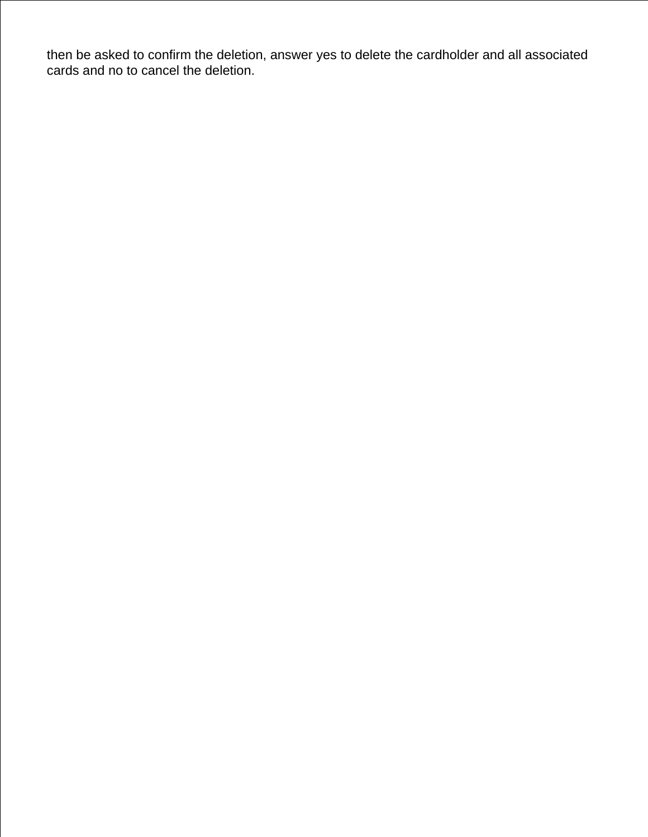then be asked to confirm the deletion, answer yes to delete the cardholder and all associated cards and no to cancel the deletion.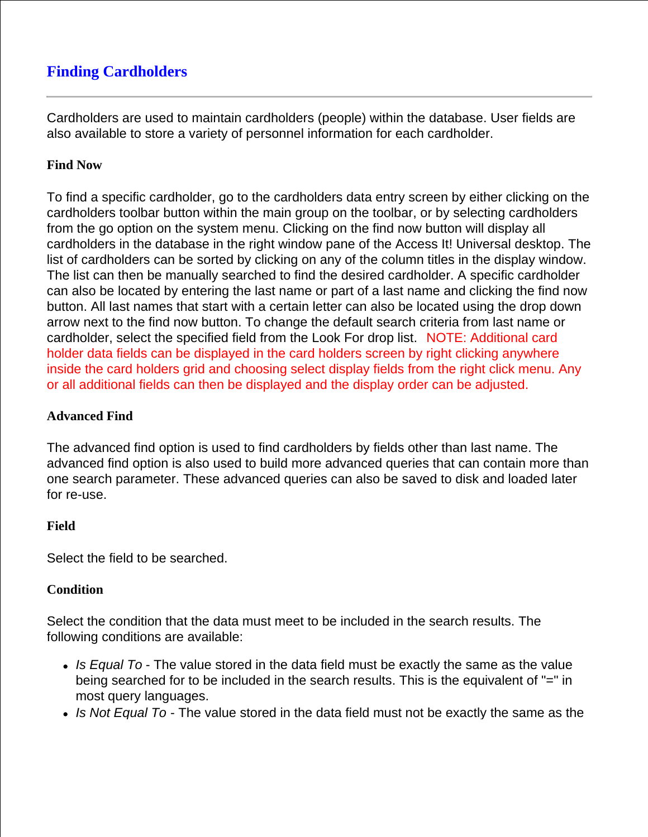# **Finding Cardholders**

Cardholders are used to maintain cardholders (people) within the database. User fields are also available to store a variety of personnel information for each cardholder.

### **Find Now**

To find a specific cardholder, go to the cardholders data entry screen by either clicking on the cardholders toolbar button within the main group on the toolbar, or by selecting cardholders from the go option on the system menu. Clicking on the find now button will display all cardholders in the database in the right window pane of the Access It! Universal desktop. The list of cardholders can be sorted by clicking on any of the column titles in the display window. The list can then be manually searched to find the desired cardholder. A specific cardholder can also be located by entering the last name or part of a last name and clicking the find now button. All last names that start with a certain letter can also be located using the drop down arrow next to the find now button. To change the default search criteria from last name or cardholder, select the specified field from the Look For drop list. NOTE: Additional card holder data fields can be displayed in the card holders screen by right clicking anywhere inside the card holders grid and choosing select display fields from the right click menu. Any or all additional fields can then be displayed and the display order can be adjusted.

#### **Advanced Find**

The advanced find option is used to find cardholders by fields other than last name. The advanced find option is also used to build more advanced queries that can contain more than one search parameter. These advanced queries can also be saved to disk and loaded later for re-use.

#### **Field**

Select the field to be searched.

#### **Condition**

Select the condition that the data must meet to be included in the search results. The following conditions are available:

- *Is Equal To* The value stored in the data field must be exactly the same as the value being searched for to be included in the search results. This is the equivalent of "=" in most query languages.
- *Is Not Equal To* The value stored in the data field must not be exactly the same as the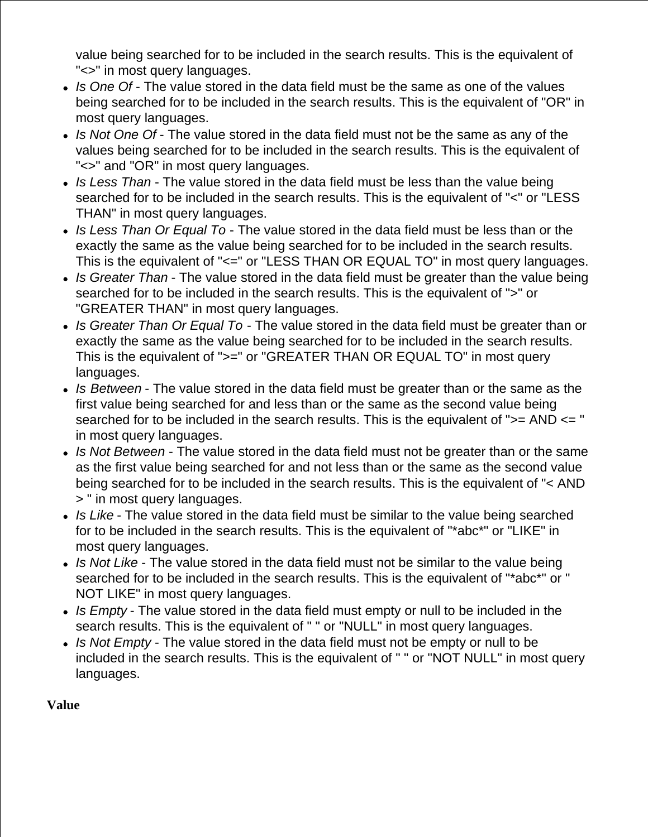value being searched for to be included in the search results. This is the equivalent of "<>" in most query languages.

- *Is One Of* The value stored in the data field must be the same as one of the values being searched for to be included in the search results. This is the equivalent of "OR" in most query languages.
- *Is Not One Of* The value stored in the data field must not be the same as any of the values being searched for to be included in the search results. This is the equivalent of "<>" and "OR" in most query languages.
- *Is Less Than* The value stored in the data field must be less than the value being searched for to be included in the search results. This is the equivalent of "<" or "LESS THAN" in most query languages.
- *Is Less Than Or Equal To* The value stored in the data field must be less than or the exactly the same as the value being searched for to be included in the search results. This is the equivalent of "<=" or "LESS THAN OR EQUAL TO" in most query languages.
- *Is Greater Than* The value stored in the data field must be greater than the value being searched for to be included in the search results. This is the equivalent of ">" or "GREATER THAN" in most query languages.
- *Is Greater Than Or Equal To* The value stored in the data field must be greater than or exactly the same as the value being searched for to be included in the search results. This is the equivalent of ">=" or "GREATER THAN OR EQUAL TO" in most query languages.
- *Is Between* The value stored in the data field must be greater than or the same as the first value being searched for and less than or the same as the second value being searched for to be included in the search results. This is the equivalent of ">= AND <= " in most query languages.
- *Is Not Between* The value stored in the data field must not be greater than or the same as the first value being searched for and not less than or the same as the second value being searched for to be included in the search results. This is the equivalent of "< AND > " in most query languages.
- *Is Like* The value stored in the data field must be similar to the value being searched for to be included in the search results. This is the equivalent of "\*abc\*" or "LIKE" in most query languages.
- *Is Not Like* The value stored in the data field must not be similar to the value being searched for to be included in the search results. This is the equivalent of "\*abc\*" or " NOT LIKE" in most query languages.
- *Is Empty* The value stored in the data field must empty or null to be included in the search results. This is the equivalent of " " or "NULL" in most query languages.
- *Is Not Empty* The value stored in the data field must not be empty or null to be included in the search results. This is the equivalent of " " or "NOT NULL" in most query languages.

## **Value**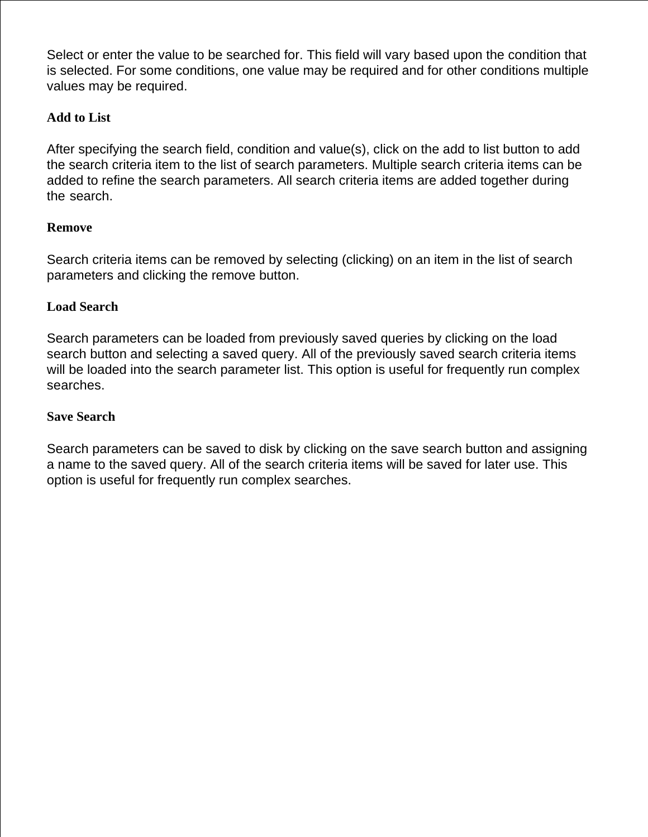Select or enter the value to be searched for. This field will vary based upon the condition that is selected. For some conditions, one value may be required and for other conditions multiple values may be required.

### **Add to List**

After specifying the search field, condition and value(s), click on the add to list button to add the search criteria item to the list of search parameters. Multiple search criteria items can be added to refine the search parameters. All search criteria items are added together during the search.

### **Remove**

Search criteria items can be removed by selecting (clicking) on an item in the list of search parameters and clicking the remove button.

### **Load Search**

Search parameters can be loaded from previously saved queries by clicking on the load search button and selecting a saved query. All of the previously saved search criteria items will be loaded into the search parameter list. This option is useful for frequently run complex searches.

#### **Save Search**

Search parameters can be saved to disk by clicking on the save search button and assigning a name to the saved query. All of the search criteria items will be saved for later use. This option is useful for frequently run complex searches.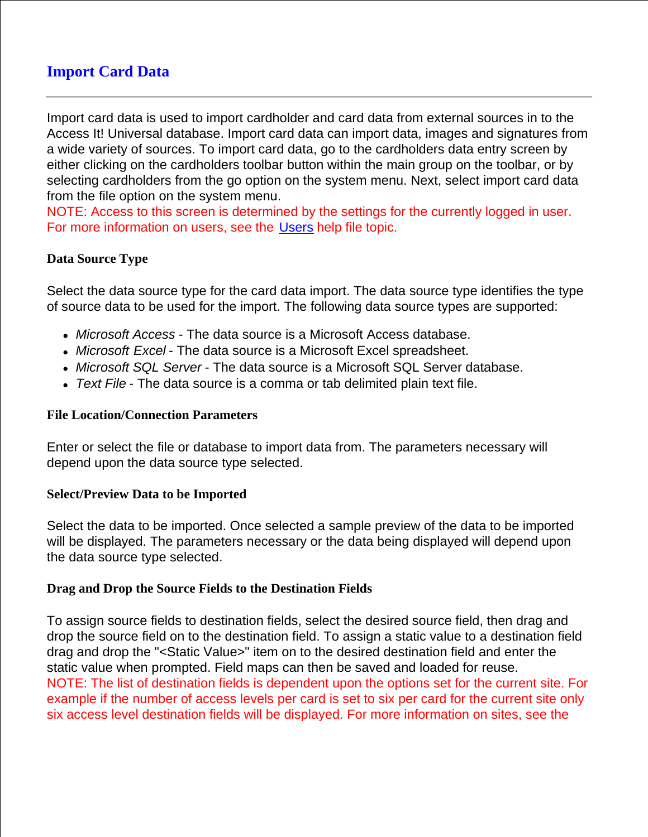# **Import Card Data**

Import card data is used to import cardholder and card data from external sources in to the Access It! Universal database. Import card data can import data, images and signatures from a wide variety of sources. To import card data, go to the cardholders data entry screen by either clicking on the cardholders toolbar button within the main group on the toolbar, or by selecting cardholders from the go option on the system menu. Next, select import card data from the file option on the system menu.

NOTE: Access to this screen is determined by the settings for the currently logged in user. For more information on users, see the Users help file topic.

### **Data Source Type**

Select the data source type for the card data import. The data source type identifies the type of source data to be used for the import. The following data source types are supported:

- *Microsoft Access* The data source is a Microsoft Access database.
- *Microsoft Excel* The data source is a Microsoft Excel spreadsheet.
- *Microsoft SQL Server* The data source is a Microsoft SQL Server database.
- *Text File* The data source is a comma or tab delimited plain text file.

#### **File Location/Connection Parameters**

Enter or select the file or database to import data from. The parameters necessary will depend upon the data source type selected.

#### **Select/Preview Data to be Imported**

Select the data to be imported. Once selected a sample preview of the data to be imported will be displayed. The parameters necessary or the data being displayed will depend upon the data source type selected.

#### **Drag and Drop the Source Fields to the Destination Fields**

To assign source fields to destination fields, select the desired source field, then drag and drop the source field on to the destination field. To assign a static value to a destination field drag and drop the "<Static Value>" item on to the desired destination field and enter the static value when prompted. Field maps can then be saved and loaded for reuse. NOTE: The list of destination fields is dependent upon the options set for the current site. For example if the number of access levels per card is set to six per card for the current site only six access level destination fields will be displayed. For more information on sites, see the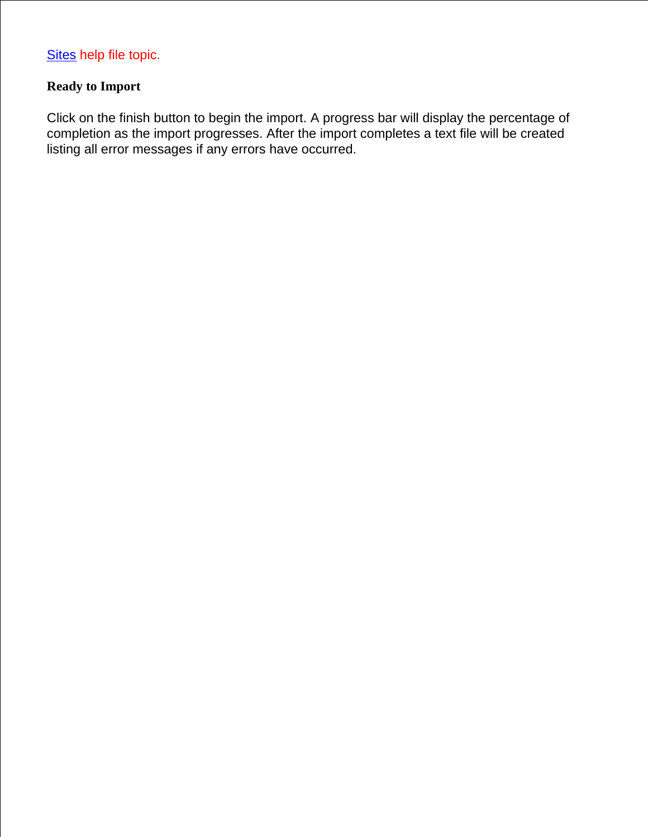## **Ready to Import**

Click on the finish button to begin the import. A progress bar will display the percentage of completion as the import progresses. After the import completes a text file will be created listing all error messages if any errors have occurred.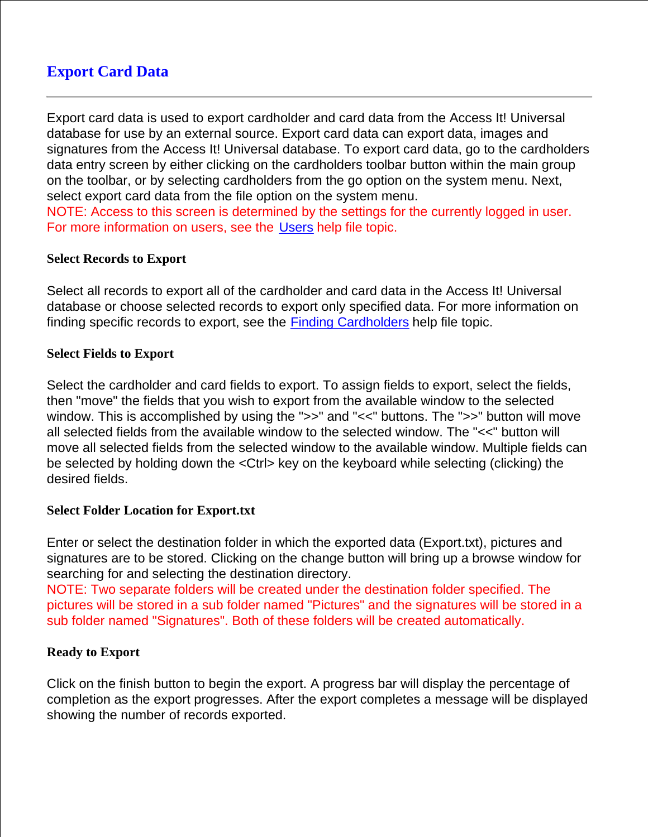# **Export Card Data**

Export card data is used to export cardholder and card data from the Access It! Universal database for use by an external source. Export card data can export data, images and signatures from the Access It! Universal database. To export card data, go to the cardholders data entry screen by either clicking on the cardholders toolbar button within the main group on the toolbar, or by selecting cardholders from the go option on the system menu. Next, select export card data from the file option on the system menu.

NOTE: Access to this screen is determined by the settings for the currently logged in user. For more information on users, see the Users help file topic.

#### **Select Records to Export**

Select all records to export all of the cardholder and card data in the Access It! Universal database or choose selected records to export only specified data. For more information on finding specific records to export, see the Finding Cardholders help file topic.

#### **Select Fields to Export**

Select the cardholder and card fields to export. To assign fields to export, select the fields, then "move" the fields that you wish to export from the available window to the selected window. This is accomplished by using the ">>" and "<<" buttons. The ">>" button will move all selected fields from the available window to the selected window. The "<<" button will move all selected fields from the selected window to the available window. Multiple fields can be selected by holding down the <Ctrl> key on the keyboard while selecting (clicking) the desired fields.

#### **Select Folder Location for Export.txt**

Enter or select the destination folder in which the exported data (Export.txt), pictures and signatures are to be stored. Clicking on the change button will bring up a browse window for searching for and selecting the destination directory.

NOTE: Two separate folders will be created under the destination folder specified. The pictures will be stored in a sub folder named "Pictures" and the signatures will be stored in a sub folder named "Signatures". Both of these folders will be created automatically.

## **Ready to Export**

Click on the finish button to begin the export. A progress bar will display the percentage of completion as the export progresses. After the export completes a message will be displayed showing the number of records exported.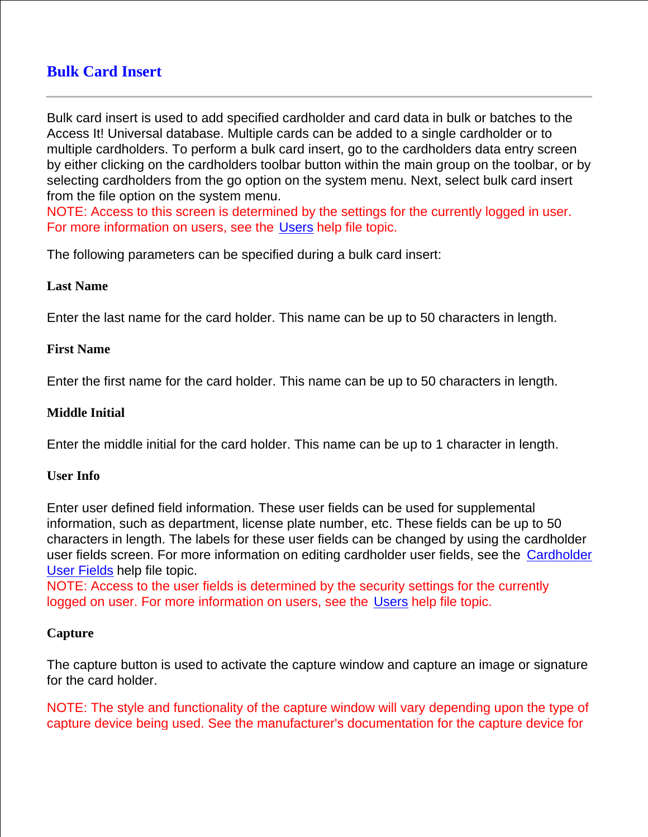# **Bulk Card Insert**

Bulk card insert is used to add specified cardholder and card data in bulk or batches to the Access It! Universal database. Multiple cards can be added to a single cardholder or to multiple cardholders. To perform a bulk card insert, go to the cardholders data entry screen by either clicking on the cardholders toolbar button within the main group on the toolbar, or by selecting cardholders from the go option on the system menu. Next, select bulk card insert from the file option on the system menu.

NOTE: Access to this screen is determined by the settings for the currently logged in user. For more information on users, see the Users help file topic.

The following parameters can be specified during a bulk card insert:

#### **Last Name**

Enter the last name for the card holder. This name can be up to 50 characters in length.

### **First Name**

Enter the first name for the card holder. This name can be up to 50 characters in length.

#### **Middle Initial**

Enter the middle initial for the card holder. This name can be up to 1 character in length.

#### **User Info**

Enter user defined field information. These user fields can be used for supplemental information, such as department, license plate number, etc. These fields can be up to 50 characters in length. The labels for these user fields can be changed by using the cardholder user fields screen. For more information on editing cardholder user fields, see the Cardholder User Fields help file topic.

NOTE: Access to the user fields is determined by the security settings for the currently logged on user. For more information on users, see the Users help file topic.

#### **Capture**

The capture button is used to activate the capture window and capture an image or signature for the card holder.

NOTE: The style and functionality of the capture window will vary depending upon the type of capture device being used. See the manufacturer's documentation for the capture device for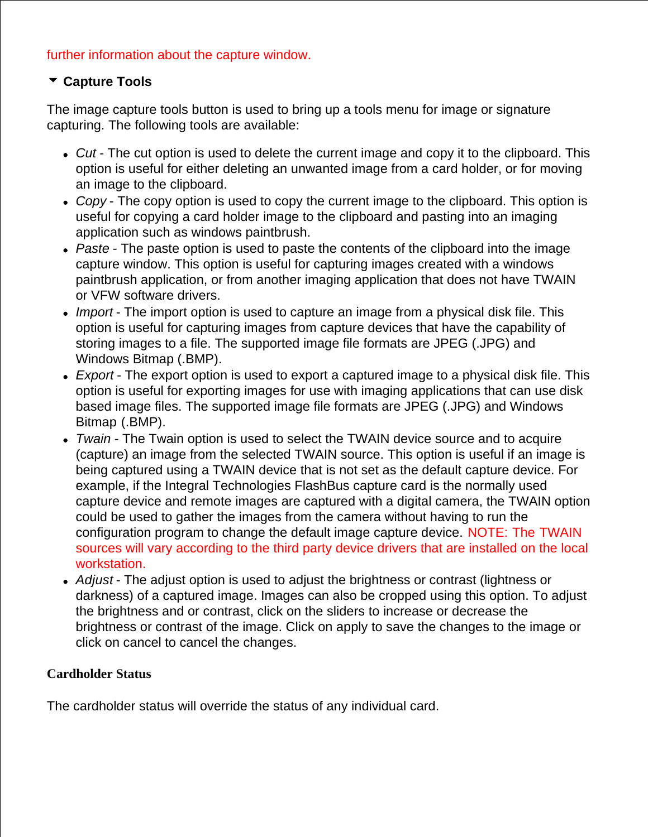## further information about the capture window.

## **Capture Tools**

The image capture tools button is used to bring up a tools menu for image or signature capturing. The following tools are available:

- *Cut* The cut option is used to delete the current image and copy it to the clipboard. This option is useful for either deleting an unwanted image from a card holder, or for moving an image to the clipboard.
- *Copy* The copy option is used to copy the current image to the clipboard. This option is useful for copying a card holder image to the clipboard and pasting into an imaging application such as windows paintbrush.
- *Paste* The paste option is used to paste the contents of the clipboard into the image capture window. This option is useful for capturing images created with a windows paintbrush application, or from another imaging application that does not have TWAIN or VFW software drivers.
- *Import* The import option is used to capture an image from a physical disk file. This option is useful for capturing images from capture devices that have the capability of storing images to a file. The supported image file formats are JPEG (.JPG) and Windows Bitmap (.BMP).
- *Export* The export option is used to export a captured image to a physical disk file. This option is useful for exporting images for use with imaging applications that can use disk based image files. The supported image file formats are JPEG (.JPG) and Windows Bitmap (.BMP).
- *Twain* The Twain option is used to select the TWAIN device source and to acquire (capture) an image from the selected TWAIN source. This option is useful if an image is being captured using a TWAIN device that is not set as the default capture device. For example, if the Integral Technologies FlashBus capture card is the normally used capture device and remote images are captured with a digital camera, the TWAIN option could be used to gather the images from the camera without having to run the configuration program to change the default image capture device. NOTE: The TWAIN sources will vary according to the third party device drivers that are installed on the local workstation.
- *Adjust* The adjust option is used to adjust the brightness or contrast (lightness or darkness) of a captured image. Images can also be cropped using this option. To adjust the brightness and or contrast, click on the sliders to increase or decrease the brightness or contrast of the image. Click on apply to save the changes to the image or click on cancel to cancel the changes.

## **Cardholder Status**

The cardholder status will override the status of any individual card.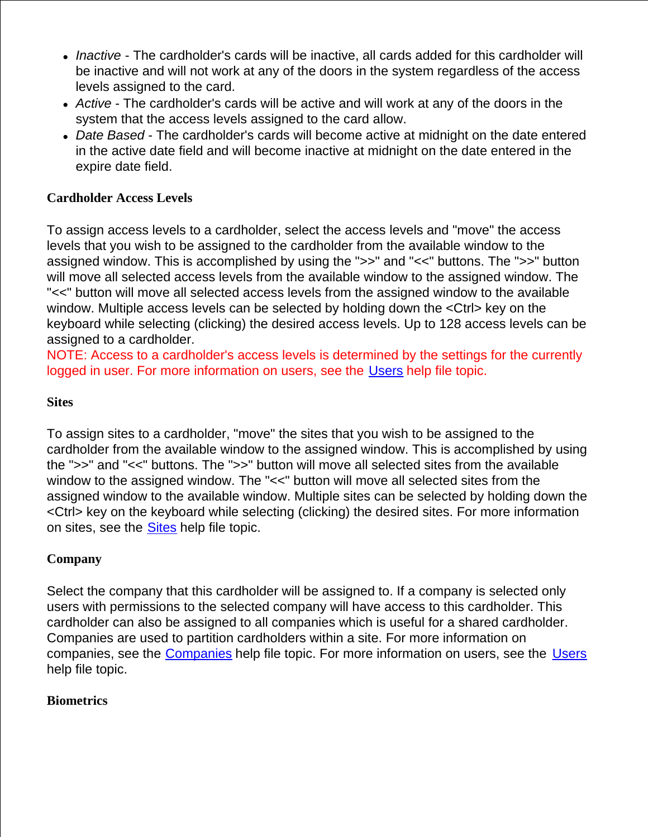- *Inactive*  The cardholder's cards will be inactive, all cards added for this cardholder will be inactive and will not work at any of the doors in the system regardless of the access levels assigned to the card.
- *Active* The cardholder's cards will be active and will work at any of the doors in the system that the access levels assigned to the card allow.
- *Date Based* The cardholder's cards will become active at midnight on the date entered in the active date field and will become inactive at midnight on the date entered in the expire date field.

## **Cardholder Access Levels**

To assign access levels to a cardholder, select the access levels and "move" the access levels that you wish to be assigned to the cardholder from the available window to the assigned window. This is accomplished by using the ">>" and "<<" buttons. The ">>" button will move all selected access levels from the available window to the assigned window. The "<<" button will move all selected access levels from the assigned window to the available window. Multiple access levels can be selected by holding down the <Ctrl> key on the keyboard while selecting (clicking) the desired access levels. Up to 128 access levels can be assigned to a cardholder.

NOTE: Access to a cardholder's access levels is determined by the settings for the currently logged in user. For more information on users, see the Users help file topic.

## **Sites**

To assign sites to a cardholder, "move" the sites that you wish to be assigned to the cardholder from the available window to the assigned window. This is accomplished by using the ">>" and "<<" buttons. The ">>" button will move all selected sites from the available window to the assigned window. The "<<" button will move all selected sites from the assigned window to the available window. Multiple sites can be selected by holding down the <Ctrl> key on the keyboard while selecting (clicking) the desired sites. For more information on sites, see the Sites help file topic.

## **Company**

Select the company that this cardholder will be assigned to. If a company is selected only users with permissions to the selected company will have access to this cardholder. This cardholder can also be assigned to all companies which is useful for a shared cardholder. Companies are used to partition cardholders within a site. For more information on companies, see the Companies help file topic. For more information on users, see the Users help file topic.

#### **Biometrics**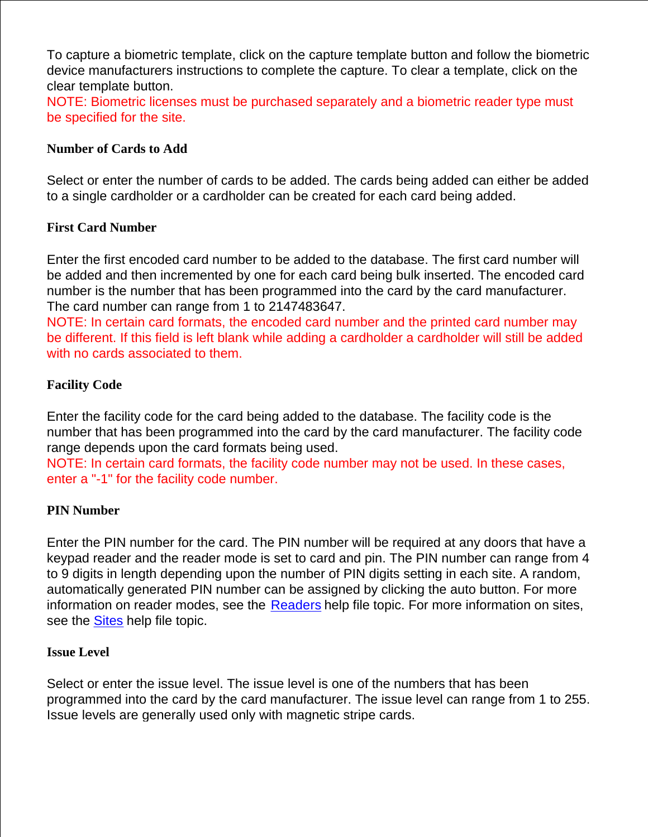To capture a biometric template, click on the capture template button and follow the biometric device manufacturers instructions to complete the capture. To clear a template, click on the clear template button.

NOTE: Biometric licenses must be purchased separately and a biometric reader type must be specified for the site.

### **Number of Cards to Add**

Select or enter the number of cards to be added. The cards being added can either be added to a single cardholder or a cardholder can be created for each card being added.

### **First Card Number**

Enter the first encoded card number to be added to the database. The first card number will be added and then incremented by one for each card being bulk inserted. The encoded card number is the number that has been programmed into the card by the card manufacturer. The card number can range from 1 to 2147483647.

NOTE: In certain card formats, the encoded card number and the printed card number may be different. If this field is left blank while adding a cardholder a cardholder will still be added with no cards associated to them.

### **Facility Code**

Enter the facility code for the card being added to the database. The facility code is the number that has been programmed into the card by the card manufacturer. The facility code range depends upon the card formats being used.

NOTE: In certain card formats, the facility code number may not be used. In these cases, enter a "-1" for the facility code number.

#### **PIN Number**

Enter the PIN number for the card. The PIN number will be required at any doors that have a keypad reader and the reader mode is set to card and pin. The PIN number can range from 4 to 9 digits in length depending upon the number of PIN digits setting in each site. A random, automatically generated PIN number can be assigned by clicking the auto button. For more information on reader modes, see the Readers help file topic. For more information on sites, see the **Sites** help file topic.

#### **Issue Level**

Select or enter the issue level. The issue level is one of the numbers that has been programmed into the card by the card manufacturer. The issue level can range from 1 to 255. Issue levels are generally used only with magnetic stripe cards.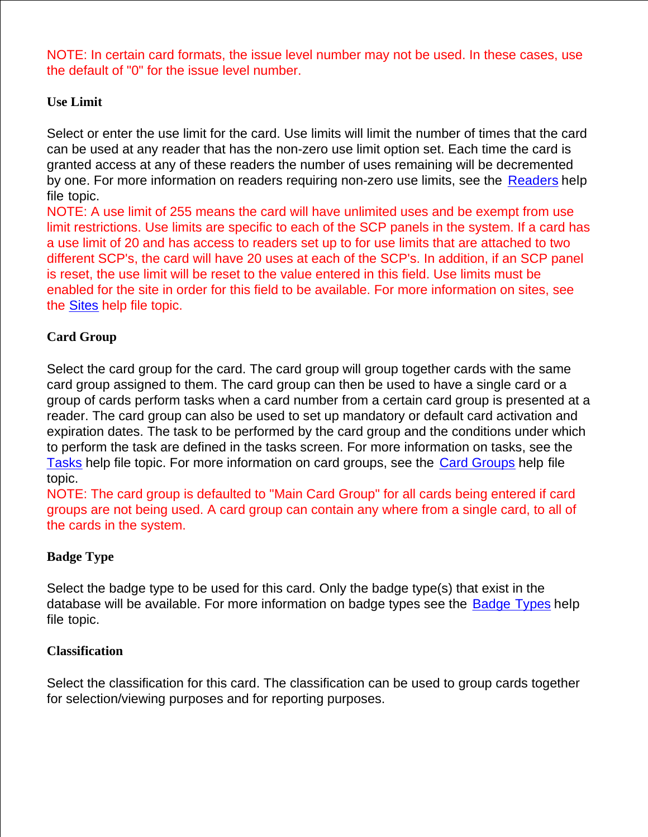NOTE: In certain card formats, the issue level number may not be used. In these cases, use the default of "0" for the issue level number.

## **Use Limit**

Select or enter the use limit for the card. Use limits will limit the number of times that the card can be used at any reader that has the non-zero use limit option set. Each time the card is granted access at any of these readers the number of uses remaining will be decremented by one. For more information on readers requiring non-zero use limits, see the Readers help file topic.

NOTE: A use limit of 255 means the card will have unlimited uses and be exempt from use limit restrictions. Use limits are specific to each of the SCP panels in the system. If a card has a use limit of 20 and has access to readers set up to for use limits that are attached to two different SCP's, the card will have 20 uses at each of the SCP's. In addition, if an SCP panel is reset, the use limit will be reset to the value entered in this field. Use limits must be enabled for the site in order for this field to be available. For more information on sites, see the Sites help file topic.

## **Card Group**

Select the card group for the card. The card group will group together cards with the same card group assigned to them. The card group can then be used to have a single card or a group of cards perform tasks when a card number from a certain card group is presented at a reader. The card group can also be used to set up mandatory or default card activation and expiration dates. The task to be performed by the card group and the conditions under which to perform the task are defined in the tasks screen. For more information on tasks, see the Tasks help file topic. For more information on card groups, see the Card Groups help file topic.

NOTE: The card group is defaulted to "Main Card Group" for all cards being entered if card groups are not being used. A card group can contain any where from a single card, to all of the cards in the system.

## **Badge Type**

Select the badge type to be used for this card. Only the badge type(s) that exist in the database will be available. For more information on badge types see the Badge Types help file topic.

## **Classification**

Select the classification for this card. The classification can be used to group cards together for selection/viewing purposes and for reporting purposes.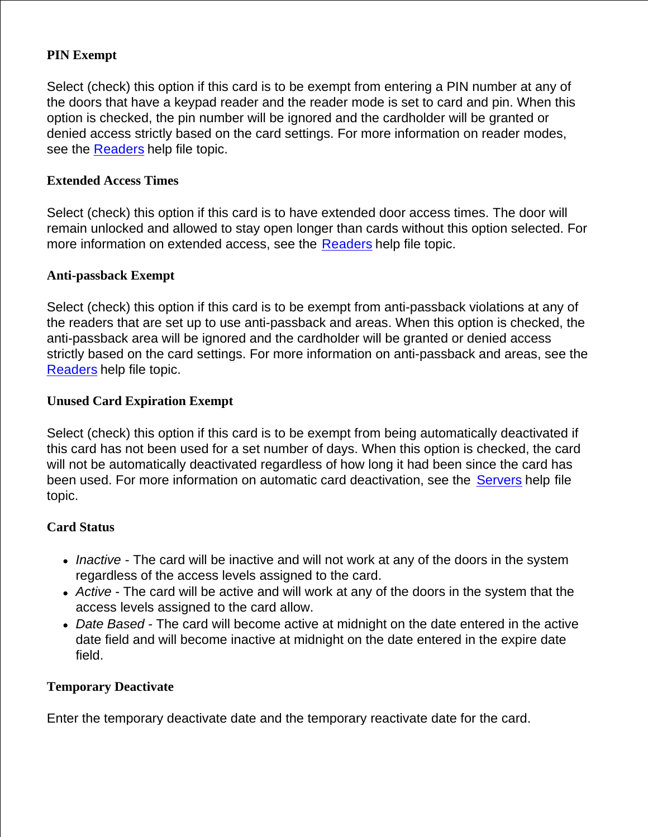## **PIN Exempt**

Select (check) this option if this card is to be exempt from entering a PIN number at any of the doors that have a keypad reader and the reader mode is set to card and pin. When this option is checked, the pin number will be ignored and the cardholder will be granted or denied access strictly based on the card settings. For more information on reader modes, see the Readers help file topic.

### **Extended Access Times**

Select (check) this option if this card is to have extended door access times. The door will remain unlocked and allowed to stay open longer than cards without this option selected. For more information on extended access, see the Readers help file topic.

### **Anti-passback Exempt**

Select (check) this option if this card is to be exempt from anti-passback violations at any of the readers that are set up to use anti-passback and areas. When this option is checked, the anti-passback area will be ignored and the cardholder will be granted or denied access strictly based on the card settings. For more information on anti-passback and areas, see the Readers help file topic.

## **Unused Card Expiration Exempt**

Select (check) this option if this card is to be exempt from being automatically deactivated if this card has not been used for a set number of days. When this option is checked, the card will not be automatically deactivated regardless of how long it had been since the card has been used. For more information on automatic card deactivation, see the Servers help file topic.

#### **Card Status**

- *Inactive*  The card will be inactive and will not work at any of the doors in the system regardless of the access levels assigned to the card.
- *Active* The card will be active and will work at any of the doors in the system that the access levels assigned to the card allow.
- *Date Based* The card will become active at midnight on the date entered in the active date field and will become inactive at midnight on the date entered in the expire date field.

#### **Temporary Deactivate**

Enter the temporary deactivate date and the temporary reactivate date for the card.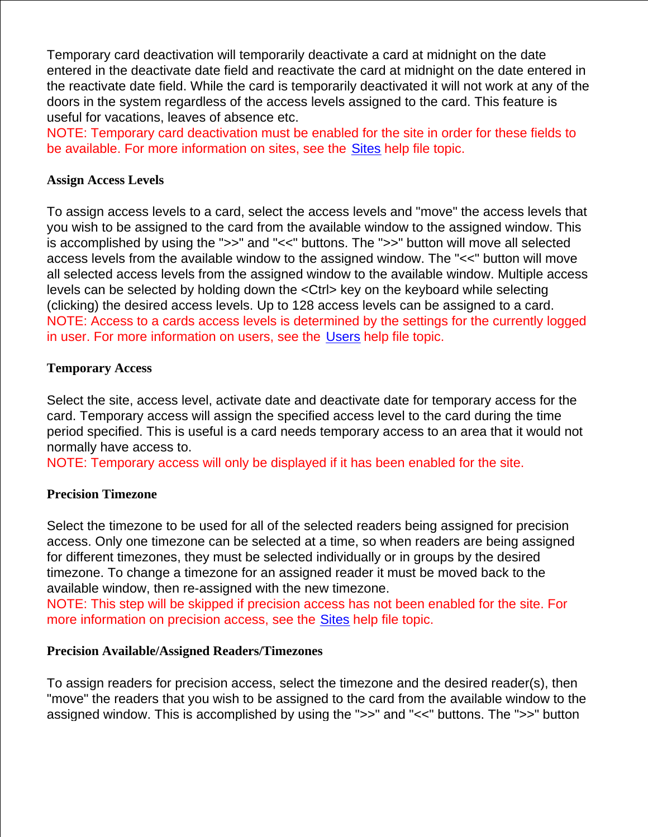Temporary card deactivation will temporarily deactivate a card at midnight on the date entered in the deactivate date field and reactivate the card at midnight on the date entered in the reactivate date field. While the card is temporarily deactivated it will not work at any of the doors in the system regardless of the access levels assigned to the card. This feature is useful for vacations, leaves of absence etc.

NOTE: Temporary card deactivation must be enabled for the site in order for these fields to be available. For more information on sites, see the Sites help file topic.

### **Assign Access Levels**

To assign access levels to a card, select the access levels and "move" the access levels that you wish to be assigned to the card from the available window to the assigned window. This is accomplished by using the ">>" and "<<" buttons. The ">>" button will move all selected access levels from the available window to the assigned window. The "<<" button will move all selected access levels from the assigned window to the available window. Multiple access levels can be selected by holding down the <Ctrl> key on the keyboard while selecting (clicking) the desired access levels. Up to 128 access levels can be assigned to a card. NOTE: Access to a cards access levels is determined by the settings for the currently logged in user. For more information on users, see the Users help file topic.

### **Temporary Access**

Select the site, access level, activate date and deactivate date for temporary access for the card. Temporary access will assign the specified access level to the card during the time period specified. This is useful is a card needs temporary access to an area that it would not normally have access to.

NOTE: Temporary access will only be displayed if it has been enabled for the site.

## **Precision Timezone**

Select the timezone to be used for all of the selected readers being assigned for precision access. Only one timezone can be selected at a time, so when readers are being assigned for different timezones, they must be selected individually or in groups by the desired timezone. To change a timezone for an assigned reader it must be moved back to the available window, then re-assigned with the new timezone.

NOTE: This step will be skipped if precision access has not been enabled for the site. For more information on precision access, see the Sites help file topic.

#### **Precision Available/Assigned Readers/Timezones**

To assign readers for precision access, select the timezone and the desired reader(s), then "move" the readers that you wish to be assigned to the card from the available window to the assigned window. This is accomplished by using the ">>" and "<<" buttons. The ">>" button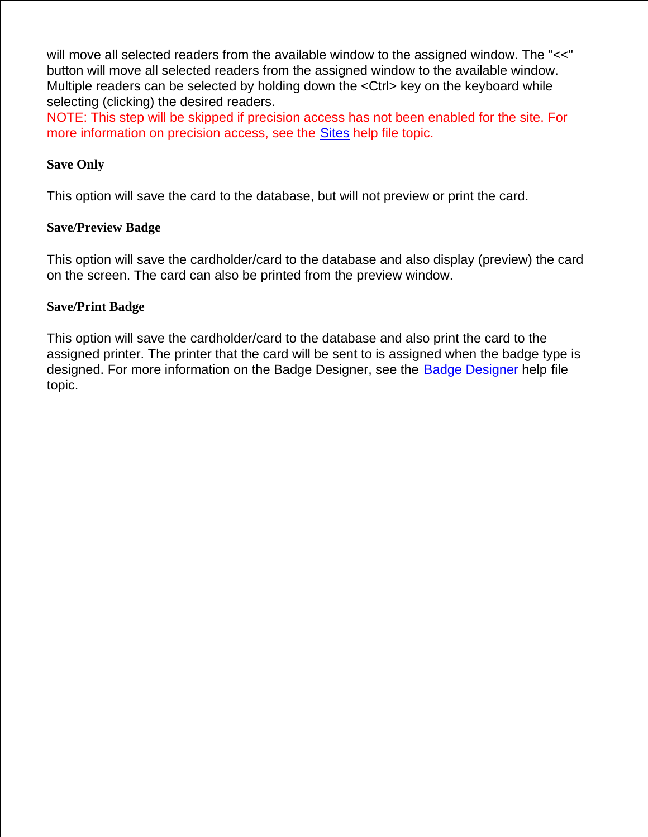will move all selected readers from the available window to the assigned window. The "<<" button will move all selected readers from the assigned window to the available window. Multiple readers can be selected by holding down the <Ctrl> key on the keyboard while selecting (clicking) the desired readers.

NOTE: This step will be skipped if precision access has not been enabled for the site. For more information on precision access, see the Sites help file topic.

## **Save Only**

This option will save the card to the database, but will not preview or print the card.

### **Save/Preview Badge**

This option will save the cardholder/card to the database and also display (preview) the card on the screen. The card can also be printed from the preview window.

### **Save/Print Badge**

This option will save the cardholder/card to the database and also print the card to the assigned printer. The printer that the card will be sent to is assigned when the badge type is designed. For more information on the Badge Designer, see the Badge Designer help file topic.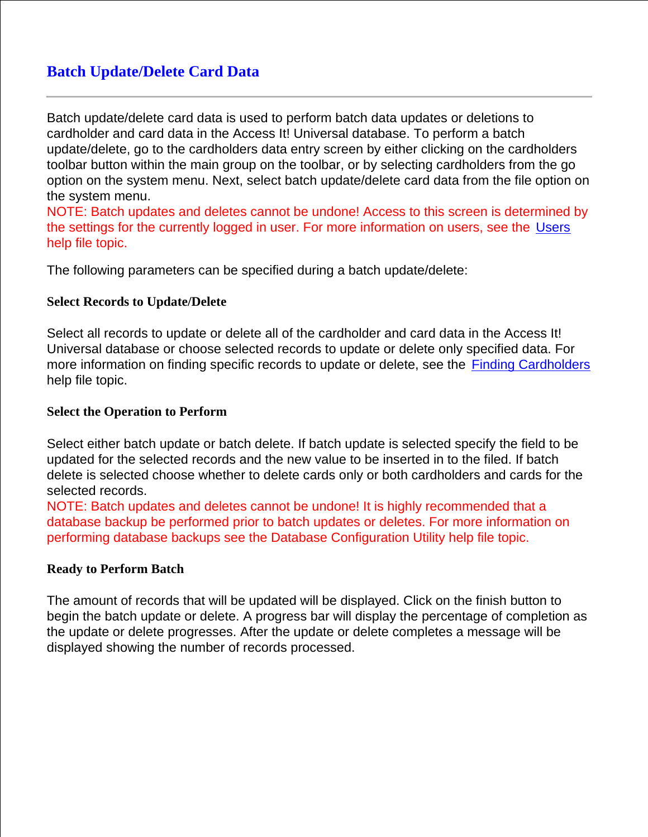# **Batch Update/Delete Card Data**

Batch update/delete card data is used to perform batch data updates or deletions to cardholder and card data in the Access It! Universal database. To perform a batch update/delete, go to the cardholders data entry screen by either clicking on the cardholders toolbar button within the main group on the toolbar, or by selecting cardholders from the go option on the system menu. Next, select batch update/delete card data from the file option on the system menu.

NOTE: Batch updates and deletes cannot be undone! Access to this screen is determined by the settings for the currently logged in user. For more information on users, see the Users help file topic.

The following parameters can be specified during a batch update/delete:

### **Select Records to Update/Delete**

Select all records to update or delete all of the cardholder and card data in the Access It! Universal database or choose selected records to update or delete only specified data. For more information on finding specific records to update or delete, see the Finding Cardholders help file topic.

### **Select the Operation to Perform**

Select either batch update or batch delete. If batch update is selected specify the field to be updated for the selected records and the new value to be inserted in to the filed. If batch delete is selected choose whether to delete cards only or both cardholders and cards for the selected records.

NOTE: Batch updates and deletes cannot be undone! It is highly recommended that a database backup be performed prior to batch updates or deletes. For more information on performing database backups see the Database Configuration Utility help file topic.

#### **Ready to Perform Batch**

The amount of records that will be updated will be displayed. Click on the finish button to begin the batch update or delete. A progress bar will display the percentage of completion as the update or delete progresses. After the update or delete completes a message will be displayed showing the number of records processed.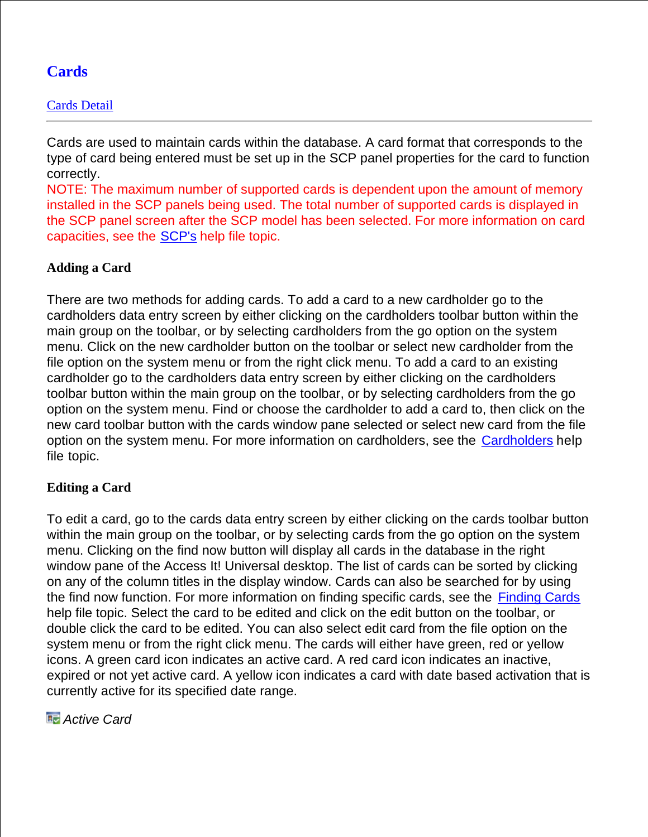# **Cards**

## Cards Detail

Cards are used to maintain cards within the database. A card format that corresponds to the type of card being entered must be set up in the SCP panel properties for the card to function correctly.

NOTE: The maximum number of supported cards is dependent upon the amount of memory installed in the SCP panels being used. The total number of supported cards is displayed in the SCP panel screen after the SCP model has been selected. For more information on card capacities, see the SCP's help file topic.

## **Adding a Card**

There are two methods for adding cards. To add a card to a new cardholder go to the cardholders data entry screen by either clicking on the cardholders toolbar button within the main group on the toolbar, or by selecting cardholders from the go option on the system menu. Click on the new cardholder button on the toolbar or select new cardholder from the file option on the system menu or from the right click menu. To add a card to an existing cardholder go to the cardholders data entry screen by either clicking on the cardholders toolbar button within the main group on the toolbar, or by selecting cardholders from the go option on the system menu. Find or choose the cardholder to add a card to, then click on the new card toolbar button with the cards window pane selected or select new card from the file option on the system menu. For more information on cardholders, see the Cardholders help file topic.

## **Editing a Card**

To edit a card, go to the cards data entry screen by either clicking on the cards toolbar button within the main group on the toolbar, or by selecting cards from the go option on the system menu. Clicking on the find now button will display all cards in the database in the right window pane of the Access It! Universal desktop. The list of cards can be sorted by clicking on any of the column titles in the display window. Cards can also be searched for by using the find now function. For more information on finding specific cards, see the **Finding Cards** help file topic. Select the card to be edited and click on the edit button on the toolbar, or double click the card to be edited. You can also select edit card from the file option on the system menu or from the right click menu. The cards will either have green, red or yellow icons. A green card icon indicates an active card. A red card icon indicates an inactive, expired or not yet active card. A yellow icon indicates a card with date based activation that is currently active for its specified date range.

*Active Card*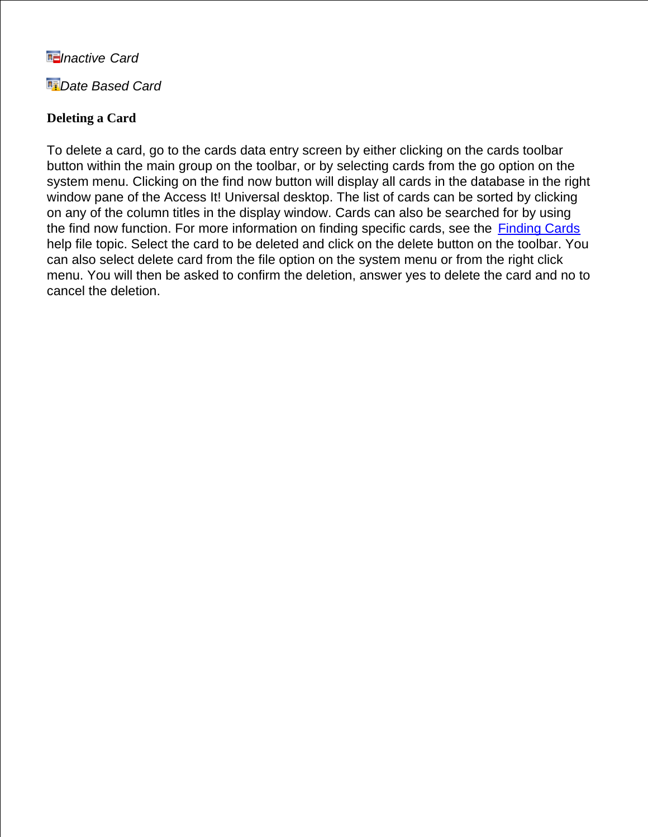## *Inactive Card*

*Date Based Card*

## **Deleting a Card**

To delete a card, go to the cards data entry screen by either clicking on the cards toolbar button within the main group on the toolbar, or by selecting cards from the go option on the system menu. Clicking on the find now button will display all cards in the database in the right window pane of the Access It! Universal desktop. The list of cards can be sorted by clicking on any of the column titles in the display window. Cards can also be searched for by using the find now function. For more information on finding specific cards, see the Finding Cards help file topic. Select the card to be deleted and click on the delete button on the toolbar. You can also select delete card from the file option on the system menu or from the right click menu. You will then be asked to confirm the deletion, answer yes to delete the card and no to cancel the deletion.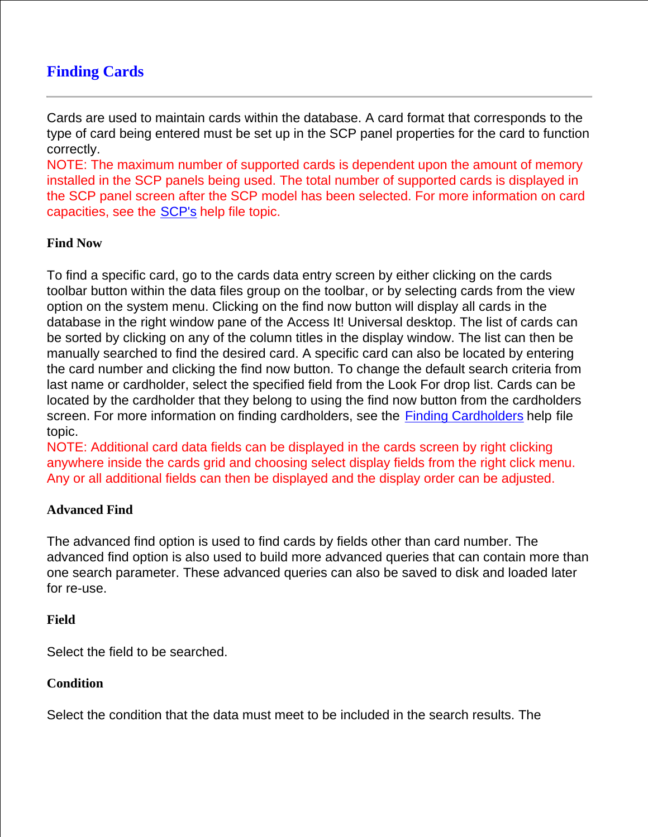# **Finding Cards**

Cards are used to maintain cards within the database. A card format that corresponds to the type of card being entered must be set up in the SCP panel properties for the card to function correctly.

NOTE: The maximum number of supported cards is dependent upon the amount of memory installed in the SCP panels being used. The total number of supported cards is displayed in the SCP panel screen after the SCP model has been selected. For more information on card capacities, see the SCP's help file topic.

## **Find Now**

To find a specific card, go to the cards data entry screen by either clicking on the cards toolbar button within the data files group on the toolbar, or by selecting cards from the view option on the system menu. Clicking on the find now button will display all cards in the database in the right window pane of the Access It! Universal desktop. The list of cards can be sorted by clicking on any of the column titles in the display window. The list can then be manually searched to find the desired card. A specific card can also be located by entering the card number and clicking the find now button. To change the default search criteria from last name or cardholder, select the specified field from the Look For drop list. Cards can be located by the cardholder that they belong to using the find now button from the cardholders screen. For more information on finding cardholders, see the Finding Cardholders help file topic.

NOTE: Additional card data fields can be displayed in the cards screen by right clicking anywhere inside the cards grid and choosing select display fields from the right click menu. Any or all additional fields can then be displayed and the display order can be adjusted.

#### **Advanced Find**

The advanced find option is used to find cards by fields other than card number. The advanced find option is also used to build more advanced queries that can contain more than one search parameter. These advanced queries can also be saved to disk and loaded later for re-use.

#### **Field**

Select the field to be searched.

#### **Condition**

Select the condition that the data must meet to be included in the search results. The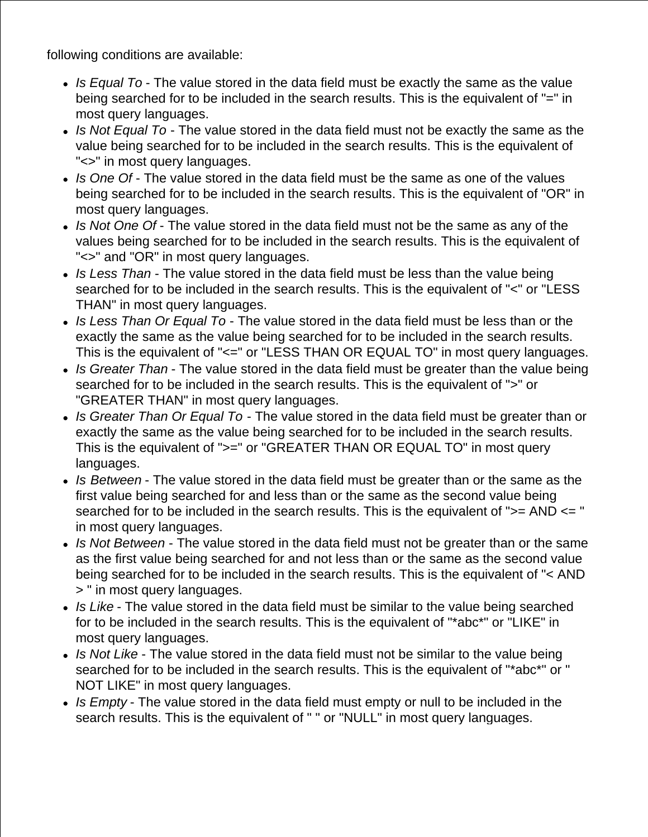following conditions are available:

- *Is Equal To* The value stored in the data field must be exactly the same as the value being searched for to be included in the search results. This is the equivalent of "=" in most query languages.
- *Is Not Equal To* The value stored in the data field must not be exactly the same as the value being searched for to be included in the search results. This is the equivalent of "<>" in most query languages.
- *Is One Of* The value stored in the data field must be the same as one of the values being searched for to be included in the search results. This is the equivalent of "OR" in most query languages.
- *Is Not One Of* The value stored in the data field must not be the same as any of the values being searched for to be included in the search results. This is the equivalent of "<>" and "OR" in most query languages.
- *Is Less Than* The value stored in the data field must be less than the value being searched for to be included in the search results. This is the equivalent of "<" or "LESS THAN" in most query languages.
- *Is Less Than Or Equal To* The value stored in the data field must be less than or the exactly the same as the value being searched for to be included in the search results. This is the equivalent of "<=" or "LESS THAN OR EQUAL TO" in most query languages.
- *Is Greater Than* The value stored in the data field must be greater than the value being searched for to be included in the search results. This is the equivalent of ">" or "GREATER THAN" in most query languages.
- *Is Greater Than Or Equal To* The value stored in the data field must be greater than or exactly the same as the value being searched for to be included in the search results. This is the equivalent of ">=" or "GREATER THAN OR EQUAL TO" in most query languages.
- *Is Between* The value stored in the data field must be greater than or the same as the first value being searched for and less than or the same as the second value being searched for to be included in the search results. This is the equivalent of ">= AND <= " in most query languages.
- *Is Not Between* The value stored in the data field must not be greater than or the same as the first value being searched for and not less than or the same as the second value being searched for to be included in the search results. This is the equivalent of "< AND > " in most query languages.
- *Is Like* The value stored in the data field must be similar to the value being searched for to be included in the search results. This is the equivalent of "\*abc\*" or "LIKE" in most query languages.
- *Is Not Like* The value stored in the data field must not be similar to the value being searched for to be included in the search results. This is the equivalent of "\*abc\*" or " NOT LIKE" in most query languages.
- *Is Empty* The value stored in the data field must empty or null to be included in the search results. This is the equivalent of " " or "NULL" in most query languages.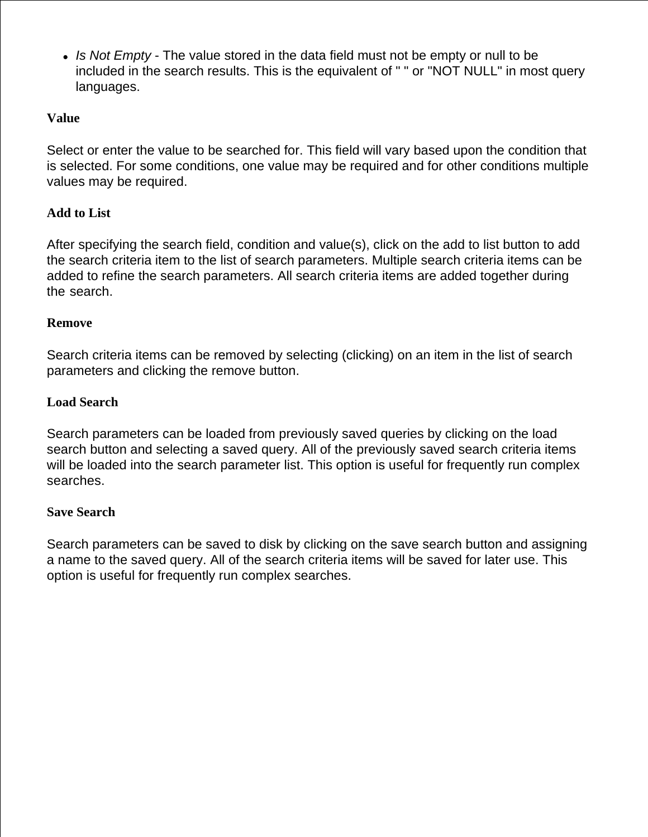*Is Not Empty* - The value stored in the data field must not be empty or null to be included in the search results. This is the equivalent of " " or "NOT NULL" in most query languages.

## **Value**

Select or enter the value to be searched for. This field will vary based upon the condition that is selected. For some conditions, one value may be required and for other conditions multiple values may be required.

## **Add to List**

After specifying the search field, condition and value(s), click on the add to list button to add the search criteria item to the list of search parameters. Multiple search criteria items can be added to refine the search parameters. All search criteria items are added together during the search.

#### **Remove**

Search criteria items can be removed by selecting (clicking) on an item in the list of search parameters and clicking the remove button.

#### **Load Search**

Search parameters can be loaded from previously saved queries by clicking on the load search button and selecting a saved query. All of the previously saved search criteria items will be loaded into the search parameter list. This option is useful for frequently run complex searches.

#### **Save Search**

Search parameters can be saved to disk by clicking on the save search button and assigning a name to the saved query. All of the search criteria items will be saved for later use. This option is useful for frequently run complex searches.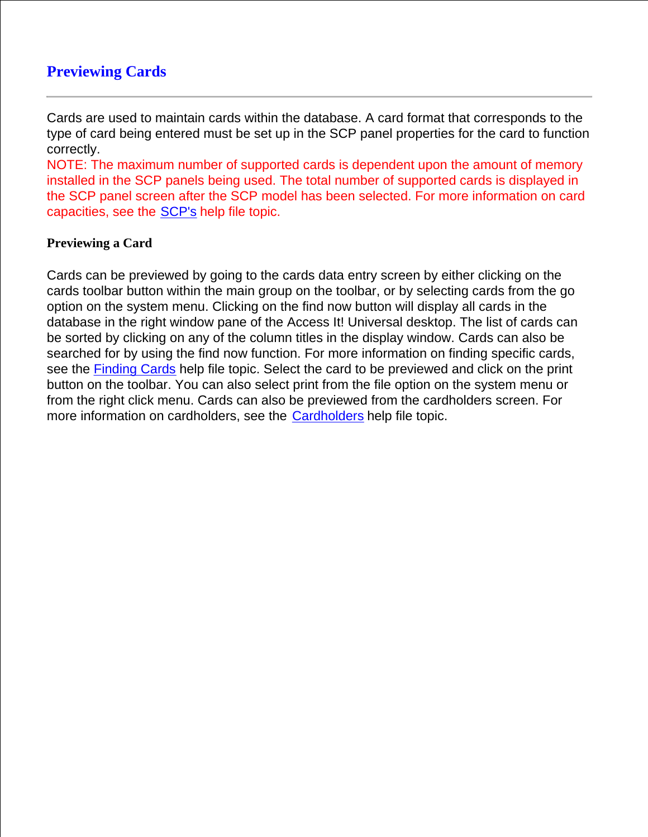# **Previewing Cards**

Cards are used to maintain cards within the database. A card format that corresponds to the type of card being entered must be set up in the SCP panel properties for the card to function correctly.

NOTE: The maximum number of supported cards is dependent upon the amount of memory installed in the SCP panels being used. The total number of supported cards is displayed in the SCP panel screen after the SCP model has been selected. For more information on card capacities, see the SCP's help file topic.

## **Previewing a Card**

Cards can be previewed by going to the cards data entry screen by either clicking on the cards toolbar button within the main group on the toolbar, or by selecting cards from the go option on the system menu. Clicking on the find now button will display all cards in the database in the right window pane of the Access It! Universal desktop. The list of cards can be sorted by clicking on any of the column titles in the display window. Cards can also be searched for by using the find now function. For more information on finding specific cards, see the Finding Cards help file topic. Select the card to be previewed and click on the print button on the toolbar. You can also select print from the file option on the system menu or from the right click menu. Cards can also be previewed from the cardholders screen. For more information on cardholders, see the Cardholders help file topic.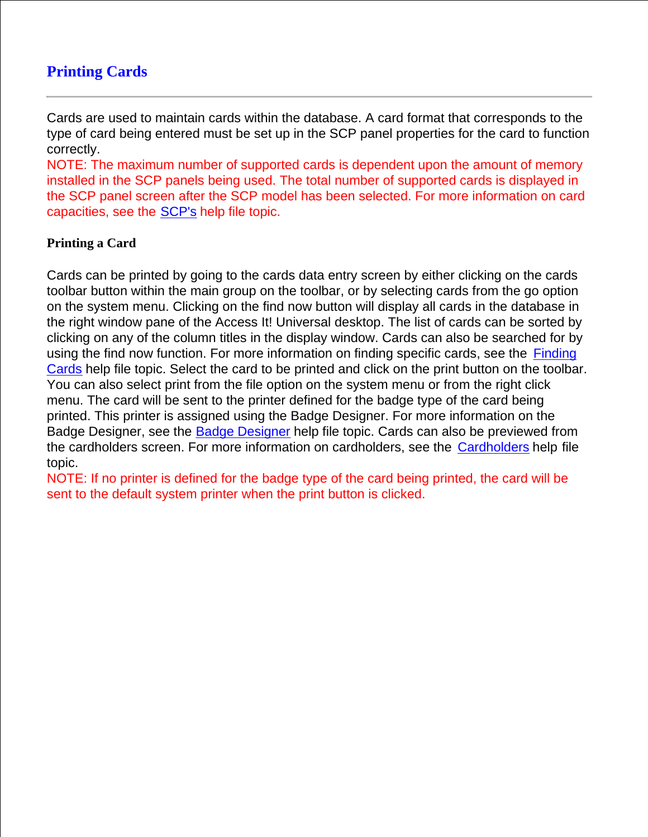# **Printing Cards**

Cards are used to maintain cards within the database. A card format that corresponds to the type of card being entered must be set up in the SCP panel properties for the card to function correctly.

NOTE: The maximum number of supported cards is dependent upon the amount of memory installed in the SCP panels being used. The total number of supported cards is displayed in the SCP panel screen after the SCP model has been selected. For more information on card capacities, see the SCP's help file topic.

## **Printing a Card**

Cards can be printed by going to the cards data entry screen by either clicking on the cards toolbar button within the main group on the toolbar, or by selecting cards from the go option on the system menu. Clicking on the find now button will display all cards in the database in the right window pane of the Access It! Universal desktop. The list of cards can be sorted by clicking on any of the column titles in the display window. Cards can also be searched for by using the find now function. For more information on finding specific cards, see the Finding Cards help file topic. Select the card to be printed and click on the print button on the toolbar. You can also select print from the file option on the system menu or from the right click menu. The card will be sent to the printer defined for the badge type of the card being printed. This printer is assigned using the Badge Designer. For more information on the Badge Designer, see the Badge Designer help file topic. Cards can also be previewed from the cardholders screen. For more information on cardholders, see the Cardholders help file topic.

NOTE: If no printer is defined for the badge type of the card being printed, the card will be sent to the default system printer when the print button is clicked.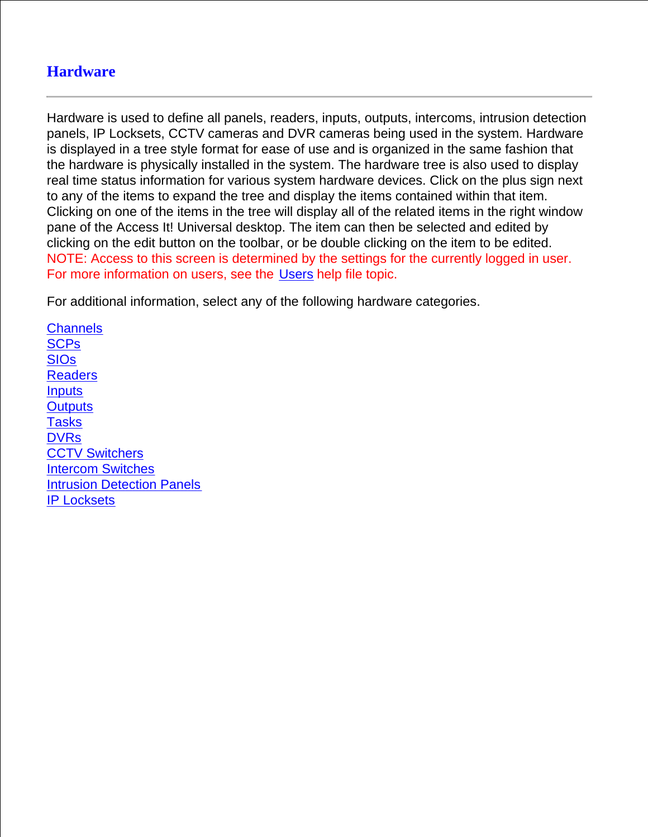# **Hardware**

Hardware is used to define all panels, readers, inputs, outputs, intercoms, intrusion detection panels, IP Locksets, CCTV cameras and DVR cameras being used in the system. Hardware is displayed in a tree style format for ease of use and is organized in the same fashion that the hardware is physically installed in the system. The hardware tree is also used to display real time status information for various system hardware devices. Click on the plus sign next to any of the items to expand the tree and display the items contained within that item. Clicking on one of the items in the tree will display all of the related items in the right window pane of the Access It! Universal desktop. The item can then be selected and edited by clicking on the edit button on the toolbar, or be double clicking on the item to be edited. NOTE: Access to this screen is determined by the settings for the currently logged in user. For more information on users, see the Users help file topic.

For additional information, select any of the following hardware categories.

**Channels SCPs** SIOs Readers **Inputs Outputs** Tasks **DVRs CCTV Switchers** Intercom Switches Intrusion Detection Panels IP Locksets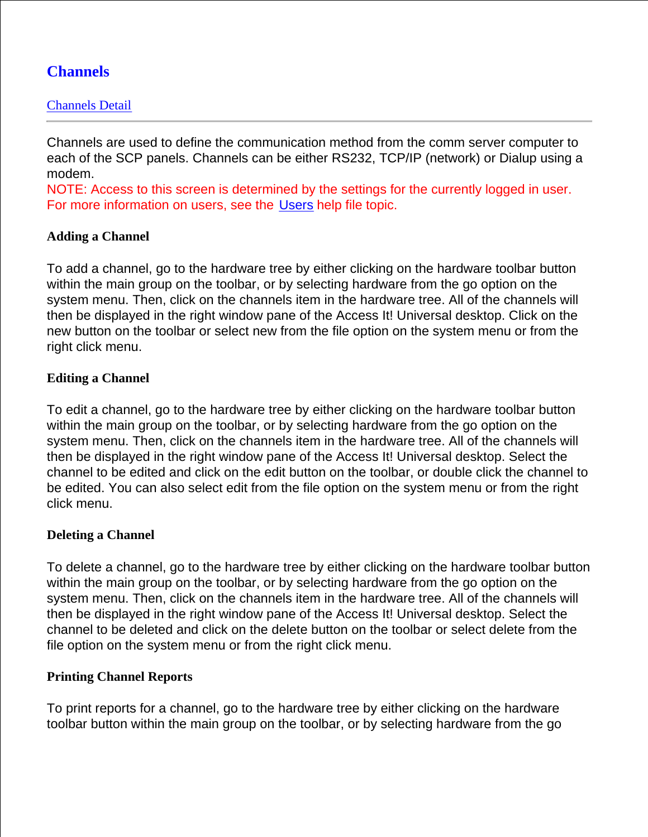# **Channels**

## Channels Detail

Channels are used to define the communication method from the comm server computer to each of the SCP panels. Channels can be either RS232, TCP/IP (network) or Dialup using a modem.

NOTE: Access to this screen is determined by the settings for the currently logged in user. For more information on users, see the Users help file topic.

## **Adding a Channel**

To add a channel, go to the hardware tree by either clicking on the hardware toolbar button within the main group on the toolbar, or by selecting hardware from the go option on the system menu. Then, click on the channels item in the hardware tree. All of the channels will then be displayed in the right window pane of the Access It! Universal desktop. Click on the new button on the toolbar or select new from the file option on the system menu or from the right click menu.

## **Editing a Channel**

To edit a channel, go to the hardware tree by either clicking on the hardware toolbar button within the main group on the toolbar, or by selecting hardware from the go option on the system menu. Then, click on the channels item in the hardware tree. All of the channels will then be displayed in the right window pane of the Access It! Universal desktop. Select the channel to be edited and click on the edit button on the toolbar, or double click the channel to be edited. You can also select edit from the file option on the system menu or from the right click menu.

#### **Deleting a Channel**

To delete a channel, go to the hardware tree by either clicking on the hardware toolbar button within the main group on the toolbar, or by selecting hardware from the go option on the system menu. Then, click on the channels item in the hardware tree. All of the channels will then be displayed in the right window pane of the Access It! Universal desktop. Select the channel to be deleted and click on the delete button on the toolbar or select delete from the file option on the system menu or from the right click menu.

#### **Printing Channel Reports**

To print reports for a channel, go to the hardware tree by either clicking on the hardware toolbar button within the main group on the toolbar, or by selecting hardware from the go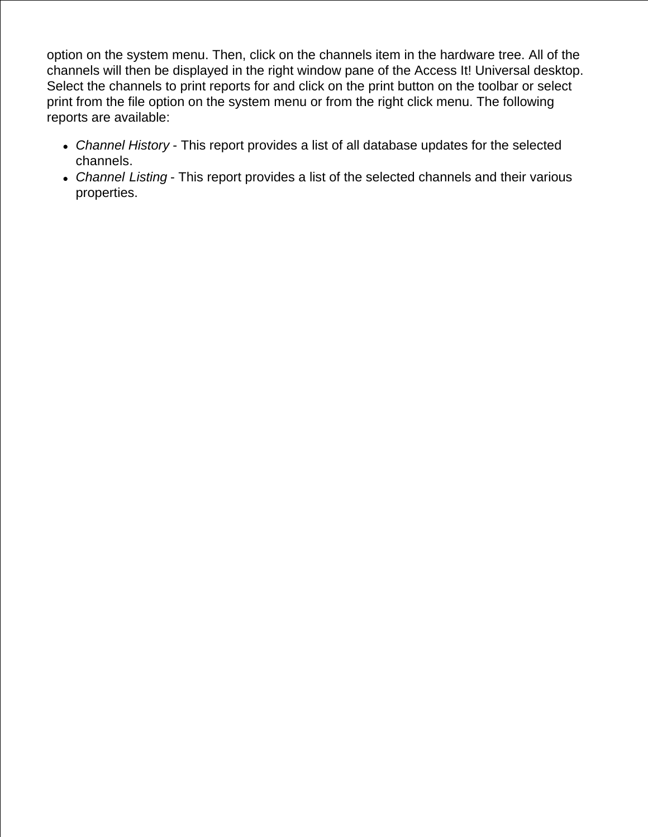option on the system menu. Then, click on the channels item in the hardware tree. All of the channels will then be displayed in the right window pane of the Access It! Universal desktop. Select the channels to print reports for and click on the print button on the toolbar or select print from the file option on the system menu or from the right click menu. The following reports are available:

- *Channel History* This report provides a list of all database updates for the selected channels.
- *Channel Listing* This report provides a list of the selected channels and their various properties.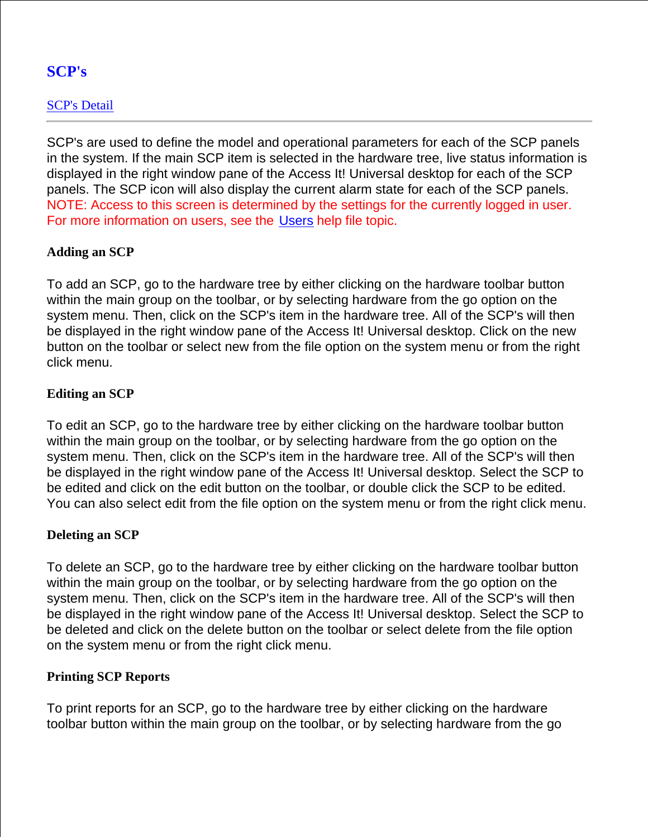# **SCP's**

## SCP's Detail

SCP's are used to define the model and operational parameters for each of the SCP panels in the system. If the main SCP item is selected in the hardware tree, live status information is displayed in the right window pane of the Access It! Universal desktop for each of the SCP panels. The SCP icon will also display the current alarm state for each of the SCP panels. NOTE: Access to this screen is determined by the settings for the currently logged in user. For more information on users, see the Users help file topic.

## **Adding an SCP**

To add an SCP, go to the hardware tree by either clicking on the hardware toolbar button within the main group on the toolbar, or by selecting hardware from the go option on the system menu. Then, click on the SCP's item in the hardware tree. All of the SCP's will then be displayed in the right window pane of the Access It! Universal desktop. Click on the new button on the toolbar or select new from the file option on the system menu or from the right click menu.

## **Editing an SCP**

To edit an SCP, go to the hardware tree by either clicking on the hardware toolbar button within the main group on the toolbar, or by selecting hardware from the go option on the system menu. Then, click on the SCP's item in the hardware tree. All of the SCP's will then be displayed in the right window pane of the Access It! Universal desktop. Select the SCP to be edited and click on the edit button on the toolbar, or double click the SCP to be edited. You can also select edit from the file option on the system menu or from the right click menu.

## **Deleting an SCP**

To delete an SCP, go to the hardware tree by either clicking on the hardware toolbar button within the main group on the toolbar, or by selecting hardware from the go option on the system menu. Then, click on the SCP's item in the hardware tree. All of the SCP's will then be displayed in the right window pane of the Access It! Universal desktop. Select the SCP to be deleted and click on the delete button on the toolbar or select delete from the file option on the system menu or from the right click menu.

## **Printing SCP Reports**

To print reports for an SCP, go to the hardware tree by either clicking on the hardware toolbar button within the main group on the toolbar, or by selecting hardware from the go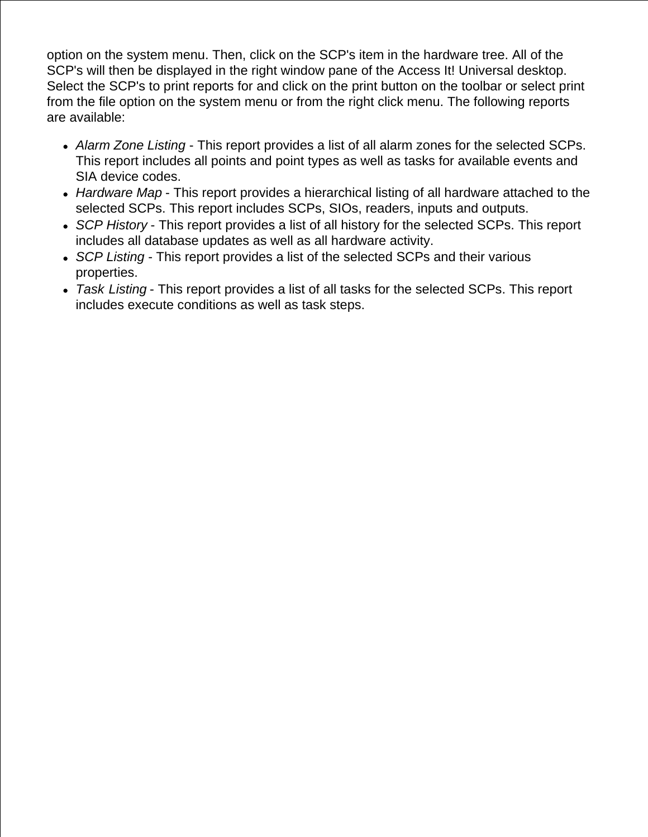option on the system menu. Then, click on the SCP's item in the hardware tree. All of the SCP's will then be displayed in the right window pane of the Access It! Universal desktop. Select the SCP's to print reports for and click on the print button on the toolbar or select print from the file option on the system menu or from the right click menu. The following reports are available:

- *Alarm Zone Listing* This report provides a list of all alarm zones for the selected SCPs. This report includes all points and point types as well as tasks for available events and SIA device codes.
- *Hardware Map* This report provides a hierarchical listing of all hardware attached to the selected SCPs. This report includes SCPs, SIOs, readers, inputs and outputs.
- *SCP History* This report provides a list of all history for the selected SCPs. This report includes all database updates as well as all hardware activity.
- *SCP Listing* This report provides a list of the selected SCPs and their various properties.
- *Task Listing* This report provides a list of all tasks for the selected SCPs. This report includes execute conditions as well as task steps.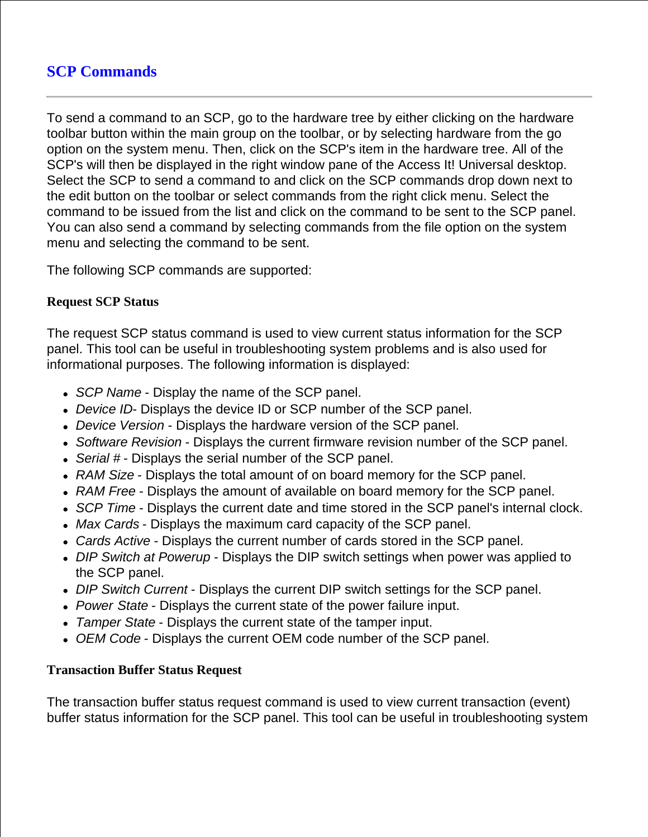# **SCP Commands**

To send a command to an SCP, go to the hardware tree by either clicking on the hardware toolbar button within the main group on the toolbar, or by selecting hardware from the go option on the system menu. Then, click on the SCP's item in the hardware tree. All of the SCP's will then be displayed in the right window pane of the Access It! Universal desktop. Select the SCP to send a command to and click on the SCP commands drop down next to the edit button on the toolbar or select commands from the right click menu. Select the command to be issued from the list and click on the command to be sent to the SCP panel. You can also send a command by selecting commands from the file option on the system menu and selecting the command to be sent.

The following SCP commands are supported:

### **Request SCP Status**

The request SCP status command is used to view current status information for the SCP panel. This tool can be useful in troubleshooting system problems and is also used for informational purposes. The following information is displayed:

- *SCP Name* Display the name of the SCP panel.
- *Device ID* Displays the device ID or SCP number of the SCP panel.
- *Device Version* Displays the hardware version of the SCP panel.
- *Software Revision* Displays the current firmware revision number of the SCP panel.
- *Serial #* Displays the serial number of the SCP panel.
- *RAM Size* Displays the total amount of on board memory for the SCP panel.
- *RAM Free* Displays the amount of available on board memory for the SCP panel.
- *SCP Time* Displays the current date and time stored in the SCP panel's internal clock.
- *Max Cards* Displays the maximum card capacity of the SCP panel.
- *Cards Active* Displays the current number of cards stored in the SCP panel.
- *DIP Switch at Powerup* Displays the DIP switch settings when power was applied to the SCP panel.
- *DIP Switch Current* Displays the current DIP switch settings for the SCP panel.
- *Power State* Displays the current state of the power failure input.
- *Tamper State* Displays the current state of the tamper input.
- *OEM Code* Displays the current OEM code number of the SCP panel.

## **Transaction Buffer Status Request**

The transaction buffer status request command is used to view current transaction (event) buffer status information for the SCP panel. This tool can be useful in troubleshooting system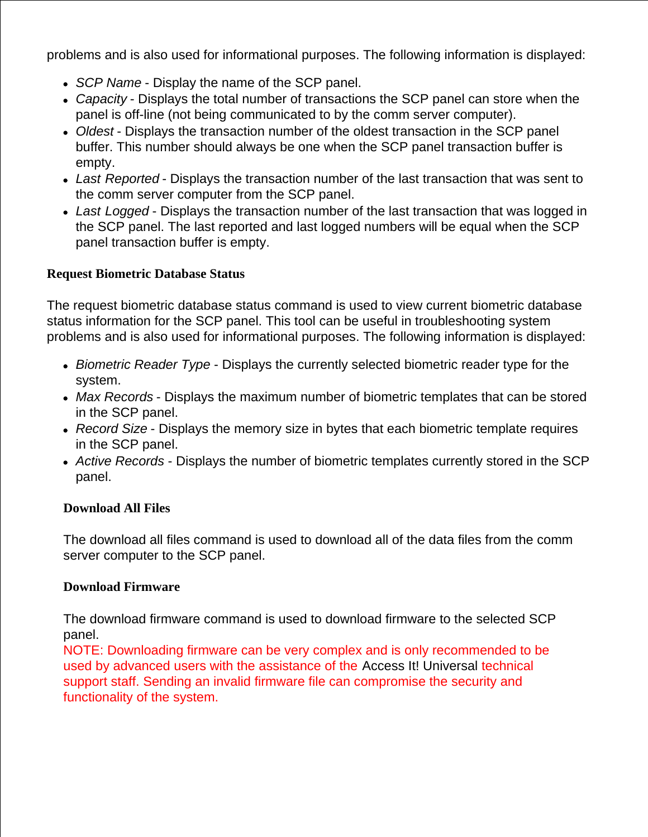problems and is also used for informational purposes. The following information is displayed:

- *SCP Name* Display the name of the SCP panel.
- *Capacity* Displays the total number of transactions the SCP panel can store when the panel is off-line (not being communicated to by the comm server computer).
- *Oldest* Displays the transaction number of the oldest transaction in the SCP panel buffer. This number should always be one when the SCP panel transaction buffer is empty.
- *Last Reported* Displays the transaction number of the last transaction that was sent to the comm server computer from the SCP panel.
- *Last Logged* Displays the transaction number of the last transaction that was logged in the SCP panel. The last reported and last logged numbers will be equal when the SCP panel transaction buffer is empty.

## **Request Biometric Database Status**

The request biometric database status command is used to view current biometric database status information for the SCP panel. This tool can be useful in troubleshooting system problems and is also used for informational purposes. The following information is displayed:

- *Biometric Reader Type* Displays the currently selected biometric reader type for the system.
- *Max Records* Displays the maximum number of biometric templates that can be stored in the SCP panel.
- *Record Size* Displays the memory size in bytes that each biometric template requires in the SCP panel.
- *Active Records* Displays the number of biometric templates currently stored in the SCP panel.

## **Download All Files**

The download all files command is used to download all of the data files from the comm server computer to the SCP panel.

## **Download Firmware**

The download firmware command is used to download firmware to the selected SCP panel.

NOTE: Downloading firmware can be very complex and is only recommended to be used by advanced users with the assistance of the Access It! Universal technical support staff. Sending an invalid firmware file can compromise the security and functionality of the system.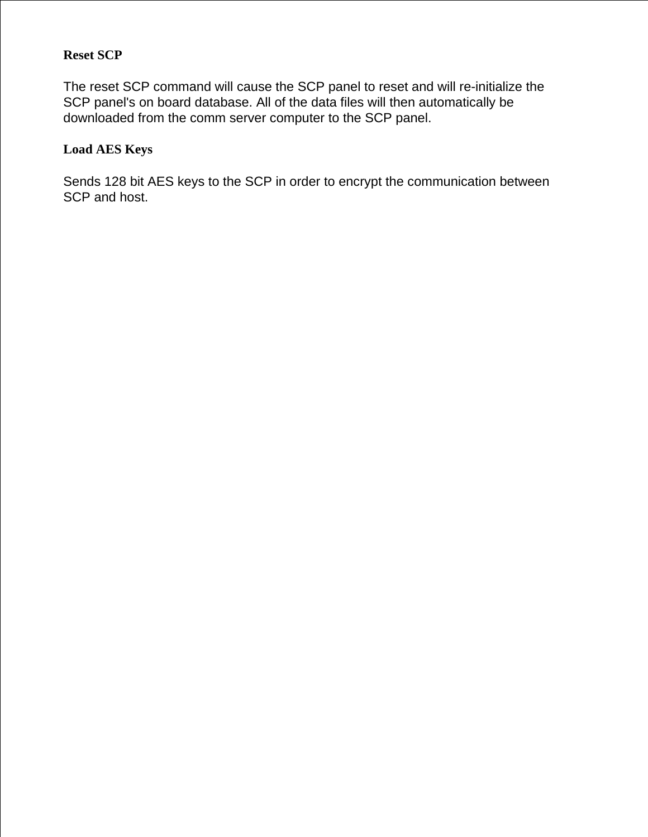## **Reset SCP**

The reset SCP command will cause the SCP panel to reset and will re-initialize the SCP panel's on board database. All of the data files will then automatically be downloaded from the comm server computer to the SCP panel.

## **Load AES Keys**

Sends 128 bit AES keys to the SCP in order to encrypt the communication between SCP and host.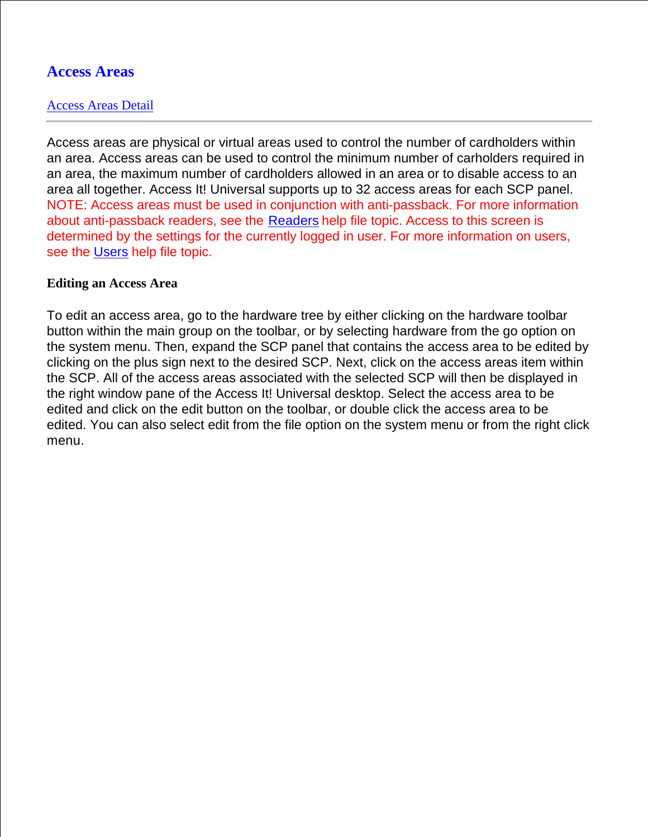## **Access Areas**

#### Access Areas Detail

Access areas are physical or virtual areas used to control the number of cardholders within an area. Access areas can be used to control the minimum number of carholders required in an area, the maximum number of cardholders allowed in an area or to disable access to an area all together. Access It! Universal supports up to 32 access areas for each SCP panel. NOTE: Access areas must be used in conjunction with anti-passback. For more information about anti-passback readers, see the Readers help file topic. Access to this screen is determined by the settings for the currently logged in user. For more information on users, see the Users help file topic.

#### **Editing an Access Area**

To edit an access area, go to the hardware tree by either clicking on the hardware toolbar button within the main group on the toolbar, or by selecting hardware from the go option on the system menu. Then, expand the SCP panel that contains the access area to be edited by clicking on the plus sign next to the desired SCP. Next, click on the access areas item within the SCP. All of the access areas associated with the selected SCP will then be displayed in the right window pane of the Access It! Universal desktop. Select the access area to be edited and click on the edit button on the toolbar, or double click the access area to be edited. You can also select edit from the file option on the system menu or from the right click menu.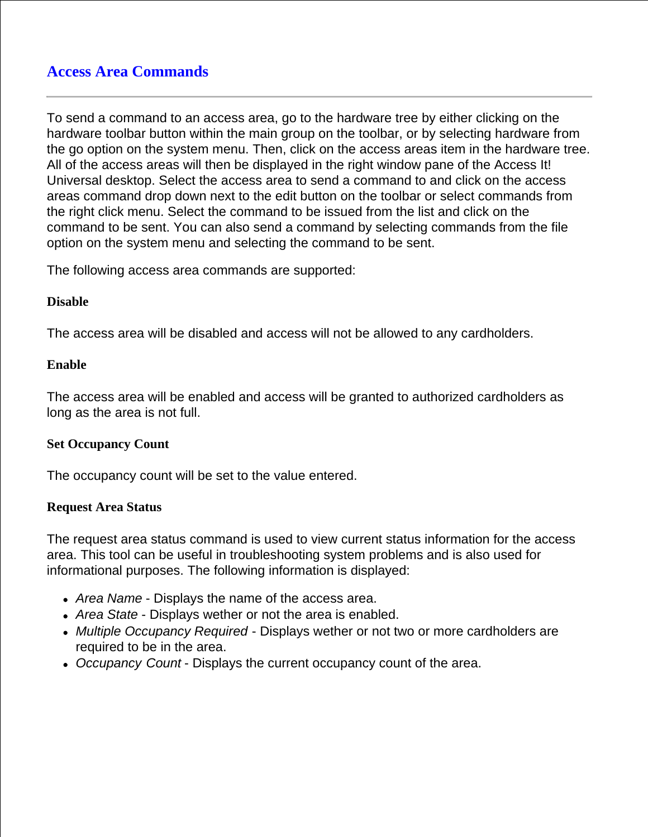To send a command to an access area, go to the hardware tree by either clicking on the hardware toolbar button within the main group on the toolbar, or by selecting hardware from the go option on the system menu. Then, click on the access areas item in the hardware tree. All of the access areas will then be displayed in the right window pane of the Access It! Universal desktop. Select the access area to send a command to and click on the access areas command drop down next to the edit button on the toolbar or select commands from the right click menu. Select the command to be issued from the list and click on the command to be sent. You can also send a command by selecting commands from the file option on the system menu and selecting the command to be sent.

The following access area commands are supported:

## **Disable**

The access area will be disabled and access will not be allowed to any cardholders.

## **Enable**

The access area will be enabled and access will be granted to authorized cardholders as long as the area is not full.

## **Set Occupancy Count**

The occupancy count will be set to the value entered.

#### **Request Area Status**

The request area status command is used to view current status information for the access area. This tool can be useful in troubleshooting system problems and is also used for informational purposes. The following information is displayed:

- *Area Name* Displays the name of the access area.
- *Area State* Displays wether or not the area is enabled.
- *Multiple Occupancy Required* Displays wether or not two or more cardholders are required to be in the area.
- *Occupancy Count* Displays the current occupancy count of the area.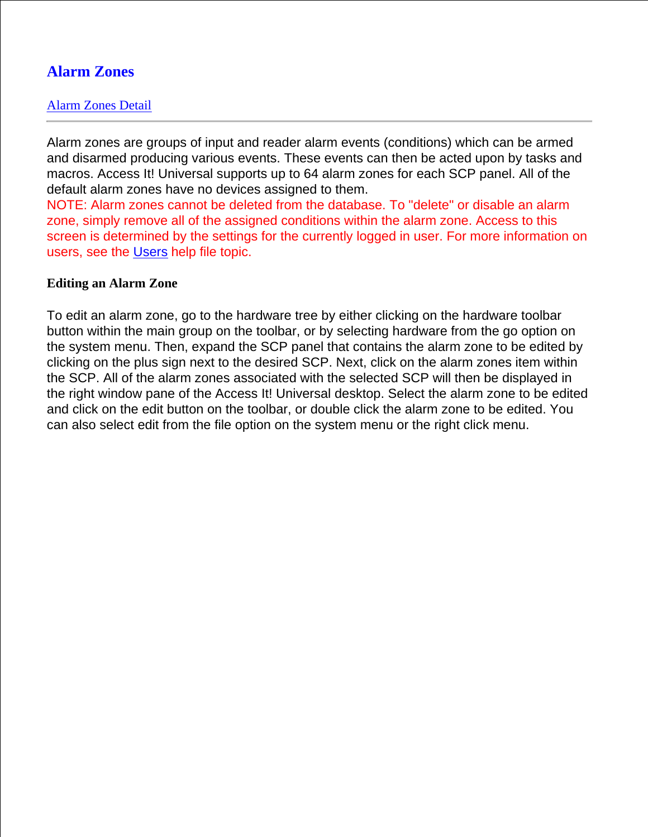# **Alarm Zones**

## Alarm Zones Detail

Alarm zones are groups of input and reader alarm events (conditions) which can be armed and disarmed producing various events. These events can then be acted upon by tasks and macros. Access It! Universal supports up to 64 alarm zones for each SCP panel. All of the default alarm zones have no devices assigned to them.

NOTE: Alarm zones cannot be deleted from the database. To "delete" or disable an alarm zone, simply remove all of the assigned conditions within the alarm zone. Access to this screen is determined by the settings for the currently logged in user. For more information on users, see the Users help file topic.

#### **Editing an Alarm Zone**

To edit an alarm zone, go to the hardware tree by either clicking on the hardware toolbar button within the main group on the toolbar, or by selecting hardware from the go option on the system menu. Then, expand the SCP panel that contains the alarm zone to be edited by clicking on the plus sign next to the desired SCP. Next, click on the alarm zones item within the SCP. All of the alarm zones associated with the selected SCP will then be displayed in the right window pane of the Access It! Universal desktop. Select the alarm zone to be edited and click on the edit button on the toolbar, or double click the alarm zone to be edited. You can also select edit from the file option on the system menu or the right click menu.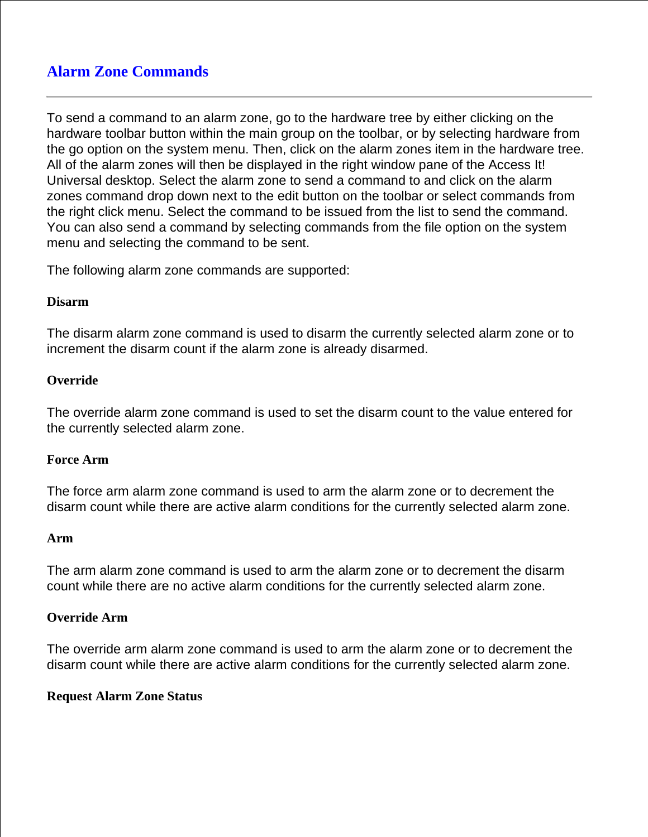# **Alarm Zone Commands**

To send a command to an alarm zone, go to the hardware tree by either clicking on the hardware toolbar button within the main group on the toolbar, or by selecting hardware from the go option on the system menu. Then, click on the alarm zones item in the hardware tree. All of the alarm zones will then be displayed in the right window pane of the Access It! Universal desktop. Select the alarm zone to send a command to and click on the alarm zones command drop down next to the edit button on the toolbar or select commands from the right click menu. Select the command to be issued from the list to send the command. You can also send a command by selecting commands from the file option on the system menu and selecting the command to be sent.

The following alarm zone commands are supported:

#### **Disarm**

The disarm alarm zone command is used to disarm the currently selected alarm zone or to increment the disarm count if the alarm zone is already disarmed.

#### **Override**

The override alarm zone command is used to set the disarm count to the value entered for the currently selected alarm zone.

#### **Force Arm**

The force arm alarm zone command is used to arm the alarm zone or to decrement the disarm count while there are active alarm conditions for the currently selected alarm zone.

#### **Arm**

The arm alarm zone command is used to arm the alarm zone or to decrement the disarm count while there are no active alarm conditions for the currently selected alarm zone.

## **Override Arm**

The override arm alarm zone command is used to arm the alarm zone or to decrement the disarm count while there are active alarm conditions for the currently selected alarm zone.

#### **Request Alarm Zone Status**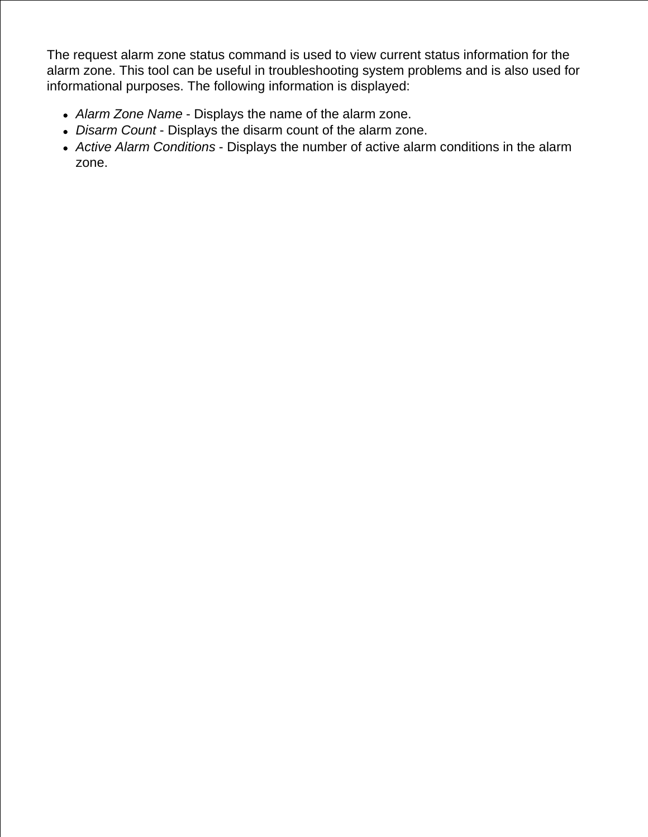The request alarm zone status command is used to view current status information for the alarm zone. This tool can be useful in troubleshooting system problems and is also used for informational purposes. The following information is displayed:

- *Alarm Zone Name* Displays the name of the alarm zone.
- *Disarm Count* Displays the disarm count of the alarm zone.
- *Active Alarm Conditions* Displays the number of active alarm conditions in the alarm zone.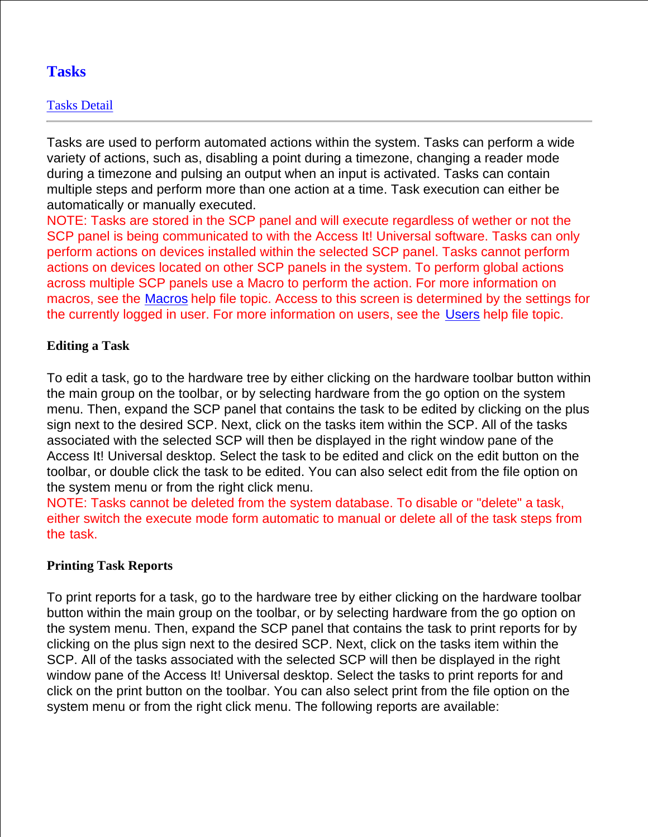# **Tasks**

## Tasks Detail

Tasks are used to perform automated actions within the system. Tasks can perform a wide variety of actions, such as, disabling a point during a timezone, changing a reader mode during a timezone and pulsing an output when an input is activated. Tasks can contain multiple steps and perform more than one action at a time. Task execution can either be automatically or manually executed.

NOTE: Tasks are stored in the SCP panel and will execute regardless of wether or not the SCP panel is being communicated to with the Access It! Universal software. Tasks can only perform actions on devices installed within the selected SCP panel. Tasks cannot perform actions on devices located on other SCP panels in the system. To perform global actions across multiple SCP panels use a Macro to perform the action. For more information on macros, see the Macros help file topic. Access to this screen is determined by the settings for the currently logged in user. For more information on users, see the Users help file topic.

## **Editing a Task**

To edit a task, go to the hardware tree by either clicking on the hardware toolbar button within the main group on the toolbar, or by selecting hardware from the go option on the system menu. Then, expand the SCP panel that contains the task to be edited by clicking on the plus sign next to the desired SCP. Next, click on the tasks item within the SCP. All of the tasks associated with the selected SCP will then be displayed in the right window pane of the Access It! Universal desktop. Select the task to be edited and click on the edit button on the toolbar, or double click the task to be edited. You can also select edit from the file option on the system menu or from the right click menu.

NOTE: Tasks cannot be deleted from the system database. To disable or "delete" a task, either switch the execute mode form automatic to manual or delete all of the task steps from the task.

## **Printing Task Reports**

To print reports for a task, go to the hardware tree by either clicking on the hardware toolbar button within the main group on the toolbar, or by selecting hardware from the go option on the system menu. Then, expand the SCP panel that contains the task to print reports for by clicking on the plus sign next to the desired SCP. Next, click on the tasks item within the SCP. All of the tasks associated with the selected SCP will then be displayed in the right window pane of the Access It! Universal desktop. Select the tasks to print reports for and click on the print button on the toolbar. You can also select print from the file option on the system menu or from the right click menu. The following reports are available: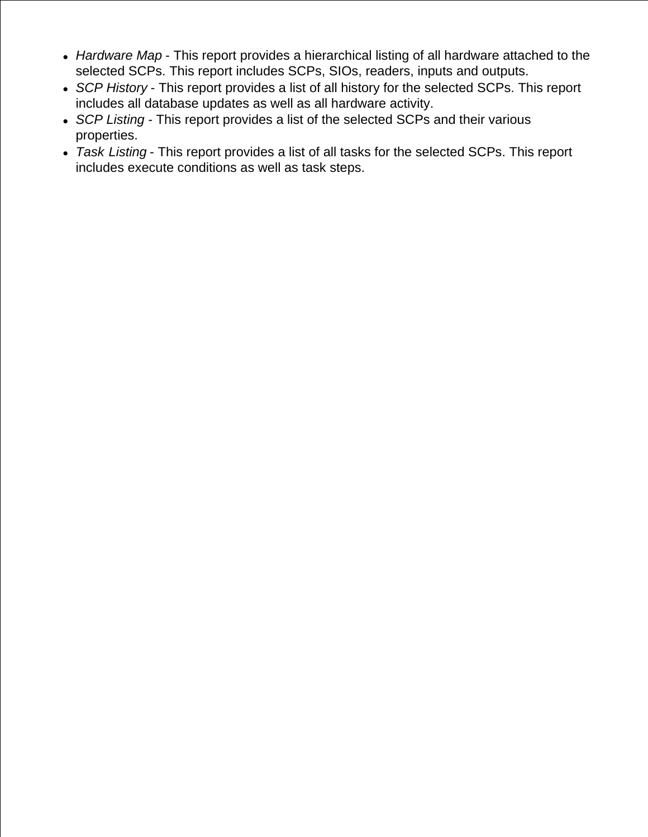- *Hardware Map* This report provides a hierarchical listing of all hardware attached to the selected SCPs. This report includes SCPs, SIOs, readers, inputs and outputs.
- *SCP History* This report provides a list of all history for the selected SCPs. This report includes all database updates as well as all hardware activity.
- *SCP Listing* This report provides a list of the selected SCPs and their various properties.
- *Task Listing* This report provides a list of all tasks for the selected SCPs. This report includes execute conditions as well as task steps.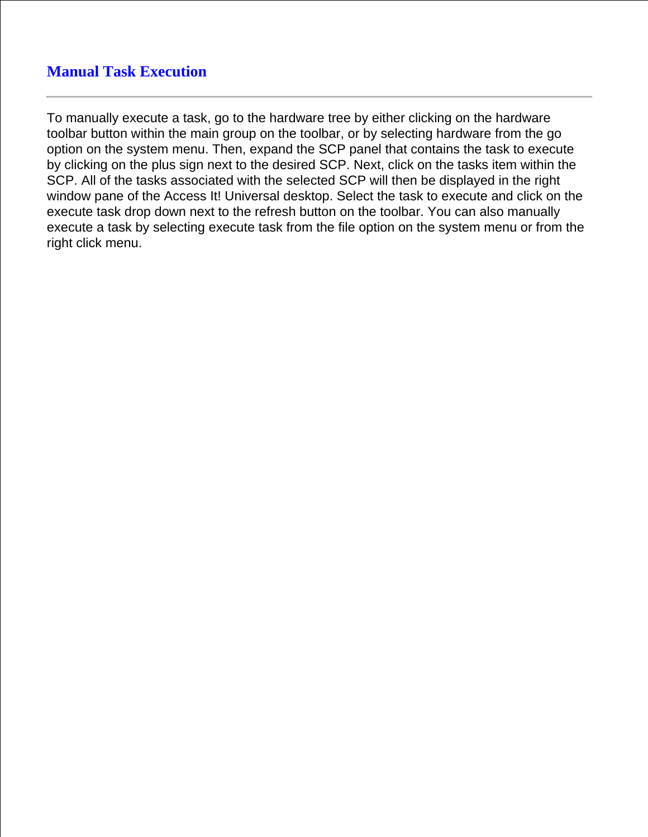## **Manual Task Execution**

To manually execute a task, go to the hardware tree by either clicking on the hardware toolbar button within the main group on the toolbar, or by selecting hardware from the go option on the system menu. Then, expand the SCP panel that contains the task to execute by clicking on the plus sign next to the desired SCP. Next, click on the tasks item within the SCP. All of the tasks associated with the selected SCP will then be displayed in the right window pane of the Access It! Universal desktop. Select the task to execute and click on the execute task drop down next to the refresh button on the toolbar. You can also manually execute a task by selecting execute task from the file option on the system menu or from the right click menu.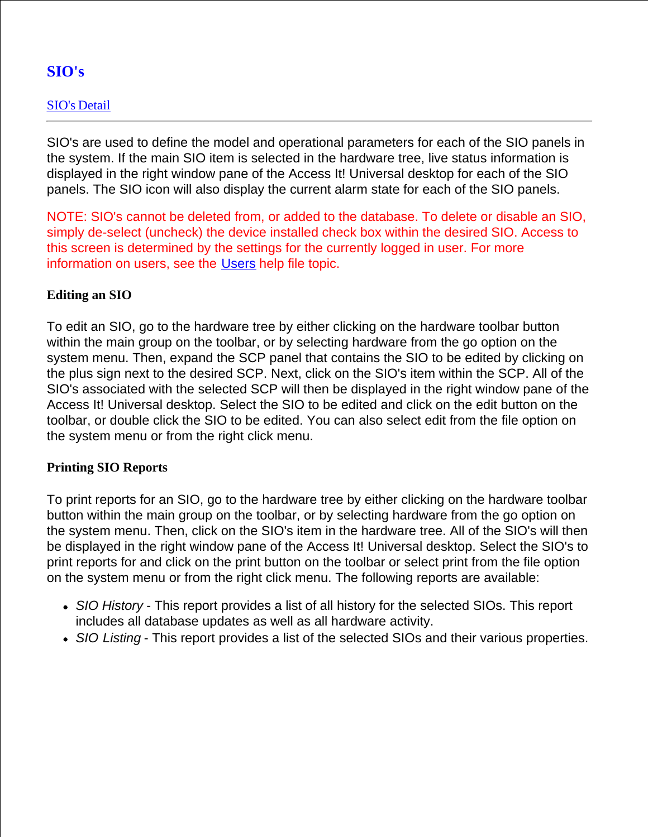# **SIO's**

## SIO's Detail

SIO's are used to define the model and operational parameters for each of the SIO panels in the system. If the main SIO item is selected in the hardware tree, live status information is displayed in the right window pane of the Access It! Universal desktop for each of the SIO panels. The SIO icon will also display the current alarm state for each of the SIO panels.

NOTE: SIO's cannot be deleted from, or added to the database. To delete or disable an SIO, simply de-select (uncheck) the device installed check box within the desired SIO. Access to this screen is determined by the settings for the currently logged in user. For more information on users, see the Users help file topic.

## **Editing an SIO**

To edit an SIO, go to the hardware tree by either clicking on the hardware toolbar button within the main group on the toolbar, or by selecting hardware from the go option on the system menu. Then, expand the SCP panel that contains the SIO to be edited by clicking on the plus sign next to the desired SCP. Next, click on the SIO's item within the SCP. All of the SIO's associated with the selected SCP will then be displayed in the right window pane of the Access It! Universal desktop. Select the SIO to be edited and click on the edit button on the toolbar, or double click the SIO to be edited. You can also select edit from the file option on the system menu or from the right click menu.

## **Printing SIO Reports**

To print reports for an SIO, go to the hardware tree by either clicking on the hardware toolbar button within the main group on the toolbar, or by selecting hardware from the go option on the system menu. Then, click on the SIO's item in the hardware tree. All of the SIO's will then be displayed in the right window pane of the Access It! Universal desktop. Select the SIO's to print reports for and click on the print button on the toolbar or select print from the file option on the system menu or from the right click menu. The following reports are available:

- *SIO History* This report provides a list of all history for the selected SIOs. This report includes all database updates as well as all hardware activity.
- *SIO Listing* This report provides a list of the selected SIOs and their various properties.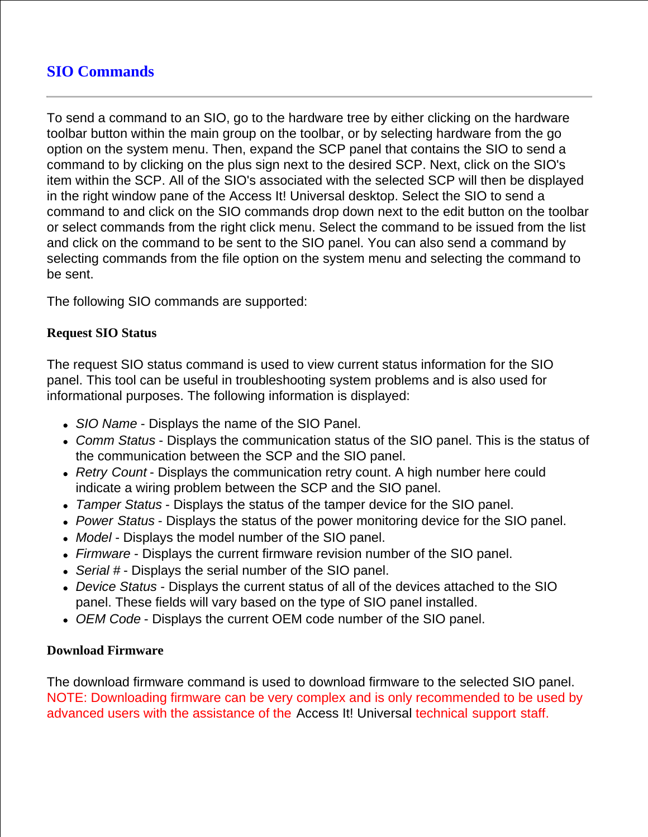# **SIO Commands**

To send a command to an SIO, go to the hardware tree by either clicking on the hardware toolbar button within the main group on the toolbar, or by selecting hardware from the go option on the system menu. Then, expand the SCP panel that contains the SIO to send a command to by clicking on the plus sign next to the desired SCP. Next, click on the SIO's item within the SCP. All of the SIO's associated with the selected SCP will then be displayed in the right window pane of the Access It! Universal desktop. Select the SIO to send a command to and click on the SIO commands drop down next to the edit button on the toolbar or select commands from the right click menu. Select the command to be issued from the list and click on the command to be sent to the SIO panel. You can also send a command by selecting commands from the file option on the system menu and selecting the command to be sent.

The following SIO commands are supported:

## **Request SIO Status**

The request SIO status command is used to view current status information for the SIO panel. This tool can be useful in troubleshooting system problems and is also used for informational purposes. The following information is displayed:

- *SIO Name* Displays the name of the SIO Panel.
- *Comm Status* Displays the communication status of the SIO panel. This is the status of the communication between the SCP and the SIO panel.
- *Retry Count* Displays the communication retry count. A high number here could indicate a wiring problem between the SCP and the SIO panel.
- *Tamper Status* Displays the status of the tamper device for the SIO panel.
- *Power Status* Displays the status of the power monitoring device for the SIO panel.
- *Model* Displays the model number of the SIO panel.
- *Firmware* Displays the current firmware revision number of the SIO panel.
- *Serial #* Displays the serial number of the SIO panel.
- *Device Status* Displays the current status of all of the devices attached to the SIO panel. These fields will vary based on the type of SIO panel installed.
- *OEM Code* Displays the current OEM code number of the SIO panel.

#### **Download Firmware**

The download firmware command is used to download firmware to the selected SIO panel. NOTE: Downloading firmware can be very complex and is only recommended to be used by advanced users with the assistance of the Access It! Universal technical support staff.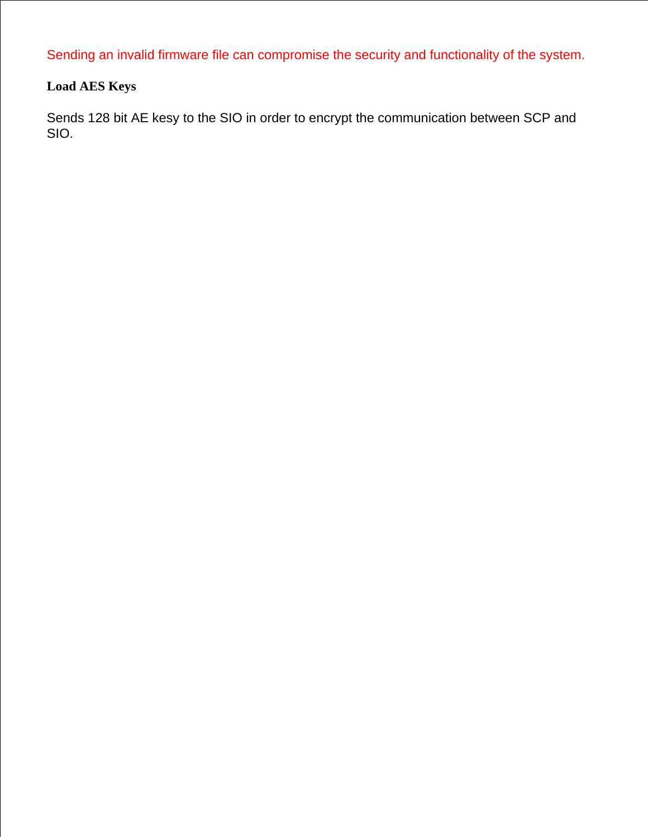Sending an invalid firmware file can compromise the security and functionality of the system.

## **Load AES Keys**

Sends 128 bit AE kesy to the SIO in order to encrypt the communication between SCP and SIO.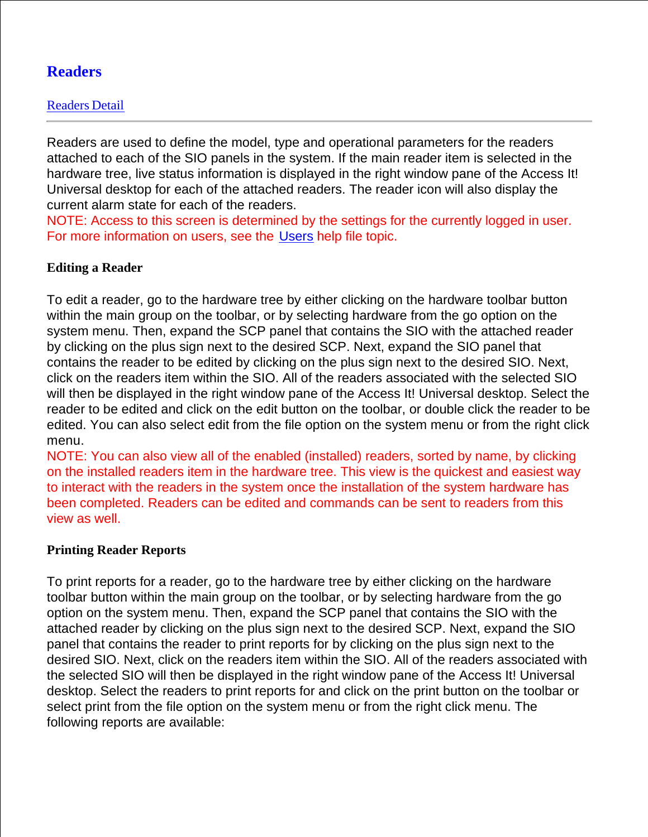# **Readers**

Readers are used to define the model, type and operational parameters for the readers attached to each of the SIO panels in the system. If the main reader item is selected in the hardware tree, live status information is displayed in the right window pane of the Access It! Universal desktop for each of the attached readers. The reader icon will also display the current alarm state for each of the readers.

NOTE: Access to this screen is determined by the settings for the currently logged in user. For more information on users, see the Users help file topic.

## **Editing a Reader**

To edit a reader, go to the hardware tree by either clicking on the hardware toolbar button within the main group on the toolbar, or by selecting hardware from the go option on the system menu. Then, expand the SCP panel that contains the SIO with the attached reader by clicking on the plus sign next to the desired SCP. Next, expand the SIO panel that contains the reader to be edited by clicking on the plus sign next to the desired SIO. Next, click on the readers item within the SIO. All of the readers associated with the selected SIO will then be displayed in the right window pane of the Access It! Universal desktop. Select the reader to be edited and click on the edit button on the toolbar, or double click the reader to be edited. You can also select edit from the file option on the system menu or from the right click menu.

NOTE: You can also view all of the enabled (installed) readers, sorted by name, by clicking on the installed readers item in the hardware tree. This view is the quickest and easiest way to interact with the readers in the system once the installation of the system hardware has been completed. Readers can be edited and commands can be sent to readers from this view as well.

## **Printing Reader Reports**

To print reports for a reader, go to the hardware tree by either clicking on the hardware toolbar button within the main group on the toolbar, or by selecting hardware from the go option on the system menu. Then, expand the SCP panel that contains the SIO with the attached reader by clicking on the plus sign next to the desired SCP. Next, expand the SIO panel that contains the reader to print reports for by clicking on the plus sign next to the desired SIO. Next, click on the readers item within the SIO. All of the readers associated with the selected SIO will then be displayed in the right window pane of the Access It! Universal desktop. Select the readers to print reports for and click on the print button on the toolbar or select print from the file option on the system menu or from the right click menu. The following reports are available: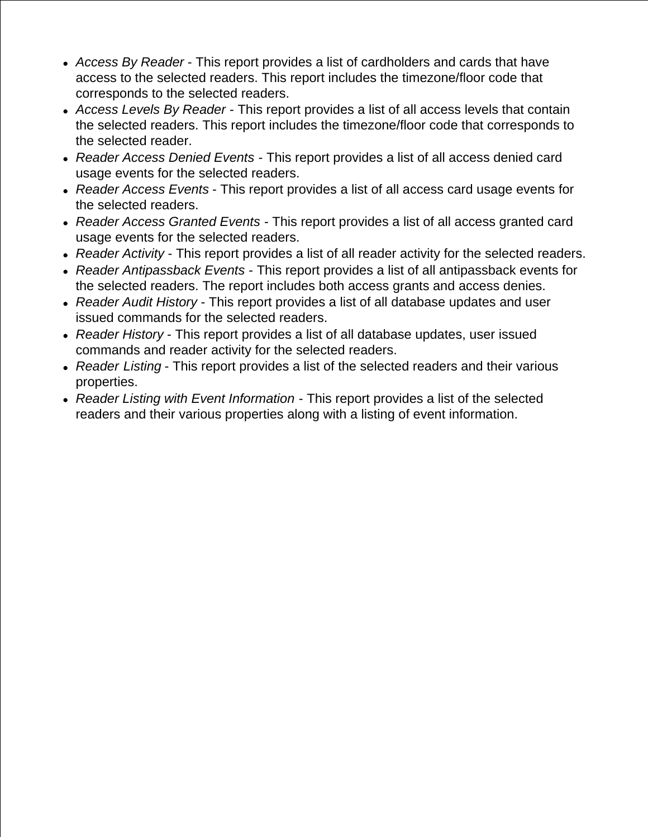- *Access By Reader* This report provides a list of cardholders and cards that have access to the selected readers. This report includes the timezone/floor code that corresponds to the selected readers.
- *Access Levels By Reader* This report provides a list of all access levels that contain the selected readers. This report includes the timezone/floor code that corresponds to the selected reader.
- *Reader Access Denied Events* This report provides a list of all access denied card usage events for the selected readers.
- *Reader Access Events* This report provides a list of all access card usage events for the selected readers.
- *Reader Access Granted Events* This report provides a list of all access granted card usage events for the selected readers.
- *Reader Activity* This report provides a list of all reader activity for the selected readers.
- *Reader Antipassback Events* This report provides a list of all antipassback events for the selected readers. The report includes both access grants and access denies.
- *Reader Audit History* This report provides a list of all database updates and user issued commands for the selected readers.
- *Reader History* This report provides a list of all database updates, user issued commands and reader activity for the selected readers.
- *Reader Listing* This report provides a list of the selected readers and their various properties.
- *Reader Listing with Event Information* This report provides a list of the selected readers and their various properties along with a listing of event information.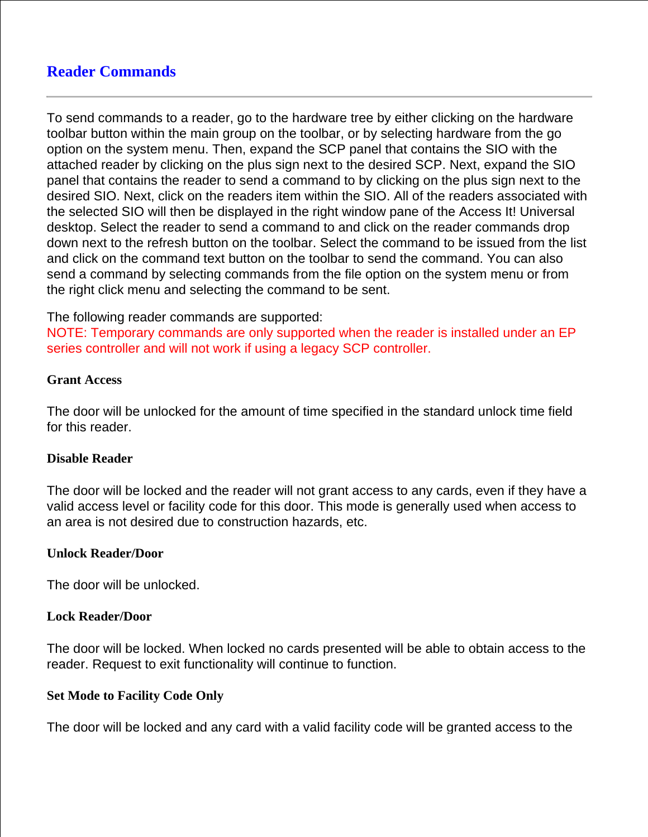## **Reader Commands**

To send commands to a reader, go to the hardware tree by either clicking on the hardware toolbar button within the main group on the toolbar, or by selecting hardware from the go option on the system menu. Then, expand the SCP panel that contains the SIO with the attached reader by clicking on the plus sign next to the desired SCP. Next, expand the SIO panel that contains the reader to send a command to by clicking on the plus sign next to the desired SIO. Next, click on the readers item within the SIO. All of the readers associated with the selected SIO will then be displayed in the right window pane of the Access It! Universal desktop. Select the reader to send a command to and click on the reader commands drop down next to the refresh button on the toolbar. Select the command to be issued from the list and click on the command text button on the toolbar to send the command. You can also send a command by selecting commands from the file option on the system menu or from the right click menu and selecting the command to be sent.

The following reader commands are supported:

NOTE: Temporary commands are only supported when the reader is installed under an EP series controller and will not work if using a legacy SCP controller.

#### **Grant Access**

The door will be unlocked for the amount of time specified in the standard unlock time field for this reader.

#### **Disable Reader**

The door will be locked and the reader will not grant access to any cards, even if they have a valid access level or facility code for this door. This mode is generally used when access to an area is not desired due to construction hazards, etc.

#### **Unlock Reader/Door**

The door will be unlocked.

#### **Lock Reader/Door**

The door will be locked. When locked no cards presented will be able to obtain access to the reader. Request to exit functionality will continue to function.

#### **Set Mode to Facility Code Only**

The door will be locked and any card with a valid facility code will be granted access to the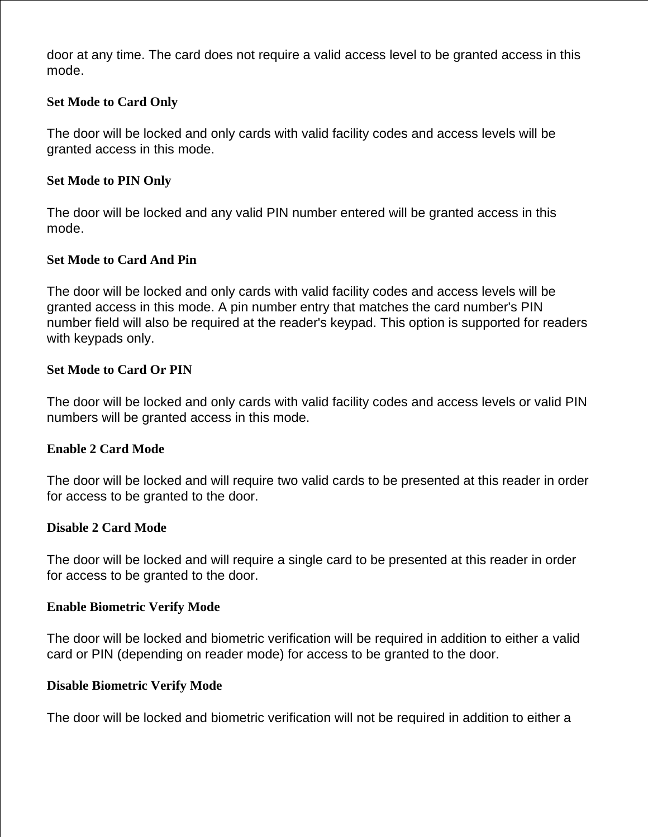door at any time. The card does not require a valid access level to be granted access in this mode.

## **Set Mode to Card Only**

The door will be locked and only cards with valid facility codes and access levels will be granted access in this mode.

## **Set Mode to PIN Only**

The door will be locked and any valid PIN number entered will be granted access in this mode.

## **Set Mode to Card And Pin**

The door will be locked and only cards with valid facility codes and access levels will be granted access in this mode. A pin number entry that matches the card number's PIN number field will also be required at the reader's keypad. This option is supported for readers with keypads only.

## **Set Mode to Card Or PIN**

The door will be locked and only cards with valid facility codes and access levels or valid PIN numbers will be granted access in this mode.

## **Enable 2 Card Mode**

The door will be locked and will require two valid cards to be presented at this reader in order for access to be granted to the door.

## **Disable 2 Card Mode**

The door will be locked and will require a single card to be presented at this reader in order for access to be granted to the door.

## **Enable Biometric Verify Mode**

The door will be locked and biometric verification will be required in addition to either a valid card or PIN (depending on reader mode) for access to be granted to the door.

## **Disable Biometric Verify Mode**

The door will be locked and biometric verification will not be required in addition to either a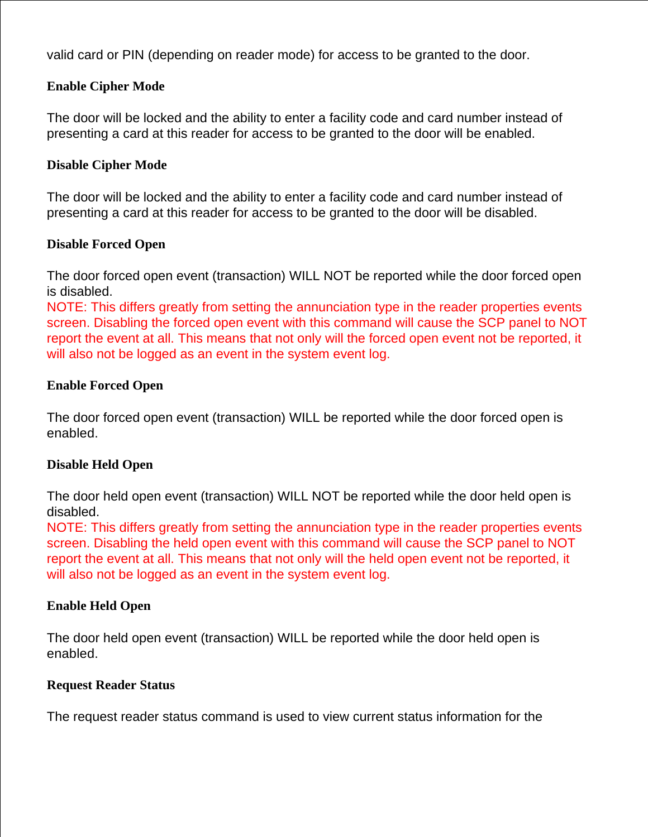valid card or PIN (depending on reader mode) for access to be granted to the door.

## **Enable Cipher Mode**

The door will be locked and the ability to enter a facility code and card number instead of presenting a card at this reader for access to be granted to the door will be enabled.

## **Disable Cipher Mode**

The door will be locked and the ability to enter a facility code and card number instead of presenting a card at this reader for access to be granted to the door will be disabled.

## **Disable Forced Open**

The door forced open event (transaction) WILL NOT be reported while the door forced open is disabled.

NOTE: This differs greatly from setting the annunciation type in the reader properties events screen. Disabling the forced open event with this command will cause the SCP panel to NOT report the event at all. This means that not only will the forced open event not be reported, it will also not be logged as an event in the system event log.

## **Enable Forced Open**

The door forced open event (transaction) WILL be reported while the door forced open is enabled.

## **Disable Held Open**

The door held open event (transaction) WILL NOT be reported while the door held open is disabled.

NOTE: This differs greatly from setting the annunciation type in the reader properties events screen. Disabling the held open event with this command will cause the SCP panel to NOT report the event at all. This means that not only will the held open event not be reported, it will also not be logged as an event in the system event log.

## **Enable Held Open**

The door held open event (transaction) WILL be reported while the door held open is enabled.

## **Request Reader Status**

The request reader status command is used to view current status information for the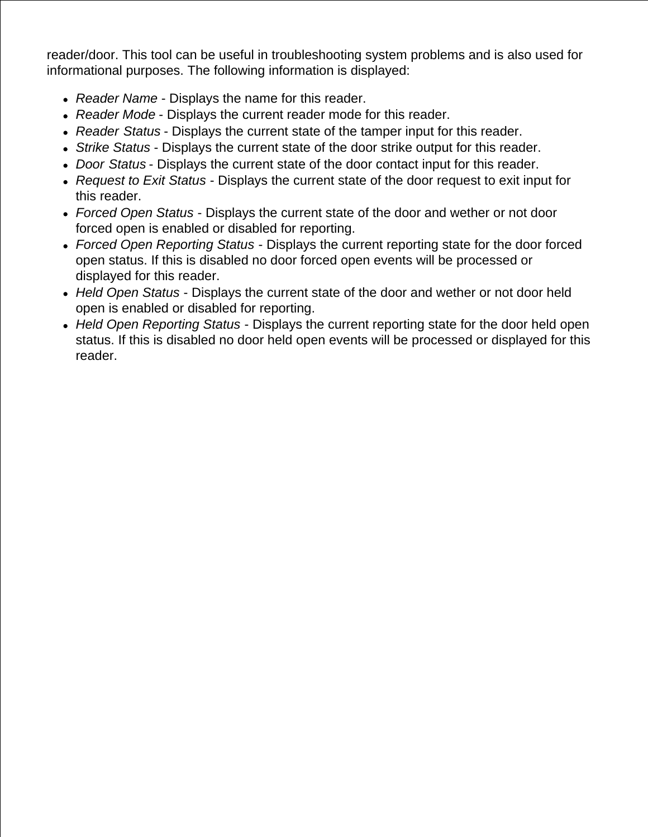reader/door. This tool can be useful in troubleshooting system problems and is also used for informational purposes. The following information is displayed:

- *Reader Name* Displays the name for this reader.
- *Reader Mode* Displays the current reader mode for this reader.
- *Reader Status* Displays the current state of the tamper input for this reader.
- *Strike Status* Displays the current state of the door strike output for this reader.
- *Door Status* Displays the current state of the door contact input for this reader.
- *Request to Exit Status* Displays the current state of the door request to exit input for this reader.
- *Forced Open Status* Displays the current state of the door and wether or not door forced open is enabled or disabled for reporting.
- *Forced Open Reporting Status* Displays the current reporting state for the door forced open status. If this is disabled no door forced open events will be processed or displayed for this reader.
- *Held Open Status* Displays the current state of the door and wether or not door held open is enabled or disabled for reporting.
- *Held Open Reporting Status* Displays the current reporting state for the door held open status. If this is disabled no door held open events will be processed or displayed for this reader.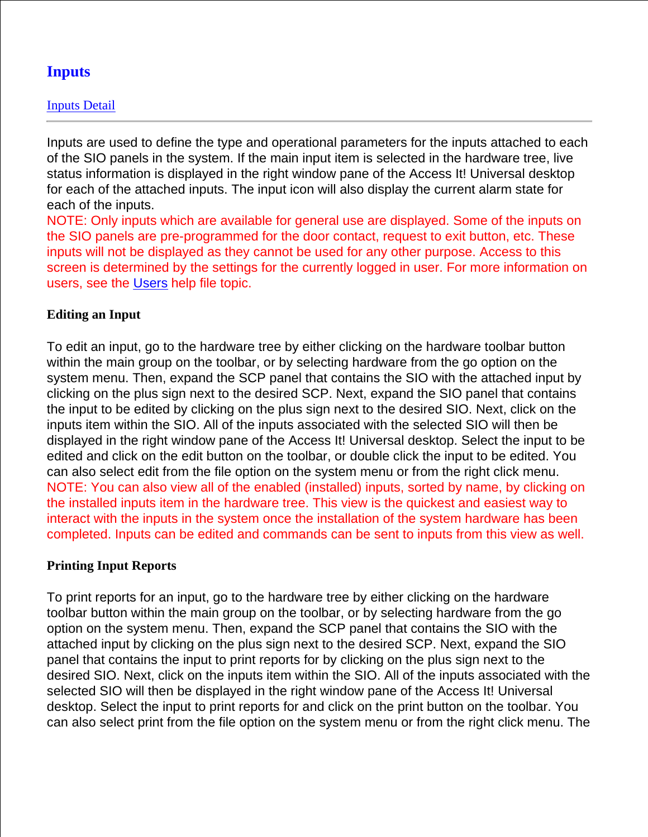# **Inputs**

## Inputs Detail

Inputs are used to define the type and operational parameters for the inputs attached to each of the SIO panels in the system. If the main input item is selected in the hardware tree, live status information is displayed in the right window pane of the Access It! Universal desktop for each of the attached inputs. The input icon will also display the current alarm state for each of the inputs.

NOTE: Only inputs which are available for general use are displayed. Some of the inputs on the SIO panels are pre-programmed for the door contact, request to exit button, etc. These inputs will not be displayed as they cannot be used for any other purpose. Access to this screen is determined by the settings for the currently logged in user. For more information on users, see the Users help file topic.

## **Editing an Input**

To edit an input, go to the hardware tree by either clicking on the hardware toolbar button within the main group on the toolbar, or by selecting hardware from the go option on the system menu. Then, expand the SCP panel that contains the SIO with the attached input by clicking on the plus sign next to the desired SCP. Next, expand the SIO panel that contains the input to be edited by clicking on the plus sign next to the desired SIO. Next, click on the inputs item within the SIO. All of the inputs associated with the selected SIO will then be displayed in the right window pane of the Access It! Universal desktop. Select the input to be edited and click on the edit button on the toolbar, or double click the input to be edited. You can also select edit from the file option on the system menu or from the right click menu. NOTE: You can also view all of the enabled (installed) inputs, sorted by name, by clicking on the installed inputs item in the hardware tree. This view is the quickest and easiest way to interact with the inputs in the system once the installation of the system hardware has been completed. Inputs can be edited and commands can be sent to inputs from this view as well.

## **Printing Input Reports**

To print reports for an input, go to the hardware tree by either clicking on the hardware toolbar button within the main group on the toolbar, or by selecting hardware from the go option on the system menu. Then, expand the SCP panel that contains the SIO with the attached input by clicking on the plus sign next to the desired SCP. Next, expand the SIO panel that contains the input to print reports for by clicking on the plus sign next to the desired SIO. Next, click on the inputs item within the SIO. All of the inputs associated with the selected SIO will then be displayed in the right window pane of the Access It! Universal desktop. Select the input to print reports for and click on the print button on the toolbar. You can also select print from the file option on the system menu or from the right click menu. The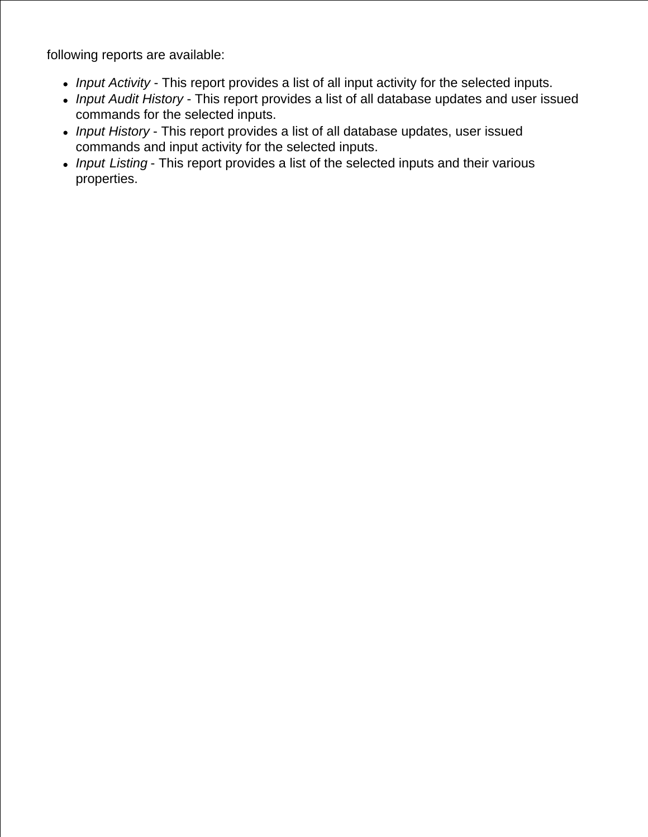following reports are available:

- *Input Activity* This report provides a list of all input activity for the selected inputs.
- *Input Audit History* This report provides a list of all database updates and user issued commands for the selected inputs.
- *Input History* This report provides a list of all database updates, user issued commands and input activity for the selected inputs.
- *Input Listing* This report provides a list of the selected inputs and their various properties.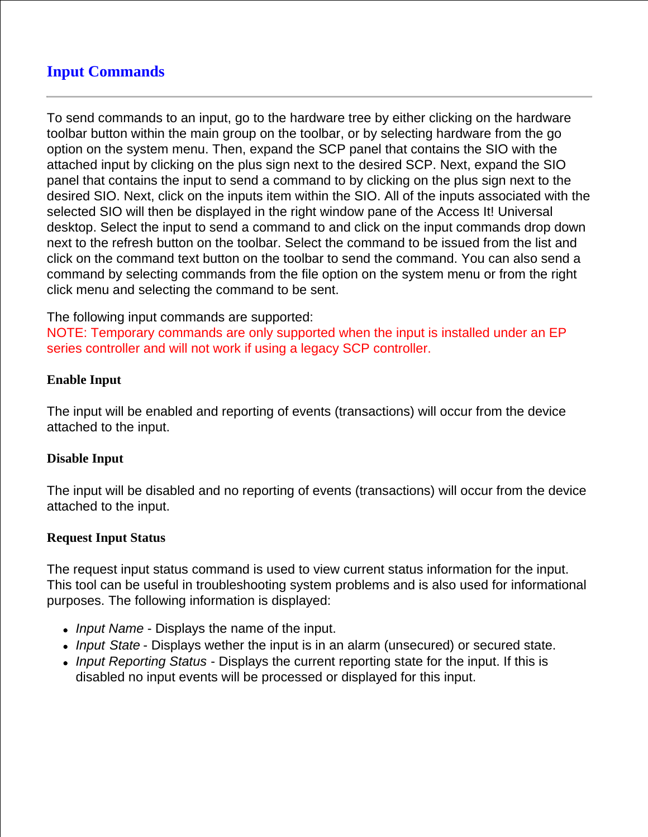# **Input Commands**

To send commands to an input, go to the hardware tree by either clicking on the hardware toolbar button within the main group on the toolbar, or by selecting hardware from the go option on the system menu. Then, expand the SCP panel that contains the SIO with the attached input by clicking on the plus sign next to the desired SCP. Next, expand the SIO panel that contains the input to send a command to by clicking on the plus sign next to the desired SIO. Next, click on the inputs item within the SIO. All of the inputs associated with the selected SIO will then be displayed in the right window pane of the Access It! Universal desktop. Select the input to send a command to and click on the input commands drop down next to the refresh button on the toolbar. Select the command to be issued from the list and click on the command text button on the toolbar to send the command. You can also send a command by selecting commands from the file option on the system menu or from the right click menu and selecting the command to be sent.

The following input commands are supported:

NOTE: Temporary commands are only supported when the input is installed under an EP series controller and will not work if using a legacy SCP controller.

#### **Enable Input**

The input will be enabled and reporting of events (transactions) will occur from the device attached to the input.

## **Disable Input**

The input will be disabled and no reporting of events (transactions) will occur from the device attached to the input.

## **Request Input Status**

The request input status command is used to view current status information for the input. This tool can be useful in troubleshooting system problems and is also used for informational purposes. The following information is displayed:

- *Input Name* Displays the name of the input.
- *Input State* Displays wether the input is in an alarm (unsecured) or secured state.
- *Input Reporting Status*  Displays the current reporting state for the input. If this is disabled no input events will be processed or displayed for this input.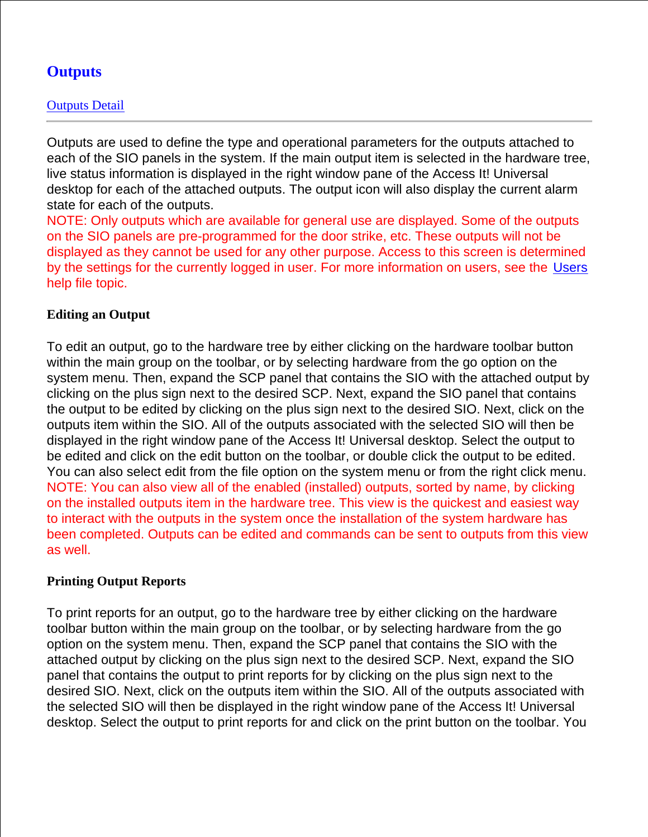# **Outputs**

Outputs are used to define the type and operational parameters for the outputs attached to each of the SIO panels in the system. If the main output item is selected in the hardware tree, live status information is displayed in the right window pane of the Access It! Universal desktop for each of the attached outputs. The output icon will also display the current alarm state for each of the outputs.

NOTE: Only outputs which are available for general use are displayed. Some of the outputs on the SIO panels are pre-programmed for the door strike, etc. These outputs will not be displayed as they cannot be used for any other purpose. Access to this screen is determined by the settings for the currently logged in user. For more information on users, see the Users help file topic.

## **Editing an Output**

To edit an output, go to the hardware tree by either clicking on the hardware toolbar button within the main group on the toolbar, or by selecting hardware from the go option on the system menu. Then, expand the SCP panel that contains the SIO with the attached output by clicking on the plus sign next to the desired SCP. Next, expand the SIO panel that contains the output to be edited by clicking on the plus sign next to the desired SIO. Next, click on the outputs item within the SIO. All of the outputs associated with the selected SIO will then be displayed in the right window pane of the Access It! Universal desktop. Select the output to be edited and click on the edit button on the toolbar, or double click the output to be edited. You can also select edit from the file option on the system menu or from the right click menu. NOTE: You can also view all of the enabled (installed) outputs, sorted by name, by clicking on the installed outputs item in the hardware tree. This view is the quickest and easiest way to interact with the outputs in the system once the installation of the system hardware has been completed. Outputs can be edited and commands can be sent to outputs from this view as well.

## **Printing Output Reports**

To print reports for an output, go to the hardware tree by either clicking on the hardware toolbar button within the main group on the toolbar, or by selecting hardware from the go option on the system menu. Then, expand the SCP panel that contains the SIO with the attached output by clicking on the plus sign next to the desired SCP. Next, expand the SIO panel that contains the output to print reports for by clicking on the plus sign next to the desired SIO. Next, click on the outputs item within the SIO. All of the outputs associated with the selected SIO will then be displayed in the right window pane of the Access It! Universal desktop. Select the output to print reports for and click on the print button on the toolbar. You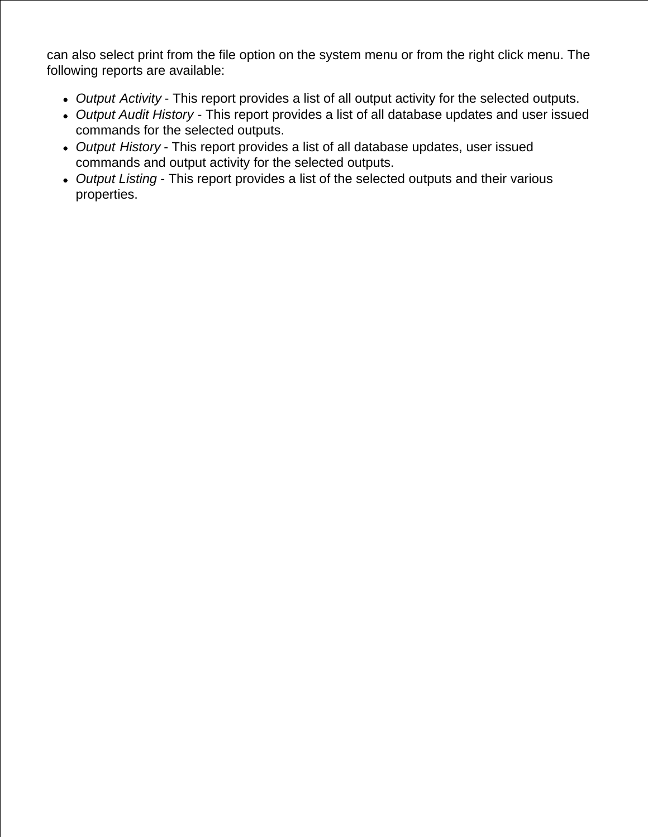can also select print from the file option on the system menu or from the right click menu. The following reports are available:

- *Output Activity* This report provides a list of all output activity for the selected outputs.
- *Output Audit History* This report provides a list of all database updates and user issued commands for the selected outputs.
- *Output History* This report provides a list of all database updates, user issued commands and output activity for the selected outputs.
- *Output Listing* This report provides a list of the selected outputs and their various properties.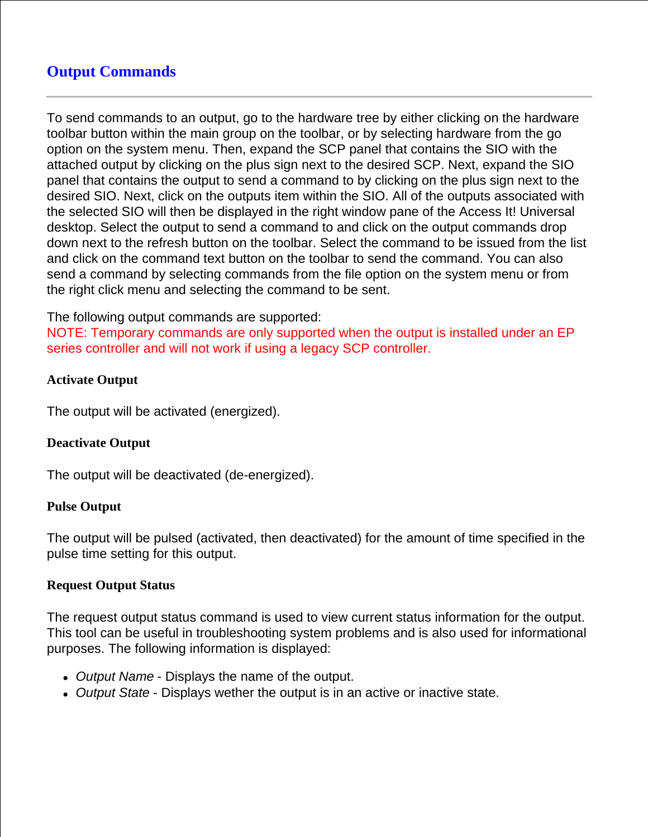# **Output Commands**

To send commands to an output, go to the hardware tree by either clicking on the hardware toolbar button within the main group on the toolbar, or by selecting hardware from the go option on the system menu. Then, expand the SCP panel that contains the SIO with the attached output by clicking on the plus sign next to the desired SCP. Next, expand the SIO panel that contains the output to send a command to by clicking on the plus sign next to the desired SIO. Next, click on the outputs item within the SIO. All of the outputs associated with the selected SIO will then be displayed in the right window pane of the Access It! Universal desktop. Select the output to send a command to and click on the output commands drop down next to the refresh button on the toolbar. Select the command to be issued from the list and click on the command text button on the toolbar to send the command. You can also send a command by selecting commands from the file option on the system menu or from the right click menu and selecting the command to be sent.

#### The following output commands are supported:

NOTE: Temporary commands are only supported when the output is installed under an EP series controller and will not work if using a legacy SCP controller.

#### **Activate Output**

The output will be activated (energized).

## **Deactivate Output**

The output will be deactivated (de-energized).

#### **Pulse Output**

The output will be pulsed (activated, then deactivated) for the amount of time specified in the pulse time setting for this output.

#### **Request Output Status**

The request output status command is used to view current status information for the output. This tool can be useful in troubleshooting system problems and is also used for informational purposes. The following information is displayed:

- *Output Name* Displays the name of the output.
- *Output State* Displays wether the output is in an active or inactive state.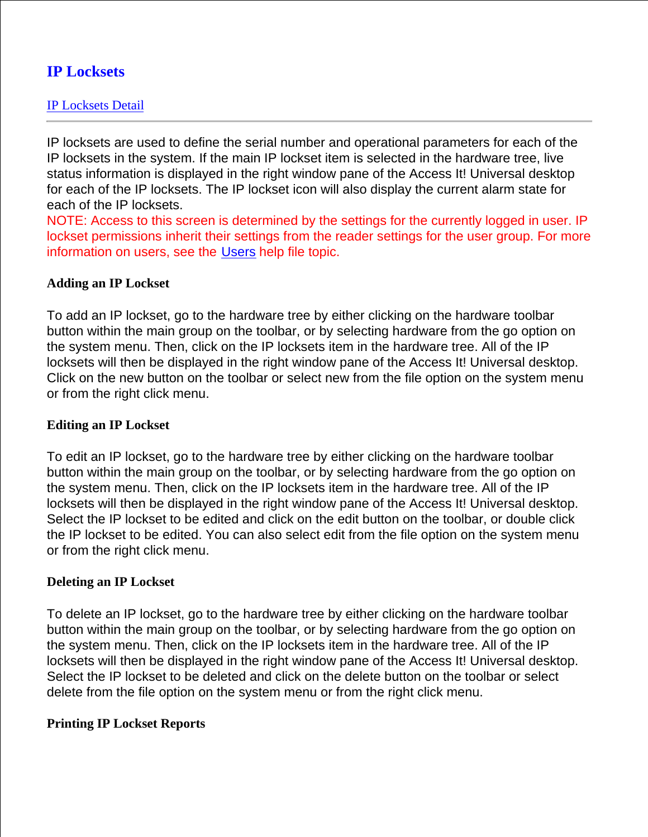# **IP Locksets**

IP locksets are used to define the serial number and operational parameters for each of the IP locksets in the system. If the main IP lockset item is selected in the hardware tree, live status information is displayed in the right window pane of the Access It! Universal desktop for each of the IP locksets. The IP lockset icon will also display the current alarm state for each of the IP locksets.

NOTE: Access to this screen is determined by the settings for the currently logged in user. IP lockset permissions inherit their settings from the reader settings for the user group. For more information on users, see the Users help file topic.

#### **Adding an IP Lockset**

To add an IP lockset, go to the hardware tree by either clicking on the hardware toolbar button within the main group on the toolbar, or by selecting hardware from the go option on the system menu. Then, click on the IP locksets item in the hardware tree. All of the IP locksets will then be displayed in the right window pane of the Access It! Universal desktop. Click on the new button on the toolbar or select new from the file option on the system menu or from the right click menu.

#### **Editing an IP Lockset**

To edit an IP lockset, go to the hardware tree by either clicking on the hardware toolbar button within the main group on the toolbar, or by selecting hardware from the go option on the system menu. Then, click on the IP locksets item in the hardware tree. All of the IP locksets will then be displayed in the right window pane of the Access It! Universal desktop. Select the IP lockset to be edited and click on the edit button on the toolbar, or double click the IP lockset to be edited. You can also select edit from the file option on the system menu or from the right click menu.

#### **Deleting an IP Lockset**

To delete an IP lockset, go to the hardware tree by either clicking on the hardware toolbar button within the main group on the toolbar, or by selecting hardware from the go option on the system menu. Then, click on the IP locksets item in the hardware tree. All of the IP locksets will then be displayed in the right window pane of the Access It! Universal desktop. Select the IP lockset to be deleted and click on the delete button on the toolbar or select delete from the file option on the system menu or from the right click menu.

#### **Printing IP Lockset Reports**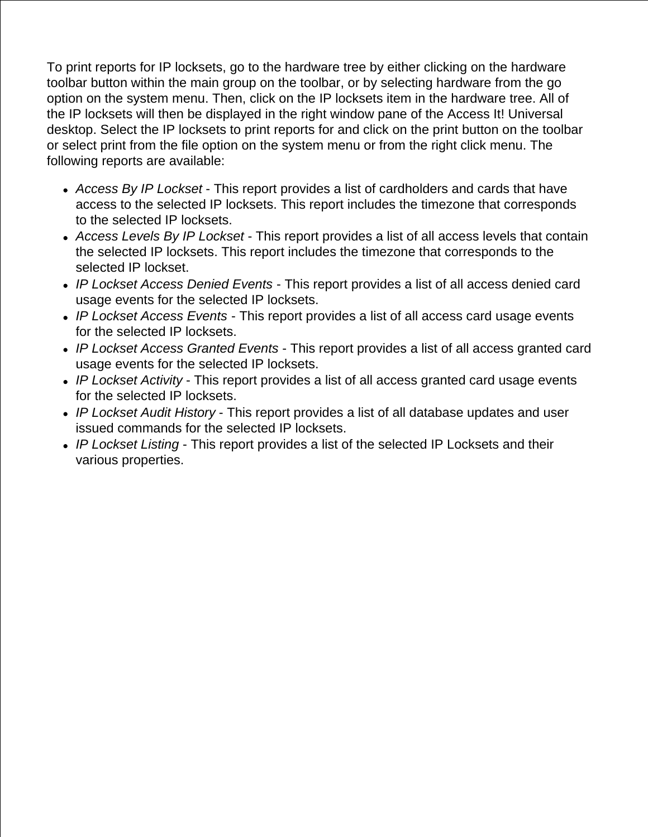To print reports for IP locksets, go to the hardware tree by either clicking on the hardware toolbar button within the main group on the toolbar, or by selecting hardware from the go option on the system menu. Then, click on the IP locksets item in the hardware tree. All of the IP locksets will then be displayed in the right window pane of the Access It! Universal desktop. Select the IP locksets to print reports for and click on the print button on the toolbar or select print from the file option on the system menu or from the right click menu. The following reports are available:

- *Access By IP Lockset* This report provides a list of cardholders and cards that have access to the selected IP locksets. This report includes the timezone that corresponds to the selected IP locksets.
- *Access Levels By IP Lockset* This report provides a list of all access levels that contain the selected IP locksets. This report includes the timezone that corresponds to the selected IP lockset.
- *IP Lockset Access Denied Events* This report provides a list of all access denied card usage events for the selected IP locksets.
- *IP Lockset Access Events* This report provides a list of all access card usage events for the selected IP locksets.
- *IP Lockset Access Granted Events* This report provides a list of all access granted card usage events for the selected IP locksets.
- *IP Lockset Activity* This report provides a list of all access granted card usage events for the selected IP locksets.
- *IP Lockset Audit History* This report provides a list of all database updates and user issued commands for the selected IP locksets.
- *IP Lockset Listing* This report provides a list of the selected IP Locksets and their various properties.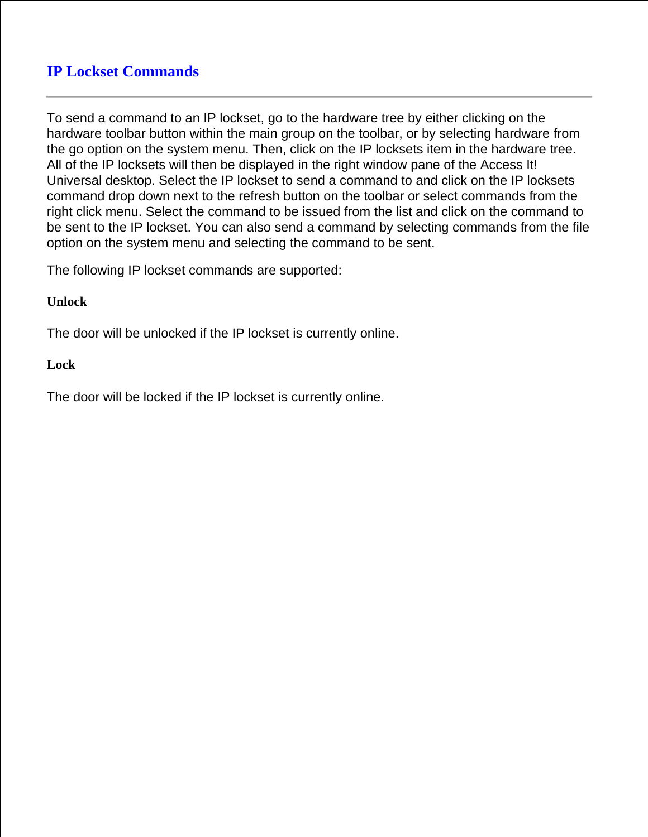# **IP Lockset Commands**

To send a command to an IP lockset, go to the hardware tree by either clicking on the hardware toolbar button within the main group on the toolbar, or by selecting hardware from the go option on the system menu. Then, click on the IP locksets item in the hardware tree. All of the IP locksets will then be displayed in the right window pane of the Access It! Universal desktop. Select the IP lockset to send a command to and click on the IP locksets command drop down next to the refresh button on the toolbar or select commands from the right click menu. Select the command to be issued from the list and click on the command to be sent to the IP lockset. You can also send a command by selecting commands from the file option on the system menu and selecting the command to be sent.

The following IP lockset commands are supported:

#### **Unlock**

The door will be unlocked if the IP lockset is currently online.

#### **Lock**

The door will be locked if the IP lockset is currently online.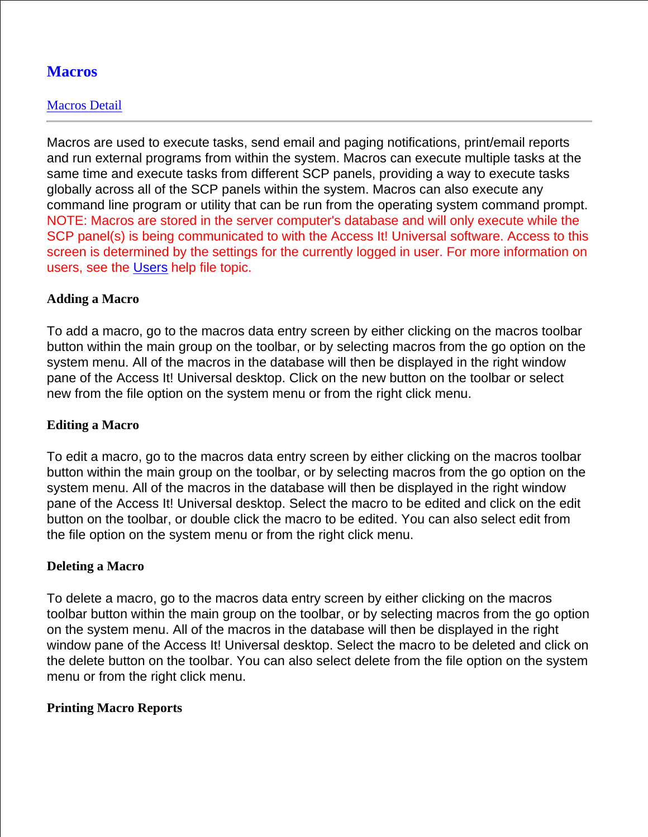# **Macros**

## Macros Detail

Macros are used to execute tasks, send email and paging notifications, print/email reports and run external programs from within the system. Macros can execute multiple tasks at the same time and execute tasks from different SCP panels, providing a way to execute tasks globally across all of the SCP panels within the system. Macros can also execute any command line program or utility that can be run from the operating system command prompt. NOTE: Macros are stored in the server computer's database and will only execute while the SCP panel(s) is being communicated to with the Access It! Universal software. Access to this screen is determined by the settings for the currently logged in user. For more information on users, see the Users help file topic.

## **Adding a Macro**

To add a macro, go to the macros data entry screen by either clicking on the macros toolbar button within the main group on the toolbar, or by selecting macros from the go option on the system menu. All of the macros in the database will then be displayed in the right window pane of the Access It! Universal desktop. Click on the new button on the toolbar or select new from the file option on the system menu or from the right click menu.

## **Editing a Macro**

To edit a macro, go to the macros data entry screen by either clicking on the macros toolbar button within the main group on the toolbar, or by selecting macros from the go option on the system menu. All of the macros in the database will then be displayed in the right window pane of the Access It! Universal desktop. Select the macro to be edited and click on the edit button on the toolbar, or double click the macro to be edited. You can also select edit from the file option on the system menu or from the right click menu.

## **Deleting a Macro**

To delete a macro, go to the macros data entry screen by either clicking on the macros toolbar button within the main group on the toolbar, or by selecting macros from the go option on the system menu. All of the macros in the database will then be displayed in the right window pane of the Access It! Universal desktop. Select the macro to be deleted and click on the delete button on the toolbar. You can also select delete from the file option on the system menu or from the right click menu.

## **Printing Macro Reports**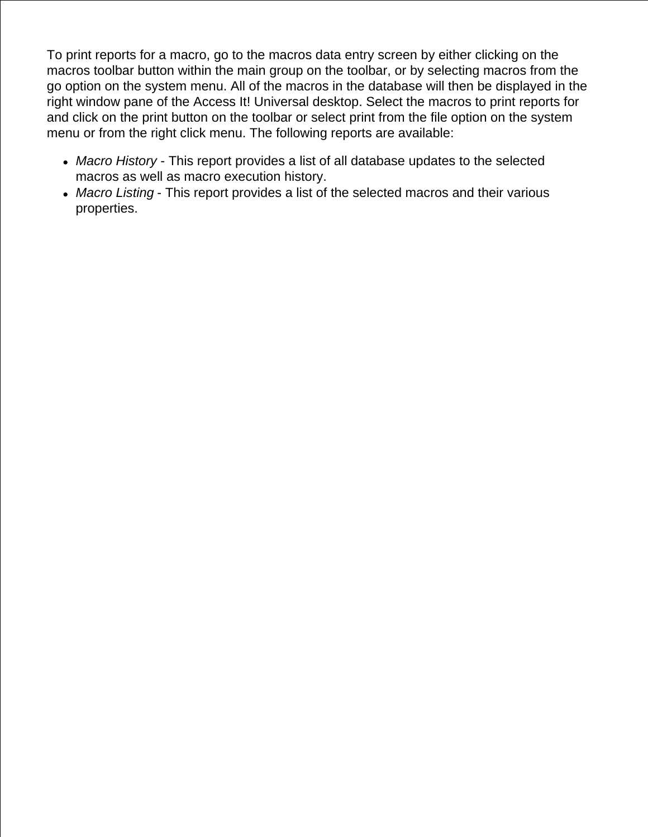To print reports for a macro, go to the macros data entry screen by either clicking on the macros toolbar button within the main group on the toolbar, or by selecting macros from the go option on the system menu. All of the macros in the database will then be displayed in the right window pane of the Access It! Universal desktop. Select the macros to print reports for and click on the print button on the toolbar or select print from the file option on the system menu or from the right click menu. The following reports are available:

- *Macro History* This report provides a list of all database updates to the selected macros as well as macro execution history.
- *Macro Listing* This report provides a list of the selected macros and their various properties.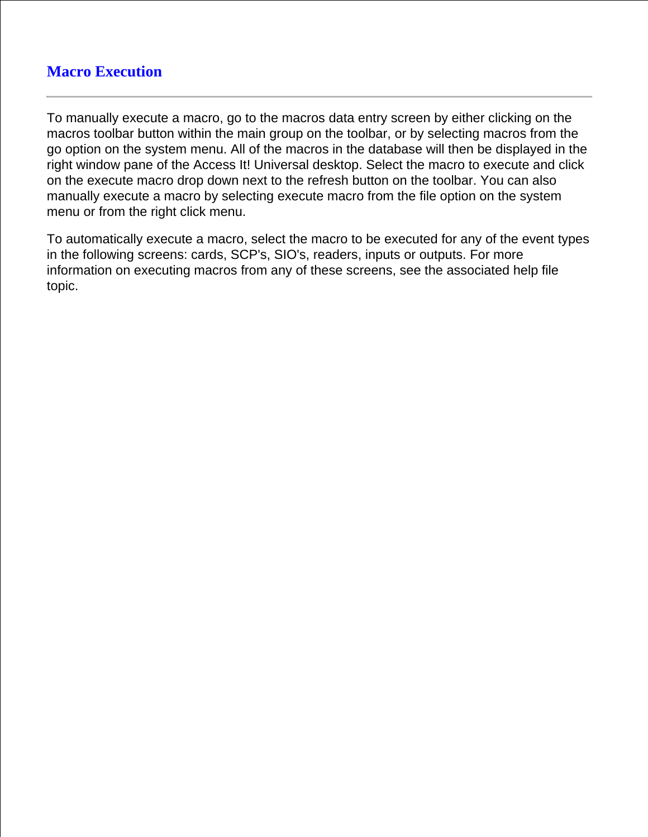# **Macro Execution**

To manually execute a macro, go to the macros data entry screen by either clicking on the macros toolbar button within the main group on the toolbar, or by selecting macros from the go option on the system menu. All of the macros in the database will then be displayed in the right window pane of the Access It! Universal desktop. Select the macro to execute and click on the execute macro drop down next to the refresh button on the toolbar. You can also manually execute a macro by selecting execute macro from the file option on the system menu or from the right click menu.

To automatically execute a macro, select the macro to be executed for any of the event types in the following screens: cards, SCP's, SIO's, readers, inputs or outputs. For more information on executing macros from any of these screens, see the associated help file topic.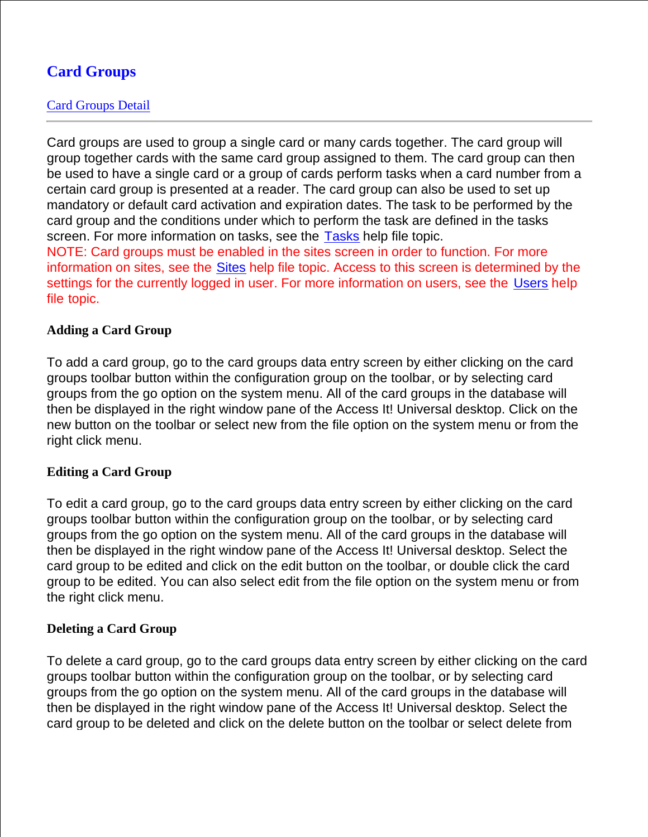# **Card Groups**

## Card Groups Detail

Card groups are used to group a single card or many cards together. The card group will group together cards with the same card group assigned to them. The card group can then be used to have a single card or a group of cards perform tasks when a card number from a certain card group is presented at a reader. The card group can also be used to set up mandatory or default card activation and expiration dates. The task to be performed by the card group and the conditions under which to perform the task are defined in the tasks screen. For more information on tasks, see the Tasks help file topic.

NOTE: Card groups must be enabled in the sites screen in order to function. For more information on sites, see the Sites help file topic. Access to this screen is determined by the settings for the currently logged in user. For more information on users, see the Users help file topic.

#### **Adding a Card Group**

To add a card group, go to the card groups data entry screen by either clicking on the card groups toolbar button within the configuration group on the toolbar, or by selecting card groups from the go option on the system menu. All of the card groups in the database will then be displayed in the right window pane of the Access It! Universal desktop. Click on the new button on the toolbar or select new from the file option on the system menu or from the right click menu.

## **Editing a Card Group**

To edit a card group, go to the card groups data entry screen by either clicking on the card groups toolbar button within the configuration group on the toolbar, or by selecting card groups from the go option on the system menu. All of the card groups in the database will then be displayed in the right window pane of the Access It! Universal desktop. Select the card group to be edited and click on the edit button on the toolbar, or double click the card group to be edited. You can also select edit from the file option on the system menu or from the right click menu.

#### **Deleting a Card Group**

To delete a card group, go to the card groups data entry screen by either clicking on the card groups toolbar button within the configuration group on the toolbar, or by selecting card groups from the go option on the system menu. All of the card groups in the database will then be displayed in the right window pane of the Access It! Universal desktop. Select the card group to be deleted and click on the delete button on the toolbar or select delete from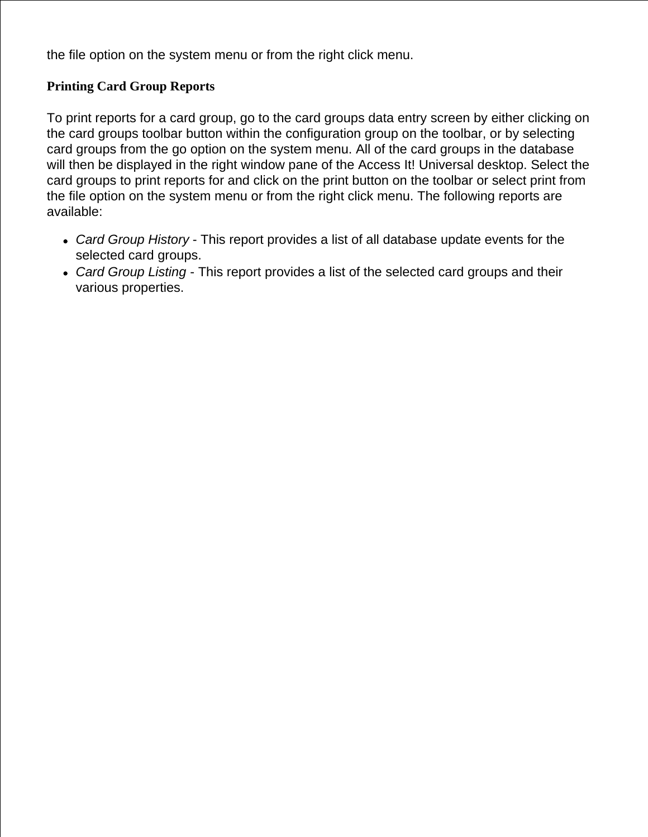the file option on the system menu or from the right click menu.

## **Printing Card Group Reports**

To print reports for a card group, go to the card groups data entry screen by either clicking on the card groups toolbar button within the configuration group on the toolbar, or by selecting card groups from the go option on the system menu. All of the card groups in the database will then be displayed in the right window pane of the Access It! Universal desktop. Select the card groups to print reports for and click on the print button on the toolbar or select print from the file option on the system menu or from the right click menu. The following reports are available:

- *Card Group History* This report provides a list of all database update events for the selected card groups.
- *Card Group Listing* This report provides a list of the selected card groups and their various properties.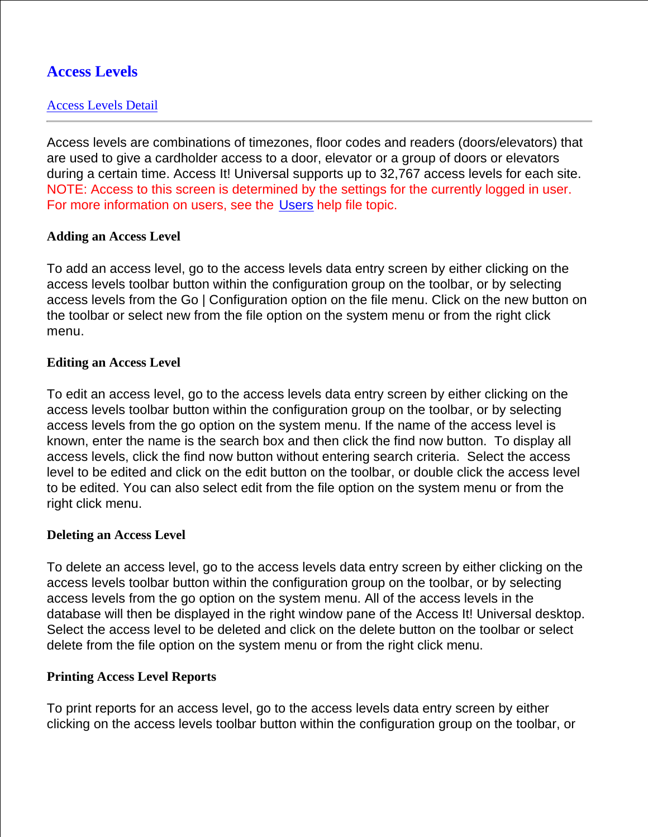# **Access Levels**

## Access Levels Detail

Access levels are combinations of timezones, floor codes and readers (doors/elevators) that are used to give a cardholder access to a door, elevator or a group of doors or elevators during a certain time. Access It! Universal supports up to 32,767 access levels for each site. NOTE: Access to this screen is determined by the settings for the currently logged in user. For more information on users, see the Users help file topic.

#### **Adding an Access Level**

To add an access level, go to the access levels data entry screen by either clicking on the access levels toolbar button within the configuration group on the toolbar, or by selecting access levels from the Go | Configuration option on the file menu. Click on the new button on the toolbar or select new from the file option on the system menu or from the right click menu.

#### **Editing an Access Level**

To edit an access level, go to the access levels data entry screen by either clicking on the access levels toolbar button within the configuration group on the toolbar, or by selecting access levels from the go option on the system menu. If the name of the access level is known, enter the name is the search box and then click the find now button. To display all access levels, click the find now button without entering search criteria. Select the access level to be edited and click on the edit button on the toolbar, or double click the access level to be edited. You can also select edit from the file option on the system menu or from the right click menu.

#### **Deleting an Access Level**

To delete an access level, go to the access levels data entry screen by either clicking on the access levels toolbar button within the configuration group on the toolbar, or by selecting access levels from the go option on the system menu. All of the access levels in the database will then be displayed in the right window pane of the Access It! Universal desktop. Select the access level to be deleted and click on the delete button on the toolbar or select delete from the file option on the system menu or from the right click menu.

## **Printing Access Level Reports**

To print reports for an access level, go to the access levels data entry screen by either clicking on the access levels toolbar button within the configuration group on the toolbar, or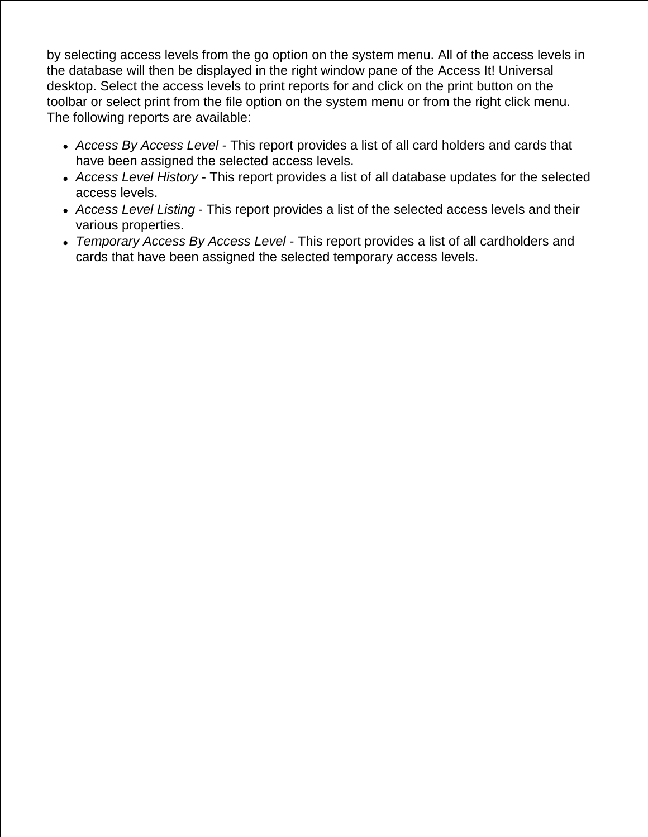by selecting access levels from the go option on the system menu. All of the access levels in the database will then be displayed in the right window pane of the Access It! Universal desktop. Select the access levels to print reports for and click on the print button on the toolbar or select print from the file option on the system menu or from the right click menu. The following reports are available:

- *Access By Access Level* This report provides a list of all card holders and cards that have been assigned the selected access levels.
- *Access Level History* This report provides a list of all database updates for the selected access levels.
- *Access Level Listing* This report provides a list of the selected access levels and their various properties.
- *Temporary Access By Access Level* This report provides a list of all cardholders and cards that have been assigned the selected temporary access levels.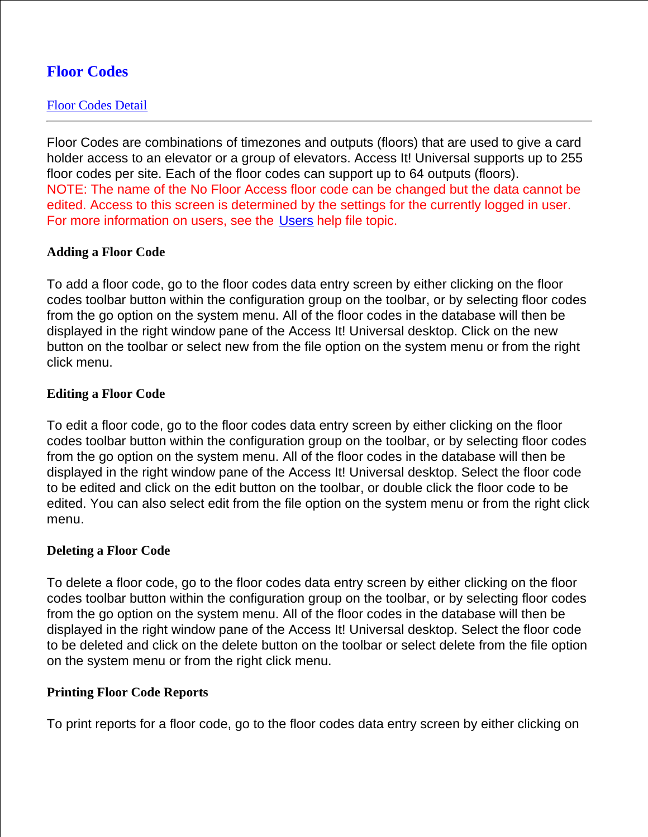# **Floor Codes**

## Floor Codes Detail

Floor Codes are combinations of timezones and outputs (floors) that are used to give a card holder access to an elevator or a group of elevators. Access It! Universal supports up to 255 floor codes per site. Each of the floor codes can support up to 64 outputs (floors). NOTE: The name of the No Floor Access floor code can be changed but the data cannot be edited. Access to this screen is determined by the settings for the currently logged in user. For more information on users, see the Users help file topic.

#### **Adding a Floor Code**

To add a floor code, go to the floor codes data entry screen by either clicking on the floor codes toolbar button within the configuration group on the toolbar, or by selecting floor codes from the go option on the system menu. All of the floor codes in the database will then be displayed in the right window pane of the Access It! Universal desktop. Click on the new button on the toolbar or select new from the file option on the system menu or from the right click menu.

#### **Editing a Floor Code**

To edit a floor code, go to the floor codes data entry screen by either clicking on the floor codes toolbar button within the configuration group on the toolbar, or by selecting floor codes from the go option on the system menu. All of the floor codes in the database will then be displayed in the right window pane of the Access It! Universal desktop. Select the floor code to be edited and click on the edit button on the toolbar, or double click the floor code to be edited. You can also select edit from the file option on the system menu or from the right click menu.

#### **Deleting a Floor Code**

To delete a floor code, go to the floor codes data entry screen by either clicking on the floor codes toolbar button within the configuration group on the toolbar, or by selecting floor codes from the go option on the system menu. All of the floor codes in the database will then be displayed in the right window pane of the Access It! Universal desktop. Select the floor code to be deleted and click on the delete button on the toolbar or select delete from the file option on the system menu or from the right click menu.

#### **Printing Floor Code Reports**

To print reports for a floor code, go to the floor codes data entry screen by either clicking on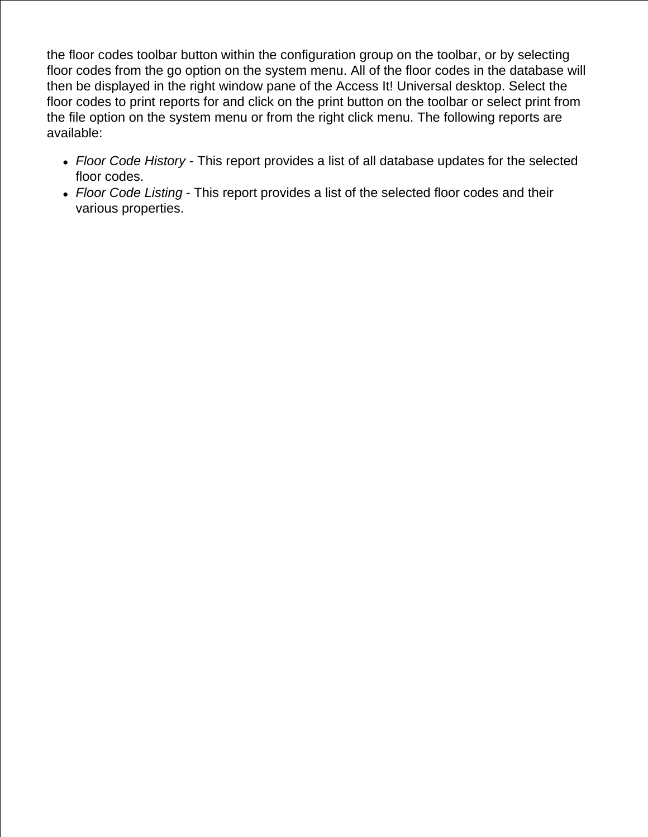the floor codes toolbar button within the configuration group on the toolbar, or by selecting floor codes from the go option on the system menu. All of the floor codes in the database will then be displayed in the right window pane of the Access It! Universal desktop. Select the floor codes to print reports for and click on the print button on the toolbar or select print from the file option on the system menu or from the right click menu. The following reports are available:

- *Floor Code History* This report provides a list of all database updates for the selected floor codes.
- *Floor Code Listing* This report provides a list of the selected floor codes and their various properties.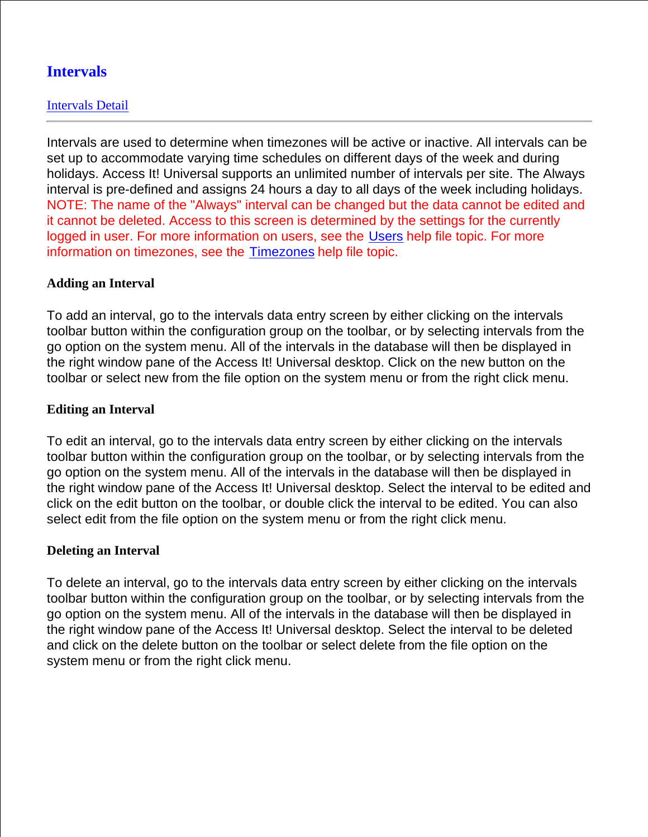# **Intervals**

## Intervals Detail

Intervals are used to determine when timezones will be active or inactive. All intervals can be set up to accommodate varying time schedules on different days of the week and during holidays. Access It! Universal supports an unlimited number of intervals per site. The Always interval is pre-defined and assigns 24 hours a day to all days of the week including holidays. NOTE: The name of the "Always" interval can be changed but the data cannot be edited and it cannot be deleted. Access to this screen is determined by the settings for the currently logged in user. For more information on users, see the Users help file topic. For more information on timezones, see the Timezones help file topic.

## **Adding an Interval**

To add an interval, go to the intervals data entry screen by either clicking on the intervals toolbar button within the configuration group on the toolbar, or by selecting intervals from the go option on the system menu. All of the intervals in the database will then be displayed in the right window pane of the Access It! Universal desktop. Click on the new button on the toolbar or select new from the file option on the system menu or from the right click menu.

## **Editing an Interval**

To edit an interval, go to the intervals data entry screen by either clicking on the intervals toolbar button within the configuration group on the toolbar, or by selecting intervals from the go option on the system menu. All of the intervals in the database will then be displayed in the right window pane of the Access It! Universal desktop. Select the interval to be edited and click on the edit button on the toolbar, or double click the interval to be edited. You can also select edit from the file option on the system menu or from the right click menu.

#### **Deleting an Interval**

To delete an interval, go to the intervals data entry screen by either clicking on the intervals toolbar button within the configuration group on the toolbar, or by selecting intervals from the go option on the system menu. All of the intervals in the database will then be displayed in the right window pane of the Access It! Universal desktop. Select the interval to be deleted and click on the delete button on the toolbar or select delete from the file option on the system menu or from the right click menu.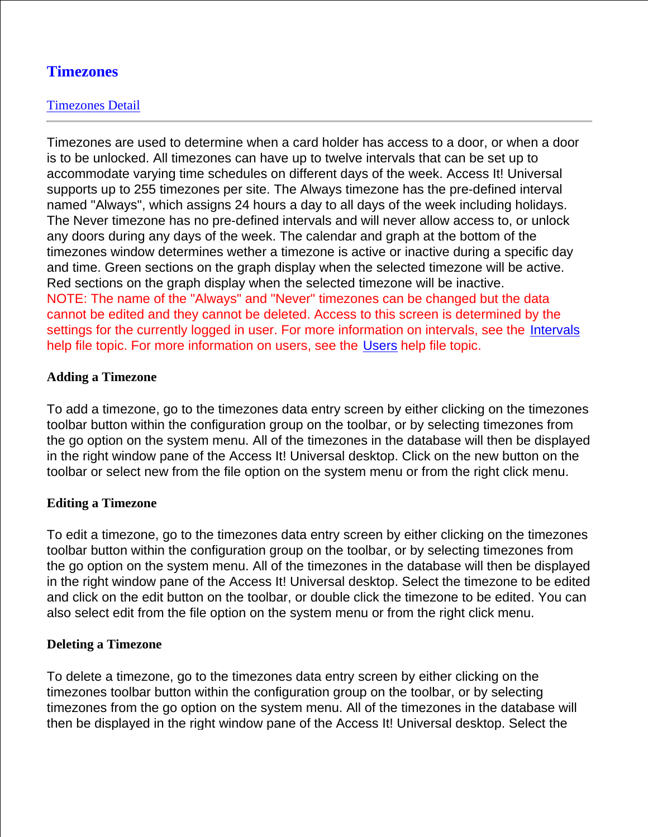# **Timezones**

## Timezones Detail

Timezones are used to determine when a card holder has access to a door, or when a door is to be unlocked. All timezones can have up to twelve intervals that can be set up to accommodate varying time schedules on different days of the week. Access It! Universal supports up to 255 timezones per site. The Always timezone has the pre-defined interval named "Always", which assigns 24 hours a day to all days of the week including holidays. The Never timezone has no pre-defined intervals and will never allow access to, or unlock any doors during any days of the week. The calendar and graph at the bottom of the timezones window determines wether a timezone is active or inactive during a specific day and time. Green sections on the graph display when the selected timezone will be active. Red sections on the graph display when the selected timezone will be inactive. NOTE: The name of the "Always" and "Never" timezones can be changed but the data cannot be edited and they cannot be deleted. Access to this screen is determined by the settings for the currently logged in user. For more information on intervals, see the Intervals help file topic. For more information on users, see the Users help file topic.

## **Adding a Timezone**

To add a timezone, go to the timezones data entry screen by either clicking on the timezones toolbar button within the configuration group on the toolbar, or by selecting timezones from the go option on the system menu. All of the timezones in the database will then be displayed in the right window pane of the Access It! Universal desktop. Click on the new button on the toolbar or select new from the file option on the system menu or from the right click menu.

## **Editing a Timezone**

To edit a timezone, go to the timezones data entry screen by either clicking on the timezones toolbar button within the configuration group on the toolbar, or by selecting timezones from the go option on the system menu. All of the timezones in the database will then be displayed in the right window pane of the Access It! Universal desktop. Select the timezone to be edited and click on the edit button on the toolbar, or double click the timezone to be edited. You can also select edit from the file option on the system menu or from the right click menu.

## **Deleting a Timezone**

To delete a timezone, go to the timezones data entry screen by either clicking on the timezones toolbar button within the configuration group on the toolbar, or by selecting timezones from the go option on the system menu. All of the timezones in the database will then be displayed in the right window pane of the Access It! Universal desktop. Select the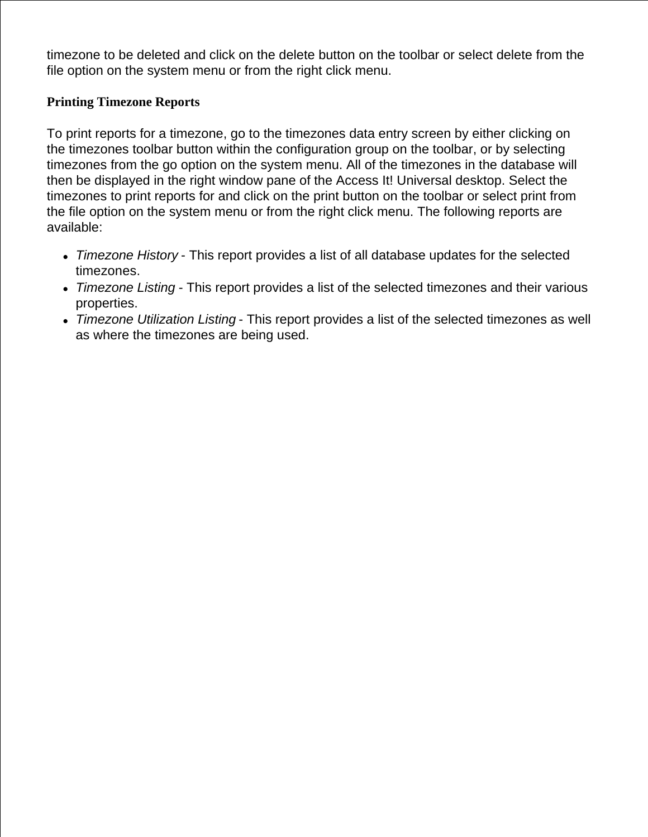timezone to be deleted and click on the delete button on the toolbar or select delete from the file option on the system menu or from the right click menu.

## **Printing Timezone Reports**

To print reports for a timezone, go to the timezones data entry screen by either clicking on the timezones toolbar button within the configuration group on the toolbar, or by selecting timezones from the go option on the system menu. All of the timezones in the database will then be displayed in the right window pane of the Access It! Universal desktop. Select the timezones to print reports for and click on the print button on the toolbar or select print from the file option on the system menu or from the right click menu. The following reports are available:

- *Timezone History* This report provides a list of all database updates for the selected timezones.
- *Timezone Listing* This report provides a list of the selected timezones and their various properties.
- *Timezone Utilization Listing* This report provides a list of the selected timezones as well as where the timezones are being used.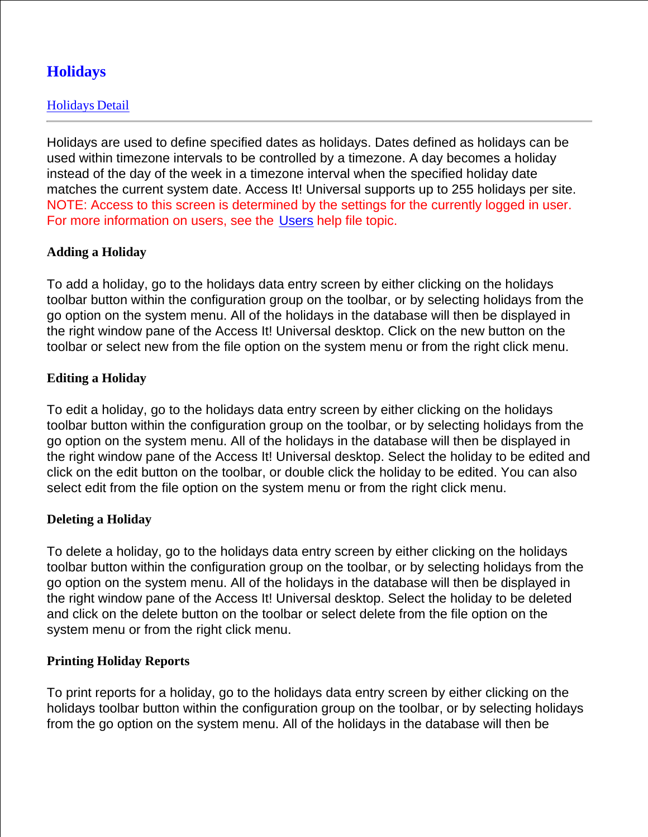# **Holidays**

## Holidays Detail

Holidays are used to define specified dates as holidays. Dates defined as holidays can be used within timezone intervals to be controlled by a timezone. A day becomes a holiday instead of the day of the week in a timezone interval when the specified holiday date matches the current system date. Access It! Universal supports up to 255 holidays per site. NOTE: Access to this screen is determined by the settings for the currently logged in user. For more information on users, see the Users help file topic.

## **Adding a Holiday**

To add a holiday, go to the holidays data entry screen by either clicking on the holidays toolbar button within the configuration group on the toolbar, or by selecting holidays from the go option on the system menu. All of the holidays in the database will then be displayed in the right window pane of the Access It! Universal desktop. Click on the new button on the toolbar or select new from the file option on the system menu or from the right click menu.

## **Editing a Holiday**

To edit a holiday, go to the holidays data entry screen by either clicking on the holidays toolbar button within the configuration group on the toolbar, or by selecting holidays from the go option on the system menu. All of the holidays in the database will then be displayed in the right window pane of the Access It! Universal desktop. Select the holiday to be edited and click on the edit button on the toolbar, or double click the holiday to be edited. You can also select edit from the file option on the system menu or from the right click menu.

## **Deleting a Holiday**

To delete a holiday, go to the holidays data entry screen by either clicking on the holidays toolbar button within the configuration group on the toolbar, or by selecting holidays from the go option on the system menu. All of the holidays in the database will then be displayed in the right window pane of the Access It! Universal desktop. Select the holiday to be deleted and click on the delete button on the toolbar or select delete from the file option on the system menu or from the right click menu.

## **Printing Holiday Reports**

To print reports for a holiday, go to the holidays data entry screen by either clicking on the holidays toolbar button within the configuration group on the toolbar, or by selecting holidays from the go option on the system menu. All of the holidays in the database will then be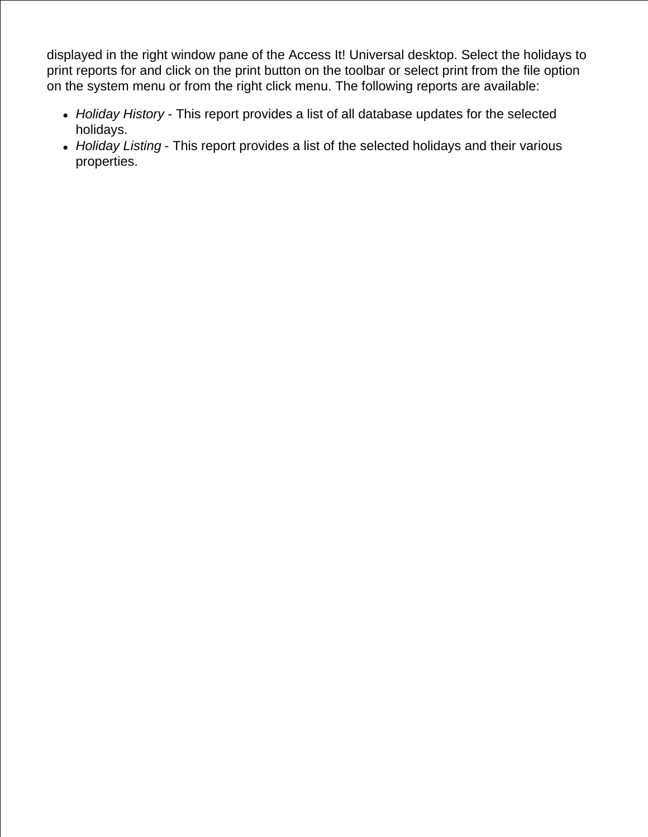displayed in the right window pane of the Access It! Universal desktop. Select the holidays to print reports for and click on the print button on the toolbar or select print from the file option on the system menu or from the right click menu. The following reports are available:

- *Holiday History* This report provides a list of all database updates for the selected holidays.
- *Holiday Listing* This report provides a list of the selected holidays and their various properties.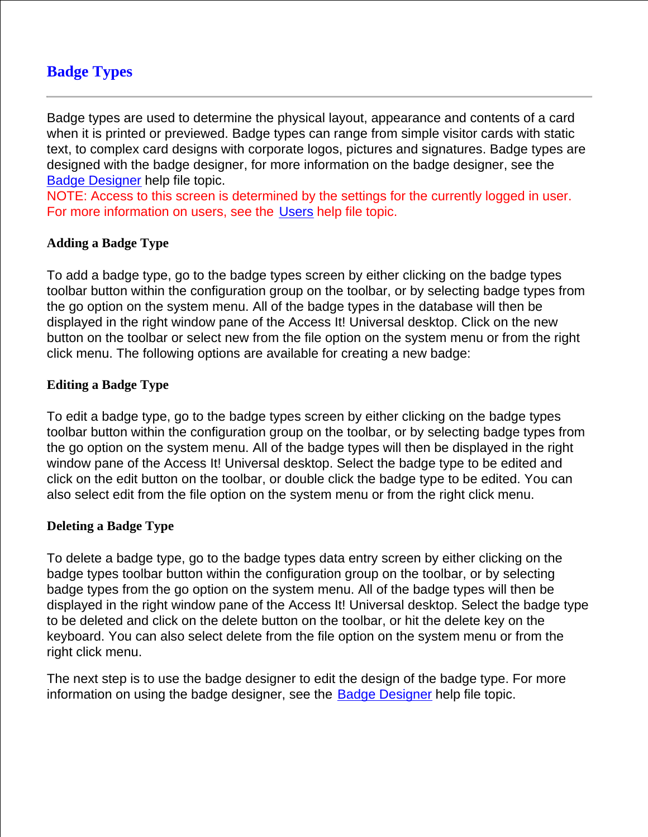# **Badge Types**

Badge types are used to determine the physical layout, appearance and contents of a card when it is printed or previewed. Badge types can range from simple visitor cards with static text, to complex card designs with corporate logos, pictures and signatures. Badge types are designed with the badge designer, for more information on the badge designer, see the Badge Designer help file topic.

NOTE: Access to this screen is determined by the settings for the currently logged in user. For more information on users, see the Users help file topic.

## **Adding a Badge Type**

To add a badge type, go to the badge types screen by either clicking on the badge types toolbar button within the configuration group on the toolbar, or by selecting badge types from the go option on the system menu. All of the badge types in the database will then be displayed in the right window pane of the Access It! Universal desktop. Click on the new button on the toolbar or select new from the file option on the system menu or from the right click menu. The following options are available for creating a new badge:

### **Editing a Badge Type**

To edit a badge type, go to the badge types screen by either clicking on the badge types toolbar button within the configuration group on the toolbar, or by selecting badge types from the go option on the system menu. All of the badge types will then be displayed in the right window pane of the Access It! Universal desktop. Select the badge type to be edited and click on the edit button on the toolbar, or double click the badge type to be edited. You can also select edit from the file option on the system menu or from the right click menu.

#### **Deleting a Badge Type**

To delete a badge type, go to the badge types data entry screen by either clicking on the badge types toolbar button within the configuration group on the toolbar, or by selecting badge types from the go option on the system menu. All of the badge types will then be displayed in the right window pane of the Access It! Universal desktop. Select the badge type to be deleted and click on the delete button on the toolbar, or hit the delete key on the keyboard. You can also select delete from the file option on the system menu or from the right click menu.

The next step is to use the badge designer to edit the design of the badge type. For more information on using the badge designer, see the Badge Designer help file topic.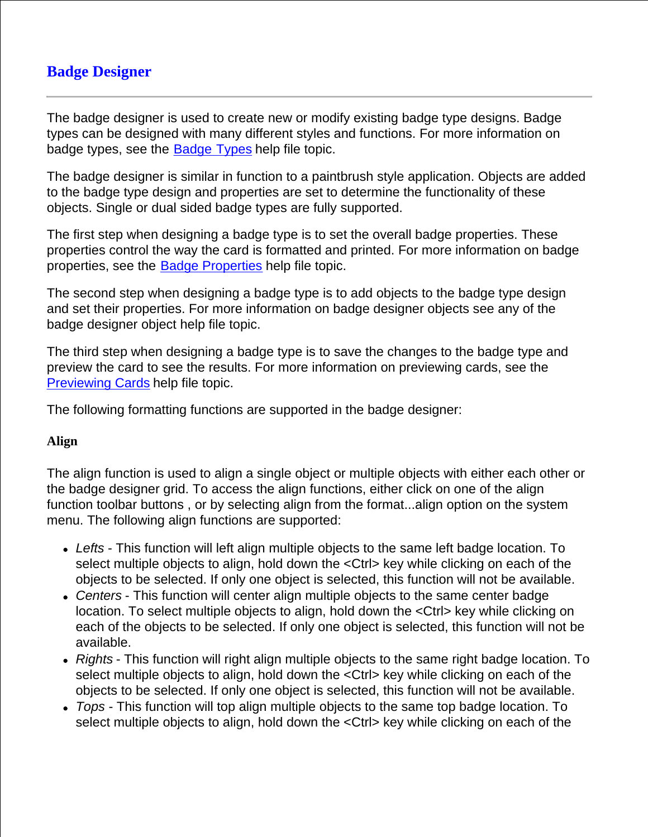# **Badge Designer**

The badge designer is used to create new or modify existing badge type designs. Badge types can be designed with many different styles and functions. For more information on badge types, see the Badge Types help file topic.

The badge designer is similar in function to a paintbrush style application. Objects are added to the badge type design and properties are set to determine the functionality of these objects. Single or dual sided badge types are fully supported.

The first step when designing a badge type is to set the overall badge properties. These properties control the way the card is formatted and printed. For more information on badge properties, see the Badge Properties help file topic.

The second step when designing a badge type is to add objects to the badge type design and set their properties. For more information on badge designer objects see any of the badge designer object help file topic.

The third step when designing a badge type is to save the changes to the badge type and preview the card to see the results. For more information on previewing cards, see the Previewing Cards help file topic.

The following formatting functions are supported in the badge designer:

## **Align**

The align function is used to align a single object or multiple objects with either each other or the badge designer grid. To access the align functions, either click on one of the align function toolbar buttons , or by selecting align from the format...align option on the system menu. The following align functions are supported:

- *Lefts* This function will left align multiple objects to the same left badge location. To select multiple objects to align, hold down the <Ctrl> key while clicking on each of the objects to be selected. If only one object is selected, this function will not be available.
- *Centers* This function will center align multiple objects to the same center badge location. To select multiple objects to align, hold down the <Ctrl> key while clicking on each of the objects to be selected. If only one object is selected, this function will not be available.
- *Rights* This function will right align multiple objects to the same right badge location. To select multiple objects to align, hold down the <Ctrl> key while clicking on each of the objects to be selected. If only one object is selected, this function will not be available.
- *Tops* This function will top align multiple objects to the same top badge location. To select multiple objects to align, hold down the <Ctrl> key while clicking on each of the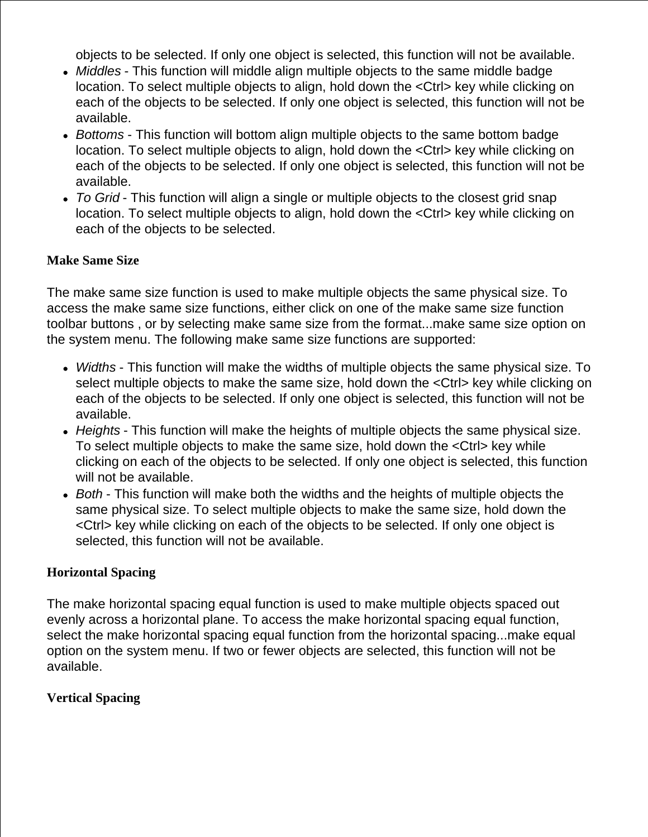objects to be selected. If only one object is selected, this function will not be available.

- *Middles* This function will middle align multiple objects to the same middle badge location. To select multiple objects to align, hold down the <Ctrl> key while clicking on each of the objects to be selected. If only one object is selected, this function will not be available.
- *Bottoms* This function will bottom align multiple objects to the same bottom badge location. To select multiple objects to align, hold down the <Ctrl> key while clicking on each of the objects to be selected. If only one object is selected, this function will not be available.
- *To Grid* This function will align a single or multiple objects to the closest grid snap location. To select multiple objects to align, hold down the <Ctrl> key while clicking on each of the objects to be selected.

## **Make Same Size**

The make same size function is used to make multiple objects the same physical size. To access the make same size functions, either click on one of the make same size function toolbar buttons , or by selecting make same size from the format...make same size option on the system menu. The following make same size functions are supported:

- *Widths* This function will make the widths of multiple objects the same physical size. To select multiple objects to make the same size, hold down the <Ctrl> key while clicking on each of the objects to be selected. If only one object is selected, this function will not be available.
- *Heights* This function will make the heights of multiple objects the same physical size. To select multiple objects to make the same size, hold down the <Ctrl> key while clicking on each of the objects to be selected. If only one object is selected, this function will not be available.
- *Both* This function will make both the widths and the heights of multiple objects the same physical size. To select multiple objects to make the same size, hold down the <Ctrl> key while clicking on each of the objects to be selected. If only one object is selected, this function will not be available.

## **Horizontal Spacing**

The make horizontal spacing equal function is used to make multiple objects spaced out evenly across a horizontal plane. To access the make horizontal spacing equal function, select the make horizontal spacing equal function from the horizontal spacing...make equal option on the system menu. If two or fewer objects are selected, this function will not be available.

## **Vertical Spacing**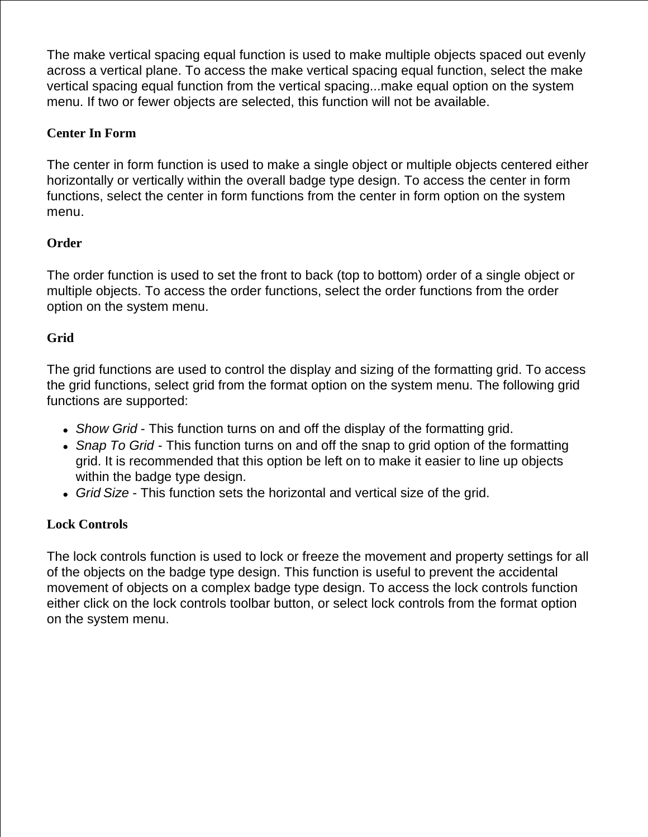The make vertical spacing equal function is used to make multiple objects spaced out evenly across a vertical plane. To access the make vertical spacing equal function, select the make vertical spacing equal function from the vertical spacing...make equal option on the system menu. If two or fewer objects are selected, this function will not be available.

## **Center In Form**

The center in form function is used to make a single object or multiple objects centered either horizontally or vertically within the overall badge type design. To access the center in form functions, select the center in form functions from the center in form option on the system menu.

## **Order**

The order function is used to set the front to back (top to bottom) order of a single object or multiple objects. To access the order functions, select the order functions from the order option on the system menu.

## **Grid**

The grid functions are used to control the display and sizing of the formatting grid. To access the grid functions, select grid from the format option on the system menu. The following grid functions are supported:

- *Show Grid* This function turns on and off the display of the formatting grid.
- *Snap To Grid* This function turns on and off the snap to grid option of the formatting grid. It is recommended that this option be left on to make it easier to line up objects within the badge type design.
- *Grid Size* This function sets the horizontal and vertical size of the grid.

## **Lock Controls**

The lock controls function is used to lock or freeze the movement and property settings for all of the objects on the badge type design. This function is useful to prevent the accidental movement of objects on a complex badge type design. To access the lock controls function either click on the lock controls toolbar button, or select lock controls from the format option on the system menu.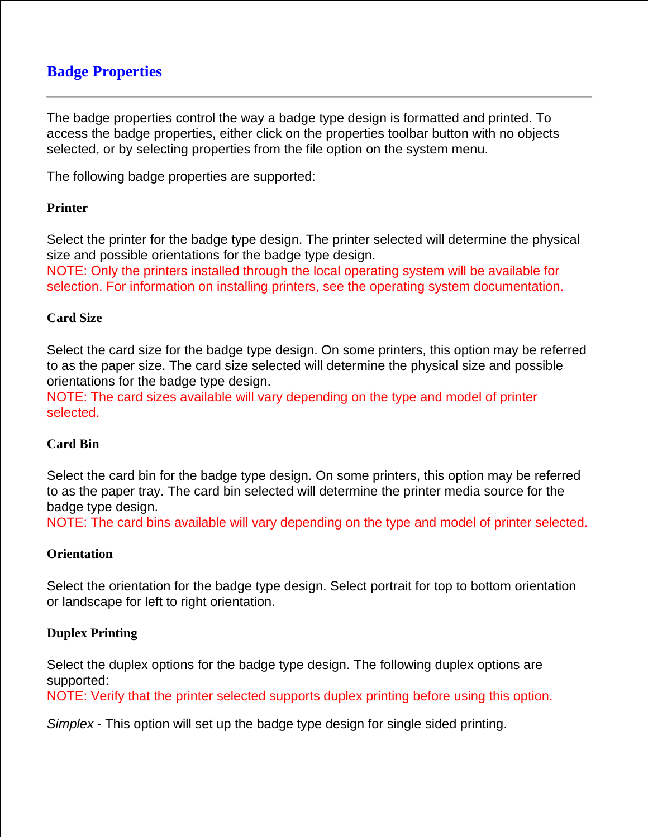# **Badge Properties**

The badge properties control the way a badge type design is formatted and printed. To access the badge properties, either click on the properties toolbar button with no objects selected, or by selecting properties from the file option on the system menu.

The following badge properties are supported:

### **Printer**

Select the printer for the badge type design. The printer selected will determine the physical size and possible orientations for the badge type design.

NOTE: Only the printers installed through the local operating system will be available for selection. For information on installing printers, see the operating system documentation.

### **Card Size**

Select the card size for the badge type design. On some printers, this option may be referred to as the paper size. The card size selected will determine the physical size and possible orientations for the badge type design.

NOTE: The card sizes available will vary depending on the type and model of printer selected.

## **Card Bin**

Select the card bin for the badge type design. On some printers, this option may be referred to as the paper tray. The card bin selected will determine the printer media source for the badge type design.

NOTE: The card bins available will vary depending on the type and model of printer selected.

#### **Orientation**

Select the orientation for the badge type design. Select portrait for top to bottom orientation or landscape for left to right orientation.

## **Duplex Printing**

Select the duplex options for the badge type design. The following duplex options are supported:

NOTE: Verify that the printer selected supports duplex printing before using this option.

*Simplex* - This option will set up the badge type design for single sided printing.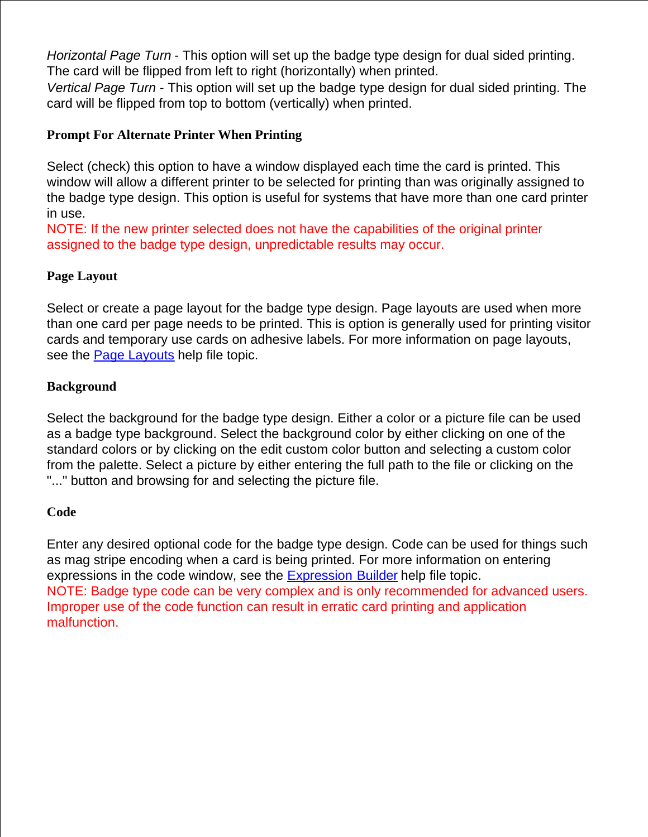*Horizontal Page Turn* - This option will set up the badge type design for dual sided printing. The card will be flipped from left to right (horizontally) when printed.

*Vertical Page Turn* - This option will set up the badge type design for dual sided printing. The card will be flipped from top to bottom (vertically) when printed.

## **Prompt For Alternate Printer When Printing**

Select (check) this option to have a window displayed each time the card is printed. This window will allow a different printer to be selected for printing than was originally assigned to the badge type design. This option is useful for systems that have more than one card printer in use.

NOTE: If the new printer selected does not have the capabilities of the original printer assigned to the badge type design, unpredictable results may occur.

## **Page Layout**

Select or create a page layout for the badge type design. Page layouts are used when more than one card per page needs to be printed. This is option is generally used for printing visitor cards and temporary use cards on adhesive labels. For more information on page layouts, see the Page Layouts help file topic.

## **Background**

Select the background for the badge type design. Either a color or a picture file can be used as a badge type background. Select the background color by either clicking on one of the standard colors or by clicking on the edit custom color button and selecting a custom color from the palette. Select a picture by either entering the full path to the file or clicking on the "..." button and browsing for and selecting the picture file.

## **Code**

Enter any desired optional code for the badge type design. Code can be used for things such as mag stripe encoding when a card is being printed. For more information on entering expressions in the code window, see the Expression Builder help file topic. NOTE: Badge type code can be very complex and is only recommended for advanced users. Improper use of the code function can result in erratic card printing and application malfunction.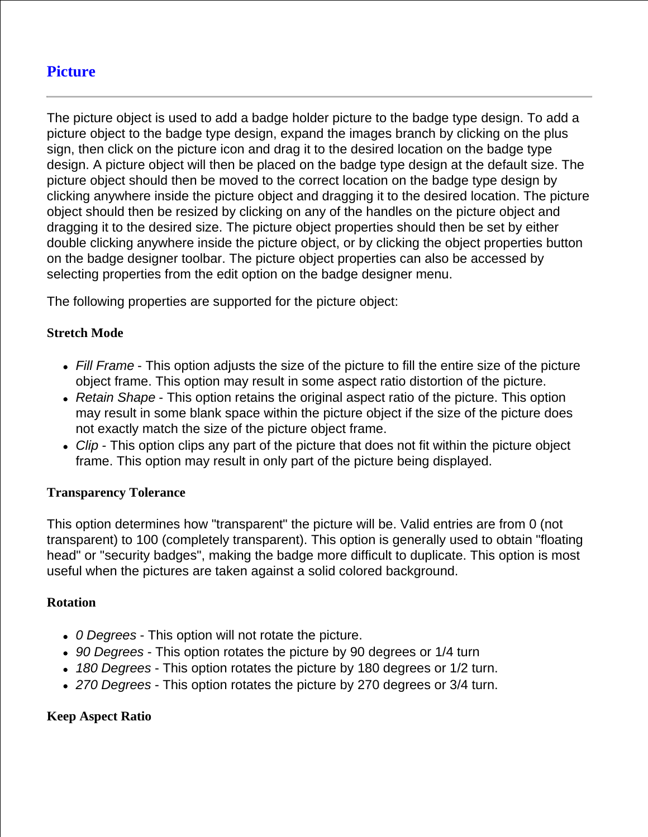# **Picture**

The picture object is used to add a badge holder picture to the badge type design. To add a picture object to the badge type design, expand the images branch by clicking on the plus sign, then click on the picture icon and drag it to the desired location on the badge type design. A picture object will then be placed on the badge type design at the default size. The picture object should then be moved to the correct location on the badge type design by clicking anywhere inside the picture object and dragging it to the desired location. The picture object should then be resized by clicking on any of the handles on the picture object and dragging it to the desired size. The picture object properties should then be set by either double clicking anywhere inside the picture object, or by clicking the object properties button on the badge designer toolbar. The picture object properties can also be accessed by selecting properties from the edit option on the badge designer menu.

The following properties are supported for the picture object:

## **Stretch Mode**

- *Fill Frame* This option adjusts the size of the picture to fill the entire size of the picture object frame. This option may result in some aspect ratio distortion of the picture.
- *Retain Shape* This option retains the original aspect ratio of the picture. This option may result in some blank space within the picture object if the size of the picture does not exactly match the size of the picture object frame.
- Clip This option clips any part of the picture that does not fit within the picture object frame. This option may result in only part of the picture being displayed.

#### **Transparency Tolerance**

This option determines how "transparent" the picture will be. Valid entries are from 0 (not transparent) to 100 (completely transparent). This option is generally used to obtain "floating head" or "security badges", making the badge more difficult to duplicate. This option is most useful when the pictures are taken against a solid colored background.

#### **Rotation**

- *0 Degrees* This option will not rotate the picture.
- *90 Degrees* This option rotates the picture by 90 degrees or 1/4 turn
- *180 Degrees* This option rotates the picture by 180 degrees or 1/2 turn.
- *270 Degrees* This option rotates the picture by 270 degrees or 3/4 turn.

## **Keep Aspect Ratio**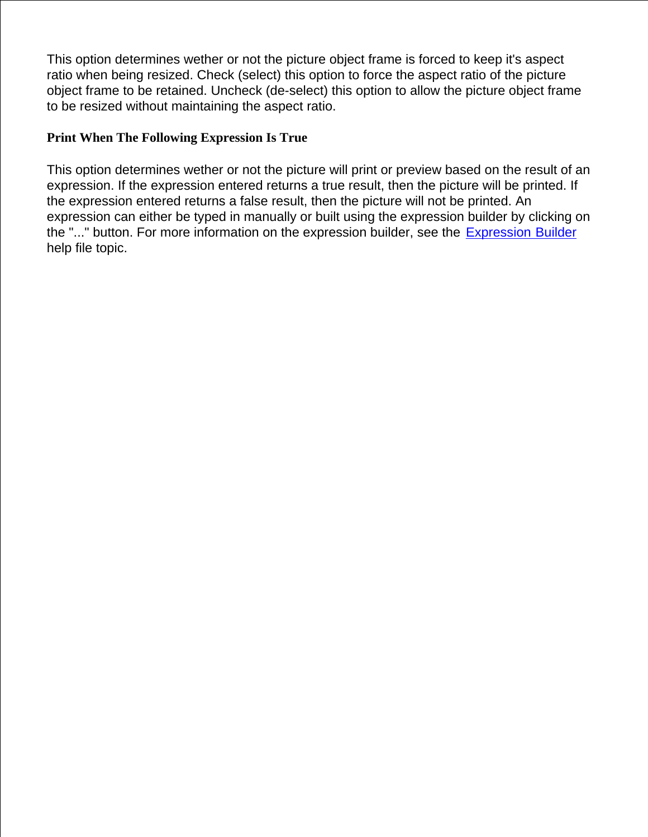This option determines wether or not the picture object frame is forced to keep it's aspect ratio when being resized. Check (select) this option to force the aspect ratio of the picture object frame to be retained. Uncheck (de-select) this option to allow the picture object frame to be resized without maintaining the aspect ratio.

## **Print When The Following Expression Is True**

This option determines wether or not the picture will print or preview based on the result of an expression. If the expression entered returns a true result, then the picture will be printed. If the expression entered returns a false result, then the picture will not be printed. An expression can either be typed in manually or built using the expression builder by clicking on the "..." button. For more information on the expression builder, see the Expression Builder help file topic.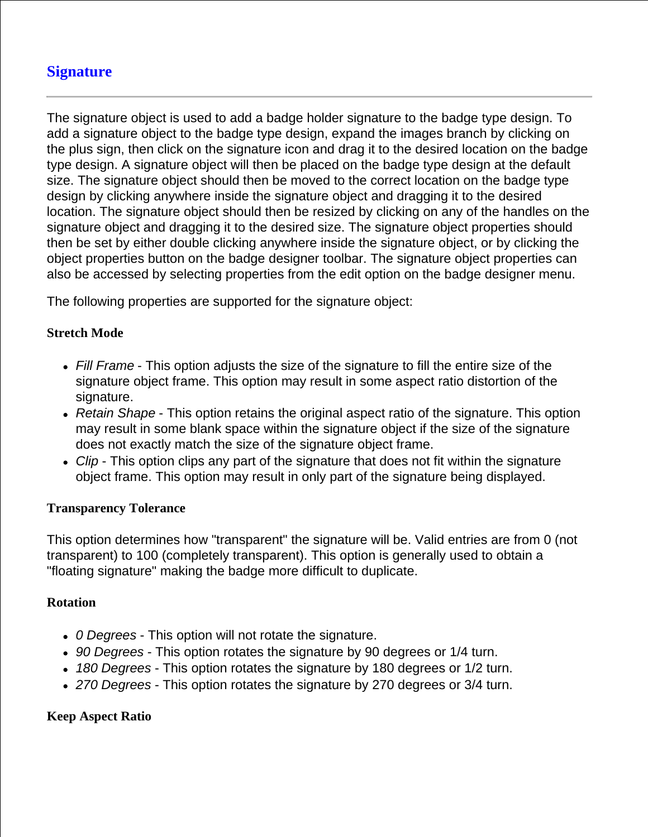# **Signature**

The signature object is used to add a badge holder signature to the badge type design. To add a signature object to the badge type design, expand the images branch by clicking on the plus sign, then click on the signature icon and drag it to the desired location on the badge type design. A signature object will then be placed on the badge type design at the default size. The signature object should then be moved to the correct location on the badge type design by clicking anywhere inside the signature object and dragging it to the desired location. The signature object should then be resized by clicking on any of the handles on the signature object and dragging it to the desired size. The signature object properties should then be set by either double clicking anywhere inside the signature object, or by clicking the object properties button on the badge designer toolbar. The signature object properties can also be accessed by selecting properties from the edit option on the badge designer menu.

The following properties are supported for the signature object:

## **Stretch Mode**

- *Fill Frame* This option adjusts the size of the signature to fill the entire size of the signature object frame. This option may result in some aspect ratio distortion of the signature.
- *Retain Shape* This option retains the original aspect ratio of the signature. This option may result in some blank space within the signature object if the size of the signature does not exactly match the size of the signature object frame.
- *Clip* This option clips any part of the signature that does not fit within the signature object frame. This option may result in only part of the signature being displayed.

#### **Transparency Tolerance**

This option determines how "transparent" the signature will be. Valid entries are from 0 (not transparent) to 100 (completely transparent). This option is generally used to obtain a "floating signature" making the badge more difficult to duplicate.

#### **Rotation**

- *0 Degrees* This option will not rotate the signature.
- *90 Degrees* This option rotates the signature by 90 degrees or 1/4 turn.
- *180 Degrees* This option rotates the signature by 180 degrees or 1/2 turn.
- *270 Degrees* This option rotates the signature by 270 degrees or 3/4 turn.

## **Keep Aspect Ratio**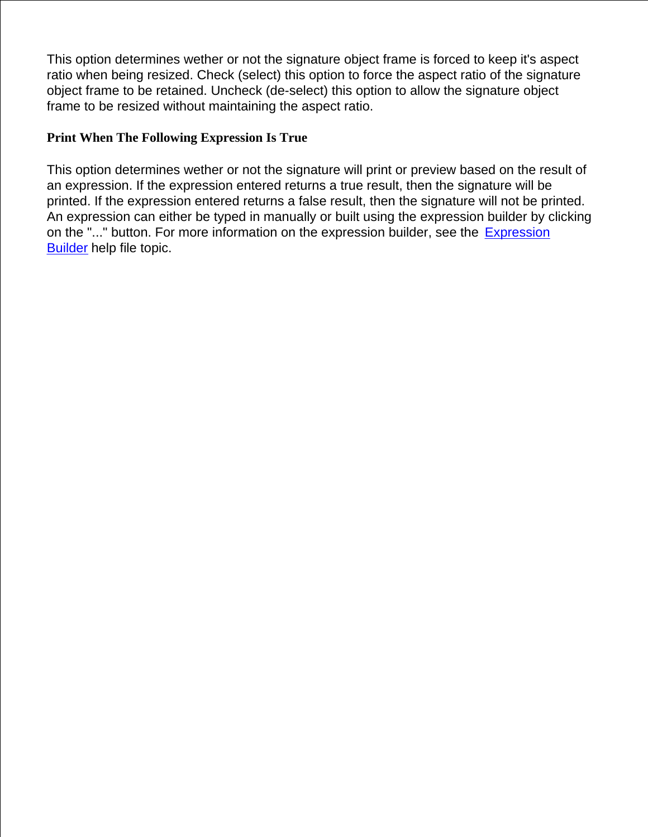This option determines wether or not the signature object frame is forced to keep it's aspect ratio when being resized. Check (select) this option to force the aspect ratio of the signature object frame to be retained. Uncheck (de-select) this option to allow the signature object frame to be resized without maintaining the aspect ratio.

## **Print When The Following Expression Is True**

This option determines wether or not the signature will print or preview based on the result of an expression. If the expression entered returns a true result, then the signature will be printed. If the expression entered returns a false result, then the signature will not be printed. An expression can either be typed in manually or built using the expression builder by clicking on the "..." button. For more information on the expression builder, see the Expression Builder help file topic.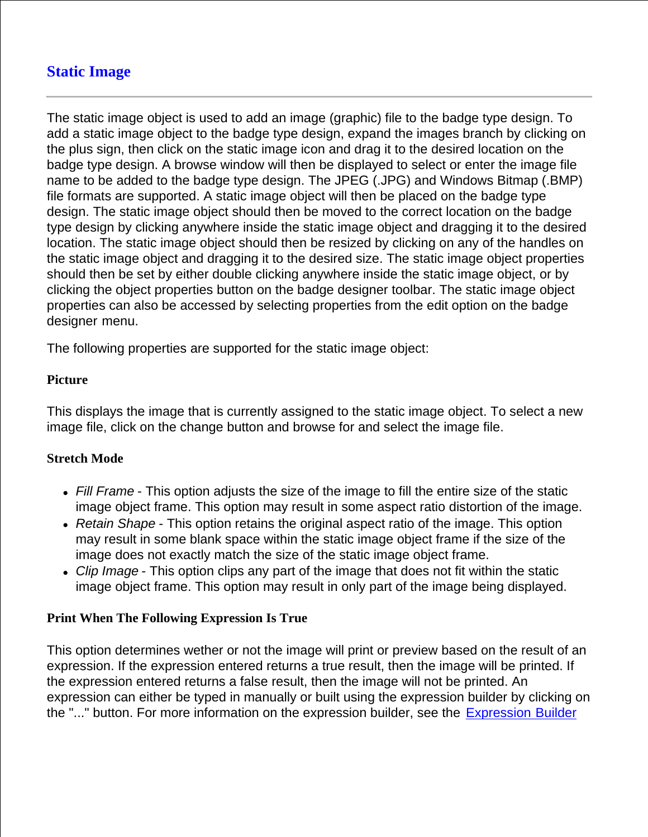# **Static Image**

The static image object is used to add an image (graphic) file to the badge type design. To add a static image object to the badge type design, expand the images branch by clicking on the plus sign, then click on the static image icon and drag it to the desired location on the badge type design. A browse window will then be displayed to select or enter the image file name to be added to the badge type design. The JPEG (.JPG) and Windows Bitmap (.BMP) file formats are supported. A static image object will then be placed on the badge type design. The static image object should then be moved to the correct location on the badge type design by clicking anywhere inside the static image object and dragging it to the desired location. The static image object should then be resized by clicking on any of the handles on the static image object and dragging it to the desired size. The static image object properties should then be set by either double clicking anywhere inside the static image object, or by clicking the object properties button on the badge designer toolbar. The static image object properties can also be accessed by selecting properties from the edit option on the badge designer menu.

The following properties are supported for the static image object:

## **Picture**

This displays the image that is currently assigned to the static image object. To select a new image file, click on the change button and browse for and select the image file.

## **Stretch Mode**

- *Fill Frame* This option adjusts the size of the image to fill the entire size of the static image object frame. This option may result in some aspect ratio distortion of the image.
- *Retain Shape* This option retains the original aspect ratio of the image. This option may result in some blank space within the static image object frame if the size of the image does not exactly match the size of the static image object frame.
- *Clip Image* This option clips any part of the image that does not fit within the static image object frame. This option may result in only part of the image being displayed.

## **Print When The Following Expression Is True**

This option determines wether or not the image will print or preview based on the result of an expression. If the expression entered returns a true result, then the image will be printed. If the expression entered returns a false result, then the image will not be printed. An expression can either be typed in manually or built using the expression builder by clicking on the "..." button. For more information on the expression builder, see the Expression Builder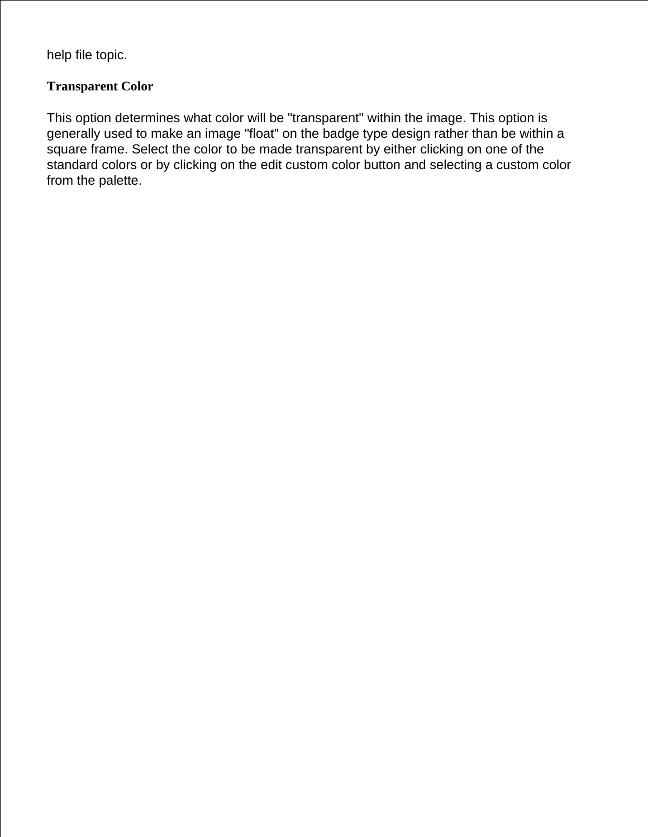help file topic.

## **Transparent Color**

This option determines what color will be "transparent" within the image. This option is generally used to make an image "float" on the badge type design rather than be within a square frame. Select the color to be made transparent by either clicking on one of the standard colors or by clicking on the edit custom color button and selecting a custom color from the palette.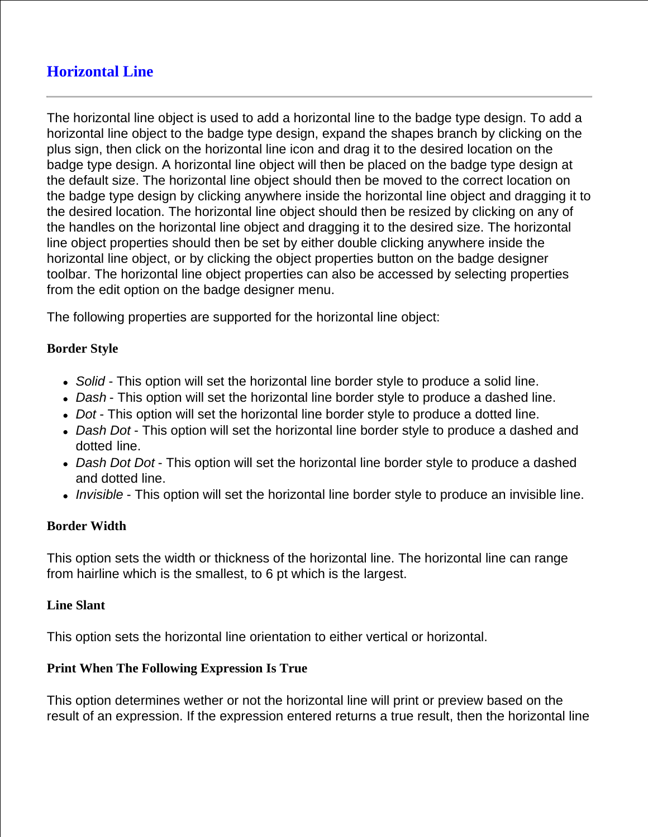# **Horizontal Line**

The horizontal line object is used to add a horizontal line to the badge type design. To add a horizontal line object to the badge type design, expand the shapes branch by clicking on the plus sign, then click on the horizontal line icon and drag it to the desired location on the badge type design. A horizontal line object will then be placed on the badge type design at the default size. The horizontal line object should then be moved to the correct location on the badge type design by clicking anywhere inside the horizontal line object and dragging it to the desired location. The horizontal line object should then be resized by clicking on any of the handles on the horizontal line object and dragging it to the desired size. The horizontal line object properties should then be set by either double clicking anywhere inside the horizontal line object, or by clicking the object properties button on the badge designer toolbar. The horizontal line object properties can also be accessed by selecting properties from the edit option on the badge designer menu.

The following properties are supported for the horizontal line object:

## **Border Style**

- *Solid* This option will set the horizontal line border style to produce a solid line.
- *Dash* This option will set the horizontal line border style to produce a dashed line.
- *Dot* This option will set the horizontal line border style to produce a dotted line.
- *Dash Dot* This option will set the horizontal line border style to produce a dashed and dotted line.
- *Dash Dot Dot* This option will set the horizontal line border style to produce a dashed and dotted line.
- *Invisible* This option will set the horizontal line border style to produce an invisible line.

#### **Border Width**

This option sets the width or thickness of the horizontal line. The horizontal line can range from hairline which is the smallest, to 6 pt which is the largest.

#### **Line Slant**

This option sets the horizontal line orientation to either vertical or horizontal.

#### **Print When The Following Expression Is True**

This option determines wether or not the horizontal line will print or preview based on the result of an expression. If the expression entered returns a true result, then the horizontal line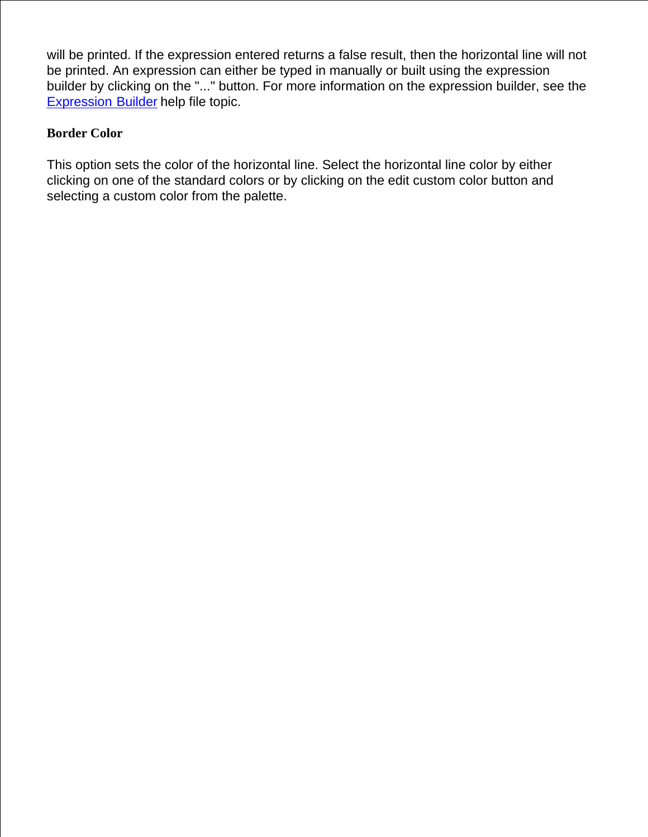will be printed. If the expression entered returns a false result, then the horizontal line will not be printed. An expression can either be typed in manually or built using the expression builder by clicking on the "..." button. For more information on the expression builder, see the Expression Builder help file topic.

## **Border Color**

This option sets the color of the horizontal line. Select the horizontal line color by either clicking on one of the standard colors or by clicking on the edit custom color button and selecting a custom color from the palette.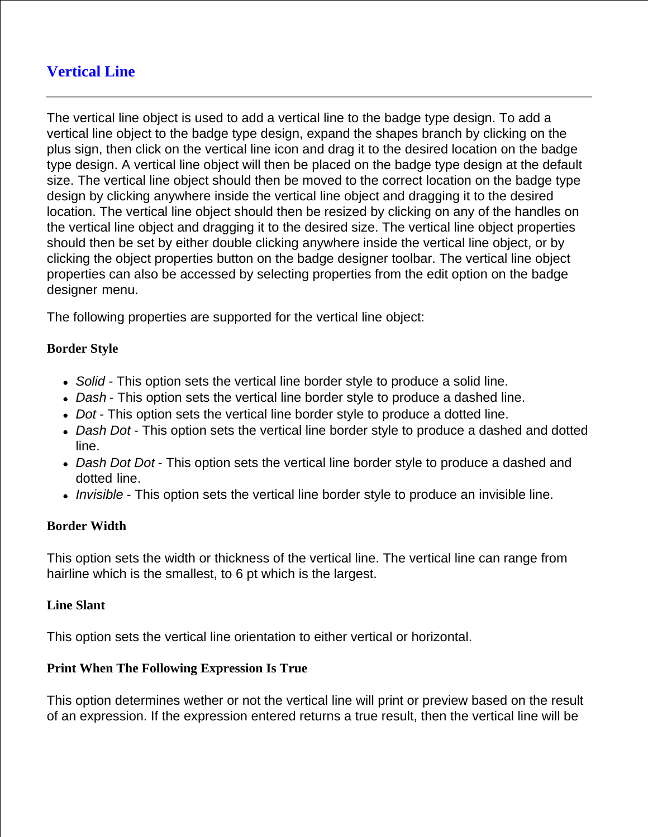# **Vertical Line**

The vertical line object is used to add a vertical line to the badge type design. To add a vertical line object to the badge type design, expand the shapes branch by clicking on the plus sign, then click on the vertical line icon and drag it to the desired location on the badge type design. A vertical line object will then be placed on the badge type design at the default size. The vertical line object should then be moved to the correct location on the badge type design by clicking anywhere inside the vertical line object and dragging it to the desired location. The vertical line object should then be resized by clicking on any of the handles on the vertical line object and dragging it to the desired size. The vertical line object properties should then be set by either double clicking anywhere inside the vertical line object, or by clicking the object properties button on the badge designer toolbar. The vertical line object properties can also be accessed by selecting properties from the edit option on the badge designer menu.

The following properties are supported for the vertical line object:

## **Border Style**

- *Solid* This option sets the vertical line border style to produce a solid line.
- *Dash* This option sets the vertical line border style to produce a dashed line.
- *Dot* This option sets the vertical line border style to produce a dotted line.
- *Dash Dot* This option sets the vertical line border style to produce a dashed and dotted line.
- *Dash Dot Dot* This option sets the vertical line border style to produce a dashed and dotted line.
- *Invisible* This option sets the vertical line border style to produce an invisible line.

#### **Border Width**

This option sets the width or thickness of the vertical line. The vertical line can range from hairline which is the smallest, to 6 pt which is the largest.

#### **Line Slant**

This option sets the vertical line orientation to either vertical or horizontal.

#### **Print When The Following Expression Is True**

This option determines wether or not the vertical line will print or preview based on the result of an expression. If the expression entered returns a true result, then the vertical line will be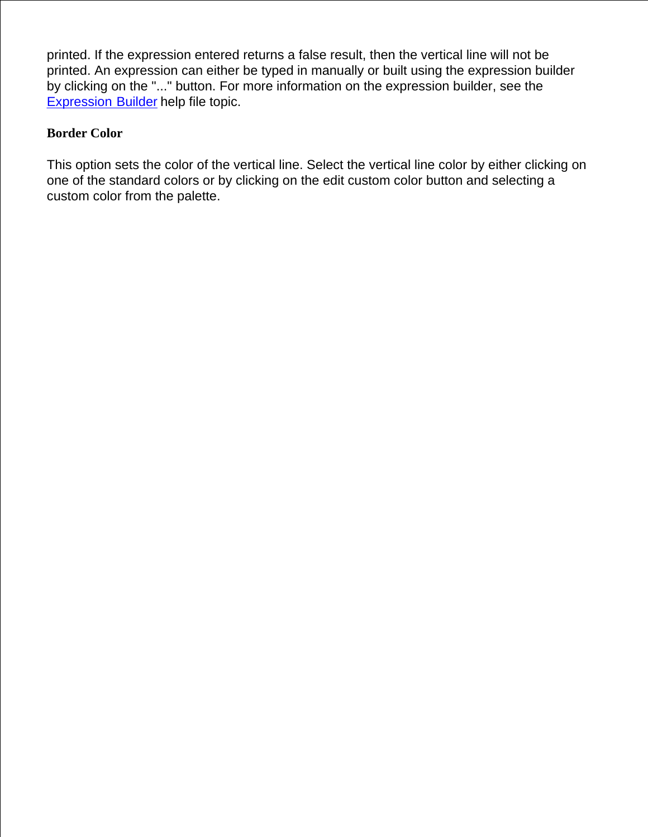printed. If the expression entered returns a false result, then the vertical line will not be printed. An expression can either be typed in manually or built using the expression builder by clicking on the "..." button. For more information on the expression builder, see the Expression Builder help file topic.

## **Border Color**

This option sets the color of the vertical line. Select the vertical line color by either clicking on one of the standard colors or by clicking on the edit custom color button and selecting a custom color from the palette.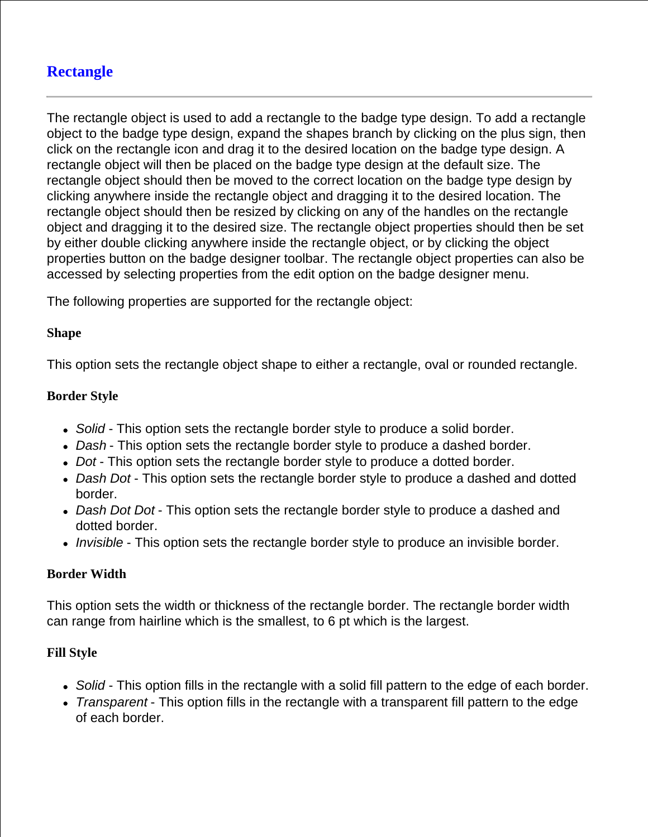# **Rectangle**

The rectangle object is used to add a rectangle to the badge type design. To add a rectangle object to the badge type design, expand the shapes branch by clicking on the plus sign, then click on the rectangle icon and drag it to the desired location on the badge type design. A rectangle object will then be placed on the badge type design at the default size. The rectangle object should then be moved to the correct location on the badge type design by clicking anywhere inside the rectangle object and dragging it to the desired location. The rectangle object should then be resized by clicking on any of the handles on the rectangle object and dragging it to the desired size. The rectangle object properties should then be set by either double clicking anywhere inside the rectangle object, or by clicking the object properties button on the badge designer toolbar. The rectangle object properties can also be accessed by selecting properties from the edit option on the badge designer menu.

The following properties are supported for the rectangle object:

### **Shape**

This option sets the rectangle object shape to either a rectangle, oval or rounded rectangle.

#### **Border Style**

- *Solid* This option sets the rectangle border style to produce a solid border.
- *Dash* This option sets the rectangle border style to produce a dashed border.
- *Dot* This option sets the rectangle border style to produce a dotted border.
- *Dash Dot* This option sets the rectangle border style to produce a dashed and dotted border.
- *Dash Dot Dot* This option sets the rectangle border style to produce a dashed and dotted border.
- *Invisible* This option sets the rectangle border style to produce an invisible border.

## **Border Width**

This option sets the width or thickness of the rectangle border. The rectangle border width can range from hairline which is the smallest, to 6 pt which is the largest.

#### **Fill Style**

- *Solid* This option fills in the rectangle with a solid fill pattern to the edge of each border.
- *Transparent* This option fills in the rectangle with a transparent fill pattern to the edge of each border.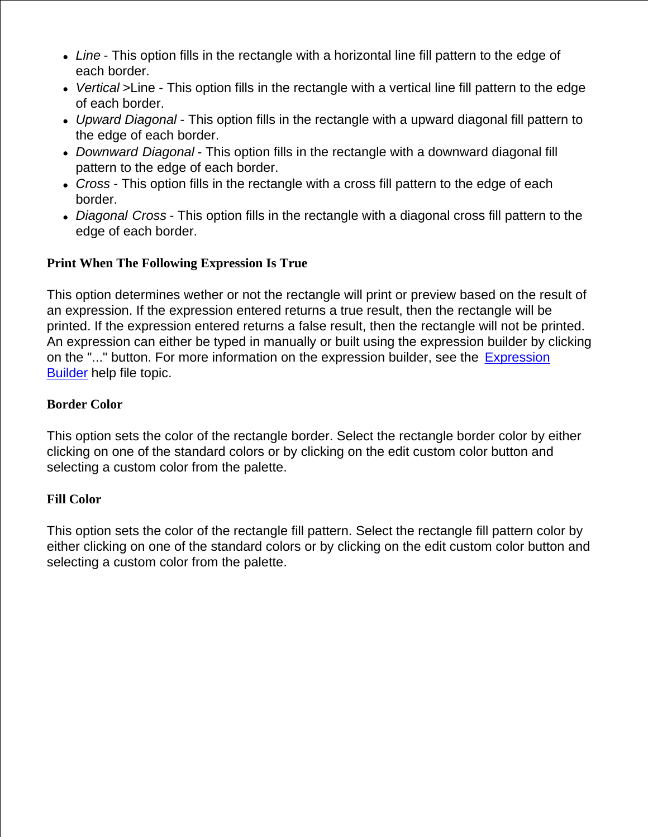- *Line* This option fills in the rectangle with a horizontal line fill pattern to the edge of each border.
- *Vertical* >Line This option fills in the rectangle with a vertical line fill pattern to the edge of each border.
- *Upward Diagonal* This option fills in the rectangle with a upward diagonal fill pattern to the edge of each border.
- *Downward Diagonal* This option fills in the rectangle with a downward diagonal fill pattern to the edge of each border.
- *Cross* This option fills in the rectangle with a cross fill pattern to the edge of each border.
- *Diagonal Cross* This option fills in the rectangle with a diagonal cross fill pattern to the edge of each border.

## **Print When The Following Expression Is True**

This option determines wether or not the rectangle will print or preview based on the result of an expression. If the expression entered returns a true result, then the rectangle will be printed. If the expression entered returns a false result, then the rectangle will not be printed. An expression can either be typed in manually or built using the expression builder by clicking on the "..." button. For more information on the expression builder, see the Expression Builder help file topic.

## **Border Color**

This option sets the color of the rectangle border. Select the rectangle border color by either clicking on one of the standard colors or by clicking on the edit custom color button and selecting a custom color from the palette.

## **Fill Color**

This option sets the color of the rectangle fill pattern. Select the rectangle fill pattern color by either clicking on one of the standard colors or by clicking on the edit custom color button and selecting a custom color from the palette.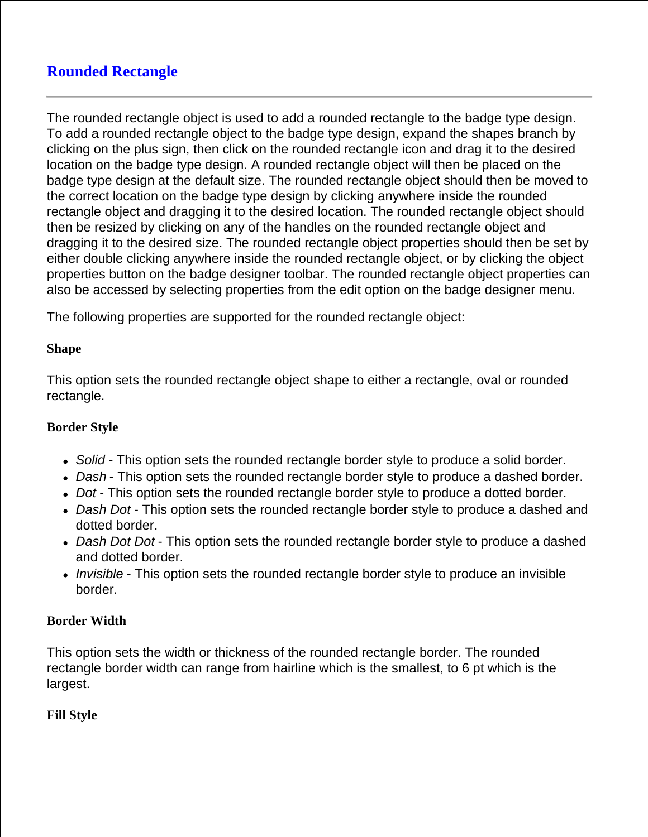# **Rounded Rectangle**

The rounded rectangle object is used to add a rounded rectangle to the badge type design. To add a rounded rectangle object to the badge type design, expand the shapes branch by clicking on the plus sign, then click on the rounded rectangle icon and drag it to the desired location on the badge type design. A rounded rectangle object will then be placed on the badge type design at the default size. The rounded rectangle object should then be moved to the correct location on the badge type design by clicking anywhere inside the rounded rectangle object and dragging it to the desired location. The rounded rectangle object should then be resized by clicking on any of the handles on the rounded rectangle object and dragging it to the desired size. The rounded rectangle object properties should then be set by either double clicking anywhere inside the rounded rectangle object, or by clicking the object properties button on the badge designer toolbar. The rounded rectangle object properties can also be accessed by selecting properties from the edit option on the badge designer menu.

The following properties are supported for the rounded rectangle object:

## **Shape**

This option sets the rounded rectangle object shape to either a rectangle, oval or rounded rectangle.

## **Border Style**

- *Solid* This option sets the rounded rectangle border style to produce a solid border.
- *Dash* This option sets the rounded rectangle border style to produce a dashed border.
- *Dot* This option sets the rounded rectangle border style to produce a dotted border.
- *Dash Dot* This option sets the rounded rectangle border style to produce a dashed and dotted border.
- *Dash Dot Dot* This option sets the rounded rectangle border style to produce a dashed and dotted border.
- *Invisible* This option sets the rounded rectangle border style to produce an invisible border.

## **Border Width**

This option sets the width or thickness of the rounded rectangle border. The rounded rectangle border width can range from hairline which is the smallest, to 6 pt which is the largest.

## **Fill Style**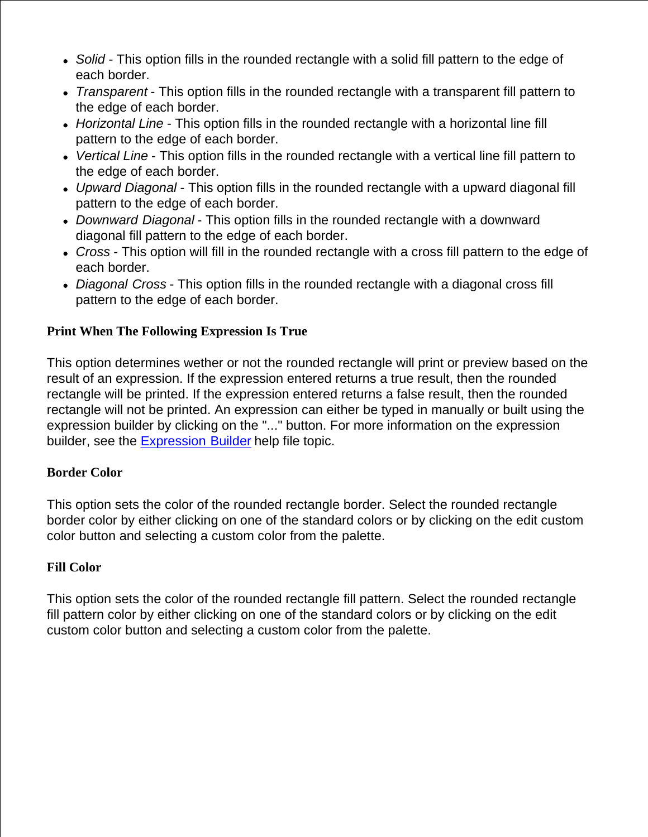- *Solid* This option fills in the rounded rectangle with a solid fill pattern to the edge of each border.
- *Transparent* This option fills in the rounded rectangle with a transparent fill pattern to the edge of each border.
- *Horizontal Line* This option fills in the rounded rectangle with a horizontal line fill pattern to the edge of each border.
- *Vertical Line* This option fills in the rounded rectangle with a vertical line fill pattern to the edge of each border.
- *Upward Diagonal* This option fills in the rounded rectangle with a upward diagonal fill pattern to the edge of each border.
- *Downward Diagonal* This option fills in the rounded rectangle with a downward diagonal fill pattern to the edge of each border.
- *Cross* This option will fill in the rounded rectangle with a cross fill pattern to the edge of each border.
- *Diagonal Cross* This option fills in the rounded rectangle with a diagonal cross fill pattern to the edge of each border.

## **Print When The Following Expression Is True**

This option determines wether or not the rounded rectangle will print or preview based on the result of an expression. If the expression entered returns a true result, then the rounded rectangle will be printed. If the expression entered returns a false result, then the rounded rectangle will not be printed. An expression can either be typed in manually or built using the expression builder by clicking on the "..." button. For more information on the expression builder, see the Expression Builder help file topic.

## **Border Color**

This option sets the color of the rounded rectangle border. Select the rounded rectangle border color by either clicking on one of the standard colors or by clicking on the edit custom color button and selecting a custom color from the palette.

## **Fill Color**

This option sets the color of the rounded rectangle fill pattern. Select the rounded rectangle fill pattern color by either clicking on one of the standard colors or by clicking on the edit custom color button and selecting a custom color from the palette.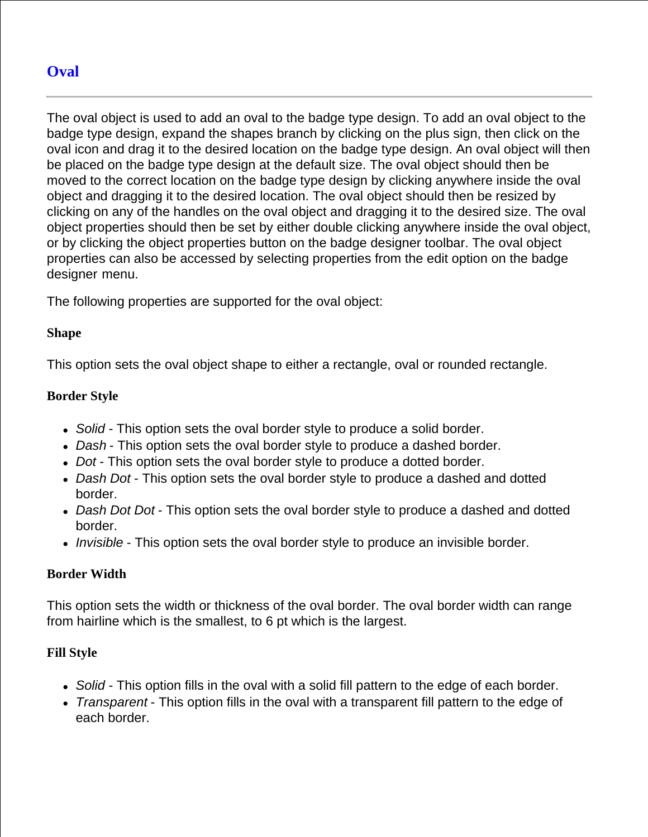# **Oval**

The oval object is used to add an oval to the badge type design. To add an oval object to the badge type design, expand the shapes branch by clicking on the plus sign, then click on the oval icon and drag it to the desired location on the badge type design. An oval object will then be placed on the badge type design at the default size. The oval object should then be moved to the correct location on the badge type design by clicking anywhere inside the oval object and dragging it to the desired location. The oval object should then be resized by clicking on any of the handles on the oval object and dragging it to the desired size. The oval object properties should then be set by either double clicking anywhere inside the oval object, or by clicking the object properties button on the badge designer toolbar. The oval object properties can also be accessed by selecting properties from the edit option on the badge designer menu.

The following properties are supported for the oval object:

### **Shape**

This option sets the oval object shape to either a rectangle, oval or rounded rectangle.

### **Border Style**

- *Solid* This option sets the oval border style to produce a solid border.
- *Dash* This option sets the oval border style to produce a dashed border.
- *Dot* This option sets the oval border style to produce a dotted border.
- *Dash Dot* This option sets the oval border style to produce a dashed and dotted border.
- *Dash Dot Dot* This option sets the oval border style to produce a dashed and dotted border.
- *Invisible* This option sets the oval border style to produce an invisible border.

## **Border Width**

This option sets the width or thickness of the oval border. The oval border width can range from hairline which is the smallest, to 6 pt which is the largest.

#### **Fill Style**

- *Solid* This option fills in the oval with a solid fill pattern to the edge of each border.
- *Transparent* This option fills in the oval with a transparent fill pattern to the edge of each border.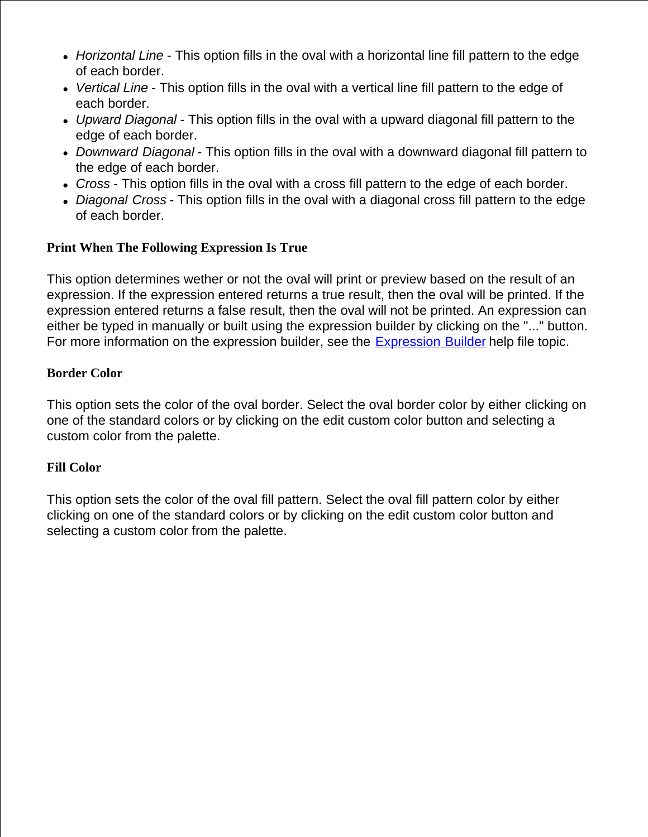- *Horizontal Line* This option fills in the oval with a horizontal line fill pattern to the edge of each border.
- *Vertical Line* This option fills in the oval with a vertical line fill pattern to the edge of each border.
- *Upward Diagonal* This option fills in the oval with a upward diagonal fill pattern to the edge of each border.
- *Downward Diagonal* This option fills in the oval with a downward diagonal fill pattern to the edge of each border.
- *Cross* This option fills in the oval with a cross fill pattern to the edge of each border.
- *Diagonal Cross* This option fills in the oval with a diagonal cross fill pattern to the edge of each border.

### **Print When The Following Expression Is True**

This option determines wether or not the oval will print or preview based on the result of an expression. If the expression entered returns a true result, then the oval will be printed. If the expression entered returns a false result, then the oval will not be printed. An expression can either be typed in manually or built using the expression builder by clicking on the "..." button. For more information on the expression builder, see the Expression Builder help file topic.

#### **Border Color**

This option sets the color of the oval border. Select the oval border color by either clicking on one of the standard colors or by clicking on the edit custom color button and selecting a custom color from the palette.

#### **Fill Color**

This option sets the color of the oval fill pattern. Select the oval fill pattern color by either clicking on one of the standard colors or by clicking on the edit custom color button and selecting a custom color from the palette.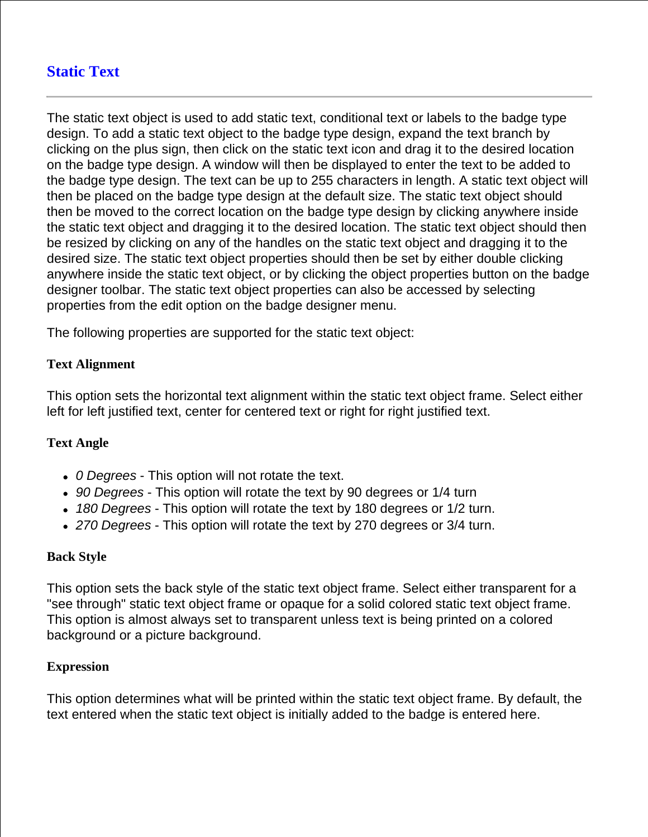# **Static Text**

The static text object is used to add static text, conditional text or labels to the badge type design. To add a static text object to the badge type design, expand the text branch by clicking on the plus sign, then click on the static text icon and drag it to the desired location on the badge type design. A window will then be displayed to enter the text to be added to the badge type design. The text can be up to 255 characters in length. A static text object will then be placed on the badge type design at the default size. The static text object should then be moved to the correct location on the badge type design by clicking anywhere inside the static text object and dragging it to the desired location. The static text object should then be resized by clicking on any of the handles on the static text object and dragging it to the desired size. The static text object properties should then be set by either double clicking anywhere inside the static text object, or by clicking the object properties button on the badge designer toolbar. The static text object properties can also be accessed by selecting properties from the edit option on the badge designer menu.

The following properties are supported for the static text object:

## **Text Alignment**

This option sets the horizontal text alignment within the static text object frame. Select either left for left justified text, center for centered text or right for right justified text.

## **Text Angle**

- *0 Degrees* This option will not rotate the text.
- *90 Degrees* This option will rotate the text by 90 degrees or 1/4 turn
- *180 Degrees* This option will rotate the text by 180 degrees or 1/2 turn.
- *270 Degrees* This option will rotate the text by 270 degrees or 3/4 turn.

## **Back Style**

This option sets the back style of the static text object frame. Select either transparent for a "see through" static text object frame or opaque for a solid colored static text object frame. This option is almost always set to transparent unless text is being printed on a colored background or a picture background.

#### **Expression**

This option determines what will be printed within the static text object frame. By default, the text entered when the static text object is initially added to the badge is entered here.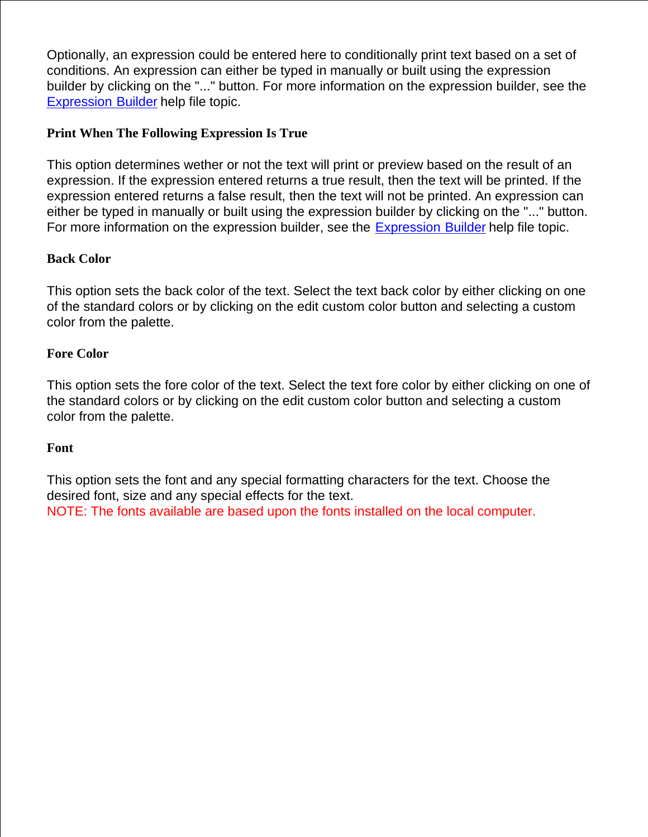Optionally, an expression could be entered here to conditionally print text based on a set of conditions. An expression can either be typed in manually or built using the expression builder by clicking on the "..." button. For more information on the expression builder, see the Expression Builder help file topic.

## **Print When The Following Expression Is True**

This option determines wether or not the text will print or preview based on the result of an expression. If the expression entered returns a true result, then the text will be printed. If the expression entered returns a false result, then the text will not be printed. An expression can either be typed in manually or built using the expression builder by clicking on the "..." button. For more information on the expression builder, see the Expression Builder help file topic.

## **Back Color**

This option sets the back color of the text. Select the text back color by either clicking on one of the standard colors or by clicking on the edit custom color button and selecting a custom color from the palette.

## **Fore Color**

This option sets the fore color of the text. Select the text fore color by either clicking on one of the standard colors or by clicking on the edit custom color button and selecting a custom color from the palette.

## **Font**

This option sets the font and any special formatting characters for the text. Choose the desired font, size and any special effects for the text. NOTE: The fonts available are based upon the fonts installed on the local computer.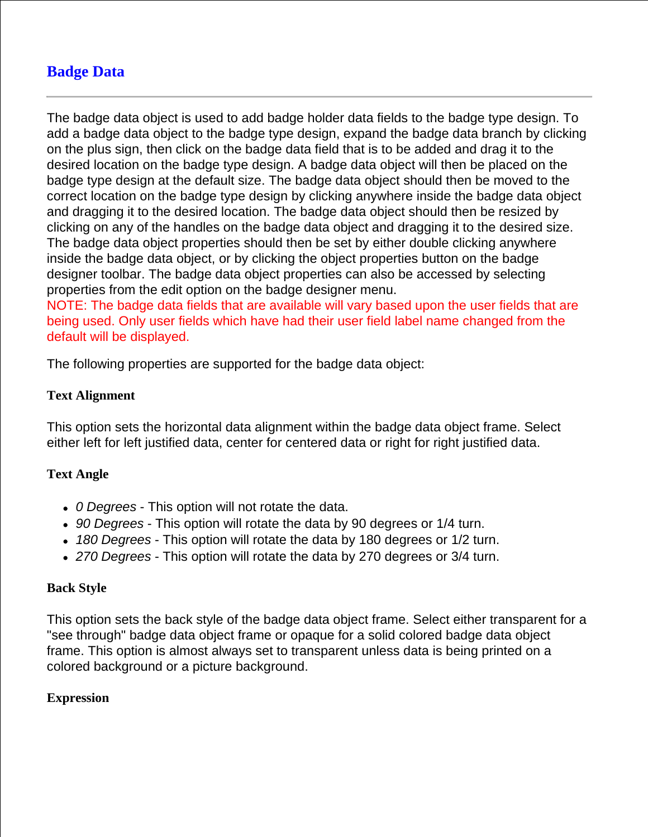# **Badge Data**

The badge data object is used to add badge holder data fields to the badge type design. To add a badge data object to the badge type design, expand the badge data branch by clicking on the plus sign, then click on the badge data field that is to be added and drag it to the desired location on the badge type design. A badge data object will then be placed on the badge type design at the default size. The badge data object should then be moved to the correct location on the badge type design by clicking anywhere inside the badge data object and dragging it to the desired location. The badge data object should then be resized by clicking on any of the handles on the badge data object and dragging it to the desired size. The badge data object properties should then be set by either double clicking anywhere inside the badge data object, or by clicking the object properties button on the badge designer toolbar. The badge data object properties can also be accessed by selecting properties from the edit option on the badge designer menu.

NOTE: The badge data fields that are available will vary based upon the user fields that are being used. Only user fields which have had their user field label name changed from the default will be displayed.

The following properties are supported for the badge data object:

## **Text Alignment**

This option sets the horizontal data alignment within the badge data object frame. Select either left for left justified data, center for centered data or right for right justified data.

## **Text Angle**

- *0 Degrees* This option will not rotate the data.
- *90 Degrees* This option will rotate the data by 90 degrees or 1/4 turn.
- *180 Degrees* This option will rotate the data by 180 degrees or 1/2 turn.
- *270 Degrees* This option will rotate the data by 270 degrees or 3/4 turn.

#### **Back Style**

This option sets the back style of the badge data object frame. Select either transparent for a "see through" badge data object frame or opaque for a solid colored badge data object frame. This option is almost always set to transparent unless data is being printed on a colored background or a picture background.

## **Expression**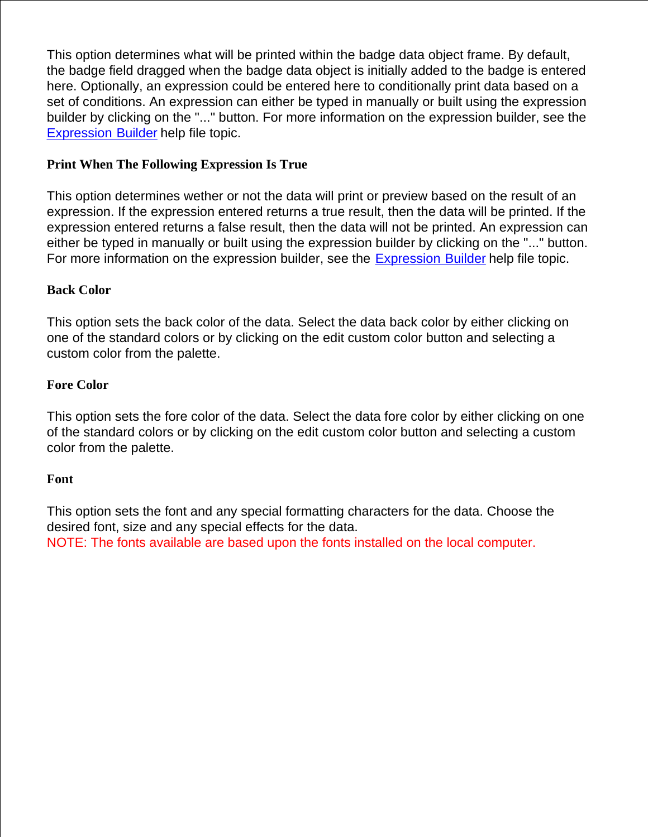This option determines what will be printed within the badge data object frame. By default, the badge field dragged when the badge data object is initially added to the badge is entered here. Optionally, an expression could be entered here to conditionally print data based on a set of conditions. An expression can either be typed in manually or built using the expression builder by clicking on the "..." button. For more information on the expression builder, see the Expression Builder help file topic.

## **Print When The Following Expression Is True**

This option determines wether or not the data will print or preview based on the result of an expression. If the expression entered returns a true result, then the data will be printed. If the expression entered returns a false result, then the data will not be printed. An expression can either be typed in manually or built using the expression builder by clicking on the "..." button. For more information on the expression builder, see the Expression Builder help file topic.

## **Back Color**

This option sets the back color of the data. Select the data back color by either clicking on one of the standard colors or by clicking on the edit custom color button and selecting a custom color from the palette.

## **Fore Color**

This option sets the fore color of the data. Select the data fore color by either clicking on one of the standard colors or by clicking on the edit custom color button and selecting a custom color from the palette.

## **Font**

This option sets the font and any special formatting characters for the data. Choose the desired font, size and any special effects for the data.

NOTE: The fonts available are based upon the fonts installed on the local computer.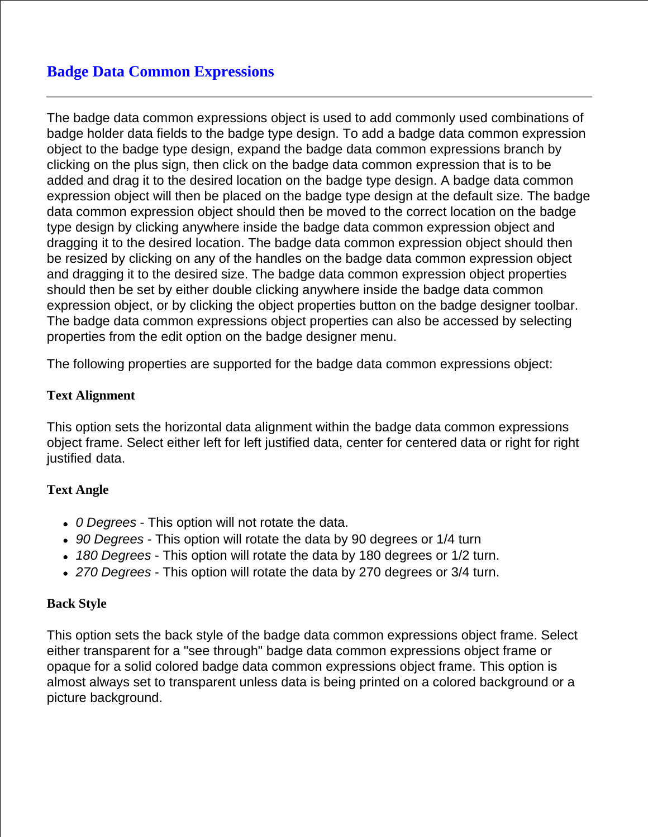# **Badge Data Common Expressions**

The badge data common expressions object is used to add commonly used combinations of badge holder data fields to the badge type design. To add a badge data common expression object to the badge type design, expand the badge data common expressions branch by clicking on the plus sign, then click on the badge data common expression that is to be added and drag it to the desired location on the badge type design. A badge data common expression object will then be placed on the badge type design at the default size. The badge data common expression object should then be moved to the correct location on the badge type design by clicking anywhere inside the badge data common expression object and dragging it to the desired location. The badge data common expression object should then be resized by clicking on any of the handles on the badge data common expression object and dragging it to the desired size. The badge data common expression object properties should then be set by either double clicking anywhere inside the badge data common expression object, or by clicking the object properties button on the badge designer toolbar. The badge data common expressions object properties can also be accessed by selecting properties from the edit option on the badge designer menu.

The following properties are supported for the badge data common expressions object:

### **Text Alignment**

This option sets the horizontal data alignment within the badge data common expressions object frame. Select either left for left justified data, center for centered data or right for right justified data.

## **Text Angle**

- *0 Degrees* This option will not rotate the data.
- *90 Degrees* This option will rotate the data by 90 degrees or 1/4 turn
- *180 Degrees* This option will rotate the data by 180 degrees or 1/2 turn.
- *270 Degrees* This option will rotate the data by 270 degrees or 3/4 turn.

#### **Back Style**

This option sets the back style of the badge data common expressions object frame. Select either transparent for a "see through" badge data common expressions object frame or opaque for a solid colored badge data common expressions object frame. This option is almost always set to transparent unless data is being printed on a colored background or a picture background.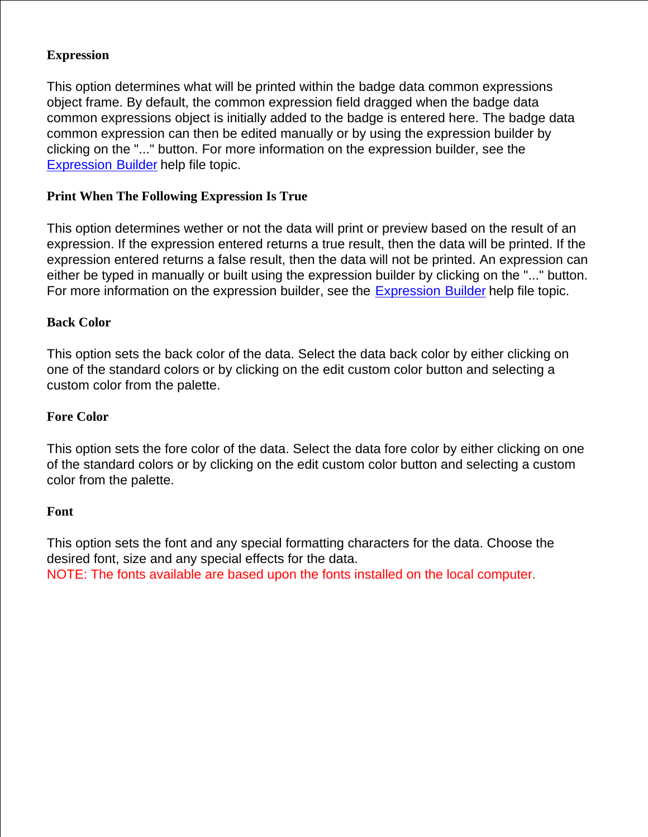## **Expression**

This option determines what will be printed within the badge data common expressions object frame. By default, the common expression field dragged when the badge data common expressions object is initially added to the badge is entered here. The badge data common expression can then be edited manually or by using the expression builder by clicking on the "..." button. For more information on the expression builder, see the Expression Builder help file topic.

## **Print When The Following Expression Is True**

This option determines wether or not the data will print or preview based on the result of an expression. If the expression entered returns a true result, then the data will be printed. If the expression entered returns a false result, then the data will not be printed. An expression can either be typed in manually or built using the expression builder by clicking on the "..." button. For more information on the expression builder, see the Expression Builder help file topic.

## **Back Color**

This option sets the back color of the data. Select the data back color by either clicking on one of the standard colors or by clicking on the edit custom color button and selecting a custom color from the palette.

## **Fore Color**

This option sets the fore color of the data. Select the data fore color by either clicking on one of the standard colors or by clicking on the edit custom color button and selecting a custom color from the palette.

## **Font**

This option sets the font and any special formatting characters for the data. Choose the desired font, size and any special effects for the data. NOTE: The fonts available are based upon the fonts installed on the local computer.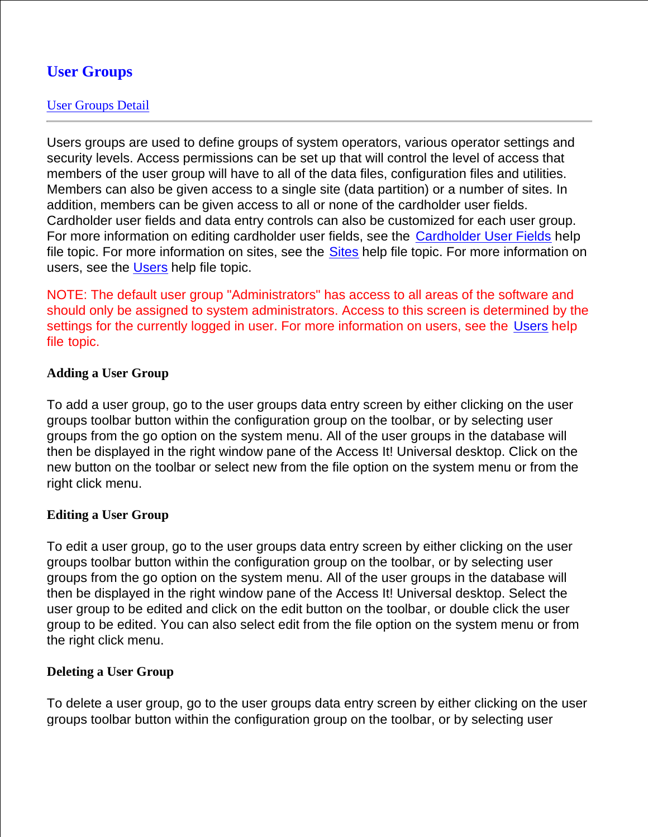# **User Groups**

## User Groups Detail

Users groups are used to define groups of system operators, various operator settings and security levels. Access permissions can be set up that will control the level of access that members of the user group will have to all of the data files, configuration files and utilities. Members can also be given access to a single site (data partition) or a number of sites. In addition, members can be given access to all or none of the cardholder user fields. Cardholder user fields and data entry controls can also be customized for each user group. For more information on editing cardholder user fields, see the Cardholder User Fields help file topic. For more information on sites, see the Sites help file topic. For more information on users, see the Users help file topic.

NOTE: The default user group "Administrators" has access to all areas of the software and should only be assigned to system administrators. Access to this screen is determined by the settings for the currently logged in user. For more information on users, see the Users help file topic.

## **Adding a User Group**

To add a user group, go to the user groups data entry screen by either clicking on the user groups toolbar button within the configuration group on the toolbar, or by selecting user groups from the go option on the system menu. All of the user groups in the database will then be displayed in the right window pane of the Access It! Universal desktop. Click on the new button on the toolbar or select new from the file option on the system menu or from the right click menu.

## **Editing a User Group**

To edit a user group, go to the user groups data entry screen by either clicking on the user groups toolbar button within the configuration group on the toolbar, or by selecting user groups from the go option on the system menu. All of the user groups in the database will then be displayed in the right window pane of the Access It! Universal desktop. Select the user group to be edited and click on the edit button on the toolbar, or double click the user group to be edited. You can also select edit from the file option on the system menu or from the right click menu.

## **Deleting a User Group**

To delete a user group, go to the user groups data entry screen by either clicking on the user groups toolbar button within the configuration group on the toolbar, or by selecting user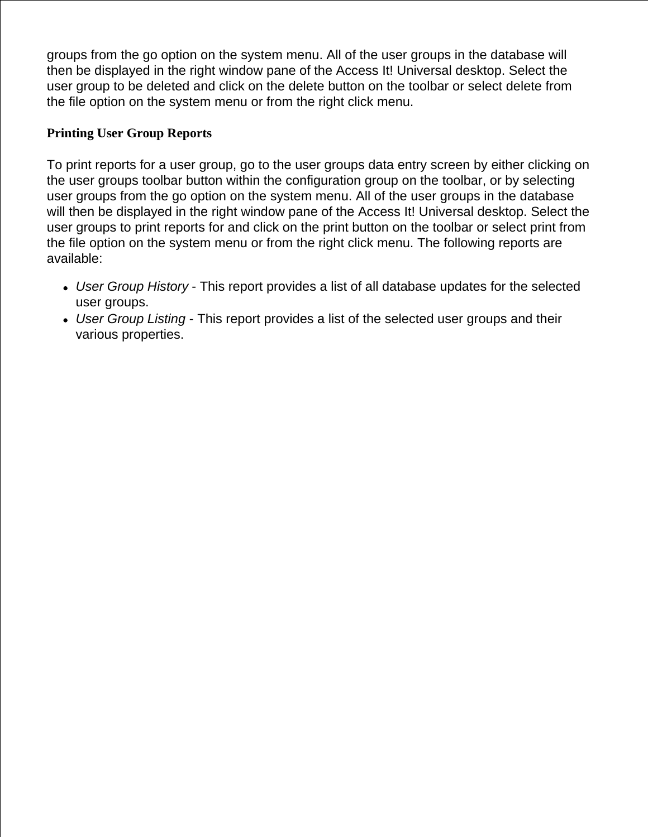groups from the go option on the system menu. All of the user groups in the database will then be displayed in the right window pane of the Access It! Universal desktop. Select the user group to be deleted and click on the delete button on the toolbar or select delete from the file option on the system menu or from the right click menu.

## **Printing User Group Reports**

To print reports for a user group, go to the user groups data entry screen by either clicking on the user groups toolbar button within the configuration group on the toolbar, or by selecting user groups from the go option on the system menu. All of the user groups in the database will then be displayed in the right window pane of the Access It! Universal desktop. Select the user groups to print reports for and click on the print button on the toolbar or select print from the file option on the system menu or from the right click menu. The following reports are available:

- *User Group History* This report provides a list of all database updates for the selected user groups.
- *User Group Listing* This report provides a list of the selected user groups and their various properties.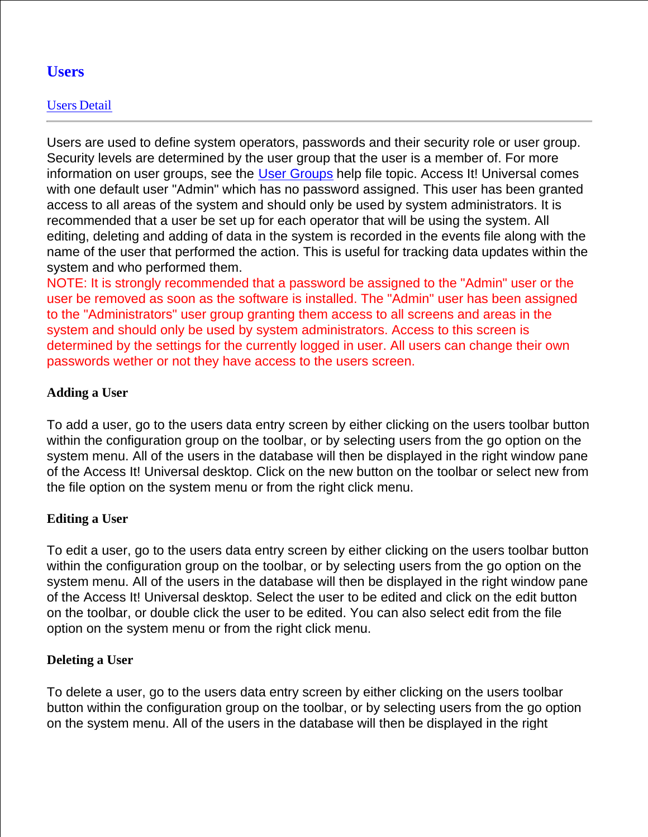# **Users**

# Users Detail

Users are used to define system operators, passwords and their security role or user group. Security levels are determined by the user group that the user is a member of. For more information on user groups, see the User Groups help file topic. Access It! Universal comes with one default user "Admin" which has no password assigned. This user has been granted access to all areas of the system and should only be used by system administrators. It is recommended that a user be set up for each operator that will be using the system. All editing, deleting and adding of data in the system is recorded in the events file along with the name of the user that performed the action. This is useful for tracking data updates within the system and who performed them.

NOTE: It is strongly recommended that a password be assigned to the "Admin" user or the user be removed as soon as the software is installed. The "Admin" user has been assigned to the "Administrators" user group granting them access to all screens and areas in the system and should only be used by system administrators. Access to this screen is determined by the settings for the currently logged in user. All users can change their own passwords wether or not they have access to the users screen.

## **Adding a User**

To add a user, go to the users data entry screen by either clicking on the users toolbar button within the configuration group on the toolbar, or by selecting users from the go option on the system menu. All of the users in the database will then be displayed in the right window pane of the Access It! Universal desktop. Click on the new button on the toolbar or select new from the file option on the system menu or from the right click menu.

## **Editing a User**

To edit a user, go to the users data entry screen by either clicking on the users toolbar button within the configuration group on the toolbar, or by selecting users from the go option on the system menu. All of the users in the database will then be displayed in the right window pane of the Access It! Universal desktop. Select the user to be edited and click on the edit button on the toolbar, or double click the user to be edited. You can also select edit from the file option on the system menu or from the right click menu.

## **Deleting a User**

To delete a user, go to the users data entry screen by either clicking on the users toolbar button within the configuration group on the toolbar, or by selecting users from the go option on the system menu. All of the users in the database will then be displayed in the right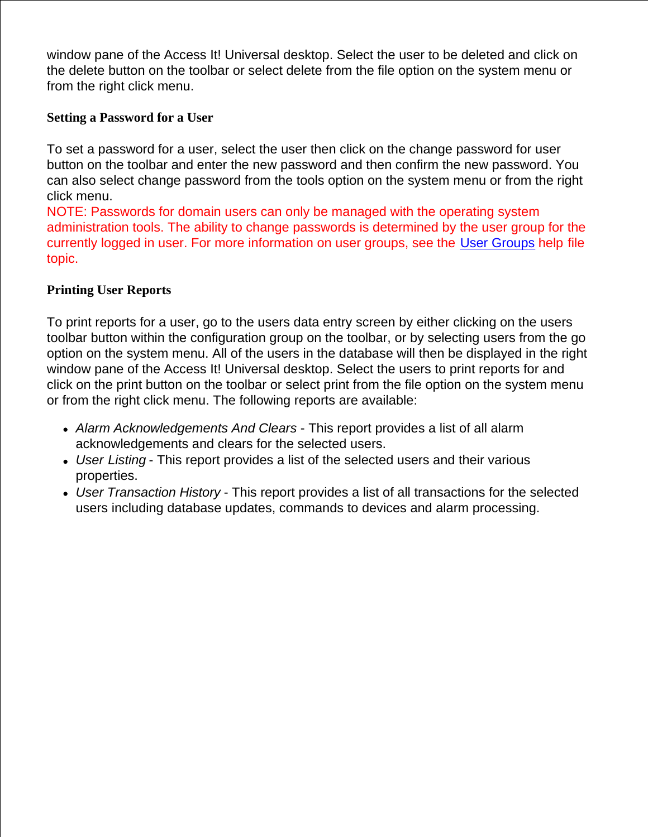window pane of the Access It! Universal desktop. Select the user to be deleted and click on the delete button on the toolbar or select delete from the file option on the system menu or from the right click menu.

## **Setting a Password for a User**

To set a password for a user, select the user then click on the change password for user button on the toolbar and enter the new password and then confirm the new password. You can also select change password from the tools option on the system menu or from the right click menu.

NOTE: Passwords for domain users can only be managed with the operating system administration tools. The ability to change passwords is determined by the user group for the currently logged in user. For more information on user groups, see the User Groups help file topic.

### **Printing User Reports**

To print reports for a user, go to the users data entry screen by either clicking on the users toolbar button within the configuration group on the toolbar, or by selecting users from the go option on the system menu. All of the users in the database will then be displayed in the right window pane of the Access It! Universal desktop. Select the users to print reports for and click on the print button on the toolbar or select print from the file option on the system menu or from the right click menu. The following reports are available:

- *Alarm Acknowledgements And Clears* This report provides a list of all alarm acknowledgements and clears for the selected users.
- *User Listing* This report provides a list of the selected users and their various properties.
- *User Transaction History* This report provides a list of all transactions for the selected users including database updates, commands to devices and alarm processing.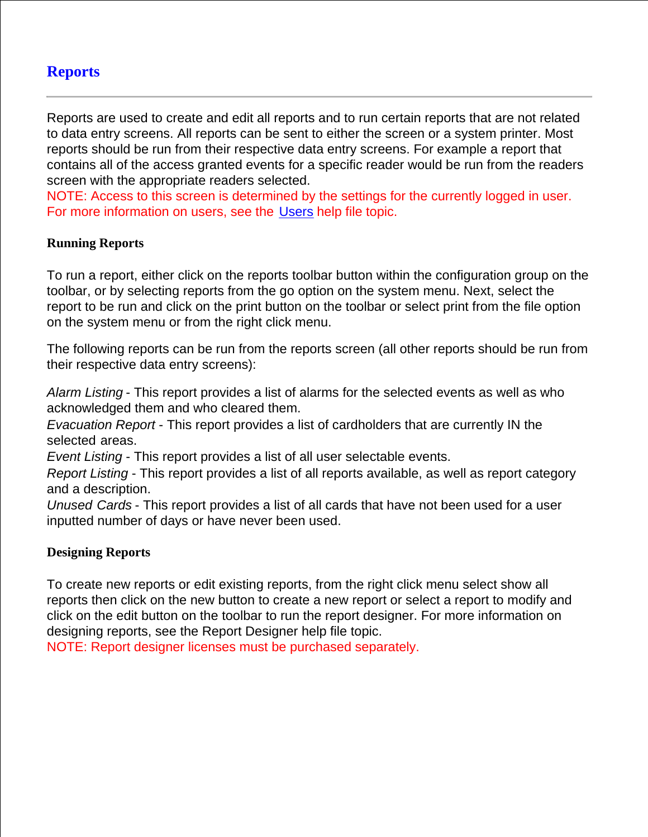## **Reports**

Reports are used to create and edit all reports and to run certain reports that are not related to data entry screens. All reports can be sent to either the screen or a system printer. Most reports should be run from their respective data entry screens. For example a report that contains all of the access granted events for a specific reader would be run from the readers screen with the appropriate readers selected.

NOTE: Access to this screen is determined by the settings for the currently logged in user. For more information on users, see the Users help file topic.

### **Running Reports**

To run a report, either click on the reports toolbar button within the configuration group on the toolbar, or by selecting reports from the go option on the system menu. Next, select the report to be run and click on the print button on the toolbar or select print from the file option on the system menu or from the right click menu.

The following reports can be run from the reports screen (all other reports should be run from their respective data entry screens):

*Alarm Listing* - This report provides a list of alarms for the selected events as well as who acknowledged them and who cleared them.

*Evacuation Report* - This report provides a list of cardholders that are currently IN the selected areas.

*Event Listing* - This report provides a list of all user selectable events.

*Report Listing* - This report provides a list of all reports available, as well as report category and a description.

*Unused Cards* - This report provides a list of all cards that have not been used for a user inputted number of days or have never been used.

#### **Designing Reports**

To create new reports or edit existing reports, from the right click menu select show all reports then click on the new button to create a new report or select a report to modify and click on the edit button on the toolbar to run the report designer. For more information on designing reports, see the Report Designer help file topic.

NOTE: Report designer licenses must be purchased separately.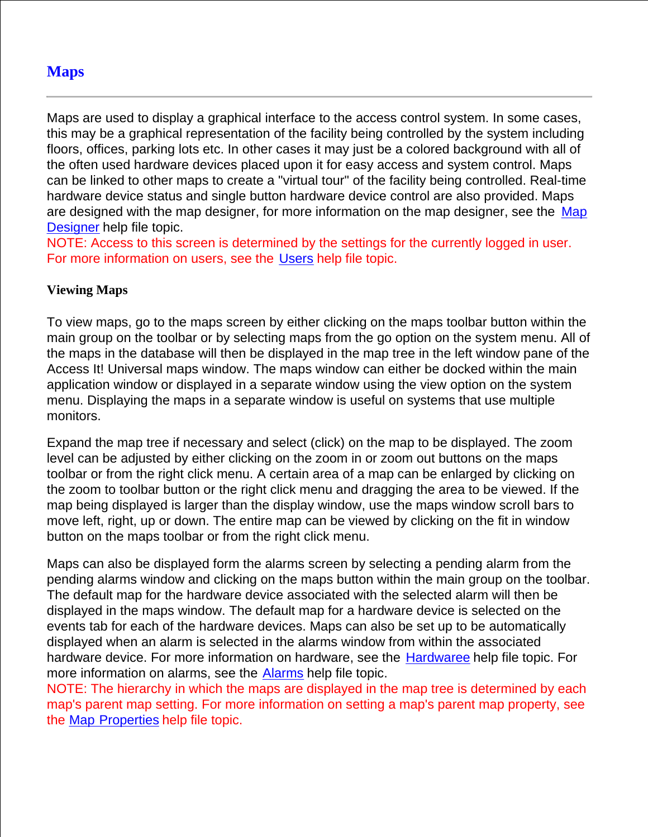# **Maps**

Maps are used to display a graphical interface to the access control system. In some cases, this may be a graphical representation of the facility being controlled by the system including floors, offices, parking lots etc. In other cases it may just be a colored background with all of the often used hardware devices placed upon it for easy access and system control. Maps can be linked to other maps to create a "virtual tour" of the facility being controlled. Real-time hardware device status and single button hardware device control are also provided. Maps are designed with the map designer, for more information on the map designer, see the Map Designer help file topic.

NOTE: Access to this screen is determined by the settings for the currently logged in user. For more information on users, see the Users help file topic.

## **Viewing Maps**

To view maps, go to the maps screen by either clicking on the maps toolbar button within the main group on the toolbar or by selecting maps from the go option on the system menu. All of the maps in the database will then be displayed in the map tree in the left window pane of the Access It! Universal maps window. The maps window can either be docked within the main application window or displayed in a separate window using the view option on the system menu. Displaying the maps in a separate window is useful on systems that use multiple monitors.

Expand the map tree if necessary and select (click) on the map to be displayed. The zoom level can be adjusted by either clicking on the zoom in or zoom out buttons on the maps toolbar or from the right click menu. A certain area of a map can be enlarged by clicking on the zoom to toolbar button or the right click menu and dragging the area to be viewed. If the map being displayed is larger than the display window, use the maps window scroll bars to move left, right, up or down. The entire map can be viewed by clicking on the fit in window button on the maps toolbar or from the right click menu.

Maps can also be displayed form the alarms screen by selecting a pending alarm from the pending alarms window and clicking on the maps button within the main group on the toolbar. The default map for the hardware device associated with the selected alarm will then be displayed in the maps window. The default map for a hardware device is selected on the events tab for each of the hardware devices. Maps can also be set up to be automatically displayed when an alarm is selected in the alarms window from within the associated hardware device. For more information on hardware, see the Hardwaree help file topic. For more information on alarms, see the Alarms help file topic.

NOTE: The hierarchy in which the maps are displayed in the map tree is determined by each map's parent map setting. For more information on setting a map's parent map property, see the Map Properties help file topic.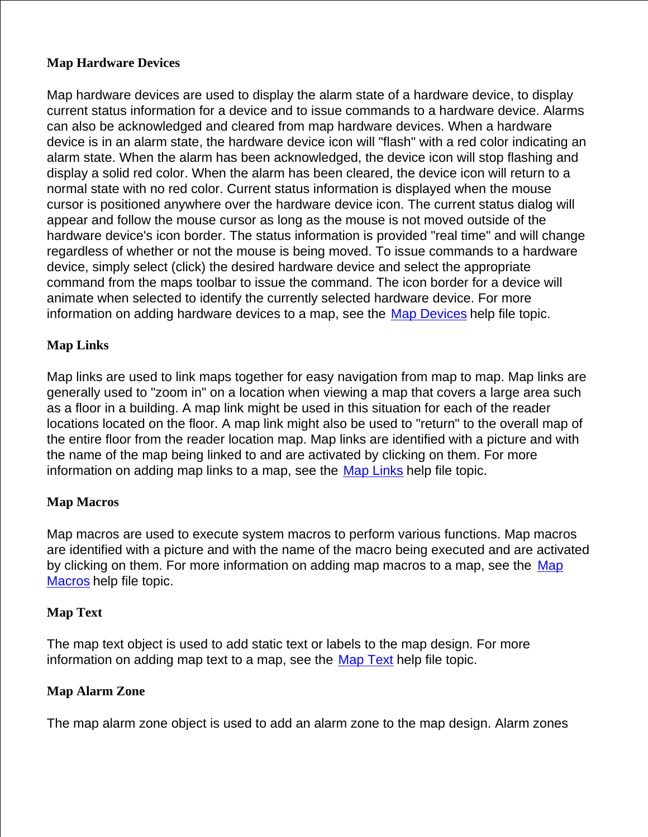## **Map Hardware Devices**

Map hardware devices are used to display the alarm state of a hardware device, to display current status information for a device and to issue commands to a hardware device. Alarms can also be acknowledged and cleared from map hardware devices. When a hardware device is in an alarm state, the hardware device icon will "flash" with a red color indicating an alarm state. When the alarm has been acknowledged, the device icon will stop flashing and display a solid red color. When the alarm has been cleared, the device icon will return to a normal state with no red color. Current status information is displayed when the mouse cursor is positioned anywhere over the hardware device icon. The current status dialog will appear and follow the mouse cursor as long as the mouse is not moved outside of the hardware device's icon border. The status information is provided "real time" and will change regardless of whether or not the mouse is being moved. To issue commands to a hardware device, simply select (click) the desired hardware device and select the appropriate command from the maps toolbar to issue the command. The icon border for a device will animate when selected to identify the currently selected hardware device. For more information on adding hardware devices to a map, see the Map Devices help file topic.

## **Map Links**

Map links are used to link maps together for easy navigation from map to map. Map links are generally used to "zoom in" on a location when viewing a map that covers a large area such as a floor in a building. A map link might be used in this situation for each of the reader locations located on the floor. A map link might also be used to "return" to the overall map of the entire floor from the reader location map. Map links are identified with a picture and with the name of the map being linked to and are activated by clicking on them. For more information on adding map links to a map, see the Map Links help file topic.

## **Map Macros**

Map macros are used to execute system macros to perform various functions. Map macros are identified with a picture and with the name of the macro being executed and are activated by clicking on them. For more information on adding map macros to a map, see the Map Macros help file topic.

#### **Map Text**

The map text object is used to add static text or labels to the map design. For more information on adding map text to a map, see the Map Text help file topic.

#### **Map Alarm Zone**

The map alarm zone object is used to add an alarm zone to the map design. Alarm zones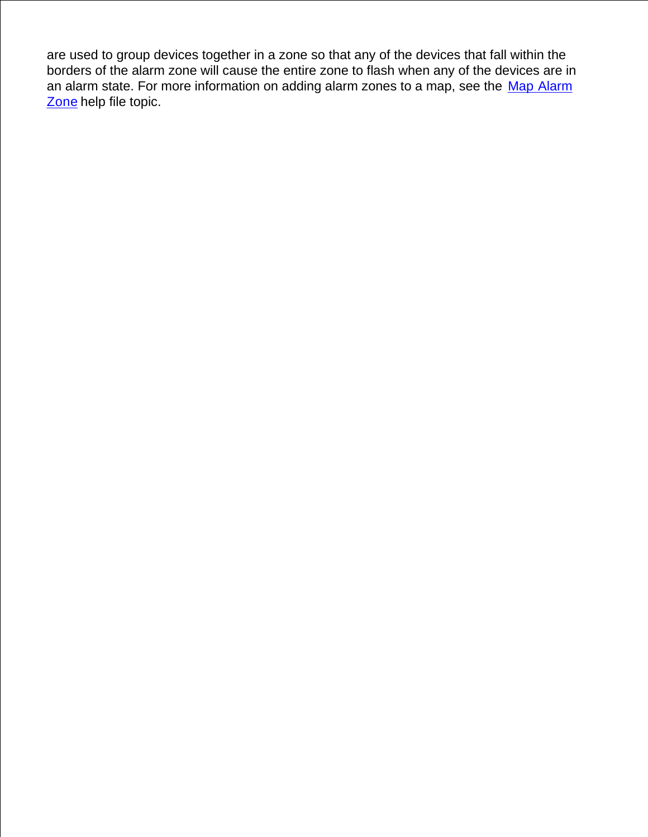are used to group devices together in a zone so that any of the devices that fall within the borders of the alarm zone will cause the entire zone to flash when any of the devices are in an alarm state. For more information on adding alarm zones to a map, see the Map Alarm Zone help file topic.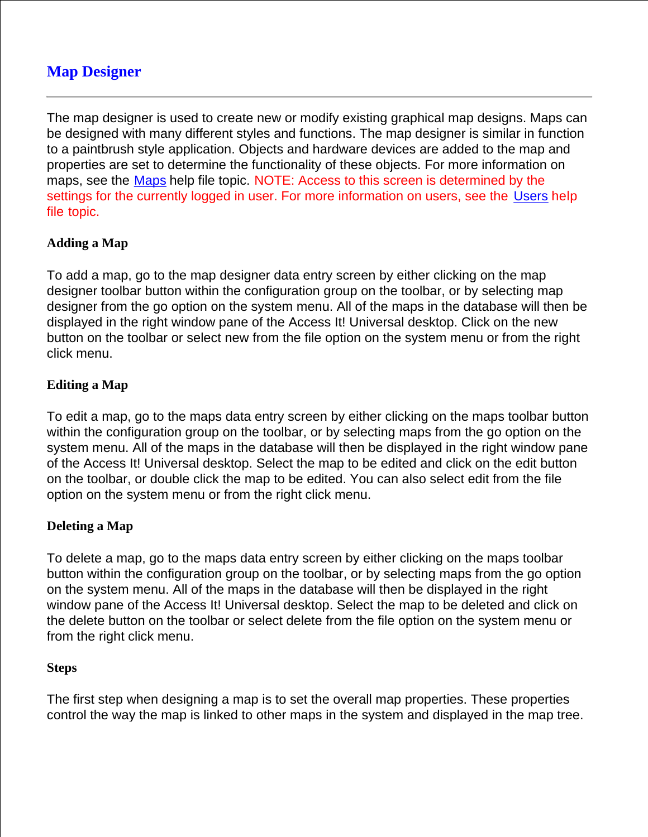# **Map Designer**

The map designer is used to create new or modify existing graphical map designs. Maps can be designed with many different styles and functions. The map designer is similar in function to a paintbrush style application. Objects and hardware devices are added to the map and properties are set to determine the functionality of these objects. For more information on maps, see the Maps help file topic. NOTE: Access to this screen is determined by the settings for the currently logged in user. For more information on users, see the Users help file topic.

## **Adding a Map**

To add a map, go to the map designer data entry screen by either clicking on the map designer toolbar button within the configuration group on the toolbar, or by selecting map designer from the go option on the system menu. All of the maps in the database will then be displayed in the right window pane of the Access It! Universal desktop. Click on the new button on the toolbar or select new from the file option on the system menu or from the right click menu.

## **Editing a Map**

To edit a map, go to the maps data entry screen by either clicking on the maps toolbar button within the configuration group on the toolbar, or by selecting maps from the go option on the system menu. All of the maps in the database will then be displayed in the right window pane of the Access It! Universal desktop. Select the map to be edited and click on the edit button on the toolbar, or double click the map to be edited. You can also select edit from the file option on the system menu or from the right click menu.

## **Deleting a Map**

To delete a map, go to the maps data entry screen by either clicking on the maps toolbar button within the configuration group on the toolbar, or by selecting maps from the go option on the system menu. All of the maps in the database will then be displayed in the right window pane of the Access It! Universal desktop. Select the map to be deleted and click on the delete button on the toolbar or select delete from the file option on the system menu or from the right click menu.

#### **Steps**

The first step when designing a map is to set the overall map properties. These properties control the way the map is linked to other maps in the system and displayed in the map tree.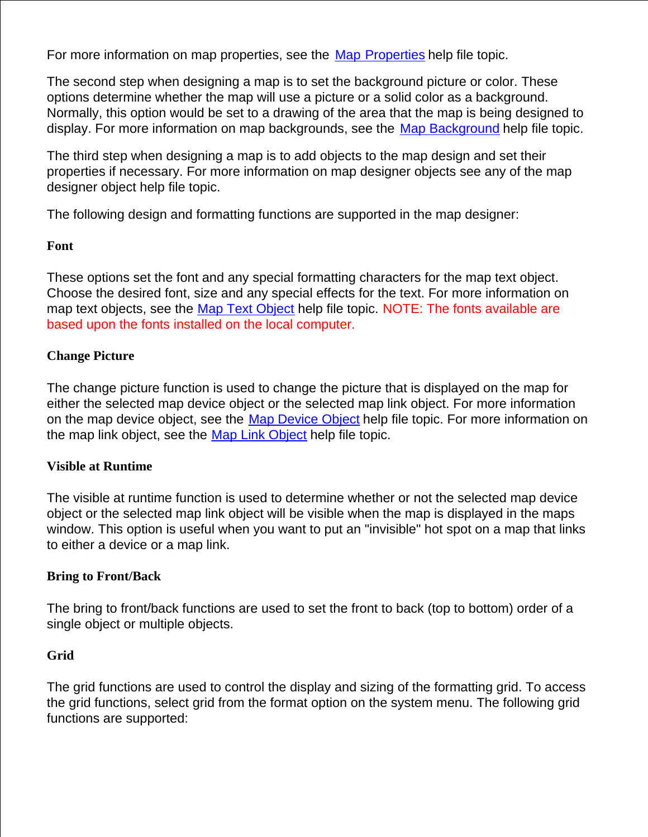For more information on map properties, see the Map Properties help file topic.

The second step when designing a map is to set the background picture or color. These options determine whether the map will use a picture or a solid color as a background. Normally, this option would be set to a drawing of the area that the map is being designed to display. For more information on map backgrounds, see the Map Background help file topic.

The third step when designing a map is to add objects to the map design and set their properties if necessary. For more information on map designer objects see any of the map designer object help file topic.

The following design and formatting functions are supported in the map designer:

## **Font**

These options set the font and any special formatting characters for the map text object. Choose the desired font, size and any special effects for the text. For more information on map text objects, see the Map Text Object help file topic. NOTE: The fonts available are based upon the fonts installed on the local computer.

## **Change Picture**

The change picture function is used to change the picture that is displayed on the map for either the selected map device object or the selected map link object. For more information on the map device object, see the Map Device Object help file topic. For more information on the map link object, see the Map Link Object help file topic.

## **Visible at Runtime**

The visible at runtime function is used to determine whether or not the selected map device object or the selected map link object will be visible when the map is displayed in the maps window. This option is useful when you want to put an "invisible" hot spot on a map that links to either a device or a map link.

## **Bring to Front/Back**

The bring to front/back functions are used to set the front to back (top to bottom) order of a single object or multiple objects.

## **Grid**

The grid functions are used to control the display and sizing of the formatting grid. To access the grid functions, select grid from the format option on the system menu. The following grid functions are supported: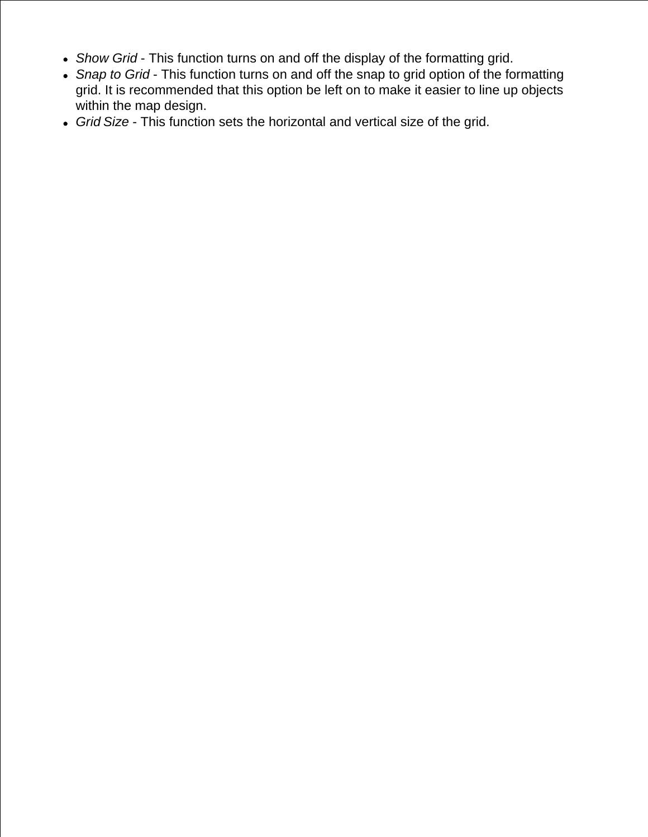- *Show Grid* This function turns on and off the display of the formatting grid.
- *Snap to Grid* This function turns on and off the snap to grid option of the formatting grid. It is recommended that this option be left on to make it easier to line up objects within the map design.
- *Grid Size* This function sets the horizontal and vertical size of the grid.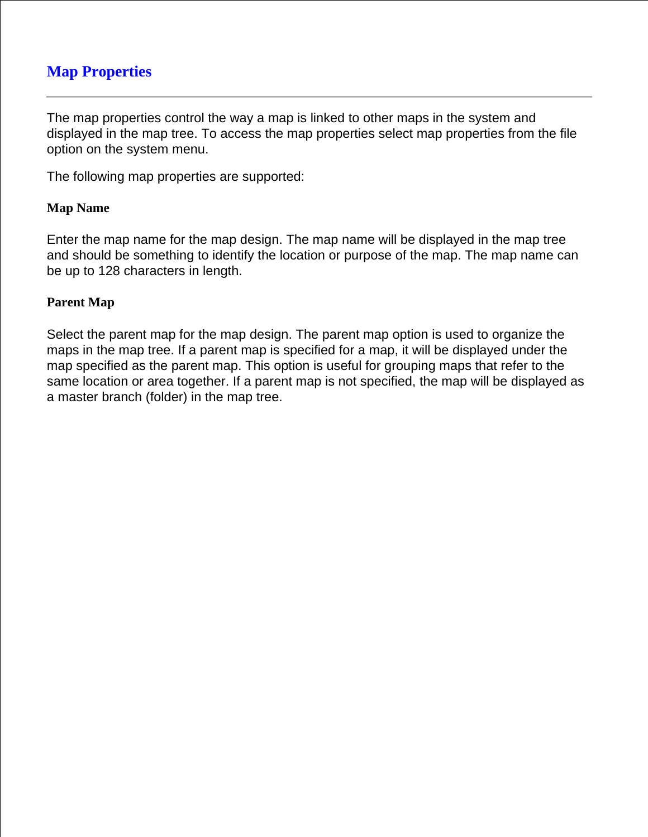# **Map Properties**

The map properties control the way a map is linked to other maps in the system and displayed in the map tree. To access the map properties select map properties from the file option on the system menu.

The following map properties are supported:

### **Map Name**

Enter the map name for the map design. The map name will be displayed in the map tree and should be something to identify the location or purpose of the map. The map name can be up to 128 characters in length.

### **Parent Map**

Select the parent map for the map design. The parent map option is used to organize the maps in the map tree. If a parent map is specified for a map, it will be displayed under the map specified as the parent map. This option is useful for grouping maps that refer to the same location or area together. If a parent map is not specified, the map will be displayed as a master branch (folder) in the map tree.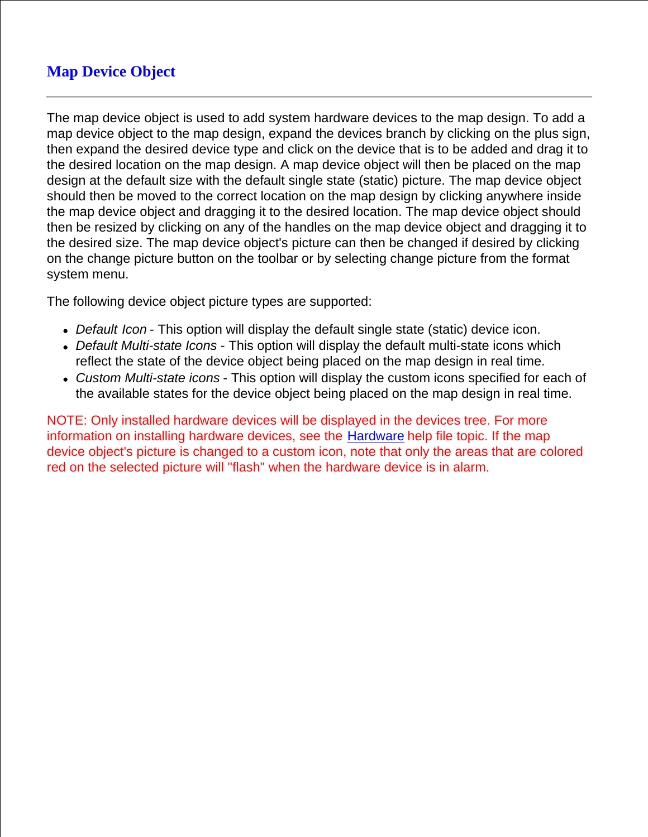# **Map Device Object**

The map device object is used to add system hardware devices to the map design. To add a map device object to the map design, expand the devices branch by clicking on the plus sign, then expand the desired device type and click on the device that is to be added and drag it to the desired location on the map design. A map device object will then be placed on the map design at the default size with the default single state (static) picture. The map device object should then be moved to the correct location on the map design by clicking anywhere inside the map device object and dragging it to the desired location. The map device object should then be resized by clicking on any of the handles on the map device object and dragging it to the desired size. The map device object's picture can then be changed if desired by clicking on the change picture button on the toolbar or by selecting change picture from the format system menu.

The following device object picture types are supported:

- *Default Icon* This option will display the default single state (static) device icon.
- *Default Multi-state Icons* This option will display the default multi-state icons which reflect the state of the device object being placed on the map design in real time.
- *Custom Multi-state icons* This option will display the custom icons specified for each of the available states for the device object being placed on the map design in real time.

NOTE: Only installed hardware devices will be displayed in the devices tree. For more information on installing hardware devices, see the Hardware help file topic. If the map device object's picture is changed to a custom icon, note that only the areas that are colored red on the selected picture will "flash" when the hardware device is in alarm.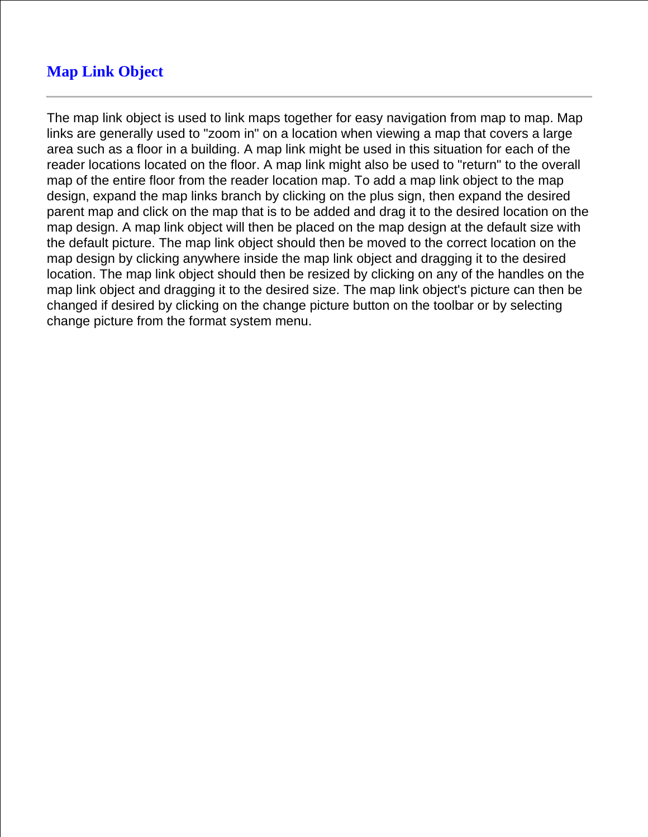# **Map Link Object**

The map link object is used to link maps together for easy navigation from map to map. Map links are generally used to "zoom in" on a location when viewing a map that covers a large area such as a floor in a building. A map link might be used in this situation for each of the reader locations located on the floor. A map link might also be used to "return" to the overall map of the entire floor from the reader location map. To add a map link object to the map design, expand the map links branch by clicking on the plus sign, then expand the desired parent map and click on the map that is to be added and drag it to the desired location on the map design. A map link object will then be placed on the map design at the default size with the default picture. The map link object should then be moved to the correct location on the map design by clicking anywhere inside the map link object and dragging it to the desired location. The map link object should then be resized by clicking on any of the handles on the map link object and dragging it to the desired size. The map link object's picture can then be changed if desired by clicking on the change picture button on the toolbar or by selecting change picture from the format system menu.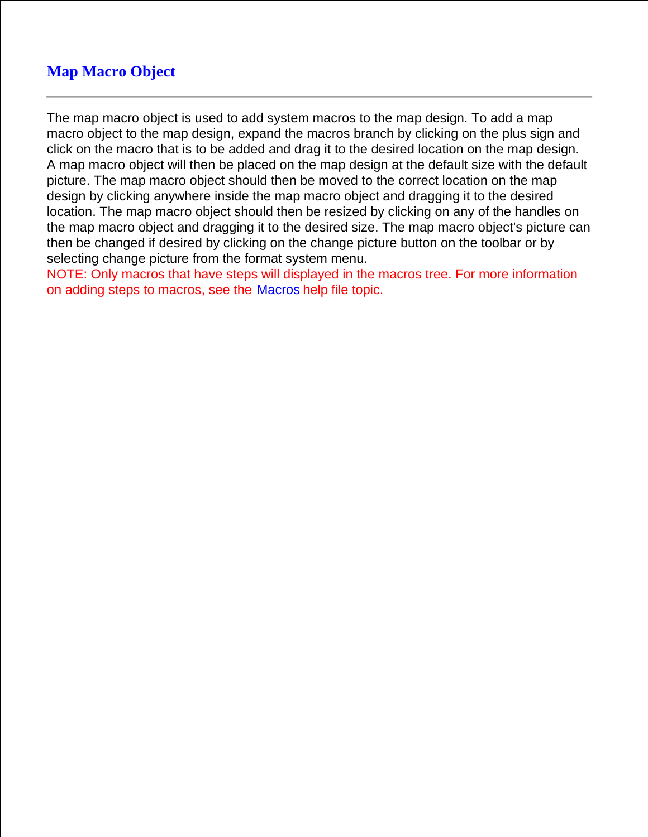# **Map Macro Object**

The map macro object is used to add system macros to the map design. To add a map macro object to the map design, expand the macros branch by clicking on the plus sign and click on the macro that is to be added and drag it to the desired location on the map design. A map macro object will then be placed on the map design at the default size with the default picture. The map macro object should then be moved to the correct location on the map design by clicking anywhere inside the map macro object and dragging it to the desired location. The map macro object should then be resized by clicking on any of the handles on the map macro object and dragging it to the desired size. The map macro object's picture can then be changed if desired by clicking on the change picture button on the toolbar or by selecting change picture from the format system menu.

NOTE: Only macros that have steps will displayed in the macros tree. For more information on adding steps to macros, see the Macros help file topic.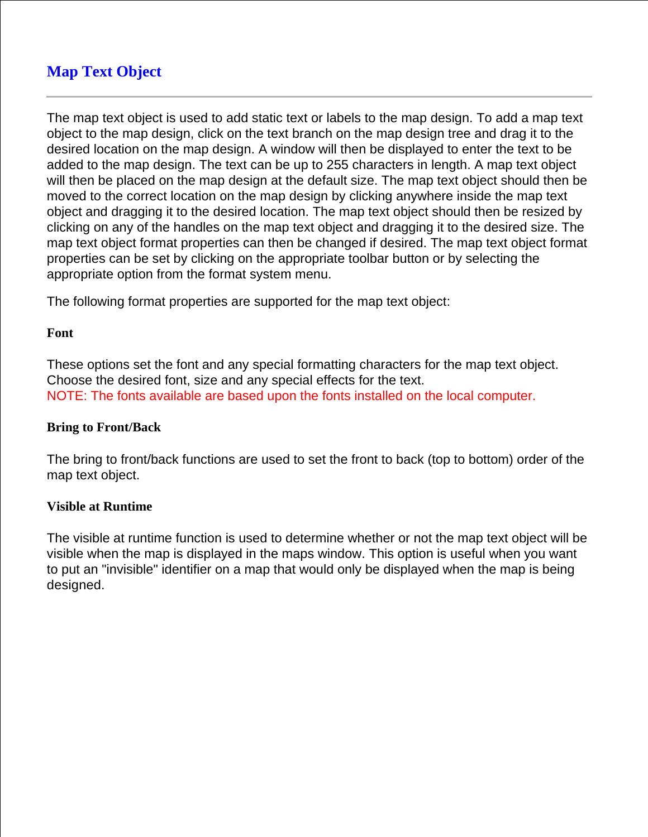# **Map Text Object**

The map text object is used to add static text or labels to the map design. To add a map text object to the map design, click on the text branch on the map design tree and drag it to the desired location on the map design. A window will then be displayed to enter the text to be added to the map design. The text can be up to 255 characters in length. A map text object will then be placed on the map design at the default size. The map text object should then be moved to the correct location on the map design by clicking anywhere inside the map text object and dragging it to the desired location. The map text object should then be resized by clicking on any of the handles on the map text object and dragging it to the desired size. The map text object format properties can then be changed if desired. The map text object format properties can be set by clicking on the appropriate toolbar button or by selecting the appropriate option from the format system menu.

The following format properties are supported for the map text object:

#### **Font**

These options set the font and any special formatting characters for the map text object. Choose the desired font, size and any special effects for the text. NOTE: The fonts available are based upon the fonts installed on the local computer.

#### **Bring to Front/Back**

The bring to front/back functions are used to set the front to back (top to bottom) order of the map text object.

## **Visible at Runtime**

The visible at runtime function is used to determine whether or not the map text object will be visible when the map is displayed in the maps window. This option is useful when you want to put an "invisible" identifier on a map that would only be displayed when the map is being designed.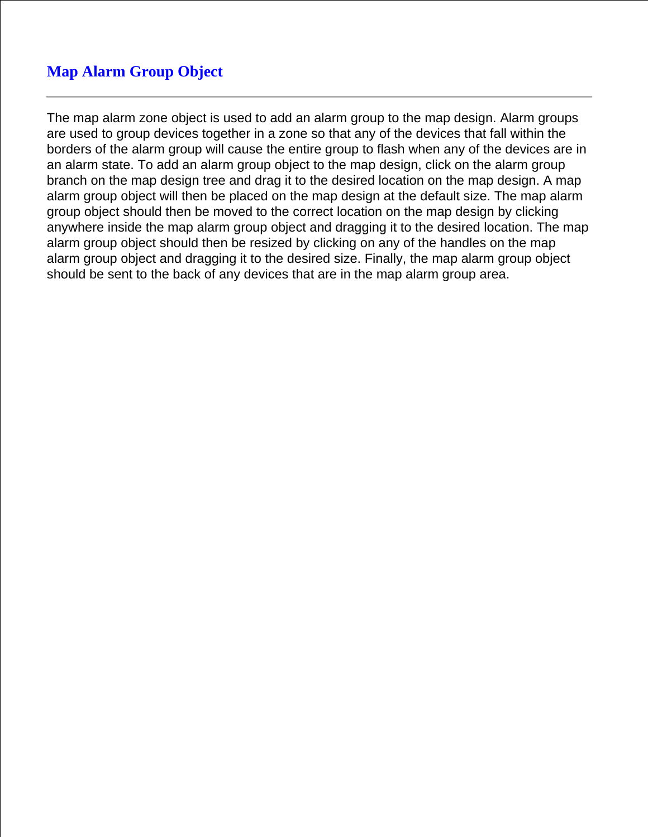# **Map Alarm Group Object**

The map alarm zone object is used to add an alarm group to the map design. Alarm groups are used to group devices together in a zone so that any of the devices that fall within the borders of the alarm group will cause the entire group to flash when any of the devices are in an alarm state. To add an alarm group object to the map design, click on the alarm group branch on the map design tree and drag it to the desired location on the map design. A map alarm group object will then be placed on the map design at the default size. The map alarm group object should then be moved to the correct location on the map design by clicking anywhere inside the map alarm group object and dragging it to the desired location. The map alarm group object should then be resized by clicking on any of the handles on the map alarm group object and dragging it to the desired size. Finally, the map alarm group object should be sent to the back of any devices that are in the map alarm group area.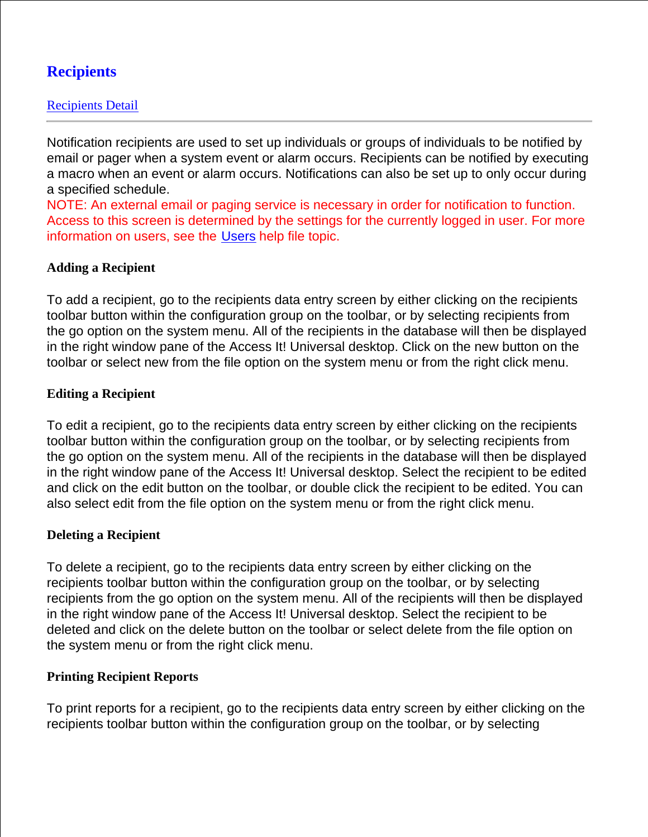# **Recipients**

Notification recipients are used to set up individuals or groups of individuals to be notified by email or pager when a system event or alarm occurs. Recipients can be notified by executing a macro when an event or alarm occurs. Notifications can also be set up to only occur during a specified schedule.

NOTE: An external email or paging service is necessary in order for notification to function. Access to this screen is determined by the settings for the currently logged in user. For more information on users, see the Users help file topic.

## **Adding a Recipient**

To add a recipient, go to the recipients data entry screen by either clicking on the recipients toolbar button within the configuration group on the toolbar, or by selecting recipients from the go option on the system menu. All of the recipients in the database will then be displayed in the right window pane of the Access It! Universal desktop. Click on the new button on the toolbar or select new from the file option on the system menu or from the right click menu.

## **Editing a Recipient**

To edit a recipient, go to the recipients data entry screen by either clicking on the recipients toolbar button within the configuration group on the toolbar, or by selecting recipients from the go option on the system menu. All of the recipients in the database will then be displayed in the right window pane of the Access It! Universal desktop. Select the recipient to be edited and click on the edit button on the toolbar, or double click the recipient to be edited. You can also select edit from the file option on the system menu or from the right click menu.

## **Deleting a Recipient**

To delete a recipient, go to the recipients data entry screen by either clicking on the recipients toolbar button within the configuration group on the toolbar, or by selecting recipients from the go option on the system menu. All of the recipients will then be displayed in the right window pane of the Access It! Universal desktop. Select the recipient to be deleted and click on the delete button on the toolbar or select delete from the file option on the system menu or from the right click menu.

## **Printing Recipient Reports**

To print reports for a recipient, go to the recipients data entry screen by either clicking on the recipients toolbar button within the configuration group on the toolbar, or by selecting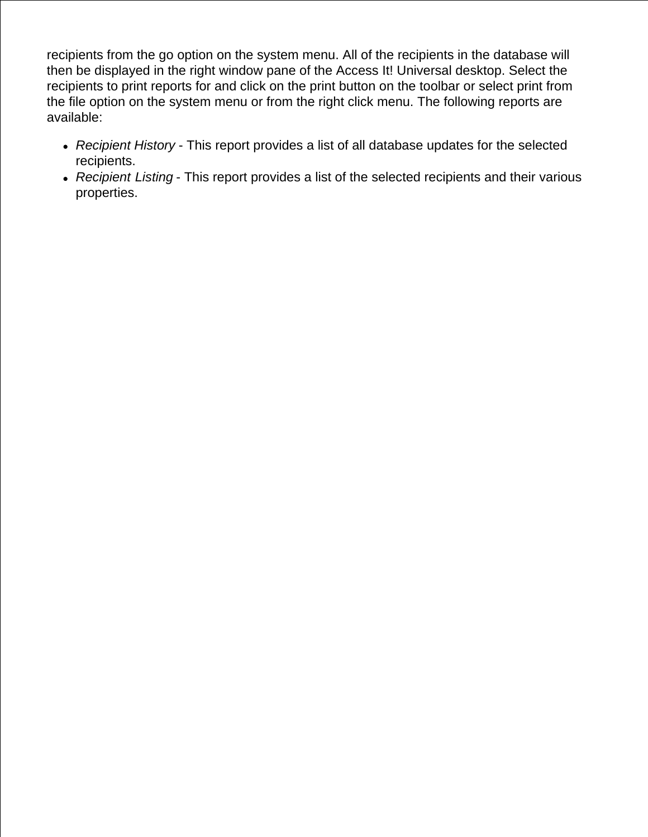recipients from the go option on the system menu. All of the recipients in the database will then be displayed in the right window pane of the Access It! Universal desktop. Select the recipients to print reports for and click on the print button on the toolbar or select print from the file option on the system menu or from the right click menu. The following reports are available:

- *Recipient History* This report provides a list of all database updates for the selected recipients.
- *Recipient Listing* This report provides a list of the selected recipients and their various properties.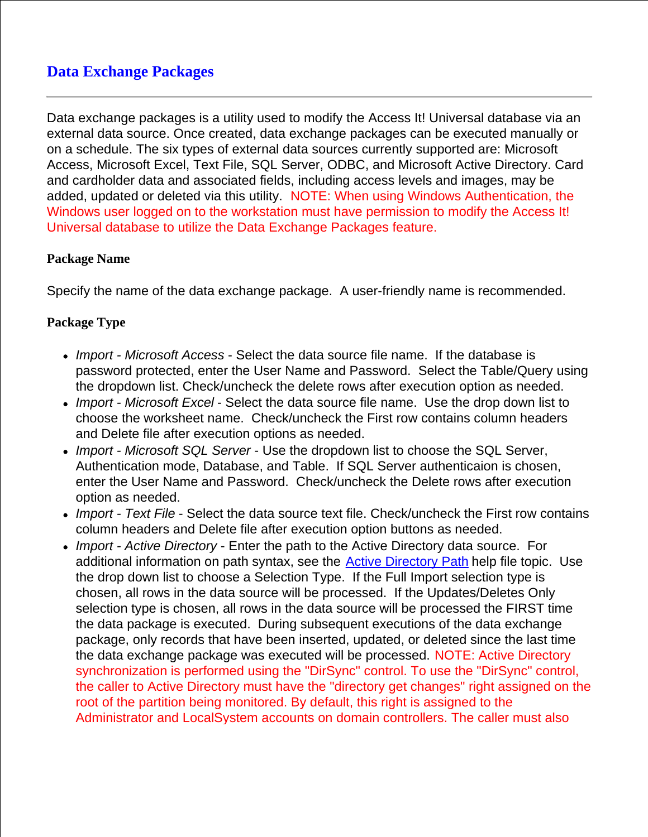# **Data Exchange Packages**

Data exchange packages is a utility used to modify the Access It! Universal database via an external data source. Once created, data exchange packages can be executed manually or on a schedule. The six types of external data sources currently supported are: Microsoft Access, Microsoft Excel, Text File, SQL Server, ODBC, and Microsoft Active Directory. Card and cardholder data and associated fields, including access levels and images, may be added, updated or deleted via this utility. NOTE: When using Windows Authentication, the Windows user logged on to the workstation must have permission to modify the Access It! Universal database to utilize the Data Exchange Packages feature.

## **Package Name**

Specify the name of the data exchange package. A user-friendly name is recommended.

## **Package Type**

- *Import Microsoft Access* Select the data source file name. If the database is password protected, enter the User Name and Password. Select the Table/Query using the dropdown list. Check/uncheck the delete rows after execution option as needed.
- *Import Microsoft Excel* Select the data source file name. Use the drop down list to choose the worksheet name. Check/uncheck the First row contains column headers and Delete file after execution options as needed.
- *Import Microsoft SQL Server*  Use the dropdown list to choose the SQL Server, Authentication mode, Database, and Table. If SQL Server authenticaion is chosen, enter the User Name and Password. Check/uncheck the Delete rows after execution option as needed.
- *Import Text File* Select the data source text file. Check/uncheck the First row contains column headers and Delete file after execution option buttons as needed.
- *Import Active Directory* Enter the path to the Active Directory data source. For additional information on path syntax, see the **Active Directory Path** help file topic. Use the drop down list to choose a Selection Type. If the Full Import selection type is chosen, all rows in the data source will be processed. If the Updates/Deletes Only selection type is chosen, all rows in the data source will be processed the FIRST time the data package is executed. During subsequent executions of the data exchange package, only records that have been inserted, updated, or deleted since the last time the data exchange package was executed will be processed. NOTE: Active Directory synchronization is performed using the "DirSync" control. To use the "DirSync" control, the caller to Active Directory must have the "directory get changes" right assigned on the root of the partition being monitored. By default, this right is assigned to the Administrator and LocalSystem accounts on domain controllers. The caller must also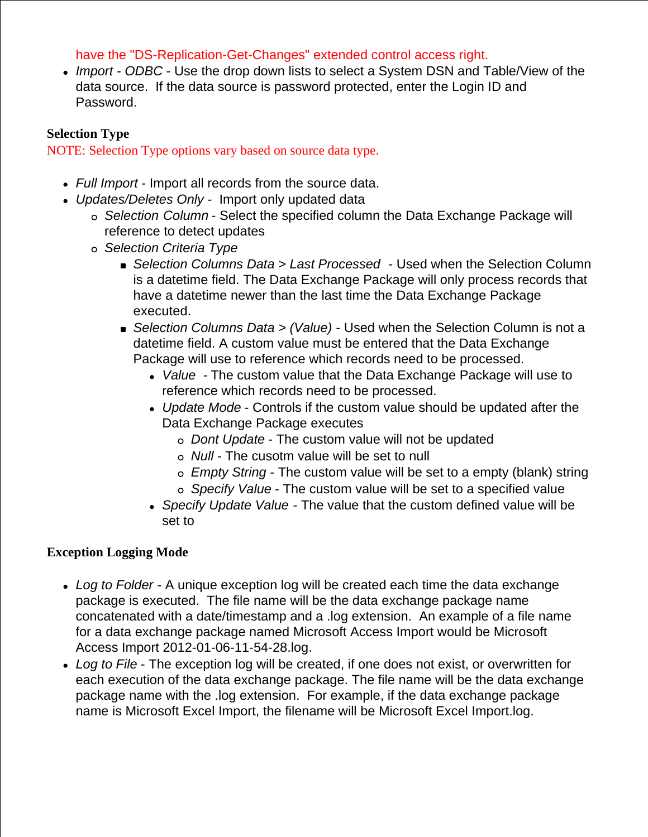## have the "DS-Replication-Get-Changes" extended control access right.

*Import - ODBC* - Use the drop down lists to select a System DSN and Table/View of the data source. If the data source is password protected, enter the Login ID and Password.

## **Selection Type**

NOTE: Selection Type options vary based on source data type.

- *Full Import* Import all records from the source data.
- *Updates/Deletes Only* Import only updated data
	- *Selection Column* Select the specified column the Data Exchange Package will reference to detect updates
	- *Selection Criteria Type*
		- *Selection Columns Data > Last Processed* Used when the Selection Column is a datetime field. The Data Exchange Package will only process records that have a datetime newer than the last time the Data Exchange Package executed.
		- *Selection Columns Data > (Value)* Used when the Selection Column is not a datetime field. A custom value must be entered that the Data Exchange Package will use to reference which records need to be processed.
			- *Value -* The custom value that the Data Exchange Package will use to reference which records need to be processed.
			- *Update Mode* Controls if the custom value should be updated after the Data Exchange Package executes
				- *Dont Update* The custom value will not be updated
				- *Null* The cusotm value will be set to null
				- *Empty String* The custom value will be set to a empty (blank) string
				- *Specify Value* The custom value will be set to a specified value
			- *Specify Update Value* The value that the custom defined value will be set to

## **Exception Logging Mode**

- *Log to Folder* A unique exception log will be created each time the data exchange package is executed. The file name will be the data exchange package name concatenated with a date/timestamp and a .log extension. An example of a file name for a data exchange package named Microsoft Access Import would be Microsoft Access Import 2012-01-06-11-54-28.log.
- *Log to File* The exception log will be created, if one does not exist, or overwritten for each execution of the data exchange package. The file name will be the data exchange package name with the .log extension. For example, if the data exchange package name is Microsoft Excel Import, the filename will be Microsoft Excel Import.log.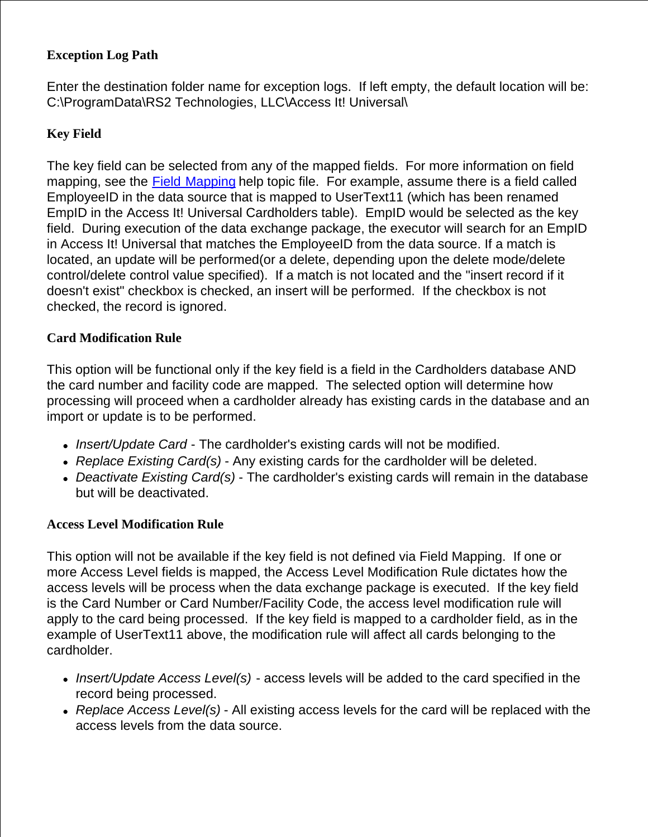## **Exception Log Path**

Enter the destination folder name for exception logs. If left empty, the default location will be: C:\ProgramData\RS2 Technologies, LLC\Access It! Universal\

## **Key Field**

The key field can be selected from any of the mapped fields. For more information on field mapping, see the Field Mapping help topic file. For example, assume there is a field called EmployeeID in the data source that is mapped to UserText11 (which has been renamed EmpID in the Access It! Universal Cardholders table). EmpID would be selected as the key field. During execution of the data exchange package, the executor will search for an EmpID in Access It! Universal that matches the EmployeeID from the data source. If a match is located, an update will be performed(or a delete, depending upon the delete mode/delete control/delete control value specified). If a match is not located and the "insert record if it doesn't exist" checkbox is checked, an insert will be performed. If the checkbox is not checked, the record is ignored.

## **Card Modification Rule**

This option will be functional only if the key field is a field in the Cardholders database AND the card number and facility code are mapped. The selected option will determine how processing will proceed when a cardholder already has existing cards in the database and an import or update is to be performed.

- *Insert/Update Card*  The cardholder's existing cards will not be modified.
- *Replace Existing Card(s)* Any existing cards for the cardholder will be deleted.
- *Deactivate Existing Card(s)* The cardholder's existing cards will remain in the database but will be deactivated.

## **Access Level Modification Rule**

This option will not be available if the key field is not defined via Field Mapping. If one or more Access Level fields is mapped, the Access Level Modification Rule dictates how the access levels will be process when the data exchange package is executed. If the key field is the Card Number or Card Number/Facility Code, the access level modification rule will apply to the card being processed. If the key field is mapped to a cardholder field, as in the example of UserText11 above, the modification rule will affect all cards belonging to the cardholder.

- *Insert/Update Access Level(s)*  access levels will be added to the card specified in the record being processed.
- *Replace Access Level(s)* All existing access levels for the card will be replaced with the access levels from the data source.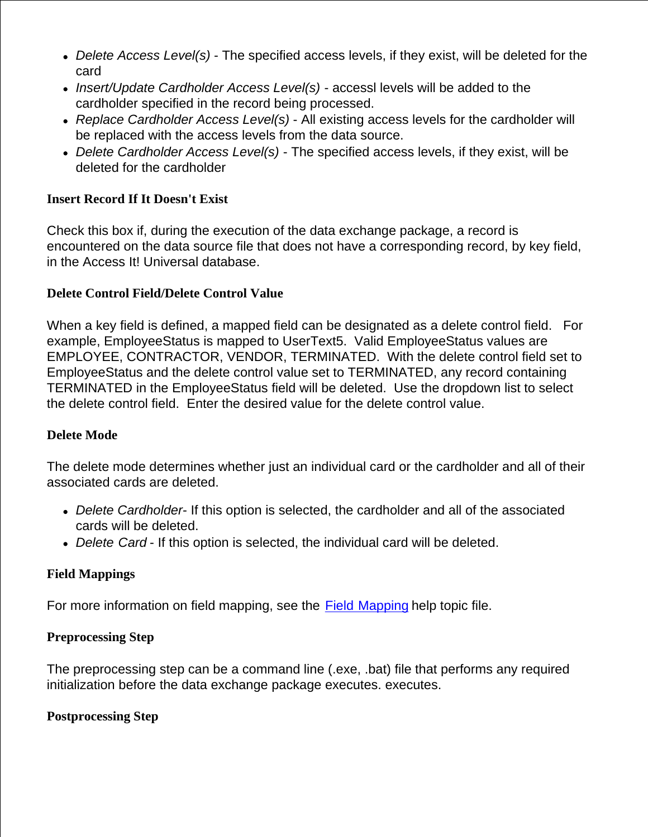- *Delete Access Level(s)* The specified access levels, if they exist, will be deleted for the card
- *Insert/Update Cardholder Access Level(s)*  accessl levels will be added to the cardholder specified in the record being processed.
- *Replace Cardholder Access Level(s)* All existing access levels for the cardholder will be replaced with the access levels from the data source.
- *Delete Cardholder Access Level(s)* The specified access levels, if they exist, will be deleted for the cardholder

## **Insert Record If It Doesn't Exist**

Check this box if, during the execution of the data exchange package, a record is encountered on the data source file that does not have a corresponding record, by key field, in the Access It! Universal database.

## **Delete Control Field/Delete Control Value**

When a key field is defined, a mapped field can be designated as a delete control field. For example, EmployeeStatus is mapped to UserText5. Valid EmployeeStatus values are EMPLOYEE, CONTRACTOR, VENDOR, TERMINATED. With the delete control field set to EmployeeStatus and the delete control value set to TERMINATED, any record containing TERMINATED in the EmployeeStatus field will be deleted. Use the dropdown list to select the delete control field. Enter the desired value for the delete control value.

## **Delete Mode**

The delete mode determines whether just an individual card or the cardholder and all of their associated cards are deleted.

- *Delete Cardholder* If this option is selected, the cardholder and all of the associated cards will be deleted.
- *Delete Card* If this option is selected, the individual card will be deleted.

## **Field Mappings**

For more information on field mapping, see the Field Mapping help topic file.

## **Preprocessing Step**

The preprocessing step can be a command line (.exe, .bat) file that performs any required initialization before the data exchange package executes. executes.

## **Postprocessing Step**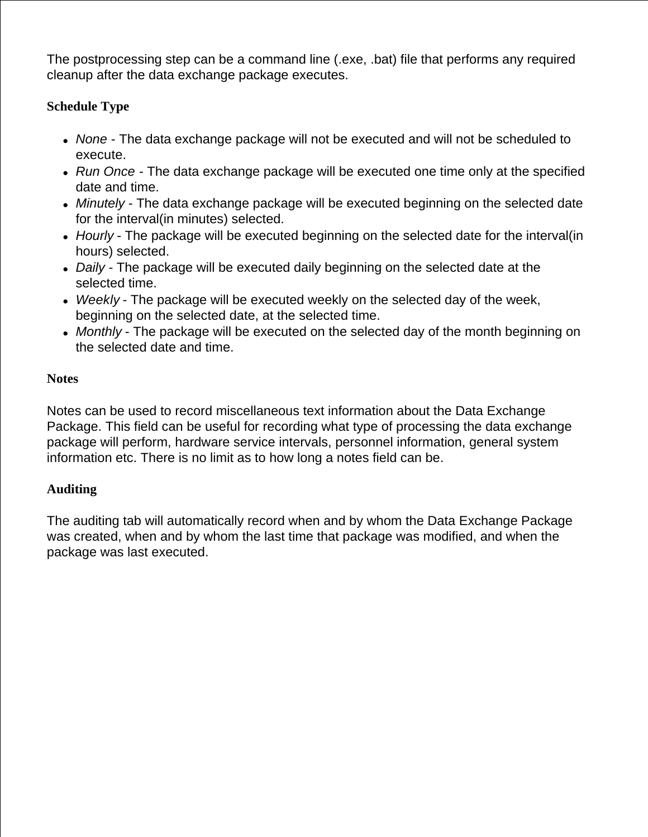The postprocessing step can be a command line (.exe, .bat) file that performs any required cleanup after the data exchange package executes.

## **Schedule Type**

- *None*  The data exchange package will not be executed and will not be scheduled to execute.
- *Run Once*  The data exchange package will be executed one time only at the specified date and time.
- *Minutely* The data exchange package will be executed beginning on the selected date for the interval(in minutes) selected.
- *Hourly* The package will be executed beginning on the selected date for the interval(in hours) selected.
- *Daily* The package will be executed daily beginning on the selected date at the selected time.
- *Weekly* The package will be executed weekly on the selected day of the week, beginning on the selected date, at the selected time.
- *Monthly* The package will be executed on the selected day of the month beginning on the selected date and time.

## **Notes**

Notes can be used to record miscellaneous text information about the Data Exchange Package. This field can be useful for recording what type of processing the data exchange package will perform, hardware service intervals, personnel information, general system information etc. There is no limit as to how long a notes field can be.

## **Auditing**

The auditing tab will automatically record when and by whom the Data Exchange Package was created, when and by whom the last time that package was modified, and when the package was last executed.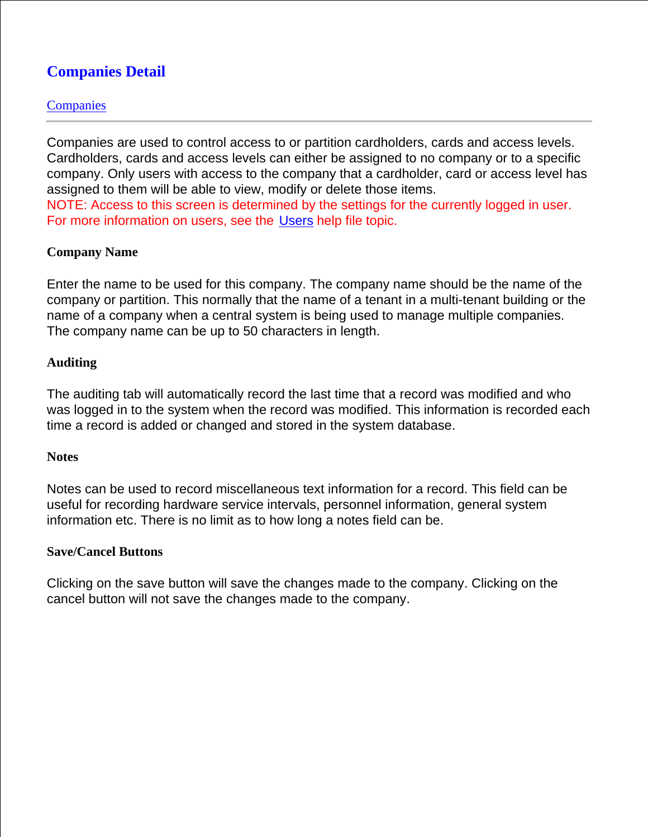# **Companies Detail**

## **Companies**

Companies are used to control access to or partition cardholders, cards and access levels. Cardholders, cards and access levels can either be assigned to no company or to a specific company. Only users with access to the company that a cardholder, card or access level has assigned to them will be able to view, modify or delete those items. NOTE: Access to this screen is determined by the settings for the currently logged in user.

For more information on users, see the Users help file topic.

## **Company Name**

Enter the name to be used for this company. The company name should be the name of the company or partition. This normally that the name of a tenant in a multi-tenant building or the name of a company when a central system is being used to manage multiple companies. The company name can be up to 50 characters in length.

### **Auditing**

The auditing tab will automatically record the last time that a record was modified and who was logged in to the system when the record was modified. This information is recorded each time a record is added or changed and stored in the system database.

#### **Notes**

Notes can be used to record miscellaneous text information for a record. This field can be useful for recording hardware service intervals, personnel information, general system information etc. There is no limit as to how long a notes field can be.

#### **Save/Cancel Buttons**

Clicking on the save button will save the changes made to the company. Clicking on the cancel button will not save the changes made to the company.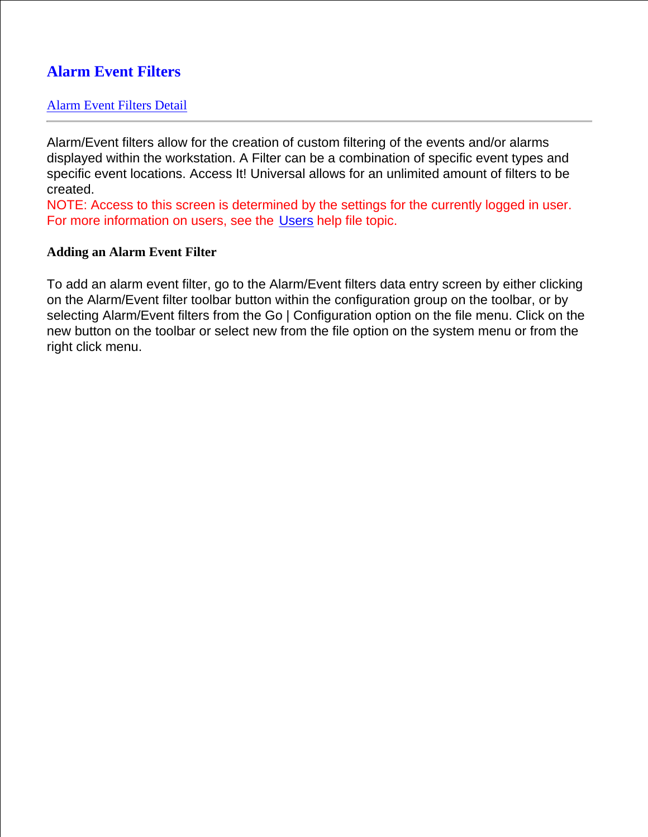# **Alarm Event Filters**

## Alarm Event Filters Detail

Alarm/Event filters allow for the creation of custom filtering of the events and/or alarms displayed within the workstation. A Filter can be a combination of specific event types and specific event locations. Access It! Universal allows for an unlimited amount of filters to be created.

NOTE: Access to this screen is determined by the settings for the currently logged in user. For more information on users, see the Users help file topic.

### **Adding an Alarm Event Filter**

To add an alarm event filter, go to the Alarm/Event filters data entry screen by either clicking on the Alarm/Event filter toolbar button within the configuration group on the toolbar, or by selecting Alarm/Event filters from the Go | Configuration option on the file menu. Click on the new button on the toolbar or select new from the file option on the system menu or from the right click menu.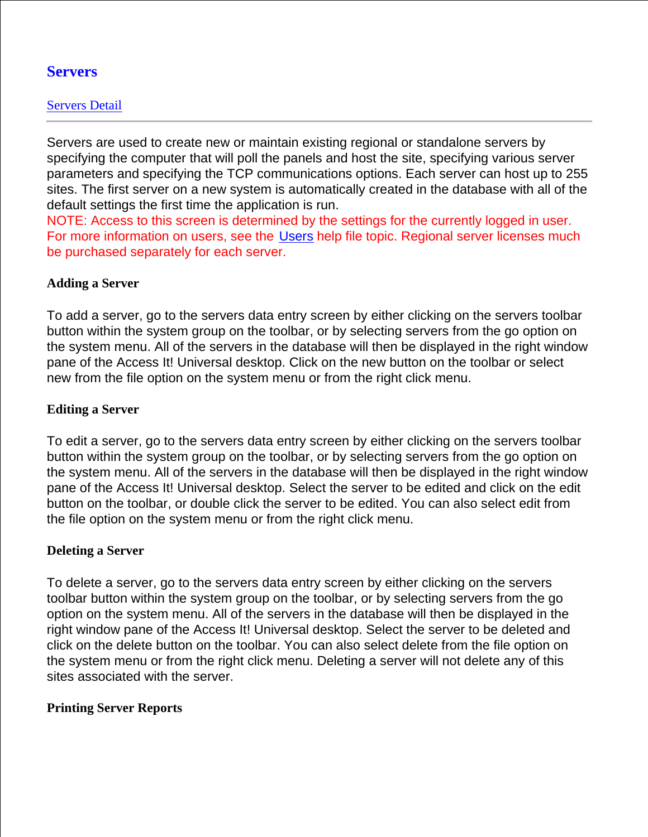## **Servers**

## Servers Detail

Servers are used to create new or maintain existing regional or standalone servers by specifying the computer that will poll the panels and host the site, specifying various server parameters and specifying the TCP communications options. Each server can host up to 255 sites. The first server on a new system is automatically created in the database with all of the default settings the first time the application is run.

NOTE: Access to this screen is determined by the settings for the currently logged in user. For more information on users, see the Users help file topic. Regional server licenses much be purchased separately for each server.

## **Adding a Server**

To add a server, go to the servers data entry screen by either clicking on the servers toolbar button within the system group on the toolbar, or by selecting servers from the go option on the system menu. All of the servers in the database will then be displayed in the right window pane of the Access It! Universal desktop. Click on the new button on the toolbar or select new from the file option on the system menu or from the right click menu.

## **Editing a Server**

To edit a server, go to the servers data entry screen by either clicking on the servers toolbar button within the system group on the toolbar, or by selecting servers from the go option on the system menu. All of the servers in the database will then be displayed in the right window pane of the Access It! Universal desktop. Select the server to be edited and click on the edit button on the toolbar, or double click the server to be edited. You can also select edit from the file option on the system menu or from the right click menu.

## **Deleting a Server**

To delete a server, go to the servers data entry screen by either clicking on the servers toolbar button within the system group on the toolbar, or by selecting servers from the go option on the system menu. All of the servers in the database will then be displayed in the right window pane of the Access It! Universal desktop. Select the server to be deleted and click on the delete button on the toolbar. You can also select delete from the file option on the system menu or from the right click menu. Deleting a server will not delete any of this sites associated with the server.

## **Printing Server Reports**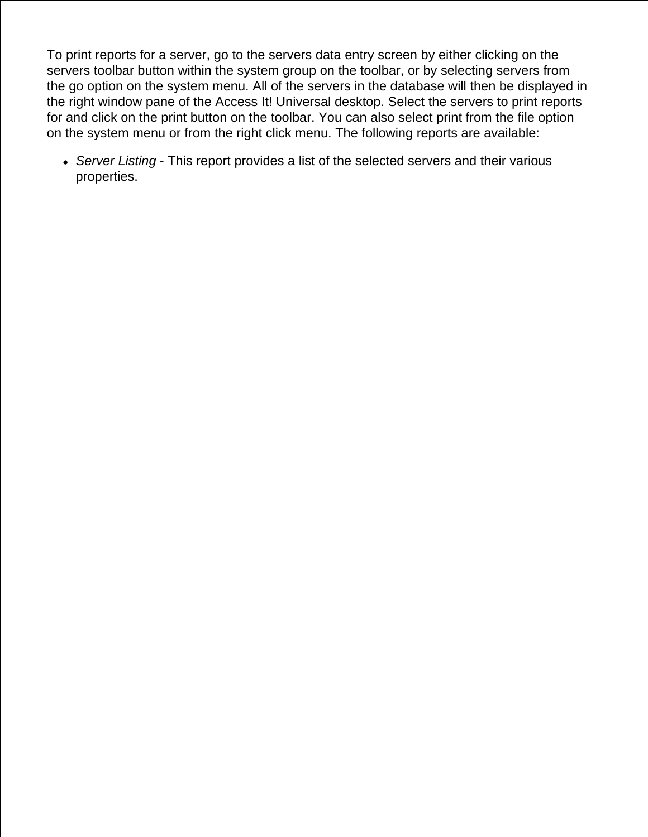To print reports for a server, go to the servers data entry screen by either clicking on the servers toolbar button within the system group on the toolbar, or by selecting servers from the go option on the system menu. All of the servers in the database will then be displayed in the right window pane of the Access It! Universal desktop. Select the servers to print reports for and click on the print button on the toolbar. You can also select print from the file option on the system menu or from the right click menu. The following reports are available:

*Server Listing* - This report provides a list of the selected servers and their various properties.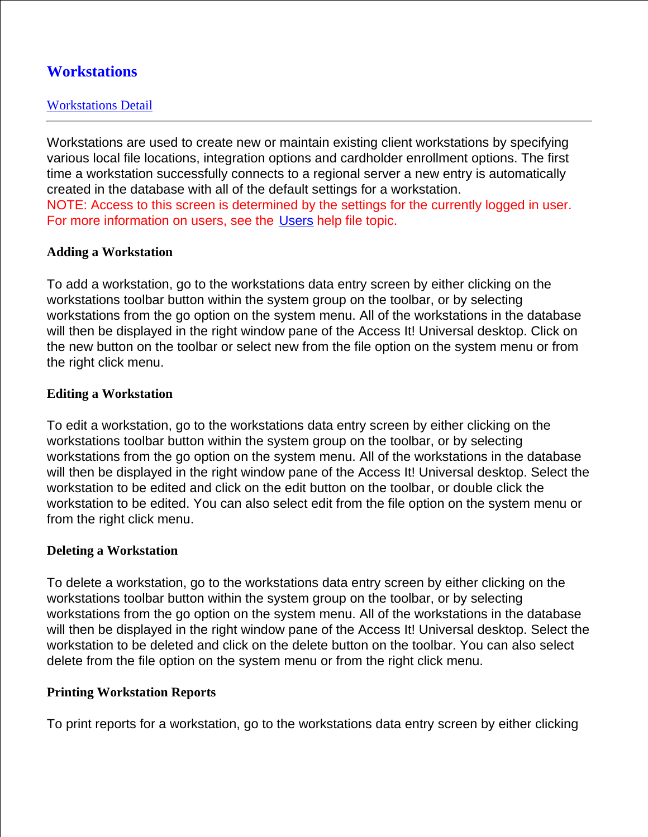# **Workstations**

## Workstations Detail

Workstations are used to create new or maintain existing client workstations by specifying various local file locations, integration options and cardholder enrollment options. The first time a workstation successfully connects to a regional server a new entry is automatically created in the database with all of the default settings for a workstation. NOTE: Access to this screen is determined by the settings for the currently logged in user. For more information on users, see the Users help file topic.

### **Adding a Workstation**

To add a workstation, go to the workstations data entry screen by either clicking on the workstations toolbar button within the system group on the toolbar, or by selecting workstations from the go option on the system menu. All of the workstations in the database will then be displayed in the right window pane of the Access It! Universal desktop. Click on the new button on the toolbar or select new from the file option on the system menu or from the right click menu.

### **Editing a Workstation**

To edit a workstation, go to the workstations data entry screen by either clicking on the workstations toolbar button within the system group on the toolbar, or by selecting workstations from the go option on the system menu. All of the workstations in the database will then be displayed in the right window pane of the Access It! Universal desktop. Select the workstation to be edited and click on the edit button on the toolbar, or double click the workstation to be edited. You can also select edit from the file option on the system menu or from the right click menu.

#### **Deleting a Workstation**

To delete a workstation, go to the workstations data entry screen by either clicking on the workstations toolbar button within the system group on the toolbar, or by selecting workstations from the go option on the system menu. All of the workstations in the database will then be displayed in the right window pane of the Access It! Universal desktop. Select the workstation to be deleted and click on the delete button on the toolbar. You can also select delete from the file option on the system menu or from the right click menu.

#### **Printing Workstation Reports**

To print reports for a workstation, go to the workstations data entry screen by either clicking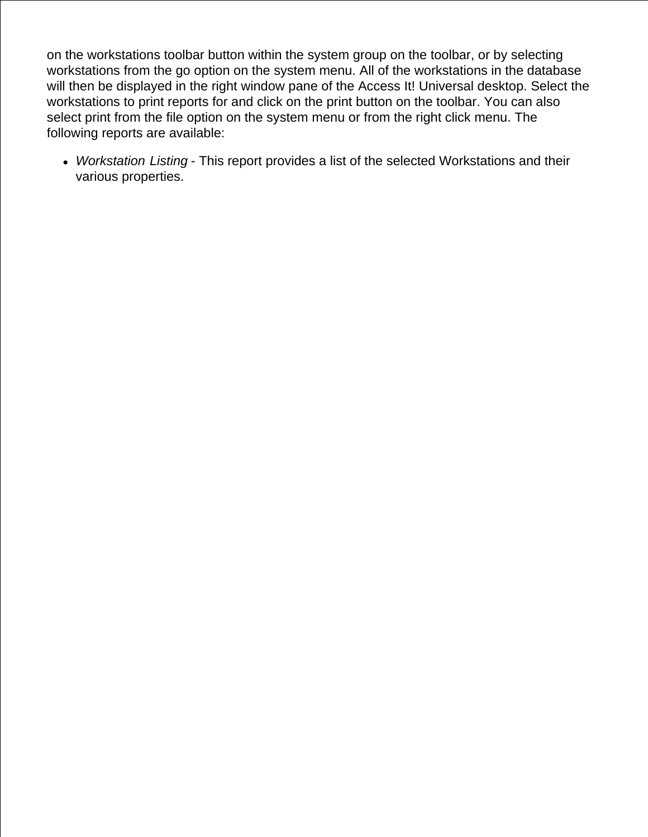on the workstations toolbar button within the system group on the toolbar, or by selecting workstations from the go option on the system menu. All of the workstations in the database will then be displayed in the right window pane of the Access It! Universal desktop. Select the workstations to print reports for and click on the print button on the toolbar. You can also select print from the file option on the system menu or from the right click menu. The following reports are available:

*Workstation Listing* - This report provides a list of the selected Workstations and their various properties.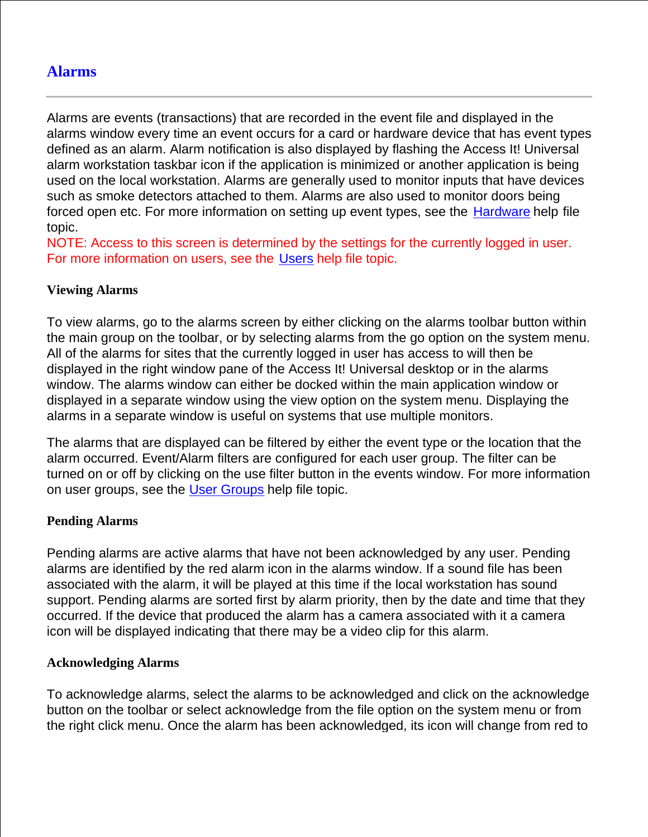## **Alarms**

Alarms are events (transactions) that are recorded in the event file and displayed in the alarms window every time an event occurs for a card or hardware device that has event types defined as an alarm. Alarm notification is also displayed by flashing the Access It! Universal alarm workstation taskbar icon if the application is minimized or another application is being used on the local workstation. Alarms are generally used to monitor inputs that have devices such as smoke detectors attached to them. Alarms are also used to monitor doors being forced open etc. For more information on setting up event types, see the Hardware help file topic.

NOTE: Access to this screen is determined by the settings for the currently logged in user. For more information on users, see the Users help file topic.

## **Viewing Alarms**

To view alarms, go to the alarms screen by either clicking on the alarms toolbar button within the main group on the toolbar, or by selecting alarms from the go option on the system menu. All of the alarms for sites that the currently logged in user has access to will then be displayed in the right window pane of the Access It! Universal desktop or in the alarms window. The alarms window can either be docked within the main application window or displayed in a separate window using the view option on the system menu. Displaying the alarms in a separate window is useful on systems that use multiple monitors.

The alarms that are displayed can be filtered by either the event type or the location that the alarm occurred. Event/Alarm filters are configured for each user group. The filter can be turned on or off by clicking on the use filter button in the events window. For more information on user groups, see the User Groups help file topic.

#### **Pending Alarms**

Pending alarms are active alarms that have not been acknowledged by any user. Pending alarms are identified by the red alarm icon in the alarms window. If a sound file has been associated with the alarm, it will be played at this time if the local workstation has sound support. Pending alarms are sorted first by alarm priority, then by the date and time that they occurred. If the device that produced the alarm has a camera associated with it a camera icon will be displayed indicating that there may be a video clip for this alarm.

#### **Acknowledging Alarms**

To acknowledge alarms, select the alarms to be acknowledged and click on the acknowledge button on the toolbar or select acknowledge from the file option on the system menu or from the right click menu. Once the alarm has been acknowledged, its icon will change from red to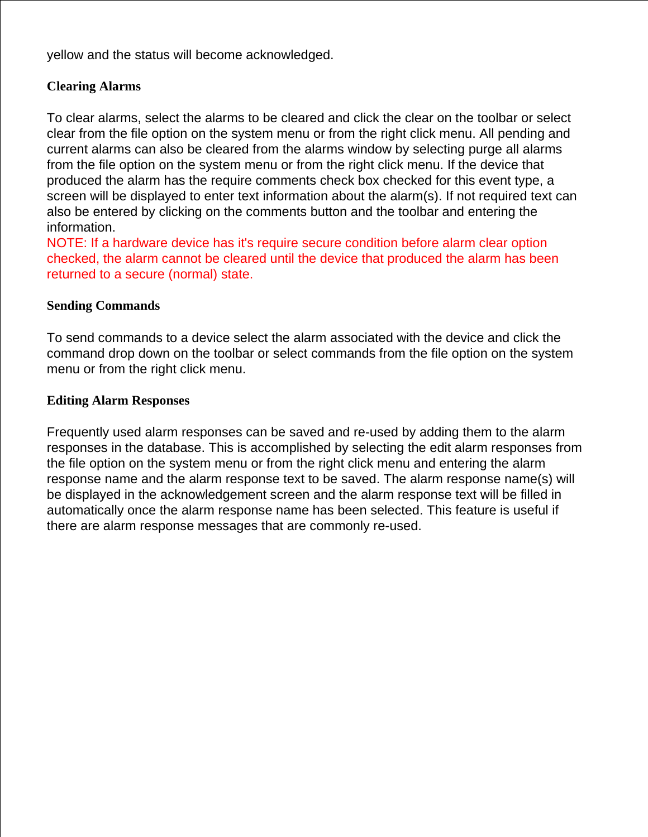yellow and the status will become acknowledged.

## **Clearing Alarms**

To clear alarms, select the alarms to be cleared and click the clear on the toolbar or select clear from the file option on the system menu or from the right click menu. All pending and current alarms can also be cleared from the alarms window by selecting purge all alarms from the file option on the system menu or from the right click menu. If the device that produced the alarm has the require comments check box checked for this event type, a screen will be displayed to enter text information about the alarm(s). If not required text can also be entered by clicking on the comments button and the toolbar and entering the information.

NOTE: If a hardware device has it's require secure condition before alarm clear option checked, the alarm cannot be cleared until the device that produced the alarm has been returned to a secure (normal) state.

## **Sending Commands**

To send commands to a device select the alarm associated with the device and click the command drop down on the toolbar or select commands from the file option on the system menu or from the right click menu.

## **Editing Alarm Responses**

Frequently used alarm responses can be saved and re-used by adding them to the alarm responses in the database. This is accomplished by selecting the edit alarm responses from the file option on the system menu or from the right click menu and entering the alarm response name and the alarm response text to be saved. The alarm response name(s) will be displayed in the acknowledgement screen and the alarm response text will be filled in automatically once the alarm response name has been selected. This feature is useful if there are alarm response messages that are commonly re-used.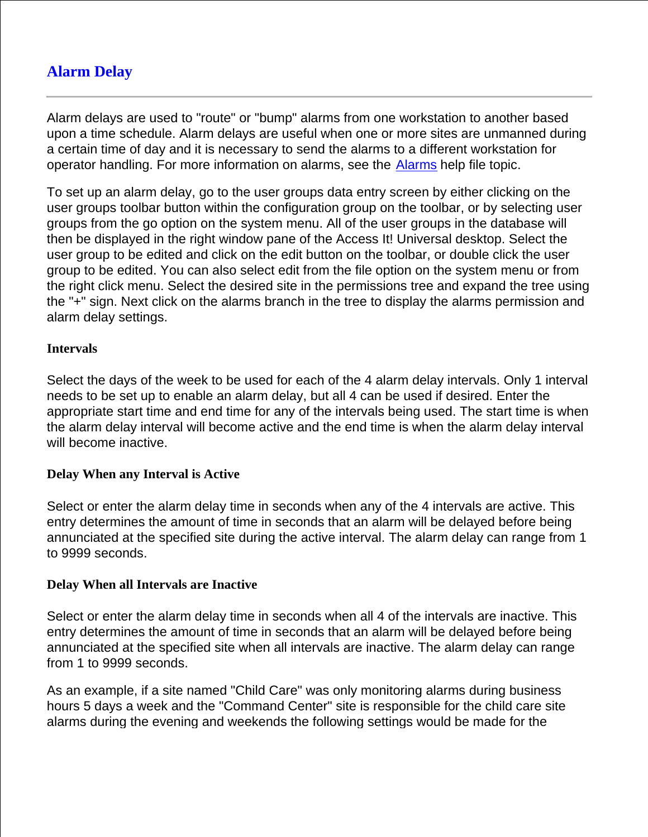# **Alarm Delay**

Alarm delays are used to "route" or "bump" alarms from one workstation to another based upon a time schedule. Alarm delays are useful when one or more sites are unmanned during a certain time of day and it is necessary to send the alarms to a different workstation for operator handling. For more information on alarms, see the Alarms help file topic.

To set up an alarm delay, go to the user groups data entry screen by either clicking on the user groups toolbar button within the configuration group on the toolbar, or by selecting user groups from the go option on the system menu. All of the user groups in the database will then be displayed in the right window pane of the Access It! Universal desktop. Select the user group to be edited and click on the edit button on the toolbar, or double click the user group to be edited. You can also select edit from the file option on the system menu or from the right click menu. Select the desired site in the permissions tree and expand the tree using the "+" sign. Next click on the alarms branch in the tree to display the alarms permission and alarm delay settings.

## **Intervals**

Select the days of the week to be used for each of the 4 alarm delay intervals. Only 1 interval needs to be set up to enable an alarm delay, but all 4 can be used if desired. Enter the appropriate start time and end time for any of the intervals being used. The start time is when the alarm delay interval will become active and the end time is when the alarm delay interval will become inactive.

#### **Delay When any Interval is Active**

Select or enter the alarm delay time in seconds when any of the 4 intervals are active. This entry determines the amount of time in seconds that an alarm will be delayed before being annunciated at the specified site during the active interval. The alarm delay can range from 1 to 9999 seconds.

#### **Delay When all Intervals are Inactive**

Select or enter the alarm delay time in seconds when all 4 of the intervals are inactive. This entry determines the amount of time in seconds that an alarm will be delayed before being annunciated at the specified site when all intervals are inactive. The alarm delay can range from 1 to 9999 seconds.

As an example, if a site named "Child Care" was only monitoring alarms during business hours 5 days a week and the "Command Center" site is responsible for the child care site alarms during the evening and weekends the following settings would be made for the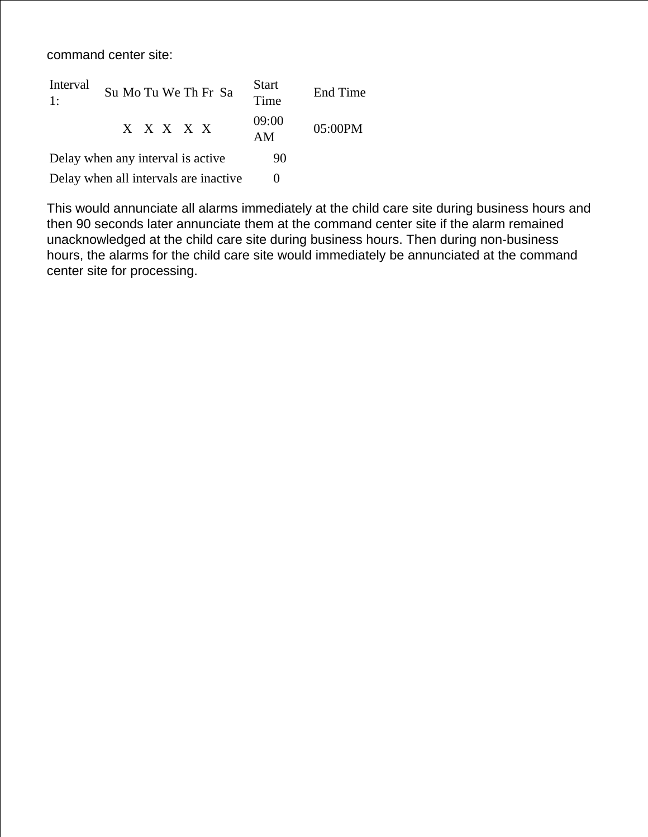command center site:

| Interval<br>1:                        | Su Mo Tu We Th Fr Sa | <b>Start</b><br>Time | End Time |
|---------------------------------------|----------------------|----------------------|----------|
|                                       | X X X X X            | 09:00<br>AM          | 05:00PM  |
| Delay when any interval is active.    |                      | 90                   |          |
| Delay when all intervals are inactive |                      |                      |          |

This would annunciate all alarms immediately at the child care site during business hours and then 90 seconds later annunciate them at the command center site if the alarm remained unacknowledged at the child care site during business hours. Then during non-business hours, the alarms for the child care site would immediately be annunciated at the command center site for processing.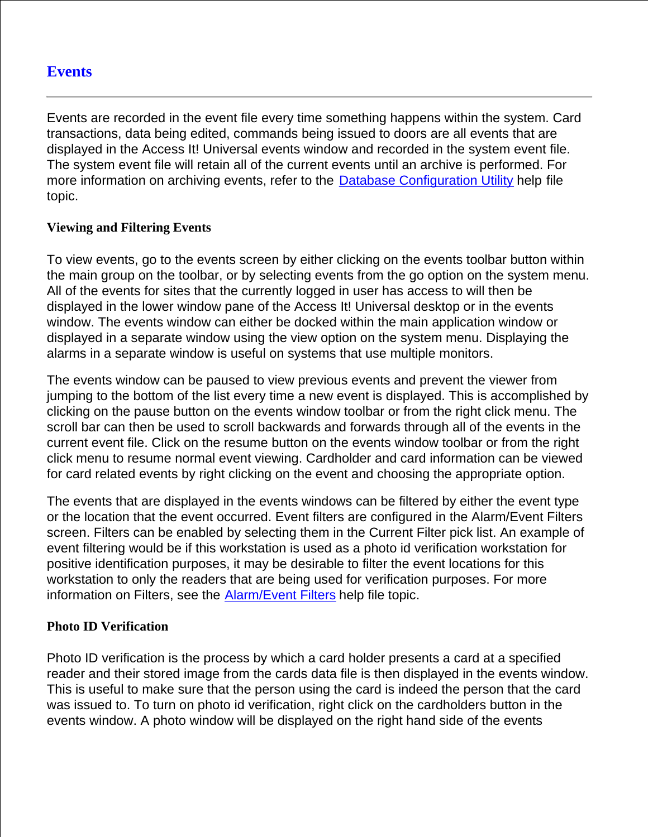## **Events**

Events are recorded in the event file every time something happens within the system. Card transactions, data being edited, commands being issued to doors are all events that are displayed in the Access It! Universal events window and recorded in the system event file. The system event file will retain all of the current events until an archive is performed. For more information on archiving events, refer to the Database Configuration Utility help file topic.

### **Viewing and Filtering Events**

To view events, go to the events screen by either clicking on the events toolbar button within the main group on the toolbar, or by selecting events from the go option on the system menu. All of the events for sites that the currently logged in user has access to will then be displayed in the lower window pane of the Access It! Universal desktop or in the events window. The events window can either be docked within the main application window or displayed in a separate window using the view option on the system menu. Displaying the alarms in a separate window is useful on systems that use multiple monitors.

The events window can be paused to view previous events and prevent the viewer from jumping to the bottom of the list every time a new event is displayed. This is accomplished by clicking on the pause button on the events window toolbar or from the right click menu. The scroll bar can then be used to scroll backwards and forwards through all of the events in the current event file. Click on the resume button on the events window toolbar or from the right click menu to resume normal event viewing. Cardholder and card information can be viewed for card related events by right clicking on the event and choosing the appropriate option.

The events that are displayed in the events windows can be filtered by either the event type or the location that the event occurred. Event filters are configured in the Alarm/Event Filters screen. Filters can be enabled by selecting them in the Current Filter pick list. An example of event filtering would be if this workstation is used as a photo id verification workstation for positive identification purposes, it may be desirable to filter the event locations for this workstation to only the readers that are being used for verification purposes. For more information on Filters, see the Alarm/Event Filters help file topic.

## **Photo ID Verification**

Photo ID verification is the process by which a card holder presents a card at a specified reader and their stored image from the cards data file is then displayed in the events window. This is useful to make sure that the person using the card is indeed the person that the card was issued to. To turn on photo id verification, right click on the cardholders button in the events window. A photo window will be displayed on the right hand side of the events